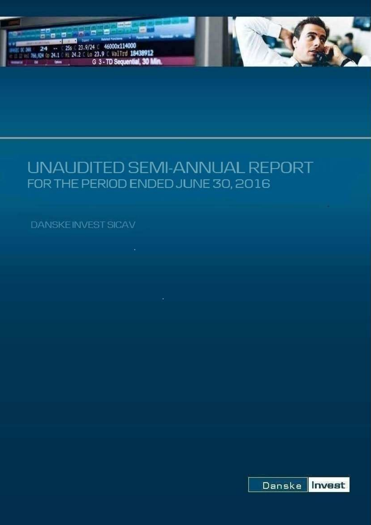

# UNAUDITED SEMI-ANNUAL REPORT FOR THE PERIOD ENDED JUNE 30, 2016

**DANSKEINVEST SICAV** 

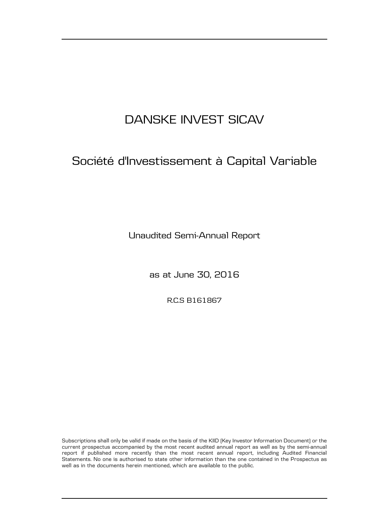## Société d'Investissement à Capital Variable

Unaudited Semi-Annual Report

as at June 30, 2016

R.C.S B161867

Subscriptions shall only be valid if made on the basis of the KIID (Key Investor Information Document) or the current prospectus accompanied by the most recent audited annual report as well as by the semi-annual report if published more recently than the most recent annual report, including Audited Financial Statements. No one is authorised to state other information than the one contained in the Prospectus as well as in the documents herein mentioned, which are available to the public.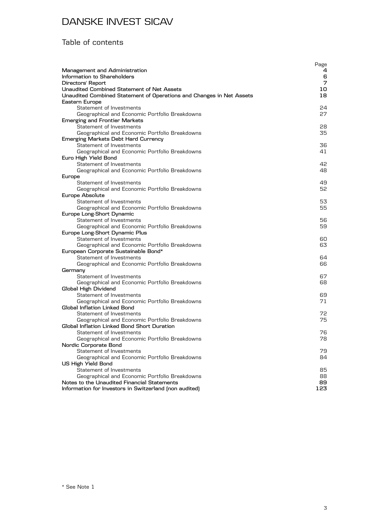## Table of contents

|                                                                            | Page     |
|----------------------------------------------------------------------------|----------|
| Management and Administration                                              | 4        |
| Information to Shareholders                                                | 6<br>7   |
| Directors' Report                                                          |          |
| Unaudited Combined Statement of Net Assets                                 | 10<br>18 |
| Unaudited Combined Statement of Operations and Changes in Net Assets       |          |
| Eastern Europe<br>Statement of Investments                                 | 24       |
|                                                                            | 27       |
| Geographical and Economic Portfolio Breakdowns                             |          |
| <b>Emerging and Frontier Markets</b><br>Statement of Investments           | 28       |
| Geographical and Economic Portfolio Breakdowns                             | 35       |
| <b>Emerging Markets Debt Hard Currency</b>                                 |          |
| Statement of Investments                                                   | 36       |
| Geographical and Economic Portfolio Breakdowns                             | 41       |
| Euro High Yield Bond                                                       |          |
| Statement of Investments                                                   | 42.      |
| Geographical and Economic Portfolio Breakdowns                             | 48       |
| Europe                                                                     |          |
| Statement of Investments                                                   | 49       |
| Geographical and Economic Portfolio Breakdowns                             | 52       |
| Europe Absolute                                                            |          |
| Statement of Investments                                                   | 53       |
| Geographical and Economic Portfolio Breakdowns                             | 55       |
| Europe Long-Short Dynamic                                                  |          |
| Statement of Investments                                                   | 56.      |
| Geographical and Economic Portfolio Breakdowns                             | 59       |
| Europe Long-Short Dynamic Plus                                             |          |
| Statement of Investments                                                   | 60.      |
| Geographical and Economic Portfolio Breakdowns                             | 63       |
| European Corporate Sustainable Bond*                                       |          |
| Statement of Investments                                                   | 64.      |
| Geographical and Economic Portfolio Breakdowns                             | 66       |
| Germany                                                                    |          |
| Statement of Investments                                                   | 67       |
| Geographical and Economic Portfolio Breakdowns                             | 68       |
| Global High Dividend                                                       |          |
| Statement of Investments                                                   | 69.      |
| Geographical and Economic Portfolio Breakdowns                             | 71       |
| Global Inflation Linked Bond                                               |          |
| Statement of Investments                                                   | 72.      |
| Geographical and Economic Portfolio Breakdowns                             | 75       |
| Global Inflation Linked Bond Short Duration                                |          |
| Statement of Investments                                                   | 76       |
| Geographical and Economic Portfolio Breakdowns                             | 78       |
| Nordic Corporate Bond                                                      |          |
| Statement of Investments                                                   | 79       |
| Geographical and Economic Portfolio Breakdowns                             | 84       |
| US High Yield Bond                                                         |          |
| Statement of Investments<br>Geographical and Economic Portfolio Breakdowns | 85       |
| Notes to the Unaudited Financial Statements                                | 88<br>89 |
| Information for Investors in Switzerland (non audited)                     | 123      |
|                                                                            |          |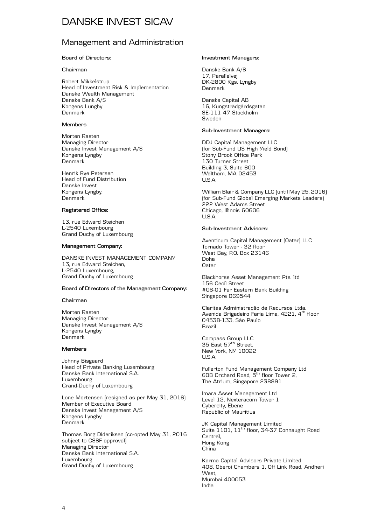#### Management and Administration

#### **Board of Directors:**

#### **Chairman**

Robert Mikkelstrup Head of Investment Risk & Implementation Danske Wealth Management Danske Bank A/S Kongens Lungby Denmark

#### **Members**

Morten Rasten Managing Director Danske Invest Management A/S Kongens Lyngby Denmark

Henrik Rye Petersen Head of Fund Distribution Danske Invest Kongens Lyngby, Denmark

#### **Registered Office:**

13, rue Edward Steichen L-2540 Luxembourg Grand Duchy of Luxembourg

#### **Management Company:**

DANSKE INVEST MANAGEMENT COMPANY 13, rue Edward Steichen, L-2540 Luxembourg, Grand Duchy of Luxembourg

#### **Board of Directors of the Management Company:**

#### **Chairman**

Morten Rasten Managing Director Danske Invest Management A/S Kongens Lyngby Denmark

#### **Members**

Johnny Bisgaard Head of Private Banking Luxembourg Danske Bank International S.A. Luxembourg Grand-Duchy of Luxembourg

Lone Mortensen (resigned as per May 31, 2016) Member of Executive Board Danske Invest Management A/S Kongens Lyngby Denmark

Thomas Borg Dideriksen (co-opted May 31, 2016 subject to CSSF approval) Managing Director Danske Bank International S.A. Luxembourg Grand Duchy of Luxembourg

#### **Investment Managers:**

Danske Bank A/S 17, Parallelvej DK-2800 Kgs. Lyngby Denmark

Danske Capital AB 16, Kungsträdgårdsgatan SE-111 47 Stockholm Sweden

#### **Sub-Investment Managers:**

DDJ Capital Management LLC (for Sub-Fund US High Yield Bond) Stony Brook Office Park 130 Turner Street Building 3, Suite 600 Waltham, MA 02453 U.S.A.

William Blair & Company LLC (until May 25, 2016) (for Sub-Fund Global Emerging Markets Leaders) 222 West Adams Street Chicago, Illinois 60606 U.S.A.

#### **Sub-Investment Advisors:**

Aventicum Capital Management (Qatar) LLC Tornado Tower - 32 floor West Bay, P.O. Box 23146 Doha **O**atar

Blackhorse Asset Management Pte. ltd 156 Cecil Street #06-01 Far Eastern Bank Building Singapore 069544

Claritas Administração de Recursos Ltda. Avenida Brigadeiro Faria Lima, 4221, 4<sup>th</sup> floor 04538-133, São Paulo Brazil

Compass Group LLC 35 East 57<sup>th</sup> Street, New York, NY 10022 U.S.A.

Fullerton Fund Management Company Ltd 60B Orchard Road, 5th floor Tower 2, The Atrium, Singapore 238891

Imara Asset Management Ltd Level 12, Nexteracom Tower 1 Cybercity, Ebene Republic of Mauritius

JK Capital Management Limited<br>Suite 1101, 11<sup>th</sup> floor, 34-37 Connaught Road Central, Hong Kong China

Karma Capital Advisors Private Limited 408, Oberoi Chambers 1, Off Link Road, Andheri West, Mumbai 400053 India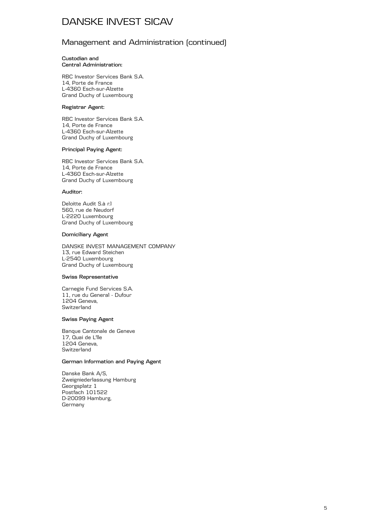#### Management and Administration (continued)

#### **Custodian and Central Administration:**

RBC Investor Services Bank S.A. 14, Porte de France L-4360 Esch-sur-Alzette Grand Duchy of Luxembourg

#### **Registrar Agent:**

RBC Investor Services Bank S.A. 14, Porte de France L-4360 Esch-sur-Alzette Grand Duchy of Luxembourg

#### **Principal Paying Agent:**

RBC Investor Services Bank S.A. 14, Porte de France L-4360 Esch-sur-Alzette Grand Duchy of Luxembourg

#### **Auditor:**

Deloitte Audit S.à r.l 560, rue de Neudorf L-2220 Luxembourg Grand Duchy of Luxembourg

#### **Domiciliary Agent**

DANSKE INVEST MANAGEMENT COMPANY 13, rue Edward Steichen L-2540 Luxembourg Grand Duchy of Luxembourg

#### **Swiss Representative**

Carnegie Fund Services S.A. 11, rue du General - Dufour 1204 Geneva, Switzerland

#### **Swiss Paying Agent**

Banque Cantonale de Geneve 17, Quai de L'lle 1204 Geneva, Switzerland

#### **German Information and Paying Agent**

Danske Bank A/S, Zweigniederlassung Hamburg Georgsplatz 1 Postfach 101522 D-20099 Hamburg, **Germany**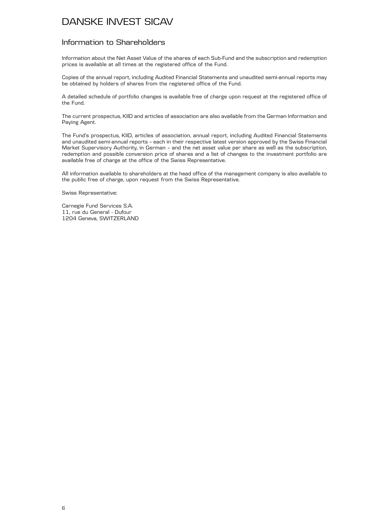#### Information to Shareholders

Information about the Net Asset Value of the shares of each Sub-Fund and the subscription and redemption prices is available at all times at the registered office of the Fund.

Copies of the annual report, including Audited Financial Statements and unaudited semi-annual reports may be obtained by holders of shares from the registered office of the Fund.

A detailed schedule of portfolio changes is available free of charge upon request at the registered office of the Fund.

The current prospectus, KIID and articles of association are also available from the German Information and Paying Agent.

The Fund's prospectus, KIID, articles of association, annual report, including Audited Financial Statements and unaudited semi-annual reports – each in their respective latest version approved by the Swiss Financial Market Supervisory Authority, in German – and the net asset value per share as well as the subscription, redemption and possible conversion price of shares and a list of changes to the investment portfolio are available free of charge at the office of the Swiss Representative.

All information available to shareholders at the head office of the management company is also available to the public free of charge, upon request from the Swiss Representative.

Swiss Representative:

Carnegie Fund Services S.A. 11, rue du General - Dufour 1204 Geneva, SWITZERLAND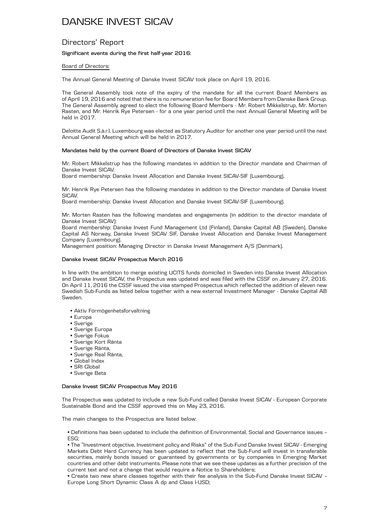#### Directors' Report

#### **Significant events during the first half-year 2016:**

#### Board of Directors:

The Annual General Meeting of Danske Invest SICAV took place on April 19, 2016.

The General Assembly took note of the expiry of the mandate for all the current Board Members as of April 19, 2016 and noted that there is no remuneration fee for Board Members from Danske Bank Group. The General Assembly agreed to elect the following Board Members - Mr. Robert Mikkelstrup, Mr. Morten Rasten, and Mr. Henrik Rye Petersen - for a one year period until the next Annual General Meeting will be held in 2017.

Deloitte Audit S.à.r.l. Luxembourg was elected as Statutory Auditor for another one year period until the next Annual General Meeting which will be held in 2017.

#### **Mandates held by the current Board of Directors of Danske Invest SICAV**

Mr. Robert Mikkelstrup has the following mandates in addition to the Director mandate and Chairman of Danske Invest SICAV.

Board membership: Danske Invest Allocation and Danske Invest SICAV-SIF (Luxembourg).

Mr. Henrik Rye Petersen has the following mandates in addition to the Director mandate of Danske Invest SICAV.

Board membership: Danske Invest Allocation and Danske Invest SICAV-SIF (Luxembourg).

Mr. Morten Rasten has the following mandates and engagements (in addition to the director mandate of Danske Invest SICAV):

Board membership: Danske Invest Fund Management Ltd (Finland), Danske Capital AB (Sweden), Danske Capital AS Norway, Danske Invest SICAV SIF, Danske Invest Allocation and Danske Invest Management Company (Luxembourg).

Management position: Managing Director in Danske Invest Management A/S (Denmark).

#### **Danske Invest SICAV Prospectus March 2016**

In line with the ambition to merge existing UCITS funds domiciled in Sweden into Danske Invest Allocation and Danske Invest SICAV, the Prospectus was updated and was filed with the CSSF on January 27, 2016. On April 11, 2016 the CSSF issued the visa stamped Prospectus which reflected the addition of eleven new Swedish Sub-Funds as listed below together with a new external Investment Manager - Danske Capital AB Sweden.

- Aktiv Förmögenhetsforvaltning
- Europa
- Sverige
- Sverige Europa
- Sverige Fokus
- Sverige Kort Ränta
- Sverige Ränta,
- Sverige Real Ränta,
- Global Index
- SRI Global
- Sverige Beta

#### **Danske Invest SICAV Prospectus May 2016**

The Prospectus was updated to include a new Sub-Fund called Danske Invest SICAV - European Corporate Sustainable Bond and the CSSF approved this on May 23, 2016.

The main changes to the Prospectus are listed below:

• Definitions has been updated to include the definition of Environmental, Social and Governance issues – ESG;

• The "Investment objective, Investment policy and Risks" of the Sub-Fund Danske Invest SICAV - Emerging Markets Debt Hard Currency has been updated to reflect that the Sub-Fund will invest in transferable securities, mainly bonds issued or guaranteed by governments or by companies in Emerging Market countries and other debt instruments. Please note that we see these updates as a further precision of the current text and not a change that would require a Notice to Shareholders;

• Create two new share classes together with their fee analysis in the Sub-Fund Danske Invest SICAV – Europe Long Short Dynamic Class A dp and Class I-USD;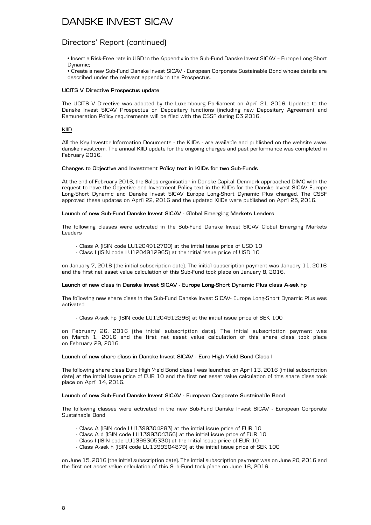#### Directors' Report (continued)

• Insert a Risk-Free rate in USD in the Appendix in the Sub-Fund Danske Invest SICAV – Europe Long Short Dynamic;

• Create a new Sub-Fund Danske Invest SICAV - European Corporate Sustainable Bond whose details are described under the relevant appendix in the Prospectus.

#### **UCITS V Directive Prospectus update**

The UCITS V Directive was adopted by the Luxembourg Parliament on April 21, 2016. Updates to the Danske Invest SICAV Prospectus on Depositary functions (including new Depositary Agreement and Remuneration Policy requirements will be filed with the CSSF during Q3 2016.

#### KIID

All the Key Investor Information Documents - the KIIDs - are available and published on the website www. danskeinvest.com. The annual KIID update for the ongoing charges and past performance was completed in February 2016.

#### **Changes to Objective and Investment Policy text in KIIDs for two Sub-Funds**

At the end of February 2016, the Sales organisation in Danske Capital, Denmark approached DIMC with the request to have the Objective and Investment Policy text in the KIIDs for the Danske Invest SICAV Europe Long-Short Dynamic and Danske Invest SICAV Europe Long-Short Dynamic Plus changed. The CSSF approved these updates on April 22, 2016 and the updated KIIDs were published on April 25, 2016.

#### **Launch of new Sub-Fund Danske Invest SICAV - Global Emerging Markets Leaders**

The following classes were activated in the Sub-Fund Danske Invest SICAV Global Emerging Markets Leaders

- Class A (ISIN code LU1204912700) at the initial issue price of USD 10
- Class I (ISIN code LU1204912965) at the initial issue price of USD 10

on January 7, 2016 (the initial subscription date). The initial subscription payment was January 11, 2016 and the first net asset value calculation of this Sub-Fund took place on January 8, 2016.

#### **Launch of new class in Danske Invest SICAV - Europe Long-Short Dynamic Plus class A-sek hp**

The following new share class in the Sub-Fund Danske Invest SICAV- Europe Long-Short Dynamic Plus was activated

- Class A-sek hp (ISIN code LU1204912296) at the initial issue price of SEK 100

on February 26, 2016 (the initial subscription date). The initial subscription payment was on March 1, 2016 and the first net asset value calculation of this share class took place on February 29, 2016.

#### **Launch of new share class in Danske Invest SICAV - Euro High Yield Bond Class I**

The following share class Euro High Yield Bond class I was launched on April 13, 2016 (initial subscription date) at the initial issue price of EUR 10 and the first net asset value calculation of this share class took place on April 14, 2016.

#### **Launch of new Sub-Fund Danske Invest SICAV - European Corporate Sustainable Bond**

The following classes were activated in the new Sub-Fund Danske Invest SICAV - European Corporate Sustainable Bond

- Class A (ISIN code LU1399304283) at the initial issue price of EUR 10
- Class A d (ISIN code LU1399304366) at the initial issue price of EUR 10
- Class I (ISIN code LU1399305330) at the initial issue price of EUR 10
- Class A-sek h (ISIN code LU1399304879) at the initial issue price of SEK 100

on June 15, 2016 (the initial subscription date). The initial subscription payment was on June 20, 2016 and the first net asset value calculation of this Sub-Fund took place on June 16, 2016.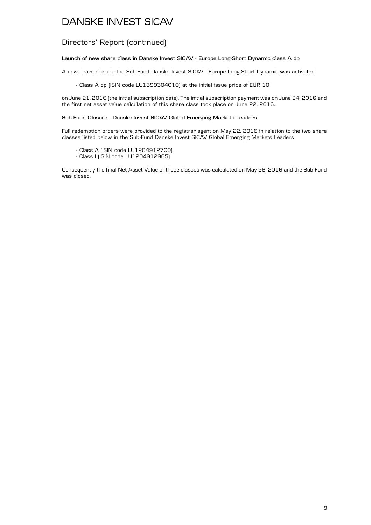#### Directors' Report (continued)

#### **Launch of new share class in Danske Invest SICAV - Europe Long-Short Dynamic class A dp**

A new share class in the Sub-Fund Danske Invest SICAV - Europe Long-Short Dynamic was activated

- Class A dp (ISIN code LU1399304010) at the initial issue price of EUR 10

on June 21, 2016 (the initial subscription date). The initial subscription payment was on June 24, 2016 and the first net asset value calculation of this share class took place on June 22, 2016.

#### **Sub-Fund Closure - Danske Invest SICAV Global Emerging Markets Leaders**

Full redemption orders were provided to the registrar agent on May 22, 2016 in relation to the two share classes listed below in the Sub-Fund Danske Invest SICAV Global Emerging Markets Leaders

- Class A (ISIN code LU1204912700)
- Class I (ISIN code LU1204912965)

Consequently the final Net Asset Value of these classes was calculated on May 26, 2016 and the Sub-Fund was closed.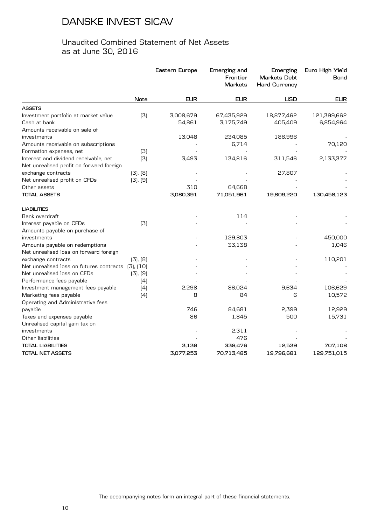#### Unaudited Combined Statement of Net Assets as at June 30, 2016

|                                                    |          | Eastern Europe | Emerging and<br>Frontier<br><b>Markets</b> | Emerging<br><b>Markets Debt</b><br><b>Hard Currency</b> | Euro High Yield<br>Bond |
|----------------------------------------------------|----------|----------------|--------------------------------------------|---------------------------------------------------------|-------------------------|
|                                                    | Note     | <b>EUR</b>     | <b>EUR</b>                                 | <b>USD</b>                                              | <b>EUR</b>              |
| <b>ASSETS</b>                                      |          |                |                                            |                                                         |                         |
| Investment portfolio at market value               | (3)      | 3,008,679      | 67,435,929                                 | 18,877,462                                              | 121,399,662             |
| Cash at bank                                       |          | 54,861         | 3,175,749                                  | 405,409                                                 | 6,854,964               |
| Amounts receivable on sale of                      |          |                |                                            |                                                         |                         |
| investments                                        |          | 13,048         | 234,085                                    | 186,996                                                 |                         |
| Amounts receivable on subscriptions                |          |                | 6,714                                      |                                                         | 70,120                  |
| Formation expenses, net                            | (3)      |                |                                            |                                                         |                         |
| Interest and dividend receivable, net              | [3]      | 3,493          | 134,816                                    | 311,546                                                 | 2,133,377               |
| Net unrealised profit on forward foreign           |          |                |                                            |                                                         |                         |
| exchange contracts                                 | [3], [8] |                |                                            | 27,807                                                  |                         |
| Net unrealised profit on CFDs                      | [3], [9] |                |                                            |                                                         |                         |
| Other assets                                       |          | 310            | 64,668                                     |                                                         |                         |
| <b>TOTAL ASSETS</b>                                |          | 3,080,391      | 71,051,961                                 | 19,809,220                                              | 130,458,123             |
| <b>LIABILITIES</b>                                 |          |                |                                            |                                                         |                         |
| Bank overdraft                                     |          |                | 114                                        |                                                         |                         |
| Interest payable on CFDs                           | (3)      |                |                                            |                                                         |                         |
| Amounts payable on purchase of                     |          |                |                                            |                                                         |                         |
| investments                                        |          |                | 129,803                                    |                                                         | 450,000                 |
| Amounts payable on redemptions                     |          |                | 33,138                                     |                                                         | 1,046                   |
| Net unrealised loss on forward foreign             |          |                |                                            |                                                         |                         |
| exchange contracts                                 | [3], [8] |                |                                            |                                                         | 110,201                 |
| Net unrealised loss on futures contracts [3], [10] |          |                |                                            |                                                         |                         |
| Net unrealised loss on CFDs                        | [3], [9] |                |                                            |                                                         |                         |
| Performance fees payable                           | (4)      |                |                                            |                                                         |                         |
| Investment management fees payable                 | (4)      | 2,298          | 86,024                                     | 9,634                                                   | 106,629                 |
| Marketing fees payable                             | (4)      | 8              | 84                                         | 6                                                       | 10,572                  |
| Operating and Administrative fees                  |          |                |                                            |                                                         |                         |
| payable                                            |          | 746            | 84,681                                     | 2,399                                                   | 12,929                  |
| Taxes and expenses payable                         |          | 86             | 1,845                                      | 500                                                     | 15,731                  |
| Unrealised capital gain tax on                     |          |                |                                            |                                                         |                         |
| investments                                        |          |                | 2,311                                      |                                                         |                         |
| Other liabilities                                  |          |                | 476                                        |                                                         |                         |
| <b>TOTAL LIABILITIES</b>                           |          | 3,138          | 338,476                                    | 12,539                                                  | 707,108                 |
| <b>TOTAL NET ASSETS</b>                            |          | 3,077,253      | 70,713,485                                 | 19,796,681                                              | 129,751,015             |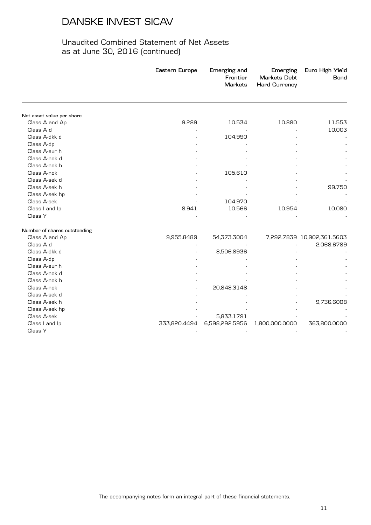|                              | Eastern Europe | Emerging and<br>Frontier<br><b>Markets</b> | Emerging<br><b>Markets Debt</b><br><b>Hard Currency</b> | Euro High Yield<br><b>Bond</b> |
|------------------------------|----------------|--------------------------------------------|---------------------------------------------------------|--------------------------------|
|                              |                |                                            |                                                         |                                |
| Net asset value per share    |                |                                            |                                                         |                                |
| Class A and Ap               | 9.289          | 10.534                                     | 10.880                                                  | 11.553                         |
| Class A d                    |                |                                            |                                                         | 10.003                         |
| Class A-dkk d                |                | 104.990                                    |                                                         |                                |
| Class A-dp                   |                |                                            |                                                         |                                |
| Class A-eur h                |                |                                            |                                                         |                                |
| Class A-nok d                |                |                                            |                                                         |                                |
| Class A-nok h                |                |                                            |                                                         |                                |
| Class A-nok                  |                | 105.610                                    |                                                         |                                |
| Class A-sek d                |                |                                            |                                                         |                                |
| Class A-sek h                |                |                                            |                                                         | 99.750                         |
| Class A-sek hp               |                |                                            |                                                         |                                |
| Class A-sek                  |                | 104.970                                    |                                                         |                                |
| Class I and Ip               | 8.941          | 10.566                                     | 10.954                                                  | 10.080                         |
| Class Y                      |                |                                            |                                                         |                                |
| Number of shares outstanding |                |                                            |                                                         |                                |
| Class A and Ap               | 9,955.8489     | 54,373.3004                                |                                                         | 7,292.7839 10,902,361.5603     |
| Class A d                    |                |                                            |                                                         | 2,068.6789                     |
| Class A-dkk d                |                | 8,506.8936                                 |                                                         |                                |
| Class A-dp                   |                |                                            |                                                         |                                |
| Class A-eur h                |                |                                            |                                                         |                                |
| Class A-nok d                |                |                                            |                                                         |                                |
| Class A-nok h                |                |                                            |                                                         |                                |
| Class A-nok                  |                | 20,848.3148                                |                                                         |                                |
| Class A-sek d                |                |                                            |                                                         |                                |
| Class A-sek h                |                |                                            |                                                         | 9,736.6008                     |
| Class A-sek hp               |                |                                            |                                                         |                                |
| Class A-sek                  |                | 5,833.1791                                 |                                                         |                                |
| Class I and Ip               | 333,820.4494   | 6,598,292.5956                             | 1,800,000.0000                                          | 363,800.0000                   |
| Class Y                      |                |                                            |                                                         |                                |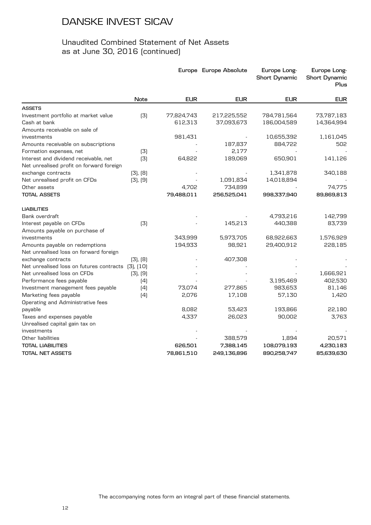|                                                                                   |           |            | Europe Europe Absolute | Europe Long-<br><b>Short Dynamic</b> | Europe Long-<br><b>Short Dynamic</b><br>Plus |
|-----------------------------------------------------------------------------------|-----------|------------|------------------------|--------------------------------------|----------------------------------------------|
|                                                                                   | Note      | <b>EUR</b> | <b>EUR</b>             | <b>EUR</b>                           | <b>EUR</b>                                   |
| <b>ASSETS</b>                                                                     |           |            |                        |                                      |                                              |
| Investment portfolio at market value                                              | (3)       | 77,824,743 | 217,225,552            | 784,781,564                          | 73,787,183                                   |
| Cash at bank                                                                      |           | 612,313    | 37,093,673             | 186,004,589                          | 14,364,994                                   |
| Amounts receivable on sale of                                                     |           |            |                        |                                      |                                              |
| investments                                                                       |           | 981,431    |                        | 10,655,392                           | 1,161,045                                    |
| Amounts receivable on subscriptions                                               |           |            | 187,837                | 884,722                              | 502                                          |
| Formation expenses, net                                                           | (3)       |            | 2,177                  |                                      |                                              |
| Interest and dividend receivable, net<br>Net unrealised profit on forward foreign | (3)       | 64,822     | 189,069                | 650,901                              | 141,126                                      |
| exchange contracts                                                                | [3], [8]  |            |                        | 1,341,878                            | 340,188                                      |
| Net unrealised profit on CFDs                                                     | [3], [9]  |            | 1,091,834              | 14,018,894                           |                                              |
| Other assets                                                                      |           | 4,702      | 734,899                |                                      | 74,775                                       |
| <b>TOTAL ASSETS</b>                                                               |           | 79,488,011 | 256,525,041            | 998,337,940                          | 89,869,813                                   |
| <b>LIABILITIES</b>                                                                |           |            |                        |                                      |                                              |
| Bank overdraft                                                                    |           |            |                        | 4,793,216                            | 142,799                                      |
| Interest payable on CFDs                                                          | (3)       |            | 145,213                | 440,388                              | 83,739                                       |
| Amounts payable on purchase of                                                    |           |            |                        |                                      |                                              |
| investments                                                                       |           | 343,999    | 5,973,705              | 68,922,663                           | 1,576,929                                    |
| Amounts payable on redemptions                                                    |           | 194,933    | 98,921                 | 29,400,912                           | 228,185                                      |
| Net unrealised loss on forward foreign                                            |           |            |                        |                                      |                                              |
| exchange contracts                                                                | [3], [8]  |            | 407,308                |                                      |                                              |
| Net unrealised loss on futures contracts                                          | (3), (10) |            |                        |                                      |                                              |
| Net unrealised loss on CFDs                                                       | [3], [9]  |            |                        |                                      | 1,666,921                                    |
| Performance fees payable                                                          | (4)       |            |                        | 3,195,469                            | 402,530                                      |
| Investment management fees payable                                                | (4)       | 73,074     | 277,865                | 983,653                              | 81,146                                       |
| Marketing fees payable                                                            | (4)       | 2,076      | 17,108                 | 57,130                               | 1,420                                        |
| Operating and Administrative fees                                                 |           |            |                        |                                      |                                              |
| payable                                                                           |           | 8,082      | 53,423                 | 193,866                              | 22,180                                       |
| Taxes and expenses payable                                                        |           | 4,337      | 26,023                 | 90,002                               | 3,763                                        |
| Unrealised capital gain tax on                                                    |           |            |                        |                                      |                                              |
| investments                                                                       |           |            |                        |                                      |                                              |
| Other liabilities                                                                 |           |            | 388,579                | 1,894                                | 20,571                                       |
| <b>TOTAL LIABILITIES</b>                                                          |           | 626,501    | 7,388,145              | 108,079,193                          | 4,230,183                                    |
| <b>TOTAL NET ASSETS</b>                                                           |           | 78,861,510 | 249,136,896            | 890,258,747                          | 85,639,630                                   |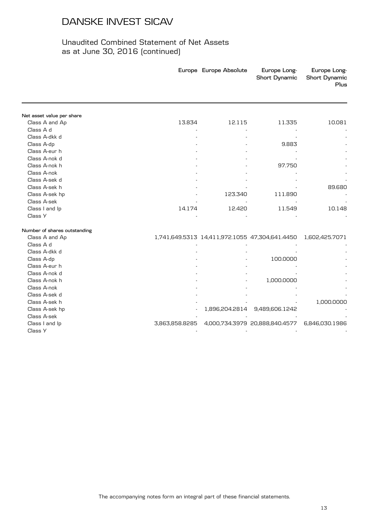|                              |                | Europe Europe Absolute | Europe Long-<br><b>Short Dynamic</b>           | Europe Long-<br><b>Short Dynamic</b><br>Plus |
|------------------------------|----------------|------------------------|------------------------------------------------|----------------------------------------------|
|                              |                |                        |                                                |                                              |
| Net asset value per share    |                |                        |                                                |                                              |
| Class A and Ap               | 13.834         | 12.115                 | 11.335                                         | 10.081                                       |
| Class A d                    |                |                        |                                                |                                              |
| Class A-dkk d                |                |                        |                                                |                                              |
| Class A-dp                   |                |                        | 9.883                                          |                                              |
| Class A-eur h                |                |                        |                                                |                                              |
| Class A-nok d                |                |                        |                                                |                                              |
| Class A-nok h                |                |                        | 97.750                                         |                                              |
| Class A-nok                  |                |                        |                                                |                                              |
| Class A-sek d                |                |                        |                                                |                                              |
| Class A-sek h                |                |                        |                                                | 89.680                                       |
| Class A-sek hp               |                | 123.340                | 111.890                                        |                                              |
| Class A-sek                  |                |                        |                                                |                                              |
| Class I and Ip               | 14.174         | 12.420                 | 11.549                                         | 10.148                                       |
| Class Y                      |                |                        |                                                |                                              |
| Number of shares outstanding |                |                        |                                                |                                              |
| Class A and Ap               |                |                        | 1,741,649.5313 14,411,972.1055 47,304,641.4450 | 1,602,425.7071                               |
| Class A d                    |                |                        |                                                |                                              |
| Class A-dkk d                |                |                        |                                                |                                              |
| Class A-dp                   |                |                        | 100.0000                                       |                                              |
| Class A-eur h                |                |                        |                                                |                                              |
| Class A-nok d                |                |                        |                                                |                                              |
| Class A-nok h                |                |                        | 1,000.0000                                     |                                              |
| Class A-nok                  |                |                        |                                                |                                              |
| Class A-sek d                |                |                        |                                                |                                              |
| Class A-sek h                |                |                        |                                                | 1,000.0000                                   |
| Class A-sek hp               |                | 1,896,204.2814         | 9,489,606.1242                                 |                                              |
| Class A-sek                  |                |                        |                                                |                                              |
| Class I and Ip               | 3,863,858.8285 |                        | 4,000,734.3979 20,888,840.4577                 | 6,846,030.1986                               |
| Class Y                      |                |                        |                                                |                                              |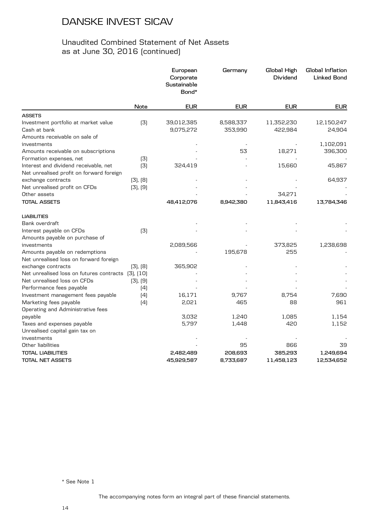### Unaudited Combined Statement of Net Assets as at June 30, 2016 (continued)

|                                                    |          | European<br>Corporate<br>Sustainable<br>Bond* | Germany    | Global High<br>Dividend | Global Inflation<br><b>Linked Bond</b> |
|----------------------------------------------------|----------|-----------------------------------------------|------------|-------------------------|----------------------------------------|
|                                                    | Note     | <b>EUR</b>                                    | <b>EUR</b> | <b>EUR</b>              | <b>EUR</b>                             |
| <b>ASSETS</b>                                      |          |                                               |            |                         |                                        |
| Investment portfolio at market value               | [3]      | 39,012,385                                    | 8,588,337  | 11,352,230              | 12,150,247                             |
| Cash at bank                                       |          | 9,075,272                                     | 353,990    | 422,984                 | 24,904                                 |
| Amounts receivable on sale of                      |          |                                               |            |                         |                                        |
| investments                                        |          |                                               |            |                         | 1,102,091                              |
| Amounts receivable on subscriptions                |          |                                               | 53         | 18,271                  | 396,300                                |
| Formation expenses, net                            | (3)      |                                               |            |                         |                                        |
| Interest and dividend receivable, net              | [3]      | 324,419                                       |            | 15,660                  | 45,867                                 |
| Net unrealised profit on forward foreign           |          |                                               |            |                         |                                        |
| exchange contracts                                 | [3], [8] |                                               |            |                         | 64,937                                 |
| Net unrealised profit on CFDs                      | [3], [9] |                                               |            |                         |                                        |
| Other assets                                       |          |                                               |            | 34,271                  |                                        |
| <b>TOTAL ASSETS</b>                                |          | 48,412,076                                    | 8,942,380  | 11,843,416              | 13,784,346                             |
| <b>LIABILITIES</b>                                 |          |                                               |            |                         |                                        |
| Bank overdraft                                     |          |                                               |            |                         |                                        |
| Interest payable on CFDs                           | (3)      |                                               |            |                         |                                        |
| Amounts payable on purchase of                     |          |                                               |            |                         |                                        |
| investments                                        |          | 2,089,566                                     |            | 373,825                 | 1,238,698                              |
| Amounts payable on redemptions                     |          |                                               | 195,678    | 255                     |                                        |
| Net unrealised loss on forward foreign             |          |                                               |            |                         |                                        |
| exchange contracts                                 | [3], [8] | 365,902                                       |            |                         |                                        |
| Net unrealised loss on futures contracts [3], [10] |          |                                               |            |                         |                                        |
| Net unrealised loss on CFDs                        | [3], [9] |                                               |            |                         |                                        |
| Performance fees payable                           | (4)      |                                               |            |                         |                                        |
| Investment management fees payable                 | (4)      | 16,171                                        | 9,767      | 8,754                   | 7,690                                  |
| Marketing fees payable                             | (4)      | 2,021                                         | 465        | 88                      | 961                                    |
| Operating and Administrative fees                  |          |                                               |            |                         |                                        |
| payable                                            |          | 3,032                                         | 1,240      | 1,085                   | 1,154                                  |
| Taxes and expenses payable                         |          | 5,797                                         | 1,448      | 420                     | 1,152                                  |
| Unrealised capital gain tax on                     |          |                                               |            |                         |                                        |
| investments                                        |          |                                               |            |                         |                                        |
| Other liabilities                                  |          |                                               | 95         | 866                     | 39                                     |
| TOTAL LIABILITIES                                  |          | 2,482,489                                     | 208,693    | 385,293                 | 1,249,694                              |
| TOTAL NET ASSETS                                   |          | 45,929,587                                    | 8,733,687  | 11,458,123              | 12,534,652                             |

\* See Note 1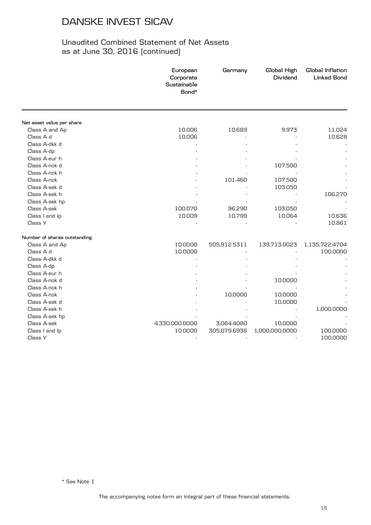|                              | European<br>Corporate<br>Sustainable<br>Bond* | Germany      | Global High<br>Dividend | Global Inflation<br><b>Linked Bond</b> |
|------------------------------|-----------------------------------------------|--------------|-------------------------|----------------------------------------|
|                              |                                               |              |                         |                                        |
| Net asset value per share    |                                               |              |                         |                                        |
| Class A and Ap               | 10.006                                        | 10.689       | 9.973                   | 11.024                                 |
| Class A d                    | 10.006                                        |              |                         | 10.628                                 |
| Class A-dkk d                |                                               |              |                         |                                        |
| Class A-dp                   |                                               |              |                         |                                        |
| Class A-eur h                |                                               |              |                         |                                        |
| Class A-nok d                |                                               |              | 107.500                 |                                        |
| Class A-nok h                |                                               |              |                         |                                        |
| Class A-nok                  |                                               | 101.460      | 107.500                 |                                        |
| Class A-sek d                |                                               |              | 103.050                 |                                        |
| Class A-sek h                |                                               |              |                         | 106.270                                |
| Class A-sek hp               |                                               |              |                         |                                        |
| Class A-sek                  | 100.070                                       | 96.290       | 103.050                 |                                        |
| Class I and Ip               | 10.009                                        | 10.799       | 10.064                  | 10.636                                 |
| Class Y                      |                                               |              |                         | 10.861                                 |
| Number of shares outstanding |                                               |              |                         |                                        |
| Class A and Ap               | 10.0000                                       | 505,912.5311 | 139,713.0023            | 1,135,722.4704                         |
| Class A d                    | 10.0000                                       |              |                         | 100.0000                               |
| Class A-dkk d                |                                               |              |                         |                                        |
| Class A-dp                   |                                               |              |                         |                                        |
| Class A-eur h                |                                               |              |                         |                                        |
| Class A-nok d                |                                               |              | 10.0000                 |                                        |
| Class A-nok h                |                                               |              |                         |                                        |
| Class A-nok                  |                                               | 10.0000      | 10.0000                 |                                        |
| Class A-sek d                |                                               |              | 10.0000                 |                                        |
| Class A-sek h                |                                               |              |                         | 1,000.0000                             |
| Class A-sek hp               |                                               |              |                         |                                        |
| Class A-sek                  | 4,330,000.0000                                | 3,064.4080   | 10.0000                 |                                        |
| Class I and Ip               | 10.0000                                       | 305,079.6936 | 1,000,000.0000          | 100.0000                               |
| Class Y                      |                                               |              |                         | 100.0000                               |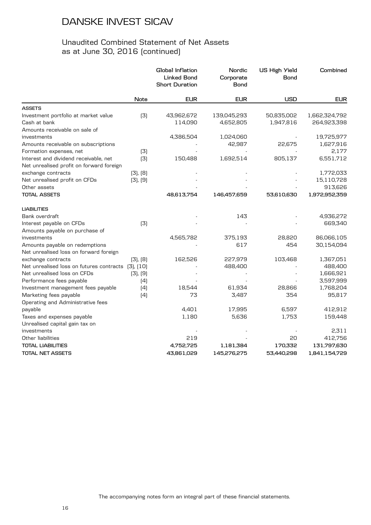|                                                                                   |           | Global Inflation<br><b>Linked Bond</b><br><b>Short Duration</b> | Nordic<br>Corporate<br>Bond | <b>US High Yield</b><br><b>Bond</b> | Combined      |
|-----------------------------------------------------------------------------------|-----------|-----------------------------------------------------------------|-----------------------------|-------------------------------------|---------------|
|                                                                                   | Note      | <b>EUR</b>                                                      | <b>EUR</b>                  | <b>USD</b>                          | <b>EUR</b>    |
| <b>ASSETS</b>                                                                     |           |                                                                 |                             |                                     |               |
| Investment portfolio at market value                                              | (3)       | 43,962,672                                                      | 139,045,293                 | 50,835,002                          | 1,662,324,792 |
| Cash at bank                                                                      |           | 114,090                                                         | 4,652,805                   | 1,947,816                           | 264,923,398   |
| Amounts receivable on sale of                                                     |           |                                                                 |                             |                                     |               |
| investments                                                                       |           | 4,386,504                                                       | 1,024,060                   |                                     | 19,725,977    |
| Amounts receivable on subscriptions                                               |           |                                                                 | 42,987                      | 22,675                              | 1,627,916     |
| Formation expenses, net                                                           | (3)       |                                                                 |                             |                                     | 2,177         |
| Interest and dividend receivable, net<br>Net unrealised profit on forward foreign | (3)       | 150,488                                                         | 1,692,514                   | 805,137                             | 6,551,712     |
| exchange contracts                                                                | [3], [8]  |                                                                 |                             |                                     | 1,772,033     |
| Net unrealised profit on CFDs                                                     | [3], [9]  |                                                                 |                             |                                     | 15,110,728    |
| Other assets                                                                      |           |                                                                 |                             |                                     | 913,626       |
| <b>TOTAL ASSETS</b>                                                               |           | 48,613,754                                                      | 146,457,659                 | 53,610,630                          | 1,972,952,359 |
| <b>LIABILITIES</b>                                                                |           |                                                                 |                             |                                     |               |
| Bank overdraft                                                                    |           |                                                                 | 143                         |                                     | 4,936,272     |
| Interest payable on CFDs                                                          | (3)       |                                                                 |                             |                                     | 669,340       |
| Amounts payable on purchase of                                                    |           |                                                                 |                             |                                     |               |
| investments                                                                       |           | 4,565,782                                                       | 375,193                     | 28,820                              | 86,066,105    |
| Amounts payable on redemptions                                                    |           |                                                                 | 617                         | 454                                 | 30,154,094    |
| Net unrealised loss on forward foreign                                            |           |                                                                 |                             |                                     |               |
| exchange contracts                                                                | [3], [8]  | 162,526                                                         | 227,979                     | 103,468                             | 1,367,051     |
| Net unrealised loss on futures contracts                                          | [3], [10] |                                                                 | 488,400                     |                                     | 488,400       |
| Net unrealised loss on CFDs                                                       | [3], [9]  |                                                                 |                             |                                     | 1,666,921     |
| Performance fees payable                                                          | (4)       |                                                                 |                             |                                     | 3,597,999     |
| Investment management fees payable                                                | (4)       | 18,544                                                          | 61,934                      | 28,866                              | 1,768,204     |
| Marketing fees payable                                                            | (4)       | 73                                                              | 3,487                       | 354                                 | 95,817        |
| Operating and Administrative fees                                                 |           |                                                                 |                             |                                     |               |
| payable                                                                           |           | 4,401                                                           | 17,995                      | 6,597                               | 412,912       |
| Taxes and expenses payable                                                        |           | 1,180                                                           | 5,636                       | 1,753                               | 159,448       |
| Unrealised capital gain tax on                                                    |           |                                                                 |                             |                                     |               |
| investments                                                                       |           |                                                                 |                             |                                     | 2,311         |
| Other liabilities                                                                 |           | 219                                                             |                             | 20                                  | 412,756       |
| <b>TOTAL LIABILITIES</b>                                                          |           | 4,752,725                                                       | 1,181,384                   | 170,332                             | 131,797,630   |
| <b>TOTAL NET ASSETS</b>                                                           |           | 43,861,029                                                      | 145,276,275                 | 53,440,298                          | 1,841,154,729 |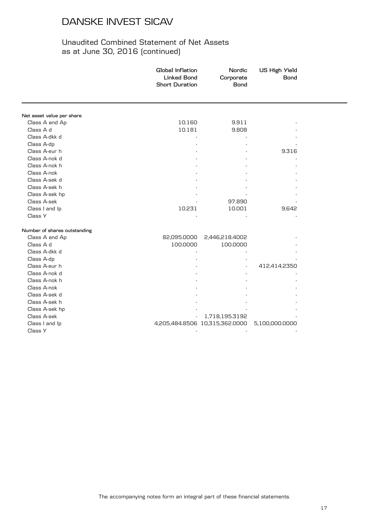|                              | Global Inflation<br><b>Linked Bond</b><br><b>Short Duration</b> | Nordic<br>Corporate<br><b>Bond</b> | <b>US High Yield</b><br><b>Bond</b> |  |
|------------------------------|-----------------------------------------------------------------|------------------------------------|-------------------------------------|--|
|                              |                                                                 |                                    |                                     |  |
| Net asset value per share    |                                                                 |                                    |                                     |  |
| Class A and Ap               | 10.160                                                          | 9.911                              |                                     |  |
| Class A d                    | 10.181                                                          | 9.808                              |                                     |  |
| Class A-dkk d                |                                                                 |                                    |                                     |  |
| Class A-dp                   |                                                                 |                                    |                                     |  |
| Class A-eur h                |                                                                 |                                    | 9.316                               |  |
| Class A-nok d                |                                                                 |                                    |                                     |  |
| Class A-nok h                |                                                                 |                                    |                                     |  |
| Class A-nok                  |                                                                 |                                    |                                     |  |
| Class A-sek d                |                                                                 |                                    |                                     |  |
| Class A-sek h                |                                                                 |                                    |                                     |  |
| Class A-sek hp               |                                                                 |                                    |                                     |  |
| Class A-sek                  |                                                                 | 97.890                             |                                     |  |
| Class I and Ip               | 10.231                                                          | 10.001                             | 9.642                               |  |
| Class Y                      |                                                                 |                                    |                                     |  |
| Number of shares outstanding |                                                                 |                                    |                                     |  |
| Class A and Ap               | 82,095.0000                                                     | 2,446,218.4002                     |                                     |  |
| Class A d                    | 100.0000                                                        | 100.0000                           |                                     |  |
| Class A-dkk d                |                                                                 |                                    |                                     |  |
| Class A-dp                   |                                                                 |                                    |                                     |  |
| Class A-eur h                |                                                                 |                                    | 412,414.2350                        |  |
| Class A-nok d                |                                                                 |                                    |                                     |  |
| Class A-nok h                |                                                                 |                                    |                                     |  |
| Class A-nok                  |                                                                 |                                    |                                     |  |
| Class A-sek d                |                                                                 |                                    |                                     |  |
| Class A-sek h                |                                                                 |                                    |                                     |  |
| Class A-sek hp               |                                                                 |                                    |                                     |  |
| Class A-sek                  |                                                                 | 1,718,195.3192                     |                                     |  |
| Class I and Ip               |                                                                 | 4,205,484.8506 10,315,362.0000     | 5,100,000.0000                      |  |
| Class Y                      |                                                                 |                                    |                                     |  |
|                              |                                                                 |                                    |                                     |  |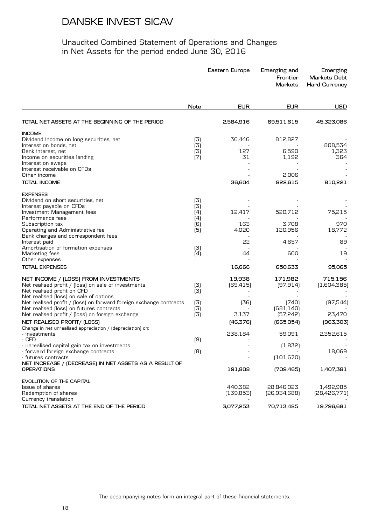|                                                                                                                | Eastern Europe |            | Emerging and<br>Frontier<br><b>Markets</b> | Emerging<br><b>Markets Debt</b><br><b>Hard Currency</b> |
|----------------------------------------------------------------------------------------------------------------|----------------|------------|--------------------------------------------|---------------------------------------------------------|
|                                                                                                                | Note           | <b>EUR</b> | <b>EUR</b>                                 | <b>USD</b>                                              |
| TOTAL NET ASSETS AT THE BEGINNING OF THE PERIOD                                                                |                | 2,584,916  | 69,511,615                                 | 45,323,086                                              |
| <b>INCOME</b>                                                                                                  |                |            |                                            |                                                         |
| Dividend income on long securities, net                                                                        | (3)            | 36,446     | 812,827                                    |                                                         |
| Interest on bonds, net<br>Bank interest, net                                                                   | (3)<br>(3)     | 127        | 6,590                                      | 808,534<br>1,323                                        |
| Income on securities lending                                                                                   | (7)            | 31         | 1,192                                      | 364                                                     |
| Interest on swaps                                                                                              |                |            |                                            |                                                         |
| Interest receivable on CFDs                                                                                    |                |            |                                            |                                                         |
| Other income                                                                                                   |                |            | 2,006                                      |                                                         |
| <b>TOTAL INCOME</b>                                                                                            |                | 36,604     | 822,615                                    | 810,221                                                 |
| <b>EXPENSES</b>                                                                                                |                |            |                                            |                                                         |
| Dividend on short securities, net                                                                              | (3)            |            |                                            |                                                         |
| Interest payable on CFDs                                                                                       | (3)            |            |                                            |                                                         |
| Investment Management fees<br>Performance fees                                                                 | (4)            | 12,417     | 520,712                                    | 75,215                                                  |
| Subscription tax                                                                                               | (4)<br>(6)     | 163        | 3,708                                      | 970                                                     |
| Operating and Administrative fee                                                                               | (5)            | 4,020      | 120,956                                    | 18,772                                                  |
| Bank charges and correspondent fees                                                                            |                |            |                                            |                                                         |
| Interest paid                                                                                                  |                | 55         | 4,657                                      | 89                                                      |
| Amortisation of formation expenses                                                                             | (3)            |            |                                            |                                                         |
| Marketing fees                                                                                                 | (4)            | 44         | 600                                        | 19                                                      |
| Other expenses                                                                                                 |                |            |                                            |                                                         |
| <b>TOTAL EXPENSES</b>                                                                                          |                | 16,666     | 650,633                                    | 95,065                                                  |
| NET INCOME / (LOSS) FROM INVESTMENTS                                                                           |                | 19,938     | 171,982                                    | 715,156                                                 |
| Net realised profit / [loss] on sale of investments                                                            | (3)            | [69, 415]  | [97,914]                                   | (1,604,385)                                             |
| Net realised profit on CFD                                                                                     | (3)            |            |                                            |                                                         |
| Net realised (loss) on sale of options                                                                         |                |            |                                            |                                                         |
| Net realised profit / (loss) on forward foreign exchange contracts<br>Net realised (loss) on futures contracts | (3)<br>(3)     | (36)       | (740)<br>[681, 140]                        | [97,544]                                                |
| Net realised profit / [loss] on foreign exchange                                                               | (3)            | 3,137      | [57,242]                                   | 23,470                                                  |
| NET REALISED PROFIT/ (LOSS)                                                                                    |                | [46,376]   | [665,054]                                  | [963,303]                                               |
| Change in net unrealised appreciation / (depreciation) on:                                                     |                |            |                                            |                                                         |
| - investments                                                                                                  |                | 238,184    | 59,091                                     | 2,352,615                                               |
| - CFD                                                                                                          | (9)            |            |                                            |                                                         |
| - unrealised capital gain tax on investments                                                                   |                |            | (1,832)                                    |                                                         |
| - forward foreign exchange contracts                                                                           | (8)            |            |                                            | 18,069                                                  |
| - futures contracts<br>NET INCREASE / (DECREASE) IN NET ASSETS AS A RESULT OF                                  |                |            | [101, 670]                                 |                                                         |
| <b>OPERATIONS</b>                                                                                              |                | 191,808    | [709,465]                                  | 1,407,381                                               |
| EVOLUTION OF THE CAPITAL                                                                                       |                |            |                                            |                                                         |
| Issue of shares                                                                                                |                | 440,382    | 28,846,023                                 | 1,492,985                                               |
| Redemption of shares<br>Currency translation                                                                   |                | (139, 853) | [26,934,688]                               | [28, 426, 771]                                          |
| TOTAL NET ASSETS AT THE END OF THE PERIOD                                                                      |                | 3,077,253  | 70,713,485                                 | 19,796,681                                              |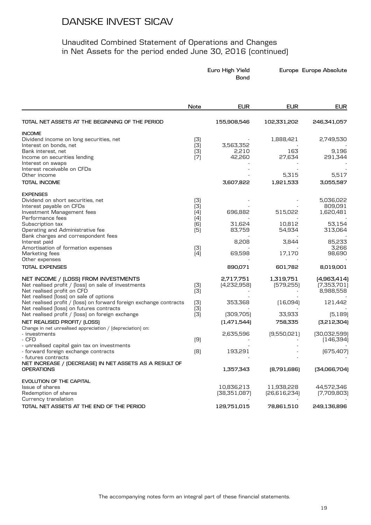|                                                                                              | Euro High Yield<br>Bond |                          |                         | Europe Europe Absolute     |
|----------------------------------------------------------------------------------------------|-------------------------|--------------------------|-------------------------|----------------------------|
|                                                                                              | Note                    | <b>EUR</b>               | <b>EUR</b>              | <b>EUR</b>                 |
| TOTAL NET ASSETS AT THE BEGINNING OF THE PERIOD                                              |                         | 155,908,546              | 102,331,202             | 246,341,057                |
| <b>INCOME</b>                                                                                |                         |                          |                         |                            |
| Dividend income on long securities, net                                                      | (3)                     |                          | 1,888,421               | 2,749,530                  |
| Interest on bonds, net                                                                       | (3)                     | 3,563,352                |                         |                            |
| Bank interest, net                                                                           | (3)                     | 2,210<br>42.260          | 163                     | 9,196<br>291,344           |
| Income on securities lending<br>Interest on swaps                                            | (7)                     |                          | 27,634                  |                            |
| Interest receivable on CFDs                                                                  |                         |                          |                         |                            |
| Other income                                                                                 |                         |                          | 5,315                   | 5,517                      |
| <b>TOTAL INCOME</b>                                                                          |                         | 3,607,822                | 1,921,533               | 3,055,587                  |
| <b>EXPENSES</b>                                                                              |                         |                          |                         |                            |
| Dividend on short securities, net                                                            | (3)                     |                          |                         | 5,036,022                  |
| Interest payable on CFDs                                                                     | (3)                     |                          |                         | 809,091                    |
| Investment Management fees<br>Performance fees                                               | (4)                     | 696,882                  | 515,022                 | 1,620,481                  |
| Subscription tax                                                                             | (4)<br>(6)              | 31,624                   | 10,812                  | 53,154                     |
| Operating and Administrative fee                                                             | (5)                     | 83,759                   | 54,934                  | 313,064                    |
| Bank charges and correspondent fees                                                          |                         |                          |                         |                            |
| Interest paid                                                                                |                         | 8,208                    | 3,844                   | 85,233                     |
| Amortisation of formation expenses                                                           | (3)                     |                          |                         | 3,266                      |
| Marketing fees                                                                               | (4)                     | 69,598                   | 17,170                  | 98,690                     |
| Other expenses                                                                               |                         |                          |                         |                            |
| <b>TOTAL EXPENSES</b>                                                                        |                         | 890,071                  | 601,782                 | 8,019,001                  |
| NET INCOME / (LOSS) FROM INVESTMENTS<br>Net realised profit / [loss] on sale of investments  | (3)                     | 2,717,751<br>[4,232,958] | 1,319,751<br>[579, 255] | [4,963,414]<br>(7,353,701) |
| Net realised profit on CFD<br>Net realised (loss) on sale of options                         | (3)                     |                          |                         | 8,988,558                  |
| Net realised profit / [loss] on forward foreign exchange contracts                           | (3)                     | 353,368                  | (16,094)                | 121,442                    |
| Net realised (loss) on futures contracts<br>Net realised profit / [loss] on foreign exchange | (3)<br>(3)              | [309,705]                | 33,933                  | (5, 189)                   |
| NET REALISED PROFIT/ (LOSS)                                                                  |                         |                          | 758,335                 |                            |
| Change in net unrealised appreciation / (depreciation) on:                                   |                         | [1,471,544]              |                         | [3,212,304]                |
| - investments                                                                                |                         | 2,635,596                | [9,550,021]             | [30,032,599]               |
| - CFD                                                                                        | (9)                     |                          |                         | (146, 394)                 |
| - unrealised capital gain tax on investments                                                 |                         |                          |                         |                            |
| - forward foreign exchange contracts                                                         | [8]                     | 193,291                  |                         | [675, 407]                 |
| - futures contracts<br>NET INCREASE / (DECREASE) IN NET ASSETS AS A RESULT OF                |                         |                          |                         |                            |
| <b>OPERATIONS</b>                                                                            |                         | 1,357,343                | [8,791,686]             | [34,066,704]               |
| EVOLUTION OF THE CAPITAL                                                                     |                         |                          |                         |                            |
| Issue of shares                                                                              |                         | 10,836,213               | 11,938,228              | 44,572,346                 |
| Redemption of shares                                                                         |                         | [38,351,087]             | [26,616,234]            | (7,709,803)                |
| Currency translation                                                                         |                         |                          |                         |                            |
| TOTAL NET ASSETS AT THE END OF THE PERIOD                                                    |                         | 129,751,015              | 78,861,510              | 249,136,896                |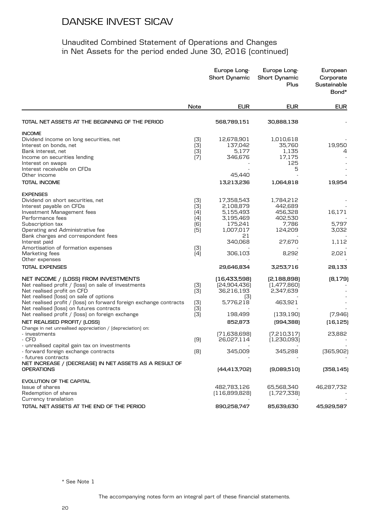### Unaudited Combined Statement of Operations and Changes in Net Assets for the period ended June 30, 2016 (continued)

|                                                                                              |            | Europe Long-<br><b>Short Dynamic</b> | Europe Long-<br><b>Short Dynamic</b><br>Plus | European<br>Corporate<br>Sustainable<br>Bond* |
|----------------------------------------------------------------------------------------------|------------|--------------------------------------|----------------------------------------------|-----------------------------------------------|
|                                                                                              | Note       | <b>EUR</b>                           | <b>EUR</b>                                   | <b>EUR</b>                                    |
| TOTAL NET ASSETS AT THE BEGINNING OF THE PERIOD                                              |            | 568,789,151                          | 30,888,138                                   |                                               |
| <b>INCOME</b>                                                                                |            |                                      |                                              |                                               |
| Dividend income on long securities, net                                                      | (3)        | 12,678,901                           | 1,010,618                                    |                                               |
| Interest on bonds, net                                                                       | (3)        | 137,042                              | 35,760                                       | 19,950                                        |
| Bank interest, net                                                                           | (3)        | 5.177                                | 1,135                                        | 4                                             |
| Income on securities lending                                                                 | (7)        | 346,676                              | 17,175                                       |                                               |
| Interest on swaps<br>Interest receivable on CFDs                                             |            |                                      | 125<br>5                                     |                                               |
| Other income                                                                                 |            | 45,440                               |                                              |                                               |
| TOTAL INCOME                                                                                 |            | 13,213,236                           | 1,064,818                                    | 19,954                                        |
|                                                                                              |            |                                      |                                              |                                               |
| <b>EXPENSES</b>                                                                              |            |                                      |                                              |                                               |
| Dividend on short securities, net                                                            | (3)        | 17,358,543                           | 1,784,212                                    |                                               |
| Interest payable on CFDs                                                                     | (3)        | 2,108,879                            | 442,689                                      | 16,171                                        |
| Investment Management fees<br>Performance fees                                               | (4)<br>(4) | 5,155,493<br>3,195,469               | 456,328<br>402,530                           |                                               |
| Subscription tax                                                                             | (6)        | 175,241                              | 7,786                                        | 5,797                                         |
| Operating and Administrative fee                                                             | (5)        | 1,007,017                            | 124,209                                      | 3,032                                         |
| Bank charges and correspondent fees                                                          |            | 21                                   |                                              |                                               |
| Interest paid                                                                                |            | 340,068                              | 27,670                                       | 1,112                                         |
| Amortisation of formation expenses                                                           | (3)        |                                      |                                              |                                               |
| Marketing fees                                                                               | (4)        | 306,103                              | 8,292                                        | 2,021                                         |
| Other expenses                                                                               |            |                                      |                                              |                                               |
| <b>TOTAL EXPENSES</b>                                                                        |            | 29,646,834                           | 3,253,716                                    | 28,133                                        |
| NET INCOME / (LOSS) FROM INVESTMENTS                                                         |            | [16,433,598]                         | [2,188,898]                                  | (8, 179)                                      |
| Net realised profit / [loss] on sale of investments                                          | (3)        | [24,904,436]                         | [1,477,860]                                  |                                               |
| Net realised profit on CFD                                                                   | (3)        | 36,216,193                           | 2,347,639                                    |                                               |
| Net realised (loss) on sale of options                                                       |            | (3)                                  |                                              |                                               |
| Net realised profit / [loss] on forward foreign exchange contracts                           | (3)        | 5,776,218                            | 463,921                                      |                                               |
| Net realised (loss) on futures contracts<br>Net realised profit / [loss] on foreign exchange | (3)        | 198,499                              |                                              | (7,946)                                       |
|                                                                                              | (3)        |                                      | (139, 190)                                   |                                               |
| NET REALISED PROFIT/ (LOSS)                                                                  |            | 852,873                              | [994,388]                                    | (16, 125)                                     |
| Change in net unrealised appreciation / (depreciation) on:<br>- investments                  |            | [71,638,698]                         | [7,210,317]                                  | 23,882                                        |
| - CFD                                                                                        | (9)        | 26,027,114                           | [1,230,093]                                  |                                               |
| - unrealised capital gain tax on investments                                                 |            |                                      |                                              |                                               |
| - forward foreign exchange contracts                                                         | [8]        | 345,009                              | 345,288                                      | [365, 902]                                    |
| - futures contracts                                                                          |            |                                      |                                              |                                               |
| NET INCREASE / (DECREASE) IN NET ASSETS AS A RESULT OF<br><b>OPERATIONS</b>                  |            | [44, 413, 702]                       | [9,089,510]                                  | (358, 145)                                    |
|                                                                                              |            |                                      |                                              |                                               |
| EVOLUTION OF THE CAPITAL                                                                     |            |                                      |                                              |                                               |
| Issue of shares                                                                              |            | 482,783,126                          | 65,568,340                                   | 46,287,732                                    |
| Redemption of shares<br>Currency translation                                                 |            | [116,899,828]                        | (1,727,338)                                  |                                               |
|                                                                                              |            |                                      |                                              |                                               |
| TOTAL NET ASSETS AT THE END OF THE PERIOD                                                    |            | 890,258,747                          | 85,639,630                                   | 45,929,587                                    |

\* See Note 1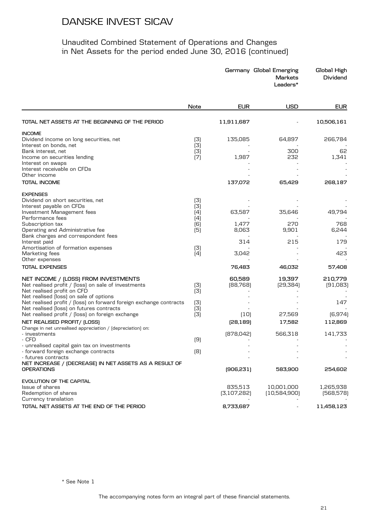|                                                                                                                                                                     |                   |                        | Germany Global Emerging<br><b>Markets</b><br>Leaders* | Global High<br>Dividend |
|---------------------------------------------------------------------------------------------------------------------------------------------------------------------|-------------------|------------------------|-------------------------------------------------------|-------------------------|
|                                                                                                                                                                     | Note              | <b>EUR</b>             | <b>USD</b>                                            | <b>EUR</b>              |
| TOTAL NET ASSETS AT THE BEGINNING OF THE PERIOD                                                                                                                     |                   | 11,911,687             |                                                       | 10,506,161              |
| <b>INCOME</b><br>Dividend income on long securities, net<br>Interest on bonds, net                                                                                  | (3)<br>(3)        | 135,085                | 64,897                                                | 266,784                 |
| Bank interest, net<br>Income on securities lending<br>Interest on swaps                                                                                             | (3)<br>(7)        | 1,987                  | 300<br>232                                            | 62<br>1,341             |
| Interest receivable on CFDs<br>Other income                                                                                                                         |                   |                        |                                                       |                         |
| <b>TOTAL INCOME</b>                                                                                                                                                 |                   | 137,072                | 65,429                                                | 268,187                 |
| <b>EXPENSES</b><br>Dividend on short securities, net<br>Interest payable on CFDs<br>Investment Management fees                                                      | (3)<br>(3)<br>(4) | 63,587                 | 35,646                                                | 49,794                  |
| Performance fees<br>Subscription tax<br>Operating and Administrative fee<br>Bank charges and correspondent fees                                                     | (4)<br>(6)<br>(5) | 1,477<br>8,063         | 270<br>9,901                                          | 768<br>6,244            |
| Interest paid<br>Amortisation of formation expenses<br>Marketing fees                                                                                               | (3)<br>$[4]$      | 314<br>3,042           | 215                                                   | 179<br>423              |
| Other expenses<br><b>TOTAL EXPENSES</b>                                                                                                                             |                   | 76,483                 | 46,032                                                | 57,408                  |
| NET INCOME / (LOSS) FROM INVESTMENTS<br>Net realised profit / [loss] on sale of investments<br>Net realised profit on CFD<br>Net realised (loss) on sale of options | (3)<br>(3)        | 60,589<br>[88, 768]    | 19,397<br>[29,384]                                    | 210,779<br>[91,083]     |
| Net realised profit / [loss] on forward foreign exchange contracts<br>Net realised (loss) on futures contracts<br>Net realised profit / [loss] on foreign exchange  | (3)<br>(3)<br>(3) | (10)                   | 27,569                                                | 147<br>[6, 974]         |
| NET REALISED PROFIT/ [LOSS]<br>Change in net unrealised appreciation / (depreciation) on:<br>- investments                                                          |                   | [28, 189]<br>[878,042] | 17,582<br>566,318                                     | 112,869<br>141,733      |
| - CFD<br>- unrealised capital gain tax on investments                                                                                                               | (9)<br>(8)        |                        |                                                       |                         |
| - forward foreign exchange contracts<br>- futures contracts<br>NET INCREASE / (DECREASE) IN NET ASSETS AS A RESULT OF<br><b>OPERATIONS</b>                          |                   | [906, 231]             | 583,900                                               | 254,602                 |
| EVOLUTION OF THE CAPITAL<br>Issue of shares<br>Redemption of shares                                                                                                 |                   | 835,513<br>[3,107,282] | 10,001,000<br>[10,584,900]                            | 1,265,938<br>[568, 578] |
| Currency translation<br>TOTAL NET ASSETS AT THE END OF THE PERIOD                                                                                                   |                   | 8,733,687              |                                                       | 11,458,123              |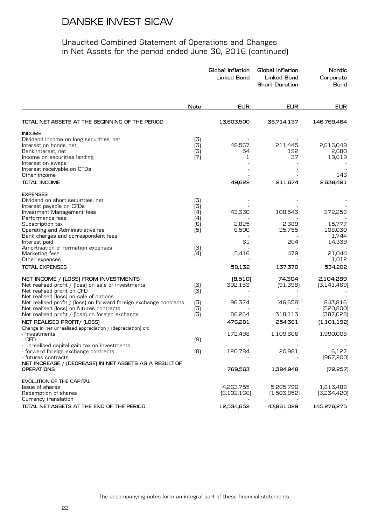|                                                                                                                |            | Global Inflation<br><b>Linked Bond</b> | Global Inflation<br><b>Linked Bond</b><br><b>Short Duration</b> | Nordic<br>Corporate<br><b>Bond</b> |
|----------------------------------------------------------------------------------------------------------------|------------|----------------------------------------|-----------------------------------------------------------------|------------------------------------|
|                                                                                                                | Note       | <b>EUR</b>                             | <b>EUR</b>                                                      | <b>EUR</b>                         |
| TOTAL NET ASSETS AT THE BEGINNING OF THE PERIOD                                                                |            | 13,603,500                             | 38,714,137                                                      | 146,769,464                        |
| <b>INCOME</b>                                                                                                  |            |                                        |                                                                 |                                    |
| Dividend income on long securities, net                                                                        | (3)        |                                        |                                                                 |                                    |
| Interest on bonds, net                                                                                         | (3)        | 49,567                                 | 211,445                                                         | 2,616,049                          |
| Bank interest, net                                                                                             | (3)        | 54                                     | 192                                                             | 2,680                              |
| Income on securities lending                                                                                   | (7)        | 1                                      | 37                                                              | 19,619                             |
| Interest on swaps<br>Interest receivable on CFDs                                                               |            |                                        |                                                                 |                                    |
| Other income                                                                                                   |            |                                        |                                                                 | 143                                |
| <b>TOTAL INCOME</b>                                                                                            |            | 49,622                                 | 211,674                                                         | 2,638,491                          |
| <b>EXPENSES</b>                                                                                                |            |                                        |                                                                 |                                    |
| Dividend on short securities, net                                                                              | (3)        |                                        |                                                                 |                                    |
| Interest payable on CFDs                                                                                       | (3)        |                                        |                                                                 |                                    |
| Investment Management fees                                                                                     | (4)        | 43,330                                 | 108,543                                                         | 372,256                            |
| Performance fees<br>Subscription tax                                                                           | (4)<br>(6) | 2,825                                  | 2,389                                                           | 15,777                             |
| Operating and Administrative fee                                                                               | (5)        | 6,500                                  | 25,755                                                          | 108,030                            |
| Bank charges and correspondent fees                                                                            |            |                                        |                                                                 | 1,744                              |
| Interest paid                                                                                                  |            | 61                                     | 204                                                             | 14,339                             |
| Amortisation of formation expenses                                                                             | (3)        |                                        |                                                                 |                                    |
| Marketing fees                                                                                                 | (4)        | 5,416                                  | 479                                                             | 21,044                             |
| Other expenses                                                                                                 |            |                                        |                                                                 | 1,012                              |
| <b>TOTAL EXPENSES</b>                                                                                          |            | 58,132                                 | 137,370                                                         | 534,202                            |
| NET INCOME / (LOSS) FROM INVESTMENTS                                                                           |            | (8,510)                                | 74,304                                                          | 2,104,289                          |
| Net realised profit / [loss] on sale of investments                                                            | (3)        | 302,153                                | [91,398]                                                        | [3, 141, 469]                      |
| Net realised profit on CFD                                                                                     | (3)        |                                        |                                                                 |                                    |
| Net realised (loss) on sale of options                                                                         |            |                                        |                                                                 |                                    |
| Net realised profit / [loss] on forward foreign exchange contracts<br>Net realised (loss) on futures contracts | (3)<br>(3) | 96,374                                 | [46,658]                                                        | 843,816<br>[520, 800]              |
| Net realised profit / [loss] on foreign exchange                                                               | (3)        | 86,264                                 | 318,113                                                         | (387,028)                          |
| NET REALISED PROFIT/ (LOSS)                                                                                    |            | 476,281                                | 254,361                                                         | (1,101,192)                        |
| Change in net unrealised appreciation / (depreciation) on:                                                     |            |                                        |                                                                 |                                    |
| - investments                                                                                                  |            | 172,498                                | 1,109,606                                                       | 1,990,008                          |
| - CFD                                                                                                          | (9)        |                                        |                                                                 |                                    |
| - unrealised capital gain tax on investments                                                                   |            |                                        |                                                                 |                                    |
| - forward foreign exchange contracts<br>- futures contracts                                                    | [8]        | 120,784                                | 20,981                                                          | 6,127<br>[967,200]                 |
| NET INCREASE / (DECREASE) IN NET ASSETS AS A RESULT OF                                                         |            |                                        |                                                                 |                                    |
| <b>OPERATIONS</b>                                                                                              |            | 769,563                                | 1,384,948                                                       | [72, 257]                          |
| EVOLUTION OF THE CAPITAL                                                                                       |            |                                        |                                                                 |                                    |
| Issue of shares                                                                                                |            | 4,263,755                              | 5,265,796                                                       | 1,813,488                          |
| Redemption of shares                                                                                           |            | [6, 102, 166]                          | (1,503,852)                                                     | [3,234,420]                        |
| Currency translation                                                                                           |            |                                        |                                                                 |                                    |
| TOTAL NET ASSETS AT THE END OF THE PERIOD                                                                      |            | 12,534,652                             | 43,861,029                                                      | 145,276,275                        |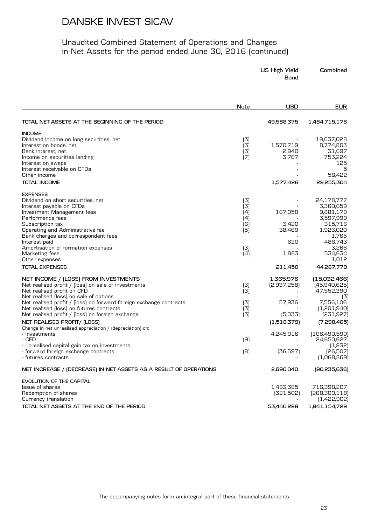| US High Yield | Combined |
|---------------|----------|
| Bond          |          |

| TOTAL NET ASSETS AT THE BEGINNING OF THE PERIOD<br>49,588,375<br>1,484,715,178<br>(3)<br>19,637,028<br>[3]<br>1,570,719<br>8,774,803<br>(3)<br>2,940<br>31,697<br>(7)<br>3,767<br>753,224<br>Income on securities lending<br>125<br>Interest on swaps<br>5<br>58,422<br>Other income<br>1,577,426<br>29,255,304<br><b>EXPENSES</b><br>24,178,777<br>(3)<br>Dividend on short securities, net<br>(3)<br>3,360,659<br>Interest payable on CFDs<br>(4)<br>167,058<br>Investment Management fees<br>9,881,179<br>Performance fees<br>(4)<br>3,597,999<br>Subscription tax<br>[6]<br>3,420<br>315,716<br>(5)<br>1,926,020<br>Operating and Administrative fee<br>38,469<br>Bank charges and correspondent fees<br>1,765<br>486,743<br>Interest paid<br>620<br>3,266<br>Amortisation of formation expenses<br>(3)<br>(4)<br>534,634<br>Marketing fees<br>1,883<br>1,012<br>Other expenses<br>44,287,770<br>211,450<br>1,365,976<br>NET INCOME / (LOSS) FROM INVESTMENTS<br>Net realised profit / (loss) on sale of investments<br>[2,937,258]<br>(3)<br>(45,940,625)<br>Net realised profit on CFD<br>(3)<br>47,552,390<br>Net realised (loss) on sale of options<br>(3)<br>Net realised profit / [loss] on forward foreign exchange contracts<br>57,936<br>7,556,106<br>(3)<br>Net realised (loss) on futures contracts<br>(3)<br>(1,201,940)<br>Net realised profit / (loss) on foreign exchange<br>(3)<br>(5,033)<br>[231, 927]<br>NET REALISED PROFIT/ (LOSS)<br>[7,298,465]<br>(1,518,379)<br>Change in net unrealised appreciation / (depreciation) on:<br>- investments<br>4,245,016<br>[9]<br>24,650,627<br>- CFD<br>- unrealised capital gain tax on investments<br>(1,832)<br>[8]<br>- forward foreign exchange contracts<br>[36,597]<br>[26,507]<br>(1,068,869)<br>2,690,040<br>[90,235,636] |                                                                   | Note | <b>USD</b> | <b>EUR</b> |
|---------------------------------------------------------------------------------------------------------------------------------------------------------------------------------------------------------------------------------------------------------------------------------------------------------------------------------------------------------------------------------------------------------------------------------------------------------------------------------------------------------------------------------------------------------------------------------------------------------------------------------------------------------------------------------------------------------------------------------------------------------------------------------------------------------------------------------------------------------------------------------------------------------------------------------------------------------------------------------------------------------------------------------------------------------------------------------------------------------------------------------------------------------------------------------------------------------------------------------------------------------------------------------------------------------------------------------------------------------------------------------------------------------------------------------------------------------------------------------------------------------------------------------------------------------------------------------------------------------------------------------------------------------------------------------------------------------------------------------------------------------------------------------------------------|-------------------------------------------------------------------|------|------------|------------|
|                                                                                                                                                                                                                                                                                                                                                                                                                                                                                                                                                                                                                                                                                                                                                                                                                                                                                                                                                                                                                                                                                                                                                                                                                                                                                                                                                                                                                                                                                                                                                                                                                                                                                                                                                                                                   |                                                                   |      |            |            |
|                                                                                                                                                                                                                                                                                                                                                                                                                                                                                                                                                                                                                                                                                                                                                                                                                                                                                                                                                                                                                                                                                                                                                                                                                                                                                                                                                                                                                                                                                                                                                                                                                                                                                                                                                                                                   | <b>INCOME</b>                                                     |      |            |            |
|                                                                                                                                                                                                                                                                                                                                                                                                                                                                                                                                                                                                                                                                                                                                                                                                                                                                                                                                                                                                                                                                                                                                                                                                                                                                                                                                                                                                                                                                                                                                                                                                                                                                                                                                                                                                   | Dividend income on long securities, net                           |      |            |            |
|                                                                                                                                                                                                                                                                                                                                                                                                                                                                                                                                                                                                                                                                                                                                                                                                                                                                                                                                                                                                                                                                                                                                                                                                                                                                                                                                                                                                                                                                                                                                                                                                                                                                                                                                                                                                   | Interest on bonds, net                                            |      |            |            |
|                                                                                                                                                                                                                                                                                                                                                                                                                                                                                                                                                                                                                                                                                                                                                                                                                                                                                                                                                                                                                                                                                                                                                                                                                                                                                                                                                                                                                                                                                                                                                                                                                                                                                                                                                                                                   | Bank interest, net                                                |      |            |            |
|                                                                                                                                                                                                                                                                                                                                                                                                                                                                                                                                                                                                                                                                                                                                                                                                                                                                                                                                                                                                                                                                                                                                                                                                                                                                                                                                                                                                                                                                                                                                                                                                                                                                                                                                                                                                   |                                                                   |      |            |            |
|                                                                                                                                                                                                                                                                                                                                                                                                                                                                                                                                                                                                                                                                                                                                                                                                                                                                                                                                                                                                                                                                                                                                                                                                                                                                                                                                                                                                                                                                                                                                                                                                                                                                                                                                                                                                   |                                                                   |      |            |            |
| (15,032,466)<br>(106, 490, 590)                                                                                                                                                                                                                                                                                                                                                                                                                                                                                                                                                                                                                                                                                                                                                                                                                                                                                                                                                                                                                                                                                                                                                                                                                                                                                                                                                                                                                                                                                                                                                                                                                                                                                                                                                                   | Interest receivable on CFDs                                       |      |            |            |
|                                                                                                                                                                                                                                                                                                                                                                                                                                                                                                                                                                                                                                                                                                                                                                                                                                                                                                                                                                                                                                                                                                                                                                                                                                                                                                                                                                                                                                                                                                                                                                                                                                                                                                                                                                                                   |                                                                   |      |            |            |
|                                                                                                                                                                                                                                                                                                                                                                                                                                                                                                                                                                                                                                                                                                                                                                                                                                                                                                                                                                                                                                                                                                                                                                                                                                                                                                                                                                                                                                                                                                                                                                                                                                                                                                                                                                                                   | <b>TOTAL INCOME</b>                                               |      |            |            |
|                                                                                                                                                                                                                                                                                                                                                                                                                                                                                                                                                                                                                                                                                                                                                                                                                                                                                                                                                                                                                                                                                                                                                                                                                                                                                                                                                                                                                                                                                                                                                                                                                                                                                                                                                                                                   |                                                                   |      |            |            |
|                                                                                                                                                                                                                                                                                                                                                                                                                                                                                                                                                                                                                                                                                                                                                                                                                                                                                                                                                                                                                                                                                                                                                                                                                                                                                                                                                                                                                                                                                                                                                                                                                                                                                                                                                                                                   |                                                                   |      |            |            |
|                                                                                                                                                                                                                                                                                                                                                                                                                                                                                                                                                                                                                                                                                                                                                                                                                                                                                                                                                                                                                                                                                                                                                                                                                                                                                                                                                                                                                                                                                                                                                                                                                                                                                                                                                                                                   |                                                                   |      |            |            |
|                                                                                                                                                                                                                                                                                                                                                                                                                                                                                                                                                                                                                                                                                                                                                                                                                                                                                                                                                                                                                                                                                                                                                                                                                                                                                                                                                                                                                                                                                                                                                                                                                                                                                                                                                                                                   |                                                                   |      |            |            |
|                                                                                                                                                                                                                                                                                                                                                                                                                                                                                                                                                                                                                                                                                                                                                                                                                                                                                                                                                                                                                                                                                                                                                                                                                                                                                                                                                                                                                                                                                                                                                                                                                                                                                                                                                                                                   |                                                                   |      |            |            |
|                                                                                                                                                                                                                                                                                                                                                                                                                                                                                                                                                                                                                                                                                                                                                                                                                                                                                                                                                                                                                                                                                                                                                                                                                                                                                                                                                                                                                                                                                                                                                                                                                                                                                                                                                                                                   |                                                                   |      |            |            |
|                                                                                                                                                                                                                                                                                                                                                                                                                                                                                                                                                                                                                                                                                                                                                                                                                                                                                                                                                                                                                                                                                                                                                                                                                                                                                                                                                                                                                                                                                                                                                                                                                                                                                                                                                                                                   |                                                                   |      |            |            |
|                                                                                                                                                                                                                                                                                                                                                                                                                                                                                                                                                                                                                                                                                                                                                                                                                                                                                                                                                                                                                                                                                                                                                                                                                                                                                                                                                                                                                                                                                                                                                                                                                                                                                                                                                                                                   |                                                                   |      |            |            |
|                                                                                                                                                                                                                                                                                                                                                                                                                                                                                                                                                                                                                                                                                                                                                                                                                                                                                                                                                                                                                                                                                                                                                                                                                                                                                                                                                                                                                                                                                                                                                                                                                                                                                                                                                                                                   |                                                                   |      |            |            |
|                                                                                                                                                                                                                                                                                                                                                                                                                                                                                                                                                                                                                                                                                                                                                                                                                                                                                                                                                                                                                                                                                                                                                                                                                                                                                                                                                                                                                                                                                                                                                                                                                                                                                                                                                                                                   |                                                                   |      |            |            |
|                                                                                                                                                                                                                                                                                                                                                                                                                                                                                                                                                                                                                                                                                                                                                                                                                                                                                                                                                                                                                                                                                                                                                                                                                                                                                                                                                                                                                                                                                                                                                                                                                                                                                                                                                                                                   |                                                                   |      |            |            |
|                                                                                                                                                                                                                                                                                                                                                                                                                                                                                                                                                                                                                                                                                                                                                                                                                                                                                                                                                                                                                                                                                                                                                                                                                                                                                                                                                                                                                                                                                                                                                                                                                                                                                                                                                                                                   |                                                                   |      |            |            |
|                                                                                                                                                                                                                                                                                                                                                                                                                                                                                                                                                                                                                                                                                                                                                                                                                                                                                                                                                                                                                                                                                                                                                                                                                                                                                                                                                                                                                                                                                                                                                                                                                                                                                                                                                                                                   | <b>TOTAL EXPENSES</b>                                             |      |            |            |
|                                                                                                                                                                                                                                                                                                                                                                                                                                                                                                                                                                                                                                                                                                                                                                                                                                                                                                                                                                                                                                                                                                                                                                                                                                                                                                                                                                                                                                                                                                                                                                                                                                                                                                                                                                                                   |                                                                   |      |            |            |
|                                                                                                                                                                                                                                                                                                                                                                                                                                                                                                                                                                                                                                                                                                                                                                                                                                                                                                                                                                                                                                                                                                                                                                                                                                                                                                                                                                                                                                                                                                                                                                                                                                                                                                                                                                                                   |                                                                   |      |            |            |
|                                                                                                                                                                                                                                                                                                                                                                                                                                                                                                                                                                                                                                                                                                                                                                                                                                                                                                                                                                                                                                                                                                                                                                                                                                                                                                                                                                                                                                                                                                                                                                                                                                                                                                                                                                                                   |                                                                   |      |            |            |
|                                                                                                                                                                                                                                                                                                                                                                                                                                                                                                                                                                                                                                                                                                                                                                                                                                                                                                                                                                                                                                                                                                                                                                                                                                                                                                                                                                                                                                                                                                                                                                                                                                                                                                                                                                                                   |                                                                   |      |            |            |
|                                                                                                                                                                                                                                                                                                                                                                                                                                                                                                                                                                                                                                                                                                                                                                                                                                                                                                                                                                                                                                                                                                                                                                                                                                                                                                                                                                                                                                                                                                                                                                                                                                                                                                                                                                                                   |                                                                   |      |            |            |
|                                                                                                                                                                                                                                                                                                                                                                                                                                                                                                                                                                                                                                                                                                                                                                                                                                                                                                                                                                                                                                                                                                                                                                                                                                                                                                                                                                                                                                                                                                                                                                                                                                                                                                                                                                                                   |                                                                   |      |            |            |
|                                                                                                                                                                                                                                                                                                                                                                                                                                                                                                                                                                                                                                                                                                                                                                                                                                                                                                                                                                                                                                                                                                                                                                                                                                                                                                                                                                                                                                                                                                                                                                                                                                                                                                                                                                                                   |                                                                   |      |            |            |
|                                                                                                                                                                                                                                                                                                                                                                                                                                                                                                                                                                                                                                                                                                                                                                                                                                                                                                                                                                                                                                                                                                                                                                                                                                                                                                                                                                                                                                                                                                                                                                                                                                                                                                                                                                                                   |                                                                   |      |            |            |
|                                                                                                                                                                                                                                                                                                                                                                                                                                                                                                                                                                                                                                                                                                                                                                                                                                                                                                                                                                                                                                                                                                                                                                                                                                                                                                                                                                                                                                                                                                                                                                                                                                                                                                                                                                                                   |                                                                   |      |            |            |
|                                                                                                                                                                                                                                                                                                                                                                                                                                                                                                                                                                                                                                                                                                                                                                                                                                                                                                                                                                                                                                                                                                                                                                                                                                                                                                                                                                                                                                                                                                                                                                                                                                                                                                                                                                                                   |                                                                   |      |            |            |
|                                                                                                                                                                                                                                                                                                                                                                                                                                                                                                                                                                                                                                                                                                                                                                                                                                                                                                                                                                                                                                                                                                                                                                                                                                                                                                                                                                                                                                                                                                                                                                                                                                                                                                                                                                                                   |                                                                   |      |            |            |
|                                                                                                                                                                                                                                                                                                                                                                                                                                                                                                                                                                                                                                                                                                                                                                                                                                                                                                                                                                                                                                                                                                                                                                                                                                                                                                                                                                                                                                                                                                                                                                                                                                                                                                                                                                                                   |                                                                   |      |            |            |
|                                                                                                                                                                                                                                                                                                                                                                                                                                                                                                                                                                                                                                                                                                                                                                                                                                                                                                                                                                                                                                                                                                                                                                                                                                                                                                                                                                                                                                                                                                                                                                                                                                                                                                                                                                                                   |                                                                   |      |            |            |
|                                                                                                                                                                                                                                                                                                                                                                                                                                                                                                                                                                                                                                                                                                                                                                                                                                                                                                                                                                                                                                                                                                                                                                                                                                                                                                                                                                                                                                                                                                                                                                                                                                                                                                                                                                                                   | - futures contracts                                               |      |            |            |
|                                                                                                                                                                                                                                                                                                                                                                                                                                                                                                                                                                                                                                                                                                                                                                                                                                                                                                                                                                                                                                                                                                                                                                                                                                                                                                                                                                                                                                                                                                                                                                                                                                                                                                                                                                                                   | NET INCREASE / (DECREASE) IN NET ASSETS AS A RESULT OF OPERATIONS |      |            |            |
|                                                                                                                                                                                                                                                                                                                                                                                                                                                                                                                                                                                                                                                                                                                                                                                                                                                                                                                                                                                                                                                                                                                                                                                                                                                                                                                                                                                                                                                                                                                                                                                                                                                                                                                                                                                                   | <b>EVOLUTION OF THE CAPITAL</b>                                   |      |            |            |
| 1,483,385<br>716,398,207                                                                                                                                                                                                                                                                                                                                                                                                                                                                                                                                                                                                                                                                                                                                                                                                                                                                                                                                                                                                                                                                                                                                                                                                                                                                                                                                                                                                                                                                                                                                                                                                                                                                                                                                                                          | Issue of shares                                                   |      |            |            |
| [268,300,118]<br>Redemption of shares<br>[321,502]                                                                                                                                                                                                                                                                                                                                                                                                                                                                                                                                                                                                                                                                                                                                                                                                                                                                                                                                                                                                                                                                                                                                                                                                                                                                                                                                                                                                                                                                                                                                                                                                                                                                                                                                                |                                                                   |      |            |            |
| Currency translation<br>(1,422,902)                                                                                                                                                                                                                                                                                                                                                                                                                                                                                                                                                                                                                                                                                                                                                                                                                                                                                                                                                                                                                                                                                                                                                                                                                                                                                                                                                                                                                                                                                                                                                                                                                                                                                                                                                               |                                                                   |      |            |            |
| 1,841,154,729<br>53,440,298                                                                                                                                                                                                                                                                                                                                                                                                                                                                                                                                                                                                                                                                                                                                                                                                                                                                                                                                                                                                                                                                                                                                                                                                                                                                                                                                                                                                                                                                                                                                                                                                                                                                                                                                                                       | TOTAL NET ASSETS AT THE END OF THE PERIOD                         |      |            |            |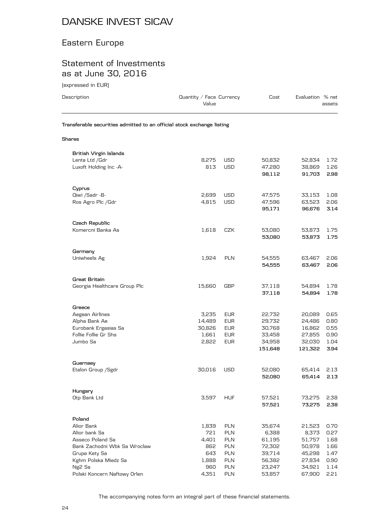### Eastern Europe

### Statement of Investments as at June 30, 2016

(expressed in EUR)

| Description                                                            | Quantity / Face Currency<br>Value |            | Cost             | Evaluation % net | assets       |
|------------------------------------------------------------------------|-----------------------------------|------------|------------------|------------------|--------------|
| Transferable securities admitted to an official stock exchange listing |                                   |            |                  |                  |              |
| Shares                                                                 |                                   |            |                  |                  |              |
| <b>British Virgin Islands</b>                                          |                                   |            |                  |                  |              |
| Lenta Ltd / Gdr                                                        | 8,275                             | USD        | 50,832           | 52,834           | 1.72         |
| Luxoft Holding Inc -A-                                                 | 813                               | <b>USD</b> | 47,280           | 38,869           | 1.26         |
|                                                                        |                                   |            | 98,112           | 91,703           | 2.98         |
| Cyprus                                                                 |                                   |            |                  |                  |              |
| Qiwi /Sadr -B-                                                         | 2,699                             | <b>USD</b> | 47,575           | 33,153           | 1.08         |
| Ros Agro Plc / Gdr                                                     | 4,815                             | <b>USD</b> | 47,596           | 63,523           | 2.06         |
|                                                                        |                                   |            | 95,171           | 96,676           | 3.14         |
| Czech Republic                                                         |                                   |            |                  |                  |              |
| Komercni Banka As                                                      | 1,618                             | CZK        | 53,080           | 53,873           | 1.75         |
|                                                                        |                                   |            | 53,080           | 53,873           | 1.75         |
| Germany                                                                |                                   |            |                  |                  |              |
| Uniwheels Ag                                                           | 1,924                             | <b>PLN</b> | 54,555           | 63,467           | 2.06         |
|                                                                        |                                   |            | 54,555           | 63,467           | 2.06         |
| <b>Great Britain</b>                                                   |                                   |            |                  |                  |              |
| Georgia Healthcare Group Plc                                           | 15,660                            | GBP        | 37,118           | 54,894           | 1.78         |
|                                                                        |                                   |            | 37,118           | 54,894           | 1.78         |
| Greece                                                                 |                                   |            |                  |                  |              |
| Aegean Airlines                                                        | 3,235                             | <b>EUR</b> | 22,732           | 20,089           | 0.65         |
| Alpha Bank Ae                                                          | 14,489                            | <b>EUR</b> | 29,732           | 24,486           | 0.80         |
| Eurobank Ergasias Sa                                                   | 30,826                            | <b>EUR</b> | 30,768           | 16,862           | 0.55         |
| Follie Follie Gr Shs                                                   | 1,661                             | <b>EUR</b> | 33,458           | 27,855           | 0.90         |
| Jumbo Sa                                                               | 2,822                             | <b>EUR</b> | 34,958           | 32,030           | 1.04         |
|                                                                        |                                   |            | 151,648          | 121,322          | 3.94         |
| Guernsey                                                               |                                   |            |                  |                  |              |
| Etalon Group / Sgdr                                                    | 30,016                            | USD        | 52,080           | 65,414           | 2.13         |
|                                                                        |                                   |            | 52,080           | 65,414           | 2.13         |
| Hungary                                                                |                                   |            |                  |                  |              |
| Otp Bank Ltd                                                           | 3,597                             | <b>HUF</b> | 57,521<br>57,521 | 73,275<br>73,275 | 2.38<br>2.38 |
| Poland                                                                 |                                   |            |                  |                  |              |
| Alior Bank                                                             | 1,839                             | <b>PLN</b> | 35,674           | 21,523           | 0.70         |
| Alior bank Sa                                                          | 721                               | PLN        | 6,388            | 8,373            | 0.27         |
| Asseco Poland Sa                                                       | 4,401                             | PLN        | 61,195           | 51,757           | 1.68         |
| Bank Zachodni Wbk Sa Wroclaw                                           | 862                               | <b>PLN</b> | 72,302           | 50,978           | 1.66         |
| Grupa Kety Sa                                                          | 643                               | PLN        | 39,714           | 45,298           | 1.47         |
| Kghm Polska Miedz Sa                                                   | 1,888                             | <b>PLN</b> | 56,382           | 27,834           | 0.90         |
| Ng <sub>2</sub> Sa                                                     | 960                               | PLN        | 23,247           | 34,921           | 1.14         |
| Polski Koncern Naftowy Orlen                                           | 4,351                             | PLN        | 53,857           | 67,900           | 2.21         |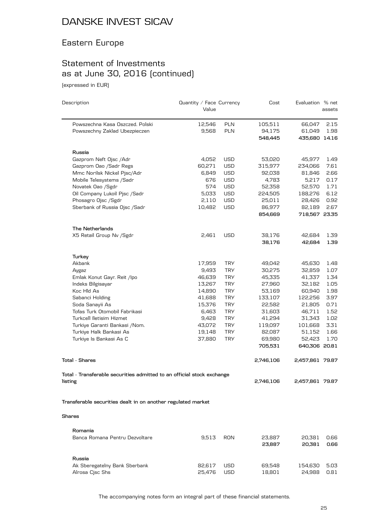## Eastern Europe

## Statement of Investments as at June 30, 2016 (continued)

(expressed in EUR)

| Description                                                            | Quantity / Face Currency<br>Value |            | Cost      | Evaluation % net | assets |
|------------------------------------------------------------------------|-----------------------------------|------------|-----------|------------------|--------|
| Powszechna Kasa Oszczed. Polski                                        | 12,546                            | <b>PLN</b> | 105,511   | 66,047           | 2.15   |
| Powszechny Zaklad Ubezpieczen                                          | 9,568                             | <b>PLN</b> | 94,175    | 61,049           | 1.98   |
|                                                                        |                                   |            | 548,445   | 435,680 14.16    |        |
| Russia                                                                 |                                   |            |           |                  |        |
| Gazprom Neft Ojsc /Adr                                                 | 4,052                             | <b>USD</b> | 53,020    | 45,977           | 1.49   |
| Gazprom Oao /Sadr Regs                                                 | 60,271                            | <b>USD</b> | 315,977   | 234,066          | 7.61   |
| Mmc Norilsk Nickel Pjsc/Adr                                            | 6,849                             | <b>USD</b> | 92,038    | 81,846           | 2.66   |
| Mobile Telesystems /Sadr                                               | 676                               | <b>USD</b> | 4,783     | 5,217            | 0.17   |
| Novatek Oao /Sgdr                                                      | 574                               | <b>USD</b> | 52,358    | 52,570           | 1.71   |
| Oil Company Lukoil Pjsc /Sadr                                          | 5,033                             | <b>USD</b> | 224,505   | 188,276          | 6.12   |
| Phosagro Ojsc /Sgdr                                                    | 2,110                             | <b>USD</b> | 25,011    | 28,426           | 0.92   |
| Sberbank of Russia Ojsc /Sadr                                          | 10,482                            | <b>USD</b> | 86,977    | 82,189           | 2.67   |
|                                                                        |                                   |            | 854,669   | 718,567 23.35    |        |
| The Netherlands                                                        |                                   |            |           |                  |        |
| X5 Retail Group Nv / Sgdr                                              | 2,461                             | <b>USD</b> | 38,176    | 42,684           | 1.39   |
|                                                                        |                                   |            | 38,176    | 42,684           | 1.39   |
| Turkey                                                                 |                                   |            |           |                  |        |
| Akbank                                                                 | 17,959                            | <b>TRY</b> | 49,042    | 45,630           | 1.48   |
| Aygaz                                                                  | 9,493                             | <b>TRY</b> | 30,275    | 32,859           | 1.07   |
| Emlak Konut Gayr. Reit /lpo                                            | 46,639                            | <b>TRY</b> | 45,335    | 41,337           | 1.34   |
| Indeks Bilgisayar                                                      | 13,267                            | <b>TRY</b> | 27,960    | 32,182           | 1.05   |
| Koc Hld As                                                             | 14,890                            | <b>TRY</b> | 53,169    | 60,940           | 1.98   |
| Sabanci Holding                                                        | 41,688                            | <b>TRY</b> | 133,107   | 122,256          | 3.97   |
| Soda Sanayii As                                                        | 15,376                            | <b>TRY</b> | 22,582    | 21,805           | 0.71   |
| Tofas Turk Otomobil Fabrikasi                                          | 6,463                             | <b>TRY</b> | 31,603    | 46,711           | 1.52   |
| Turkcell lletisim Hizmet                                               | 9,428                             | <b>TRY</b> | 41,294    | 31,343           | 1.02   |
| Turkiye Garanti Bankasi / Nom.                                         | 43,072                            | <b>TRY</b> | 119,097   | 101,668          | 3.31   |
| Turkiye Halk Bankasi As                                                | 19,148                            | <b>TRY</b> | 82,087    | 51,152           | 1.66   |
| Turkiye Is Bankasi As C                                                | 37,880                            | <b>TRY</b> | 69,980    | 52,423           | 1.70   |
|                                                                        |                                   |            | 705,531   | 640,306 20.81    |        |
| <b>Total - Shares</b>                                                  |                                   |            | 2,746,106 | 2,457,861 79.87  |        |
| Total - Transferable securities admitted to an official stock exchange |                                   |            |           |                  |        |
| listing                                                                |                                   |            | 2,746,106 | 2,457,861 79.87  |        |
| Transferable securities dealt in on another regulated market           |                                   |            |           |                  |        |
| <b>Shares</b>                                                          |                                   |            |           |                  |        |
| Romania                                                                |                                   |            |           |                  |        |
| Banca Romana Pentru Dezvoltare                                         | 9,513                             | RON        | 23,887    | 20,381           | 0.66   |
|                                                                        |                                   |            | 23,887    | 20,381           | 0.66   |
| Russia                                                                 |                                   |            |           |                  |        |
| Ak Sberegatelny Bank Sberbank                                          | 82,617                            | USD        | 69,548    | 154,630          | 5.03   |
| Alrosa Cjsc Shs                                                        | 25,476                            | <b>USD</b> | 18,801    | 24,988           | 0.81   |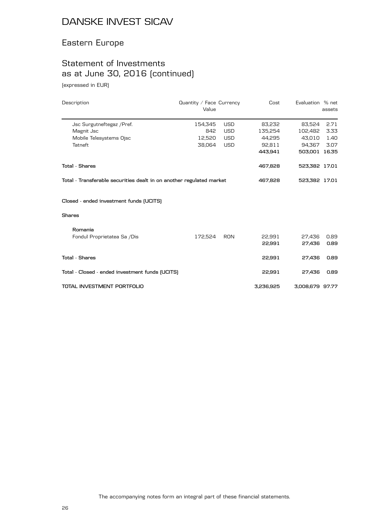## Eastern Europe

## Statement of Investments as at June 30, 2016 (continued)

(expressed in EUR)

| Description                                                          | Quantity / Face Currency<br>Value |            | Cost      | Evaluation % net | assets |
|----------------------------------------------------------------------|-----------------------------------|------------|-----------|------------------|--------|
| Jsc Surgutneftegaz / Pref.                                           | 154,345                           | <b>USD</b> | 83,232    | 83,524           | 2.71   |
| Magnit Jsc                                                           | 842                               | <b>USD</b> | 135,254   | 102,482          | 3.33   |
| Mobile Telesystems Ojsc                                              | 12,520                            | <b>USD</b> | 44.295    | 43.010           | 1.40   |
| Tatneft                                                              | 38,064                            | <b>USD</b> | 92,811    | 94,367           | 3.07   |
|                                                                      |                                   |            | 443,941   | 503,001 16.35    |        |
| <b>Total - Shares</b>                                                |                                   |            | 467,828   | 523,382 17.01    |        |
| Total - Transferable securities dealt in on another regulated market |                                   |            | 467,828   | 523,382 17.01    |        |
| Closed - ended investment funds (UCITS)                              |                                   |            |           |                  |        |
| <b>Shares</b>                                                        |                                   |            |           |                  |        |
| Romania                                                              |                                   |            |           |                  |        |
| Fondul Proprietatea Sa /Dis                                          | 172,524                           | RON        | 22.991    | 27,436           | 0.89   |
|                                                                      |                                   |            | 22,991    | 27,436           | 0.89   |
| <b>Total - Shares</b>                                                |                                   |            | 22,991    | 27,436           | 0.89   |
| Total - Closed - ended investment funds (UCITS)                      |                                   |            | 22,991    | 27,436           | 0.89   |
| TOTAL INVESTMENT PORTFOLIO                                           |                                   |            | 3,236,925 | 3,008,679 97.77  |        |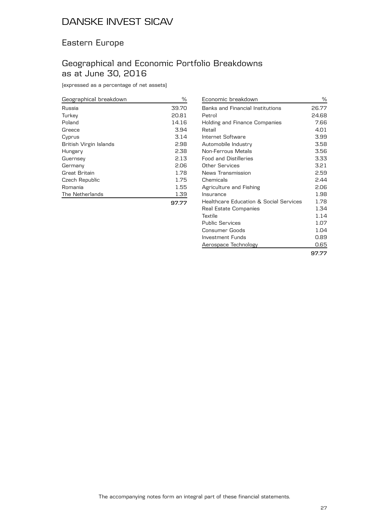### Eastern Europe

### Geographical and Economic Portfolio Breakdowns as at June 30, 2016

(expressed as a percentage of net assets)

| Geographical breakdown | ℅     |
|------------------------|-------|
| Russia                 | 39.70 |
| Turkey                 | 20.81 |
| Poland                 | 14.16 |
| Greece                 | 3.94  |
| Cyprus                 | 3.14  |
| British Virgin Islands | 2.98  |
| Hungary                | 2.38  |
| Guernsey               | 2.13  |
| Germany                | 2.06  |
| Great Britain          | 1.78  |
| Czech Republic         | 1.75  |
| Romania                | 1.55  |
| The Netherlands        | 1.39  |
|                        | 97.77 |

| Economic breakdown                                | %     |
|---------------------------------------------------|-------|
| Banks and Financial Institutions                  | 26.77 |
| Petrol                                            | 24.68 |
| Holding and Finance Companies                     | 7.66  |
| Retail                                            | 4.01  |
| Internet Software                                 | 3.99  |
| Automobile Industry                               | 3.58  |
| Non-Ferrous Metals                                | 3.56  |
| <b>Food and Distilleries</b>                      | 3.33  |
| Other Services                                    | 3.21  |
| News Transmission                                 | 2.59  |
| Chemicals                                         | 2.44  |
| Agriculture and Fishing                           | 2.06  |
| Insurance                                         | 1.98  |
| <b>Healthcare Education &amp; Social Services</b> | 1.78  |
| Real Estate Companies                             | 1.34  |
| Textile                                           | 1.14  |
| <b>Public Services</b>                            | 1.07  |
| Consumer Goods                                    | 1.04  |
| Investment Funds                                  | 0.89  |
| Aerospace Technology                              | 0.65  |
|                                                   | 97.77 |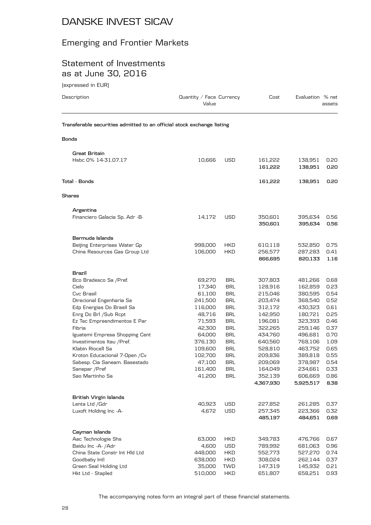## Emerging and Frontier Markets

### Statement of Investments as at June 30, 2016

(expressed in EUR)

| Description                                                            | Value            | Quantity / Face Currency |                    | Evaluation % net   | assets       |
|------------------------------------------------------------------------|------------------|--------------------------|--------------------|--------------------|--------------|
| Transferable securities admitted to an official stock exchange listing |                  |                          |                    |                    |              |
| Bonds                                                                  |                  |                          |                    |                    |              |
| Great Britain                                                          |                  |                          |                    |                    |              |
| Hsbc 0% 14-31.07.17                                                    | 10,666           | USD                      | 161,222            | 138,951            | 0.20         |
|                                                                        |                  |                          | 161,222            | 138,951            | 0.20         |
| Total - Bonds                                                          |                  |                          | 161,222            | 138,951            | 0.20         |
| <b>Shares</b>                                                          |                  |                          |                    |                    |              |
| Argentina                                                              |                  |                          |                    |                    |              |
| Financiero Galacia Sp. Adr -B-                                         | 14,172           | USD                      | 350,601            | 395,634            | 0.56         |
|                                                                        |                  |                          | 350,601            | 395,634            | 0.56         |
| Bermuda Islands                                                        |                  |                          |                    |                    |              |
| Beijing Enterprises Water Gp                                           | 998,000          | <b>HKD</b>               | 610,118            | 532,850            | 0.75         |
| China Resources Gas Group Ltd                                          | 106,000          | <b>HKD</b>               | 256,577            | 287,283            | 0.41         |
|                                                                        |                  |                          | 866,695            | 820,133            | 1.16         |
| Brazil                                                                 |                  |                          |                    |                    |              |
| Bco Bradesco Sa / Pref.                                                | 69,270           | <b>BRL</b>               | 307,803            | 481,266            | 0.68         |
| Cielo                                                                  | 17,340           | <b>BRL</b>               | 128,916            | 162,859            | 0.23         |
| Cvc Brasil                                                             | 61,100           | <b>BRL</b>               | 215,046            | 380,595            | 0.54         |
| Direcional Engenharia Sa                                               | 241,500          | <b>BRL</b>               | 203,474            | 368,540            | 0.52         |
| Edp Energias Do Brasil Sa                                              | 116,000          | <b>BRL</b>               | 312,172            | 430,323            | 0.61         |
| Enrg Do Brl / Sub Rcpt                                                 | 48,716<br>71,593 | <b>BRL</b><br><b>BRL</b> | 142,950<br>196,081 | 180,721<br>323,393 | 0.25<br>0.46 |
| Ez Tec Empreendimentos E Par<br>Fibria                                 | 42,300           | <b>BRL</b>               | 322,265            | 259,146            | 0.37         |
| Iguatemi Empresa Shopping Cent                                         | 64,000           | <b>BRL</b>               | 434,760            | 496,681            | 0.70         |
| Investimentos Itau /Pref.                                              | 376,130          | <b>BRL</b>               | 640,560            | 768,106            | 1.09         |
| Klabin Riocell Sa                                                      | 109,600          | <b>BRL</b>               | 528,810            | 463,752            | 0.65         |
| Kroton Educacional 7-Open / Cv                                         | 102,700          | <b>BRL</b>               | 209,836            | 389,818            | 0.55         |
| Sabesp. Cia Saneam. Basestado                                          | 47,100           | <b>BRL</b>               | 209,069            | 378,987            | 0.54         |
| Sanepar / Pref                                                         | 161,400          | BRL                      | 164,049            | 234,661            | 0.33         |
| Sao Martinho Sa                                                        | 41,200           | <b>BRL</b>               | 352,139            | 606,669            | 0.86         |
|                                                                        |                  |                          | 4,367,930          | 5,925,517          | 8.38         |
| <b>British Virgin Islands</b>                                          |                  |                          |                    |                    |              |
| Lenta Ltd / Gdr                                                        | 40,923           | USD                      | 227,852            | 261,285            | 0.37         |
| Luxoft Holding Inc -A-                                                 | 4,672            | <b>USD</b>               | 257,345            | 223,366            | 0.32         |
|                                                                        |                  |                          | 485,197            | 484,651            | 0.69         |
| Cayman Islands                                                         |                  |                          |                    |                    |              |
| Aac Technologie Shs                                                    | 63,000           | <b>HKD</b>               | 349,783            | 476,766            | 0.67         |
| Baidu Inc -A- /Adr                                                     | 4,600            | USD                      | 789,992            | 681,063            | 0.96         |
| China State Constr Int HId Ltd                                         | 448,000          | <b>HKD</b>               | 552,773            | 527,270            | 0.74         |
| Goodbaby Intl                                                          | 638,000          | <b>HKD</b>               | 308,024            | 262,144            | 0.37         |
| Green Seal Holding Ltd                                                 | 35,000           | TWD                      | 147,319            | 145,932            | 0.21         |
| Hkt Ltd - Stapled                                                      | 510,000          | <b>HKD</b>               | 651,807            | 658,251            | 0.93         |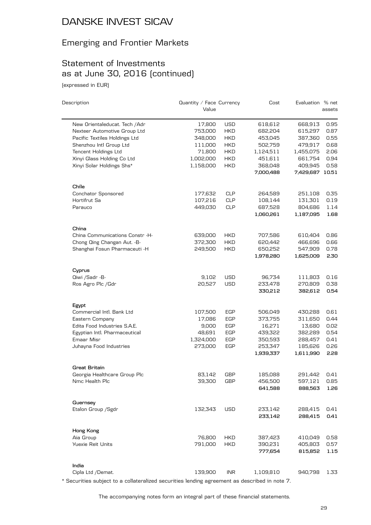## Emerging and Frontier Markets

## Statement of Investments as at June 30, 2016 (continued)

(expressed in EUR)

 $\overline{a}$ 

| Description                     | Quantity / Face Currency<br>Value |            | Cost      | Evaluation % net | assets |
|---------------------------------|-----------------------------------|------------|-----------|------------------|--------|
|                                 |                                   |            |           |                  |        |
| New Orientaleducat. Tech / Adr  | 17,800                            | <b>USD</b> | 618,612   | 668,913          | 0.95   |
| Nexteer Automotive Group Ltd    | 753,000                           | <b>HKD</b> | 682,204   | 615,297          | 0.87   |
| Pacific Textiles Holdings Ltd   | 348,000                           | <b>HKD</b> | 453,045   | 387,360          | 0.55   |
| Shenzhou Intl Group Ltd         | 111,000                           | <b>HKD</b> | 502,759   | 479,917          | 0.68   |
| Tencent Holdings Ltd            | 71,800                            | <b>HKD</b> | 1,124,511 | 1,455,075        | 2.06   |
| Xinyi Glass Holding Co Ltd      | 1,002,000                         | <b>HKD</b> | 451,611   | 661,754          | 0.94   |
| Xinyi Solar Holdings Shs*       | 1,158,000                         | <b>HKD</b> | 368,048   | 409,945          | 0.58   |
|                                 |                                   |            | 7,000,488 | 7,429,687 10.51  |        |
| Chile                           |                                   |            |           |                  |        |
| Conchator Sponsored             | 177,632                           | <b>CLP</b> | 264,589   | 251,108          | 0.35   |
| Hortifrut Sa                    | 107,216                           | <b>CLP</b> | 108,144   | 131,301          | 0.19   |
| Parauco                         | 449,030                           | <b>CLP</b> | 687,528   | 804,686          | 1.14   |
|                                 |                                   |            | 1,060,261 | 1,187,095        | 1.68   |
| China                           |                                   |            |           |                  |        |
| China Communications Constr -H- | 639,000                           | <b>HKD</b> | 707,586   | 610,404          | 0.86   |
| Chong Qing Changan Aut. - B-    | 372,300                           | HKD        | 620,442   | 466,696          | 0.66   |
| Shanghai Fosun Pharmaceuti -H   | 249,500                           | HKD        | 650,252   | 547,909          | 0.78   |
|                                 |                                   |            | 1,978,280 | 1,625,009        | 2.30   |
| Cyprus                          |                                   |            |           |                  |        |
| Qiwi /Sadr -B-                  | 9,102                             | <b>USD</b> | 96,734    | 111,803          | 0.16   |
| Ros Agro Plc /Gdr               | 20,527                            | <b>USD</b> | 233,478   | 270,809          | 0.38   |
|                                 |                                   |            | 330,212   | 382,612          | 0.54   |
| Egypt                           |                                   |            |           |                  |        |
| Commercial Intl. Bank Ltd       | 107,500                           | EGP        | 506,049   | 430,288          | 0.61   |
| Eastern Company                 | 17,086                            | <b>EGP</b> | 373,755   | 311,650          | 0.44   |
| Edita Food Industries S.A.E.    | 9,000                             | <b>EGP</b> | 16,271    | 13,680           | 0.02   |
| Egyptian Intl. Pharmaceutical   | 48,691                            | <b>EGP</b> | 439,322   | 382,289          | 0.54   |
| Emaar Misr                      | 1,324,000                         | <b>EGP</b> | 350,593   | 288,457          | 0.41   |
| Juhayna Food Industries         | 273,000                           | EGP        | 253,347   | 185,626          | 0.26   |
|                                 |                                   |            | 1,939,337 | 1,611,990        | 2.28   |
| Great Britain                   |                                   |            |           |                  |        |
| Georgia Healthcare Group Plc    | 83,142                            | GBP        | 185,088   | 291,442          | 0.41   |
| Nmc Health Plc                  | 39,300                            | <b>GBP</b> | 456,500   | 597,121          | 0.85   |
|                                 |                                   |            | 641,588   | 888,563          | 1.26   |
| Guernsey                        |                                   |            |           |                  |        |
| Etalon Group / Sgdr             | 132,343                           | <b>USD</b> | 233,142   | 288,415          | 0.41   |
|                                 |                                   |            | 233,142   | 288,415          | 0.41   |
| Hong Kong                       |                                   |            |           |                  |        |
| Aia Group                       | 76,800                            | <b>HKD</b> | 387,423   | 410,049          | 0.58   |
| <b>Yuexie Reit Units</b>        | 791,000                           | <b>HKD</b> | 390,231   | 405,803          | 0.57   |
|                                 |                                   |            | 777,654   | 815,852          | 1.15   |
| India                           |                                   |            |           |                  |        |
| Cipla Ltd /Demat.               | 139,900                           | <b>INR</b> | 1,109,810 | 940,798          | 1.33   |

\* Securities subject to a collateralized securities lending agreement as described in note 7.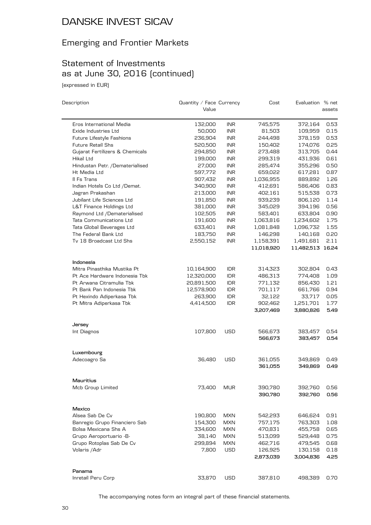## Emerging and Frontier Markets

## Statement of Investments as at June 30, 2016 (continued)

(expressed in EUR)

| Description                         | Quantity / Face Currency<br>Value |            | Cost       | Evaluation % net | assets |
|-------------------------------------|-----------------------------------|------------|------------|------------------|--------|
|                                     |                                   |            |            |                  |        |
| Eros International Media            | 132,000                           | <b>INR</b> | 745,575    | 372,164          | 0.53   |
| Exide Industries Ltd                | 50,000                            | <b>INR</b> | 81,503     | 109,959          | 0.15   |
| Future Lifestyle Fashions           | 236,904                           | <b>INR</b> | 244,498    | 378,159          | 0.53   |
| <b>Future Retail Shs</b>            | 520,500                           | <b>INR</b> | 150,402    | 174,076          | 0.25   |
| Gujarat Fertilizers & Chemicals     | 294,850                           | <b>INR</b> | 273,488    | 313,705          | 0.44   |
| Hikal Ltd                           | 199,000                           | INR        | 299,319    | 431,936          | 0.61   |
| Hindustan Petr. /Dematerialised     | 27,000                            | <b>INR</b> | 285,474    | 355,296          | 0.50   |
| Ht Media Ltd                        | 597,772                           | INR        | 659,022    | 617,281          | 0.87   |
| Il Fs Trans                         | 907,432                           | INR        | 1,036,955  | 889,892          | 1.26   |
| Indian Hotels Co Ltd /Demat.        | 340,900                           | <b>INR</b> | 412,691    | 586,406          | 0.83   |
| Jagran Prakashan                    | 213,000                           | <b>INR</b> | 402,161    | 515,538          | 0.73   |
| Jubilant Life Sciences Ltd          | 191,850                           | INR        | 939,239    | 806,120          | 1.14   |
| <b>L&amp;T Finance Holdings Ltd</b> | 381,000                           | <b>INR</b> | 345,029    | 394,196          | 0.56   |
| Raymond Ltd /Dematerialised         | 102,505                           | INR        | 583,401    | 633,804          | 0.90   |
| <b>Tata Communications Ltd</b>      | 191,600                           | <b>INR</b> | 1,063,816  | 1,234,602        | 1.75   |
| Tata Global Beverages Ltd           | 633,401                           | <b>INR</b> | 1,081,848  | 1,096,732        | 1.55   |
| The Federal Bank Ltd                | 183,750                           | <b>INR</b> | 146,298    | 140,168          | 0.20   |
| Tv 18 Broadcast Ltd Shs             | 2,550,152                         | <b>INR</b> | 1,158,391  | 1,491,681        | 2.11   |
|                                     |                                   |            | 11,018,920 | 11,482,513 16.24 |        |
| Indonesia                           |                                   |            |            |                  |        |
| Mitra Pinasthika Mustika Pt         | 10,164,900                        | <b>IDR</b> | 314,323    | 302,804          | 0.43   |
| Pt Ace Hardware Indonesia Tbk       | 12,320,000                        | <b>IDR</b> | 486,313    | 774,408          | 1.09   |
| Pt Arwana Citramulia Tbk            | 20,891,500                        | <b>IDR</b> | 771,132    | 856,430          | 1.21   |
| Pt Bank Pan Indonesia Tbk           | 12,578,900                        | IDR.       | 701,117    | 661,766          | 0.94   |
| Pt Hexindo Adiperkasa Tbk           | 263,900                           | IDR.       | 32,122     | 33,717           | 0.05   |
| Pt Mitra Adiperkasa Tbk             | 4,414,500                         | IDR        | 902,462    | 1,251,701        | 1.77   |
|                                     |                                   |            | 3,207,469  | 3,880,826        | 5.49   |
| Jersey                              |                                   |            |            |                  |        |
| Int Diagnos                         | 107,800                           | <b>USD</b> | 566,673    | 383,457          | 0.54   |
|                                     |                                   |            | 566,673    | 383,457          | 0.54   |
| Luxembourg                          |                                   |            |            |                  |        |
| Adecoagro Sa                        | 36,480                            | <b>USD</b> | 361,055    | 349,869          | 0.49   |
|                                     |                                   |            | 361,055    | 349,869          | 0.49   |
| Mauritius                           |                                   |            |            |                  |        |
| Mcb Group Limited                   | 73,400                            | MUR        | 390,780    | 392,760          | 0.56   |
|                                     |                                   |            | 390,780    | 392,760          | 0.56   |
| Mexico                              |                                   |            |            |                  |        |
| Alsea Sab De Cv                     | 190,800                           | MXN        | 542,293    | 646,624          | 0.91   |
| Banregio Grupo Financiero Sab       | 154,300                           | <b>MXN</b> | 757,175    | 763,303          | 1.08   |
| Bolsa Mexicana Shs A                | 334,600                           | <b>MXN</b> | 470,831    | 455,758          | 0.65   |
| Grupo Aeroportuario -B-             | 38,140                            | <b>MXN</b> | 513,099    | 529,448          | 0.75   |
| Grupo Rotoplas Sab De Cv            | 299,894                           | <b>MXN</b> | 462,716    | 479,545          | 0.68   |
| Volaris / Adr                       | 7,800                             | <b>USD</b> | 126,925    | 130,158          | 0.18   |
|                                     |                                   |            | 2,873,039  | 3,004,836        | 4.25   |
| Panama                              |                                   |            |            |                  |        |
| Inretail Peru Corp                  | 33,870                            | <b>USD</b> | 387,810    | 498,389          | 0.70   |
|                                     |                                   |            |            |                  |        |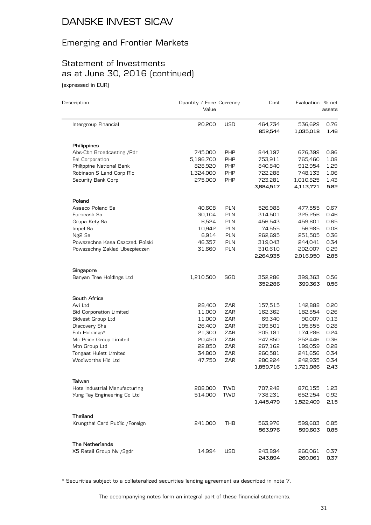## Emerging and Frontier Markets

## Statement of Investments as at June 30, 2016 (continued)

(expressed in EUR)

| Description                     | Quantity / Face Currency<br>Value |            | Cost      | Evaluation % net | assets |
|---------------------------------|-----------------------------------|------------|-----------|------------------|--------|
| Intergroup Financial            | 20,200                            | <b>USD</b> | 464,734   | 536,629          | 0.76   |
|                                 |                                   |            | 852,544   | 1,035,018        | 1.46   |
| Philippines                     |                                   |            |           |                  |        |
| Abs-Cbn Broadcasting / Pdr      | 745,000                           | <b>PHP</b> | 844,197   | 676,399          | 0.96   |
| Eei Corporation                 | 5,196,700                         | PHP        | 753,911   | 765,460          | 1.08   |
| Philippine National Bank        | 828,920                           | <b>PHP</b> | 840,840   | 912,954          | 1.29   |
| Robinson S Land Corp RIc        | 1,324,000                         | <b>PHP</b> | 722,288   | 748,133          | 1.06   |
| Security Bank Corp              | 275,000                           | <b>PHP</b> | 723,281   | 1,010,825        | 1.43   |
|                                 |                                   |            | 3,884,517 | 4,113,771        | 5.82   |
| Poland                          |                                   |            |           |                  |        |
| Asseco Poland Sa                | 40,608                            | <b>PLN</b> | 526,988   | 477,555          | 0.67   |
| Eurocash Sa                     | 30,104                            | <b>PLN</b> | 314,501   | 325,256          | 0.46   |
| Grupa Kety Sa                   | 6,524                             | <b>PLN</b> | 456,543   | 459,601          | 0.65   |
| Impel Sa                        | 10,942                            | <b>PLN</b> | 74,555    | 56,985           | 0.08   |
| Ng <sub>2</sub> Sa              | 6,914                             | <b>PLN</b> | 262,695   | 251,505          | 0.36   |
| Powszechna Kasa Oszczed. Polski | 46,357                            | <b>PLN</b> | 319,043   | 244,041          | 0.34   |
| Powszechny Zaklad Ubezpieczen   | 31,660                            | PLN        | 310,610   | 202,007          | 0.29   |
|                                 |                                   |            | 2,264,935 | 2,016,950        | 2.85   |
| Singapore                       |                                   |            |           |                  |        |
| Banyan Tree Holdings Ltd        | 1,210,500                         | SGD        | 352,286   | 399,363          | 0.56   |
|                                 |                                   |            | 352,286   | 399,363          | 0.56   |
| South Africa                    |                                   |            |           |                  |        |
| Avi Ltd                         | 28,400                            | <b>ZAR</b> | 157,515   | 142,888          | 0.20   |
| <b>Bid Corporation Limited</b>  | 11,000                            | ZAR        | 162,362   | 182,854          | 0.26   |
| <b>Bidvest Group Ltd</b>        | 11,000                            | ZAR        | 69,340    | 90,007           | 0.13   |
| Discovery Shs                   | 26,400                            | ZAR        | 209,501   | 195,855          | 0.28   |
| Eoh Holdings*                   | 21,300                            | ZAR        | 205,181   | 174,286          | 0.24   |
| Mr. Price Group Limited         | 20,450                            | ZAR        | 247,850   | 252,446          | 0.36   |
| Mtn Group Ltd                   | 22,850                            | ZAR        | 267,162   | 199,059          | 0.28   |
| Tongaat Hulett Limited          | 34,800                            | ZAR        | 260,581   | 241,656          | 0.34   |
| Woolworths Hld Ltd              | 47,750                            | ZAR        | 280,224   | 242,935          | 0.34   |
|                                 |                                   |            | 1,859,716 | 1,721,986        | 2.43   |
| Taiwan                          |                                   |            |           |                  |        |
| Hota Industrial Manufacturing   | 208,000                           | TWD        | 707,248   | 870,155          | 1.23   |
| Yung Tay Engineering Co Ltd     | 514,000                           | <b>TWD</b> | 738,231   | 652,254          | 0.92   |
|                                 |                                   |            | 1,445,479 | 1,522,409        | 2.15   |
| Thailand                        |                                   |            |           |                  |        |
| Krungthai Card Public / Foreign | 241,000                           | THB        | 563,976   | 599,603          | 0.85   |
|                                 |                                   |            | 563,976   | 599,603          | 0.85   |
| <b>The Netherlands</b>          |                                   |            |           |                  |        |
| X5 Retail Group Nv /Sgdr        | 14,994                            | <b>USD</b> | 243,894   | 260,061          | 0.37   |
|                                 |                                   |            | 243,894   | 260,061          | 0.37   |

\* Securities subject to a collateralized securities lending agreement as described in note 7.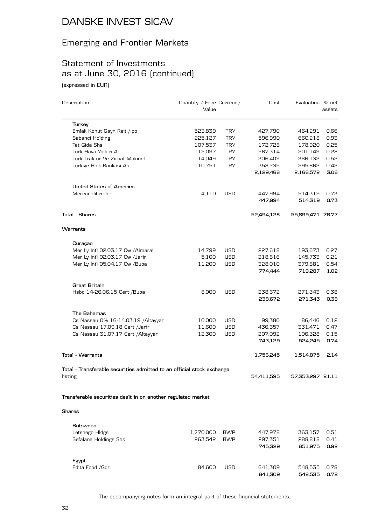## Emerging and Frontier Markets

## Statement of Investments as at June 30, 2016 (continued)

(expressed in EUR)

| Description                                                            | Quantity / Face Currency<br>Value |            | Cost       | Evaluation % net | assets |
|------------------------------------------------------------------------|-----------------------------------|------------|------------|------------------|--------|
| Turkey                                                                 |                                   |            |            |                  |        |
| Emlak Konut Gayr. Reit /lpo                                            | 523,839                           | <b>TRY</b> | 427,790    | 464,291          | 0.66   |
| Sabanci Holding                                                        | 225,127                           | <b>TRY</b> | 596,990    | 660,218          | 0.93   |
| Tat Gida Shs                                                           | 107,537                           | <b>TRY</b> | 172,728    | 178,920          | 0.25   |
| Turk Hava Yollari Ao                                                   | 112,097                           | <b>TRY</b> | 267,314    | 201,149          | 0.28   |
| Turk Traktor Ve Ziraat Makinel                                         | 14,049                            | <b>TRY</b> | 306,409    | 366,132          | 0.52   |
| Turkiye Halk Bankasi As                                                | 110,751                           | <b>TRY</b> | 358,235    | 295,862          | 0.42   |
|                                                                        |                                   |            | 2,129,466  | 2,166,572        | 3.06   |
| <b>United States of America</b>                                        |                                   |            |            |                  |        |
| Mercadolibre Inc                                                       | 4,110                             | <b>USD</b> | 447,994    | 514,319          | 0.73   |
|                                                                        |                                   |            | 447,994    | 514,319          | 0.73   |
| Total - Shares                                                         |                                   |            | 52,494,128 | 55,699,471 78.77 |        |
| Warrants                                                               |                                   |            |            |                  |        |
| Curacao                                                                |                                   |            |            |                  |        |
| Mer Ly Intl 02.03.17 Cw / Almarai                                      | 14,799                            | USD        | 227,618    | 193,673          | 0.27   |
| Mer Ly Intl 02.03.17 Cw /Jarir                                         | 5,100                             | USD        | 218,816    | 145,733          | 0.21   |
| Mer Ly Intl 05.04.17 Cw /Bupa                                          | 11,200                            | USD        | 328,010    | 379,881          | 0.54   |
|                                                                        |                                   |            | 774,444    | 719,287          | 1.02   |
| Great Britain                                                          |                                   |            |            |                  |        |
| Hsbc 14-26.06.15 Cert / Bupa                                           | 8,000                             | USD        | 238,672    | 271,343          | 0.38   |
|                                                                        |                                   |            | 238,672    | 271,343          | 0.38   |
| The Bahamas                                                            |                                   |            |            |                  |        |
| Cs Nassau 0% 16-14.03.19 / Altayyar                                    | 10,000                            | USD        | 99,380     | 86,446           | 0.12   |
| Cs Nassau 17.09.18 Cert /Jarir                                         | 11,600                            | <b>USD</b> | 436,657    | 331,471          | 0.47   |
| Cs Nassau 31.07.17 Cert / Altayyar                                     | 12,300                            | USD        | 207,092    | 106,328          | 0.15   |
|                                                                        |                                   |            | 743,129    | 524,245          | 0.74   |
| <b>Total - Warrants</b>                                                |                                   |            | 1,756,245  | 1,514,875        | 2.14   |
| Total - Transferable securities admitted to an official stock exchange |                                   |            |            |                  |        |
| listing                                                                |                                   |            | 54,411,595 | 57,353,297 81.11 |        |
| Transferable securities dealt in on another regulated market           |                                   |            |            |                  |        |
| <b>Shares</b>                                                          |                                   |            |            |                  |        |
| Botswana                                                               |                                   |            |            |                  |        |
| Letshego Hldgs                                                         | 1,770,000                         | <b>BWP</b> | 447,978    | 363,157          | 0.51   |
| Sefalana Holdings Shs                                                  | 263,542                           | <b>BWP</b> | 297,351    | 288,818          | 0.41   |
|                                                                        |                                   |            | 745,329    | 651,975          | 0.92   |
| Egypt                                                                  |                                   |            |            |                  |        |
| Edita Food / Gdr                                                       | 84,600                            | <b>USD</b> | 641,309    | 548,535          | 0.78   |
|                                                                        |                                   |            | 641,309    | 548,535          | 0.78   |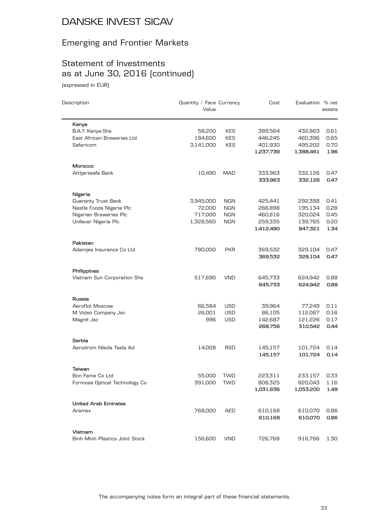## Emerging and Frontier Markets

### Statement of Investments as at June 30, 2016 (continued) (expressed in EUR)

| Description                    | Quantity / Face Currency<br>Value |            | Cost               | Evaluation % net   | assets       |
|--------------------------------|-----------------------------------|------------|--------------------|--------------------|--------------|
| Kenya                          |                                   |            |                    |                    |              |
| <b>B.A.T. Kenya-Shs</b>        | 58,200                            | <b>KES</b> | 389,564            | 432,863            | 0.61         |
| East African Breweries Ltd     | 184,600                           | <b>KES</b> | 446,245            | 460,396            | 0.65         |
| Safaricom                      | 3,141,000                         | <b>KES</b> | 401,930            | 495,202            | 0.70         |
|                                |                                   |            | 1,237,739          | 1,388,461          | 1.96         |
| Morocco                        |                                   |            |                    |                    |              |
| Attijariwafa Bank              | 10,490                            | <b>MAD</b> | 333,963            | 332,126            | 0.47         |
|                                |                                   |            | 333,963            | 332,126            | 0.47         |
| Nigeria                        |                                   |            |                    |                    |              |
| Guaranty Trust Bank            | 3,945,000                         | <b>NGN</b> | 425,441            | 292,398            | 0.41         |
| Nestle Foods Nigeria Plc       | 72,000                            | <b>NGN</b> | 266,898            | 195,134            | 0.28         |
| Nigerian Breweries Plc         | 717,000                           | <b>NGN</b> | 460,816            | 320,024            | 0.45         |
| Unilever Nigeria Plc           | 1,328,560                         | <b>NGN</b> | 259,335            | 139,765            | 0.20         |
|                                |                                   |            | 1,412,490          | 947,321            | 1.34         |
| Pakistan                       |                                   |            |                    |                    |              |
| Adamjee Insurance Co Ltd       | 780,000                           | <b>PKR</b> | 369,532<br>369,532 | 329,104<br>329,104 | 0.47<br>0.47 |
| Philippines                    |                                   |            |                    |                    |              |
| Vietnam Sun Corporation Shs    | 517,690                           | <b>VND</b> | 645,733            | 624,942            | 0.88         |
|                                |                                   |            | 645,733            | 624,942            | 0.88         |
| Russia                         |                                   |            |                    |                    |              |
| Aeroflot Moscow                | 66,584                            | USD        | 39,964             | 77,249             | 0.11         |
| M Video Company Jsc            | 26,001                            | <b>USD</b> | 86,105             | 112,067            | 0.16         |
| Magnit Jsc                     | 996                               | <b>USD</b> | 142,687            | 121,226            | 0.17         |
|                                |                                   |            | 268,756            | 310,542            | 0.44         |
| Serbia                         |                                   |            |                    |                    |              |
| Aerodrom Nikola Tesla Ad       | 14,008                            | <b>RSD</b> | 145,157            | 101,724            | 0.14         |
|                                |                                   |            | 145,157            | 101,724            | 0.14         |
| Taiwan                         |                                   |            |                    |                    |              |
| Bon Fame Co Ltd                | 55,000                            | <b>TWD</b> | 223,311            | 233,157            | 0.33         |
| Formosa Optical Technology Co  | 391,000                           | <b>TWD</b> | 808,325            | 820,043            | 1.16         |
|                                |                                   |            | 1,031,636          | 1,053,200          | 1.49         |
| <b>United Arab Emirates</b>    |                                   |            |                    |                    |              |
| Aramex                         | 768,000                           | AED        | 610,168            | 610,070            | 0.86         |
|                                |                                   |            | 610,168            | 610,070            | 0.86         |
| Vietnam                        |                                   |            |                    |                    |              |
| Binh Minh Plastics Joint Stock | 156,600                           | <b>VND</b> | 726,768            | 916,766            | 1.30         |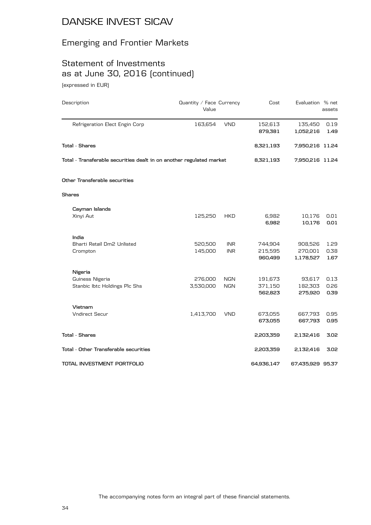#### Emerging and Frontier Markets

### Statement of Investments as at June 30, 2016 (continued) (expressed in EUR)

Description Description **Description** Description

Value assets Refrigeration Elect Engin Corp 163,654 VND 152,613 135,450 0.19 **879,381 1,052,216 1.49 Total - Shares 8,321,193 7,950,216 11.24 Total - Transferable securities dealt in on another regulated market 8,321,193 7,950,216 11.24 Other Transferable securities Shares Cayman Islands** Xinyi Aut 125,250 HKD 6,982 10,176 0.01 **6,982 10,176 0.01 India** Bharti Retail Dm2 Unlisted 520,500 INR 744,904 908,526 1.29 Crompton 145,000 INR 215,595 270,001 0.38 **960,499 1,178,527 1.67 Nigeria** Guiness Nigeria 276,000 NGN 191,673 93,617 0.13 Stanbic Ibtc Holdings Plc Shs 3,530,000 NGN 371,150 182,303 0.26 **562,823 275,920 0.39 Vietnam** Vndirect Secur 1,413,700 VND 673,055 667,793 0.95 **673,055 667,793 0.95 Total - Shares 2,203,359 2,132,416 3.02 Total - Other Transferable securities 2,203,359 2,132,416 3.02 TOTAL INVESTMENT PORTFOLIO 64,936,147 67,435,929 95.37**

Cost Evaluation % net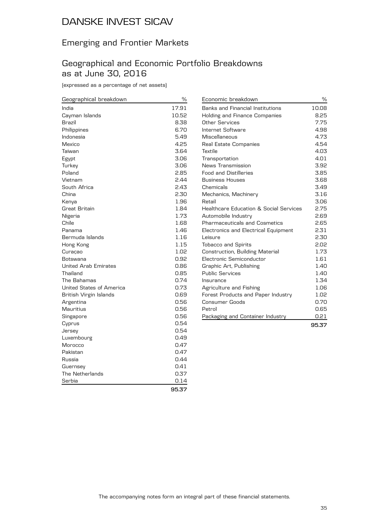## Emerging and Frontier Markets

### Geographical and Economic Portfolio Breakdowns as at June 30, 2016

(expressed as a percentage of net assets)

| Geographical breakdown      | $\%$  | Economic breakdown                                | $\%$  |
|-----------------------------|-------|---------------------------------------------------|-------|
| India                       | 17.91 | Banks and Financial Institutions                  | 10.08 |
| Cayman Islands              | 10.52 | Holding and Finance Companies                     | 8.25  |
| Brazil                      | 8.38  | Other Services                                    | 7.75  |
| Philippines                 | 6.70  | Internet Software                                 | 4.98  |
| Indonesia                   | 5.49  | Miscellaneous                                     | 4.73  |
| Mexico                      | 4.25  | <b>Real Estate Companies</b>                      | 4.54  |
| Taiwan                      | 3.64  | Textile                                           | 4.03  |
| Egypt                       | 3.06  | Transportation                                    | 4.01  |
| Turkey                      | 3.06  | News Transmission                                 | 3.92  |
| Poland                      | 2.85  | <b>Food and Distilleries</b>                      | 3.85  |
| Vietnam                     | 2.44  | <b>Business Houses</b>                            | 3.68  |
| South Africa                | 2.43  | Chemicals                                         | 3.49  |
| China                       | 2.30  | Mechanics, Machinery                              | 3.16  |
| Kenya                       | 1.96  | Retail                                            | 3.06  |
| Great Britain               | 1.84  | <b>Healthcare Education &amp; Social Services</b> | 2.75  |
| Nigeria                     | 1.73  | Automobile Industry                               | 2.69  |
| Chile                       | 1.68  | <b>Pharmaceuticals and Cosmetics</b>              | 2.65  |
| Panama                      | 1.46  | Electronics and Electrical Equipment              | 2.31  |
| Bermuda Islands             | 1.16  | Leisure                                           | 2.30  |
| Hong Kong                   | 1.15  | <b>Tobacco and Spirits</b>                        | 2.02  |
| Curaçao                     | 1.02  | Construction, Building Material                   | 1.73  |
| Botswana                    | 0.92  | Electronic Semiconductor                          | 1.61  |
| <b>United Arab Emirates</b> | 0.86  | Graphic Art, Publishing                           | 1.40  |
| Thailand                    | 0.85  | <b>Public Services</b>                            | 1.40  |
| The Bahamas                 | 0.74  | Insurance                                         | 1.34  |
| United States of America    | 0.73  | Agriculture and Fishing                           | 1.06  |
| British Virgin Islands      | 0.69  | Forest Products and Paper Industry                | 1.02  |
| Argentina                   | 0.56  | <b>Consumer Goods</b>                             | 0.70  |
| Mauritius                   | 0.56  | Petrol                                            | 0.65  |
| Singapore                   | 0.56  | Packaging and Container Industry                  | 0.21  |
| Cyprus                      | 0.54  |                                                   | 95.37 |
| Jersey                      | 0.54  |                                                   |       |
| Luxembourg                  | 0.49  |                                                   |       |
| Morocco                     | 0.47  |                                                   |       |
| Pakistan                    | 0.47  |                                                   |       |
| Russia                      | 0.44  |                                                   |       |
| Guernsey                    | 0.41  |                                                   |       |

**95.37**

The Netherlands 6.37 Serbia 0.14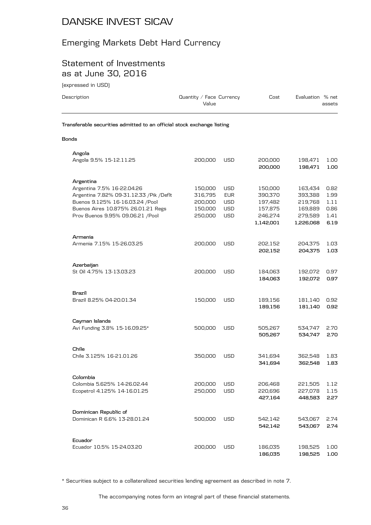### Emerging Markets Debt Hard Currency

### Statement of Investments as at June 30, 2016

(expressed in USD)

| levhi esseg ili dani                                                                                                                                                                                |                                                     |                                                             |                                                                  |                                                                  |                                              |
|-----------------------------------------------------------------------------------------------------------------------------------------------------------------------------------------------------|-----------------------------------------------------|-------------------------------------------------------------|------------------------------------------------------------------|------------------------------------------------------------------|----------------------------------------------|
| Description                                                                                                                                                                                         | Quantity / Face Currency<br>Value                   |                                                             | Cost                                                             | Evaluation % net                                                 | assets                                       |
| Transferable securities admitted to an official stock exchange listing                                                                                                                              |                                                     |                                                             |                                                                  |                                                                  |                                              |
| <b>Bonds</b>                                                                                                                                                                                        |                                                     |                                                             |                                                                  |                                                                  |                                              |
| Angola<br>Angola 9.5% 15-12.11.25                                                                                                                                                                   | 200,000                                             | <b>USD</b>                                                  | 200,000<br>200,000                                               | 198,471<br>198,471                                               | 1.00<br>1.00                                 |
| Argentina<br>Argentina 7.5% 16-22.04.26<br>Argentina 7.82% 09-31.12.33 / Pik / Deflt<br>Buenos 9.125% 16-16.03.24 / Pool<br>Buenos Aires 10.875% 26.01.21 Regs<br>Prov Buenos 9.95% 09.06.21 / Pool | 150,000<br>316,795<br>200,000<br>150,000<br>250,000 | USD<br><b>EUR</b><br><b>USD</b><br><b>USD</b><br><b>USD</b> | 150,000<br>390,370<br>197,482<br>157,875<br>246,274<br>1,142,001 | 163,434<br>393,388<br>219,768<br>169,889<br>279,589<br>1,226,068 | 0.82<br>1.99<br>1.11<br>0.86<br>1.41<br>6.19 |
| Armenia<br>Armenia 7.15% 15-26.03.25                                                                                                                                                                | 200,000                                             | USD                                                         | 202,152<br>202,152                                               | 204,375<br>204,375                                               | 1.03<br>1.03                                 |
| Azerbaijan<br>St Oil 4.75% 13-13.03.23                                                                                                                                                              | 200,000                                             | <b>USD</b>                                                  | 184,063<br>184,063                                               | 192,072<br>192,072                                               | 0.97<br>0.97                                 |
| Brazil<br>Brazil 8.25% 04-20.01.34                                                                                                                                                                  | 150,000                                             | USD                                                         | 189,156<br>189,156                                               | 181,140<br>181,140                                               | 0.92<br>0.92                                 |
| Cayman Islands<br>Avi Funding 3.8% 15-16.09.25*                                                                                                                                                     | 500,000                                             | <b>USD</b>                                                  | 505,267<br>505,267                                               | 534,747<br>534,747                                               | 2.70<br>2.70                                 |
| Chile<br>Chile 3.125% 16-21.01.26                                                                                                                                                                   | 350,000                                             | <b>USD</b>                                                  | 341,694<br>341,694                                               | 362,548<br>362,548                                               | 1.83<br>1.83                                 |
| Colombia                                                                                                                                                                                            |                                                     |                                                             |                                                                  |                                                                  |                                              |

\* Securities subject to a collateralized securities lending agreement as described in note 7.

Ecopetrol 4.125% 14-16.01.25 250,000 USD 220,696

The accompanying notes form an integral part of these financial statements.

Colombia 5.625% 14-26.02.44 200,000 USD 206,468 221,505 1.12

Dominican R 6.6% 13-28.01.24 500,000 USD 542,142 543,067 2.74

Ecuador 10.5% 15-24.03.20 200,000 USD 186,035 198,525 1.00

**427,164 448,583 2.27**

**542,142 543,067 2.74**

**186,035 198,525 1.00**

**Dominican Republic of**

**Ecuador**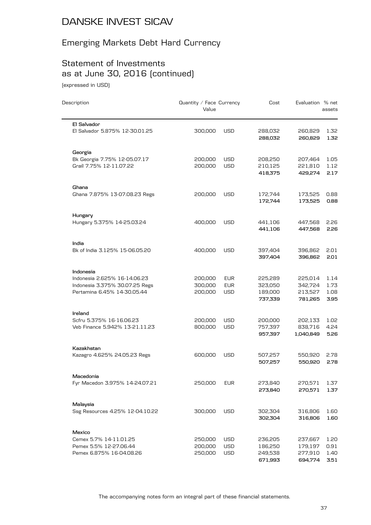## Emerging Markets Debt Hard Currency

## Statement of Investments as at June 30, 2016 (continued)

(expressed in USD)

| Description                                   | Quantity / Face Currency<br>Value |            | Cost               | Evaluation % net   | assets       |
|-----------------------------------------------|-----------------------------------|------------|--------------------|--------------------|--------------|
| El Salvador<br>El Salvador 5.875% 12-30.01.25 | 300,000                           | <b>USD</b> | 288,032            | 260,829            | 1.32         |
|                                               |                                   |            | 288,032            | 260,829            | 1.32         |
| Georgia                                       |                                   |            |                    |                    |              |
| Bk Georgia 7.75% 12-05.07.17                  | 200,000                           | <b>USD</b> | 208,250            | 207,464            | 1.05         |
| Grail 7.75% 12-11.07.22                       | 200,000                           | <b>USD</b> | 210,125            | 221,810            | 1.12         |
|                                               |                                   |            | 418,375            | 429,274            | 2.17         |
| Ghana                                         |                                   |            |                    |                    |              |
| Ghana 7.875% 13-07.08.23 Regs                 | 200,000                           | <b>USD</b> | 172,744<br>172,744 | 173,525            | 0.88<br>0.88 |
|                                               |                                   |            |                    | 173,525            |              |
| Hungary<br>Hungary 5.375% 14-25.03.24         | 400,000                           | USD        | 441,106            | 447,568            | 2.26         |
|                                               |                                   |            | 441,106            | 447,568            | 2.26         |
|                                               |                                   |            |                    |                    |              |
| India<br>Bk of India 3.125% 15-06.05.20       | 400,000                           | <b>USD</b> | 397,404            | 396,862            | 2.01         |
|                                               |                                   |            | 397,404            | 396,862            | 2.01         |
| Indonesia                                     |                                   |            |                    |                    |              |
| Indonesia 2.625% 16-14.06.23                  | 200,000                           | <b>EUR</b> | 225,289            | 225,014            | 1.14         |
| Indonesia 3.375% 30.07.25 Regs                | 300,000                           | <b>EUR</b> | 323,050            | 342,724            | 1.73         |
| Pertamina 6.45% 14-30.05.44                   | 200,000                           | <b>USD</b> | 189,000            | 213,527            | 1.08         |
|                                               |                                   |            | 737,339            | 781,265            | 3.95         |
| Ireland                                       |                                   |            |                    |                    |              |
| Scfru 5.375% 16-16.06.23                      | 200,000                           | USD        | 200,000            | 202,133            | 1.02         |
| Veb Finance 5.942% 13-21.11.23                | 800,000                           | <b>USD</b> | 757,397            | 838,716            | 4.24         |
|                                               |                                   |            | 957,397            | 1,040,849          | 5.26         |
| Kazakhstan                                    |                                   |            |                    |                    |              |
| Kazagro 4.625% 24.05.23 Regs                  | 600,000                           | <b>USD</b> | 507,257<br>507,257 | 550,920<br>550,920 | 2.78<br>2.78 |
|                                               |                                   |            |                    |                    |              |
| Macedonia<br>Fyr Macedon 3.975% 14-24.07.21   | 250,000                           | <b>EUR</b> | 273,840            | 270,571            | 1.37         |
|                                               |                                   |            | 273,840            | 270,571            | 1.37         |
|                                               |                                   |            |                    |                    |              |
| Malaysia<br>Ssg Resources 4.25% 12-04.10.22   | 300,000                           | <b>USD</b> | 302,304            | 316,806            | 1.60         |
|                                               |                                   |            | 302,304            | 316,806            | 1.60         |
| Mexico                                        |                                   |            |                    |                    |              |
| Cemex 5.7% 14-11.01.25                        | 250,000                           | USD        | 236,205            | 237,667            | 1.20         |
| Pemex 5.5% 12-27.06.44                        | 200,000                           | <b>USD</b> | 186,250            | 179,197            | 0.91         |
| Pemex 6.875% 16-04.08.26                      | 250,000                           | <b>USD</b> | 249,538            | 277,910            | 1.40         |
|                                               |                                   |            | 671,993            | 694,774            | 3.51         |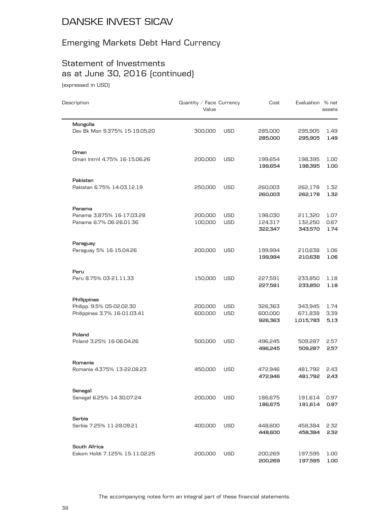## Emerging Markets Debt Hard Currency

## Statement of Investments as at June 30, 2016 (continued)

(expressed in USD)

| Description                                                              | Quantity / Face Currency<br>Value |                          | Cost                          | Evaluation % net                | assets               |
|--------------------------------------------------------------------------|-----------------------------------|--------------------------|-------------------------------|---------------------------------|----------------------|
| Mongolia<br>Dev Bk Mon 9.375% 15-19.05.20                                | 300,000                           | <b>USD</b>               | 285,000<br>285,000            | 295,905<br>295,905              | 1.49<br>1.49         |
| Oman<br>Oman Intrnl 4.75% 16-15.06.26                                    | 200,000                           | <b>USD</b>               | 199,654<br>199,654            | 198,395<br>198,395              | 1.00<br>1.00         |
| Pakistan<br>Pakistan 6.75% 14-03.12.19                                   | 250,000                           | USD                      | 260,003<br>260,003            | 262,178<br>262,178              | 1.32<br>1.32         |
| Panama<br>Panama 3.875% 16-17.03.28<br>Panama 6.7% 06-26.01.36           | 200,000<br>100,000                | <b>USD</b><br><b>USD</b> | 198,030<br>124,317<br>322,347 | 211,320<br>132,250<br>343,570   | 1.07<br>0.67<br>1.74 |
| Paraguay<br>Paraguay 5% 16-15.04.26                                      | 200,000                           | <b>USD</b>               | 199,994<br>199,994            | 210,638<br>210,638              | 1.06<br>1.06         |
| Peru<br>Peru 8.75% 03-21.11.33                                           | 150,000                           | USD                      | 227,591<br>227,591            | 233,850<br>233,850              | 1.18<br>1.18         |
| Philippines<br>Philipp. 9.5% 05-02.02.30<br>Philippines 3.7% 16-01.03.41 | 200,000<br>600,000                | <b>USD</b><br><b>USD</b> | 326,363<br>600,000<br>926,363 | 343,945<br>671,838<br>1,015,783 | 1.74<br>3.39<br>5.13 |
| Poland<br>Poland 3.25% 16-06.04.26                                       | 500,000                           | USD                      | 496,245<br>496,245            | 509,287<br>509,287              | 2.57<br>2.57         |
| Romania<br>Romania 4.375% 13-22.08.23                                    | 450,000                           | <b>USD</b>               | 472.946<br>472,946            | 481,792<br>481,792              | 2.43<br>2.43         |
| Senegal<br>Senegal 6.25% 14-30.07.24                                     | 200,000                           | USD                      | 186,675<br>186,675            | 191,614<br>191,614              | 0.97<br>0.97         |
| Serbia<br>Serbia 7.25% 11-28.09.21                                       | 400,000                           | USD                      | 448,600<br>448,600            | 458,384<br>458,384              | 2.32<br>2.32         |
| South Africa<br>Eskom Holdi 7.125% 15-11.02.25                           | 200,000                           | <b>USD</b>               | 200,269<br>200,269            | 197,595<br>197,595              | 1.00<br>1.00         |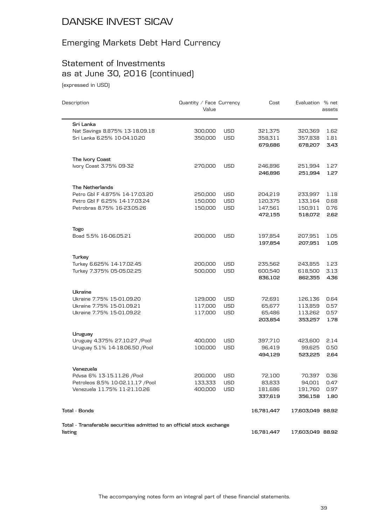## Emerging Markets Debt Hard Currency

## Statement of Investments as at June 30, 2016 (continued)

(expressed in USD)

| Description                                                            | Quantity / Face Currency<br>Cost<br>Value |            |            |                  | Evaluation % net |  | assets |
|------------------------------------------------------------------------|-------------------------------------------|------------|------------|------------------|------------------|--|--------|
| Sri Lanka                                                              |                                           |            |            |                  |                  |  |        |
| Nat Savings 8.875% 13-18.09.18                                         | 300,000                                   | <b>USD</b> | 321,375    | 320,369          | 1.62             |  |        |
| Sri Lanka 6.25% 10-04.10.20                                            | 350,000                                   | <b>USD</b> | 358,311    | 357,838          | 1.81             |  |        |
|                                                                        |                                           |            | 679,686    | 678,207          | 3.43             |  |        |
| The Ivory Coast                                                        |                                           |            |            |                  |                  |  |        |
| Ivory Coast 3.75% 09-32                                                | 270,000                                   | <b>USD</b> | 246,896    | 251,994          | 1.27             |  |        |
|                                                                        |                                           |            | 246,896    | 251,994          | 1.27             |  |        |
| The Netherlands                                                        |                                           |            |            |                  |                  |  |        |
| Petro Gbl F 4.875% 14-17.03.20                                         | 250,000                                   | <b>USD</b> | 204,219    | 233,997          | 1.18             |  |        |
| Petro Gbl F 6.25% 14-17.03.24                                          | 150,000                                   | <b>USD</b> | 120,375    | 133,164          | 0.68             |  |        |
| Petrobras 8.75% 16-23.05.26                                            | 150,000                                   | <b>USD</b> | 147,561    | 150,911          | 0.76             |  |        |
|                                                                        |                                           |            | 472,155    | 518,072          | 2.62             |  |        |
| <b>Togo</b>                                                            |                                           |            |            |                  |                  |  |        |
| Boad 5.5% 16-06.05.21                                                  | 200,000                                   | <b>USD</b> | 197,854    | 207,951          | 1.05             |  |        |
|                                                                        |                                           |            | 197,854    | 207,951          | 1.05             |  |        |
| Turkey                                                                 |                                           |            |            |                  |                  |  |        |
| Turkey 6.625% 14-17.02.45                                              | 200,000                                   | <b>USD</b> | 235,562    | 243,855          | 1.23             |  |        |
| Turkey 7.375% 05-05.02.25                                              | 500,000                                   | <b>USD</b> | 600,540    | 618,500          | 3.13             |  |        |
|                                                                        |                                           |            | 836,102    | 862,355          | 4.36             |  |        |
| Ukraine                                                                |                                           |            |            |                  |                  |  |        |
| Ukraine 7.75% 15-01.09.20                                              | 129,000                                   | <b>USD</b> | 72,691     | 126,136          | 0.64             |  |        |
| Ukraine 7.75% 15-01.09.21                                              | 117,000                                   | <b>USD</b> | 65,677     | 113,859          | 0.57             |  |        |
| Ukraine 7.75% 15-01.09.22                                              | 117,000                                   | <b>USD</b> | 65,486     | 113,262          | 0.57             |  |        |
|                                                                        |                                           |            | 203,854    | 353,257          | 1.78             |  |        |
| Uruguay                                                                |                                           |            |            |                  |                  |  |        |
| Uruguay 4.375% 27.10.27 / Pool                                         | 400,000                                   | <b>USD</b> | 397,710    | 423,600          | 2.14             |  |        |
| Uruguay 5.1% 14-18.06.50 / Pool                                        | 100,000                                   | <b>USD</b> | 96,419     | 99,625           | 0.50             |  |        |
|                                                                        |                                           |            | 494,129    | 523,225          | 2.64             |  |        |
| Venezuela                                                              |                                           |            |            |                  |                  |  |        |
| Pdvsa 6% 13-15.11.26 / Pool                                            | 200,000                                   | USD        | 72,100     | 70,397           | 0.36             |  |        |
| Petroleos 8.5% 10-02.11.17 / Pool                                      | 133,333                                   | <b>USD</b> | 83,833     | 94,001           | 0.47             |  |        |
| Venezuela 11.75% 11-21.10.26                                           | 400,000                                   | <b>USD</b> | 181,686    | 191,760          | 0.97             |  |        |
|                                                                        |                                           |            | 337,619    | 356,158          | 1.80             |  |        |
| Total - Bonds                                                          |                                           |            | 16,781,447 | 17,603,049 88.92 |                  |  |        |
| Total - Transferable securities admitted to an official stock exchange |                                           |            |            |                  |                  |  |        |
| listing                                                                |                                           |            | 16,781,447 | 17,603,049 88.92 |                  |  |        |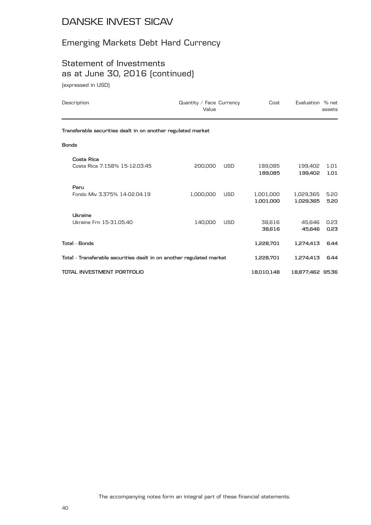## Emerging Markets Debt Hard Currency

## Statement of Investments as at June 30, 2016 (continued)

(expressed in USD)

| Description                                                          | Quantity / Face Currency<br>Value |            | Cost                   | Evaluation % net       | assets       |
|----------------------------------------------------------------------|-----------------------------------|------------|------------------------|------------------------|--------------|
| Transferable securities dealt in on another regulated market         |                                   |            |                        |                        |              |
| <b>Bonds</b>                                                         |                                   |            |                        |                        |              |
| Costa Rica<br>Costa Rica 7.158% 15-12.03.45                          | 200,000                           | <b>USD</b> | 189,085<br>189,085     | 199,402<br>199,402     | 1.01<br>1.01 |
| Peru<br>Fondo Miv 3.375% 14-02.04.19                                 | 1,000,000                         | <b>USD</b> | 1,001,000<br>1,001,000 | 1,029,365<br>1,029,365 | 5.20<br>5.20 |
| Ukraine<br>Ukraine Frn 15-31.05.40                                   | 140,000                           | <b>USD</b> | 38,616<br>38.616       | 45,646<br>45.646       | 0.23<br>0.23 |
| Total - Bonds                                                        |                                   |            | 1,228,701              | 1,274,413              | 6.44         |
| Total - Transferable securities dealt in on another regulated market |                                   |            | 1,228,701              | 1,274,413              | 6.44         |
| TOTAL INVESTMENT PORTFOLIO                                           |                                   |            | 18,010,148             | 18,877,462 95.36       |              |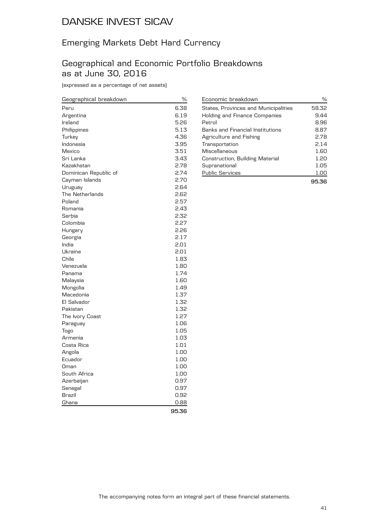### Emerging Markets Debt Hard Currency

#### Geographical and Economic Portfolio Breakdowns as at June 30, 2016

(expressed as a percentage of net assets)

| Geographical breakdown | %     |
|------------------------|-------|
| Peru                   | 6.38  |
| Argentina              | 6.19  |
| Ireland                | 5.26  |
| Philippines            | 5.13  |
| Turkey                 | 4.36  |
| Indonesia              | 3.95  |
| Mexico                 | 3.51  |
| Sri Lanka              | 3.43  |
| Kazakhstan             | 2.78  |
| Dominican Republic of  | 2.74  |
| Cayman Islands         | 2.70  |
| Uruguay                | 2.64  |
| The Netherlands        | 2.62  |
| Poland                 | 2.57  |
| Romania                | 2.43  |
| Serbia                 | 2.32  |
| Colombia               | 2.27  |
| Hungary                | 2.26  |
| Georgia                | 2.17  |
| India                  | 2.01  |
| Ukraine                | 2.01  |
| Chile                  | 1.83  |
| Venezuela              | 1.80  |
| Panama                 | 1.74  |
| Malaysia               | 1.60  |
| Mongolia               | 1.49  |
| Macedonia              | 1.37  |
| El Salvador            | 1.32  |
| Pakistan               | 1.32  |
| The Ivory Coast        | 1.27  |
| Paraguay               | 1.06  |
| Togo                   | 1.05  |
| Armenia                | 1.03  |
| Costa Rica             | 1.01  |
| Angola                 | 1.00  |
| Ecuador                | 1.00  |
| Oman                   | 1.00  |
| South Africa           | 1.00  |
| Azerbaijan             | 0.97  |
| Senegal                | 0.97  |
| Brazil                 | 0.92  |
| Ghana                  | 0.88  |
|                        | 95.36 |

| Economic breakdown                      | ℅     |
|-----------------------------------------|-------|
| States, Provinces and Municipalities    | 58.32 |
| Holding and Finance Companies           | 9.44  |
| Petrol                                  | 8.96  |
| <b>Banks and Financial Institutions</b> | 8.87  |
| Agriculture and Fishing                 | 2.78  |
| Transportation                          | 2.14  |
| Miscellaneous                           | 1.60  |
| Construction, Building Material         | 1.20  |
| Supranational                           | 1.05  |
| <b>Public Services</b>                  | 1.00  |
|                                         | 95.36 |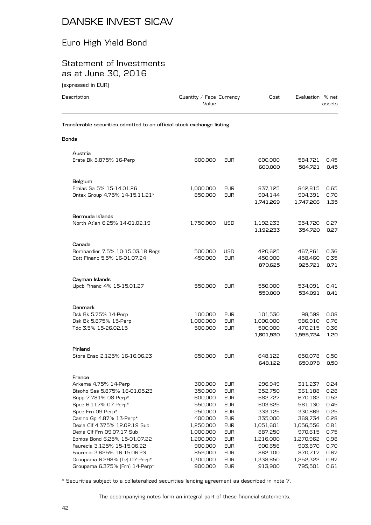## Euro High Yield Bond

#### Statement of Investments as at June 30, 2016

(expressed in EUR)

| Description  | Quantity / Face Currency<br>Value                                      | Cost | Evaluation % net<br>assets |
|--------------|------------------------------------------------------------------------|------|----------------------------|
|              | Transferable securities admitted to an official stock exchange listing |      |                            |
| <b>Bonds</b> |                                                                        |      |                            |
| Austria      |                                                                        |      |                            |

| Erste Bk 8.875% 16-Perp                                         | 600,000              | EUR                      | 600,000<br>600,000   | 584,721<br>584,721   | 0.45<br>0.45 |
|-----------------------------------------------------------------|----------------------|--------------------------|----------------------|----------------------|--------------|
| Belgium                                                         |                      |                          |                      |                      |              |
| Ethias Sa 5% 15-14.01.26                                        | 1,000,000            | <b>EUR</b>               | 837,125              | 842,815              | 0.65         |
| Ontex Group 4.75% 14-15.11.21*                                  | 850,000              | <b>EUR</b>               | 904,144<br>1,741,269 | 904,391<br>1,747,206 | 0.70<br>1.35 |
|                                                                 |                      |                          |                      |                      |              |
| Bermuda Islands                                                 |                      |                          |                      |                      |              |
| North Atlan 6.25% 14-01.02.19                                   | 1,750,000            | <b>USD</b>               | 1,192,233            | 354,720              | 0.27         |
|                                                                 |                      |                          | 1,192,233            | 354,720              | 0.27         |
| Canada                                                          |                      |                          |                      |                      |              |
| Bombardier 7.5% 10-15.03.18 Regs                                | 500,000              | USD                      | 420,625              | 467,261              | 0.36         |
| Cott Financ 5.5% 16-01.07.24                                    | 450,000              | <b>EUR</b>               | 450,000              | 458,460              | 0.35         |
|                                                                 |                      |                          | 870,625              | 925,721              | 0.71         |
| Cayman Islands                                                  |                      |                          |                      |                      |              |
| Upcb Financ 4% 15-15.01.27                                      | 550,000              | <b>EUR</b>               | 550,000              | 534,091              | 0.41         |
|                                                                 |                      |                          | 550,000              | 534,091              | 0.41         |
| Denmark                                                         |                      |                          |                      |                      |              |
| Dsk Bk 5.75% 14-Perp                                            | 100,000              | <b>EUR</b>               | 101,530              | 98,599               | 0.08         |
| Dsk Bk 5.875% 15-Perp                                           | 1,000,000            | <b>EUR</b>               | 1,000,000            | 986,910              | 0.76         |
| Tdc 3.5% 15-26.02.15                                            | 500,000              | <b>EUR</b>               | 500,000              | 470,215              | 0.36         |
|                                                                 |                      |                          | 1,601,530            | 1,555,724            | 1.20         |
| Finland                                                         |                      |                          |                      |                      |              |
| Stora Enso 2.125% 16-16.06.23                                   | 650,000              | <b>EUR</b>               | 648,122              | 650,078              | 0.50         |
|                                                                 |                      |                          | 648,122              | 650,078              | 0.50         |
| France                                                          |                      |                          |                      |                      |              |
| Arkema 4.75% 14-Perp                                            | 300,000              | <b>EUR</b>               | 296,949              | 311,237              | 0.24         |
| Bisoho Sas 5.875% 16-01.05.23                                   | 350,000              | <b>EUR</b>               | 352,750              | 361,188              | 0.28         |
| Bnpp 7.781% 08-Perp*<br>Bpce 6.117% 07-Perp*                    | 600,000              | <b>EUR</b><br><b>EUR</b> | 682,727              | 670,182<br>581,130   | 0.52<br>0.45 |
| Bpce Frn 09-Perp*                                               | 550,000<br>250,000   | <b>EUR</b>               | 603,625<br>333,125   | 330,869              | 0.25         |
| Casino Gp 4.87% 13-Perp*                                        | 400,000              | <b>EUR</b>               | 335,000              | 369,734              | 0.28         |
| Dexia Clf 4.375% 12.02.19 Sub                                   | 1,250,000            | <b>EUR</b>               | 1,051,601            | 1,056,556            | 0.81         |
| Dexia Clf Frn 09.07.17 Sub                                      | 1,000,000            | <b>EUR</b>               | 887,250              | 970,615              | 0.75         |
| Ephios Bond 6.25% 15-01.07.22                                   | 1,200,000            | <b>EUR</b>               | 1,216,000            | 1,270,962            | 0.98         |
| Faurecia 3.125% 15-15.06.22                                     | 900,000              | <b>EUR</b>               | 900,656              | 903,870              | 0.70         |
| Faurecia 3.625% 16-15.06.23                                     | 859,000              | <b>EUR</b>               | 862,100              | 870,717              | 0.67         |
| Groupama 6.298% [Tv] 07-Perp*<br>Groupama 6.375% [Frn] 14-Perp* | 1,300,000<br>900,000 | <b>EUR</b><br><b>EUR</b> | 1,338,650<br>913,900 | 1,252,322<br>795,501 | 0.97<br>0.61 |
|                                                                 |                      |                          |                      |                      |              |

\* Securities subject to a collateralized securities lending agreement as described in note 7.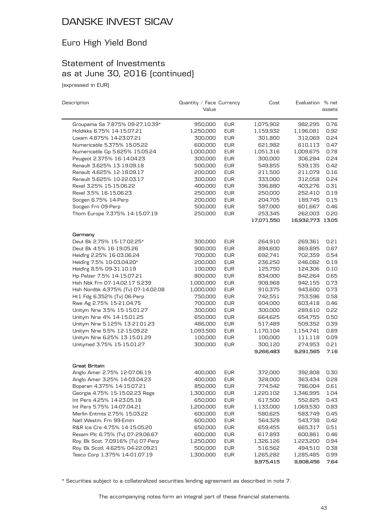## Euro High Yield Bond

## Statement of Investments as at June 30, 2016 (continued)

(expressed in EUR)

| Description                        | Quantity / Face Currency |            | Cost       | Evaluation % net |        |
|------------------------------------|--------------------------|------------|------------|------------------|--------|
|                                    | Value                    |            |            |                  | assets |
| Groupama Sa 7.875% 09-27.10.39*    | 950,000                  | <b>EUR</b> | 1,075,902  | 982,295          | 0.76   |
| Holdikks 6.75% 14-15.07.21         | 1,250,000                | <b>EUR</b> | 1,159,932  | 1,196,081        | 0.92   |
| Loxam 4.875% 14-23.07.21           | 300,000                  | <b>EUR</b> | 301,800    | 312,069          | 0.24   |
| Numericable 5.375% 15.05.22        | 600,000                  | <b>EUR</b> | 621,982    | 610,113          | 0.47   |
| Numericable Gp 5.625% 15.05.24     | 1,000,000                | <b>EUR</b> | 1,051,316  | 1,009,675        | 0.78   |
| Peugeot 2.375% 16-14.04.23         | 300,000                  | <b>EUR</b> | 300,000    | 306,284          | 0.24   |
| Renault 3.625% 13-19.09.18         | 500,000                  | <b>EUR</b> | 549,855    | 539,135          | 0.42   |
| Renault 4.625% 12-18.09.17         | 200,000                  | <b>EUR</b> | 211,500    | 211,079          | 0.16   |
| Renault 5.625% 10-22.03.17         | 300,000                  | <b>EUR</b> | 333,000    | 312,058          | 0.24   |
| Rexel 3.25% 15-15.06.22            | 400,000                  | <b>EUR</b> | 396,880    | 403,276          | 0.31   |
| Rexel 3.5% 16-15.06.23             | 250,000                  | <b>EUR</b> | 250,000    | 252,410          | 0.19   |
| Socgen 6.75% 14-Perp               | 200,000                  | <b>EUR</b> | 204,705    | 189,745          | 0.15   |
| Socgen Frn 09-Perp                 | 500,000                  | <b>EUR</b> | 587,000    | 601,667          | 0.46   |
| Thom Europe 7.375% 14-15.07.19     | 250,000                  | <b>EUR</b> | 253,345    | 262,003          | 0.20   |
|                                    |                          |            | 17,071,550 | 16,932,773 13.05 |        |
| Germany                            |                          |            |            |                  |        |
| Deut Bk 2.75% 15-17.02.25*         | 300,000                  | <b>EUR</b> | 264,910    | 269,361          | 0.21   |
| Deut Bk 4.5% 16-19.05.26           | 900,000                  | <b>EUR</b> | 894,600    | 869,895          | 0.67   |
| Heidlrg 2.25% 16-03.06.24          | 700,000                  | <b>EUR</b> | 692,741    | 702,359          | 0.54   |
| Heidlrg 7.5% 10-03.04.20*          | 200,000                  | <b>EUR</b> | 236,250    | 246,082          | 0.19   |
| Heidlrg 8.5% 09-31.10.19           | 100,000                  | <b>EUR</b> | 125,750    | 124,306          | 0.10   |
| Hp Pelzer 7.5% 14-15.07.21         | 800,000                  | <b>EUR</b> | 834,000    | 842,264          | 0.65   |
| Hsh Nbk Frn 07-14.02.17 S.239      | 1,000,000                | <b>EUR</b> | 908,968    | 942,155          | 0.73   |
| Hsh Nordbk 4.375% [Tv] 07-14.02.08 | 1,000,000                | <b>EUR</b> | 910,375    | 943,600          | 0.73   |
| Ht1 Fdg 6.352% (Tv) 06-Perp        | 750,000                  | <b>EUR</b> | 742,551    | 753,596          | 0.58   |
| Rwe Ag 2.75% 15-21.04.75           | 700,000                  | <b>EUR</b> | 604,000    | 603,418          | 0.46   |
| Unitym Nrw 3.5% 15-15.01.27        | 300,000                  | <b>EUR</b> | 300,000    | 289,610          | 0.22   |
| Unitym Nrw 4% 14-15.01.25          | 650,000                  | <b>EUR</b> | 664,625    | 654,755          | 0.50   |
| Unitym Nrw 5.125% 13-21.01.23      | 486,000                  | <b>EUR</b> | 517,489    | 509,352          | 0.39   |
| Unitym Nrw 5.5% 12-15.09.22        | 1,093,500                | <b>EUR</b> | 1,170,104  | 1,154,741        | 0.89   |
| Unitym Nrw 6.25% 13-15.01.29       | 100,000                  | <b>EUR</b> | 100,000    | 111,118          | 0.09   |
| Unitymed 3.75% 15-15.01.27         | 300,000                  | <b>EUR</b> | 300,120    | 274,953          | 0.21   |
|                                    |                          |            | 9,266,483  | 9,291,565        | 7.16   |
| Great Britain                      |                          |            |            |                  |        |
| Anglo Amer 2.75% 12-07.06.19       | 400,000                  | <b>EUR</b> | 372,000    | 392,808          | 0.30   |
| Anglo Amer 3.25% 14-03.04.23       | 400,000                  | <b>EUR</b> | 328,000    | 363,434          | 0.28   |
| Boparan 4.375% 14-15.07.21         | 850,000                  | <b>EUR</b> | 774,542    | 786,004          | 0.61   |
| Georgia 4.75% 15-15.02.23 Regs     | 1,300,000                | <b>EUR</b> | 1,220,102  | 1,346,995        | 1.04   |
| Int Pers 4.25% 14-23.05.18         | 650,000                  | <b>EUR</b> | 617,500    | 552,825          | 0.43   |
| Int Pers 5.75% 14-07.04.21         | 1,200,000                | <b>EUR</b> | 1,133,000  | 1,069,530        | 0.83   |
| Merlin Entmts 2.75% 15.03.22       | 600,000                  | <b>EUR</b> | 580,625    | 583,749          | 0.45   |
| Natl Westm. Frn 99-Emtn            | 600,000                  | <b>EUR</b> | 564,328    | 543,738          | 0.42   |
| R&R Ice Cre 4.75% 14-15.05.20      | 650,000                  | <b>EUR</b> | 659,455    | 665,317          | 0.51   |
| Rexam Plc 6.75% [Tv] 07-29.06.67   | 600,000                  | <b>EUR</b> | 617,893    | 600,861          | 0.46   |
| Roy. Bk Scot. 7.0916% [Tv] 07-Perp | 1,250,000                | <b>EUR</b> | 1,326,126  | 1,223,200        | 0.94   |
| Roy. Bk Scotl. 4.625% 04-22.09.21  | 500,000                  | <b>EUR</b> | 516,562    | 494,510          | 0.38   |
| Tesco Corp 1.375% 14-01.07.19      | 1,300,000                | <b>EUR</b> | 1,265,282  | 1,285,485        | 0.99   |
|                                    |                          |            | 9,975,415  | 9,908,456        | 7.64   |

\* Securities subject to a collateralized securities lending agreement as described in note 7.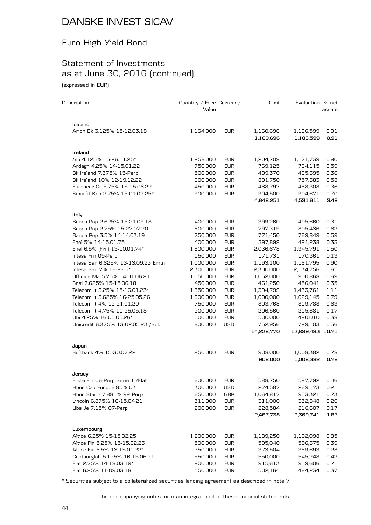## Euro High Yield Bond

## Statement of Investments as at June 30, 2016 (continued)

(expressed in EUR)

| Description                        | Quantity / Face Currency<br>Value |            | Cost                   | Evaluation % net       | assets       |
|------------------------------------|-----------------------------------|------------|------------------------|------------------------|--------------|
| Iceland                            |                                   |            |                        |                        |              |
| Arion Bk 3.125% 15-12.03.18        | 1,164,000                         | <b>EUR</b> | 1,160,696<br>1,160,696 | 1,186,599<br>1,186,599 | 0.91<br>0.91 |
| Ireland                            |                                   |            |                        |                        |              |
| Aib 4.125% 15-26.11.25*            | 1,258,000                         | <b>EUR</b> | 1,204,709              | 1,171,739              | 0.90         |
| Ardagh 4.25% 14-15.01.22           | 750,000                           | <b>EUR</b> | 769,125                | 764,115                | 0.59         |
| Bk Ireland 7.375% 15-Perp          | 500,000                           | <b>EUR</b> | 499,370                | 465,395                | 0.36         |
| Bk Ireland 10% 12-19.12.22         | 600,000                           | <b>EUR</b> | 801,750                | 757,383                | 0.58         |
| Europcar Gr 5.75% 15-15.06.22      | 450,000                           | <b>EUR</b> | 468,797                | 468,308                | 0.36         |
| Smurfit Kap 2.75% 15-01.02.25*     | 900,000                           | <b>EUR</b> | 904,500                | 904,671                | 0.70         |
|                                    |                                   |            | 4,648,251              | 4,531,611              | 3.49         |
| Italy                              |                                   |            |                        |                        |              |
| Banco Pop 2.625% 15-21.09.18       | 400,000                           | <b>EUR</b> | 399,260                | 405,660                | 0.31         |
| Banco Pop 2.75% 15-27.07.20        | 800,000                           | <b>EUR</b> | 797,319                | 805,436                | 0.62         |
| Banco Pop 3.5% 14-14.03.19         | 750,000                           | <b>EUR</b> | 771,450                | 769,849                | 0.59         |
| Enel 5% 14-15.01.75                | 400,000                           | <b>EUR</b> | 397,899                | 421,238                | 0.33         |
| Enel 6.5% [Frn] 13-10.01.74*       | 1,800,000                         | <b>EUR</b> | 2,036,678              | 1,945,791              | 1.50         |
| Intesa Frn 09-Perp                 | 150,000                           | <b>EUR</b> | 171,731                | 170,361                | 0.13         |
| Intesa San 6.625% 13-13.09.23 Emtn | 1,000,000                         | <b>EUR</b> | 1,193,100              | 1,161,795              | 0.90         |
| Intesa San 7% 16-Perp*             | 2,300,000                         | <b>EUR</b> | 2,300,000              | 2,134,756              | 1.65         |
| Officine Ma 5.75% 14-01.06.21      | 1,050,000                         | <b>EUR</b> | 1,052,000              | 900,868                | 0.69         |
| Snai 7.625% 15-15.06.18            | 450,000                           | <b>EUR</b> | 461,250                | 456,041                | 0.35         |
| Telecom It 3.25% 15-16.01.23*      | 1,350,000                         | <b>EUR</b> | 1,394,799              | 1,433,761              | 1.11         |
| Telecom It 3.625% 16-25.05.26      | 1,000,000                         | <b>EUR</b> | 1,000,000              | 1,029,145              | 0.79         |
| Telecom It 4% 12-21.01.20          | 750,000                           | <b>EUR</b> | 803,768                | 819,788                | 0.63         |
| Telecom It 4.75% 11-25.05.18       | 200,000                           | <b>EUR</b> | 206,560                | 215,881                | 0.17         |
| Ubi 4.25% 16-05.05.26*             | 500,000                           | <b>EUR</b> | 500,000                | 490,010                | 0.38         |
| Unicredit 6.375% 13-02.05.23 / Sub | 800,000                           | <b>USD</b> | 752,956                | 729,103                | 0.56         |
|                                    |                                   |            | 14,238,770             | 13,889,483 10.71       |              |
| Japan                              |                                   |            |                        |                        |              |
| Softbank 4% 15-30.07.22            | 950,000                           | <b>EUR</b> | 908,000<br>908,000     | 1,008,382<br>1,008,382 | 0.78<br>0.78 |
|                                    |                                   |            |                        |                        |              |
| Jersey                             |                                   |            |                        |                        |              |
| Erste Fin 06-Perp Serie 1 / Flat   | 600,000                           | <b>EUR</b> | 588,750                | 597,792                | 0.46         |
| Hbos Cap Fund. 6.85% 03            | 300,000                           | USD        | 274,587                | 269,173                | 0.21         |
| Hbos Sterlg 7.881% 99 Perp         | 650,000                           | GBP        | 1,064,817              | 953,321                | 0.73         |
| Lincoln 6.875% 16-15.04.21         | 311,000                           | <b>EUR</b> | 311,000                | 332,848                | 0.26         |
| Ubs Je 7.15% 07-Perp               | 200,000                           | <b>EUR</b> | 228,584                | 216,607                | 0.17         |
|                                    |                                   |            | 2,467,738              | 2,369,741              | 1.83         |
| Luxembourg                         |                                   |            |                        |                        |              |
| Altice 6.25% 15-15.02.25           | 1,200,000                         | <b>EUR</b> | 1,189,250              | 1,102,098              | 0.85         |
| Altice Fin 5.25% 15-15.02.23       | 500,000                           | <b>EUR</b> | 505,040                | 506,375                | 0.39         |
| Altice Fin 6.5% 13-15.01.22*       | 350,000                           | <b>EUR</b> | 373,504                | 369,693                | 0.28         |
| Contourglob 5.125% 16-15.06.21     | 550,000                           | <b>EUR</b> | 550,000                | 545,248                | 0.42         |
| Fiat 2.75% 14-18.03.19*            | 900,000                           | <b>EUR</b> | 915,613                | 919,606                | 0.71         |
| Fiat 6.25% 11-09.03.18             | 450,000                           | <b>EUR</b> | 502,164                | 484,234                | 0.37         |

\* Securities subject to a collateralized securities lending agreement as described in note 7.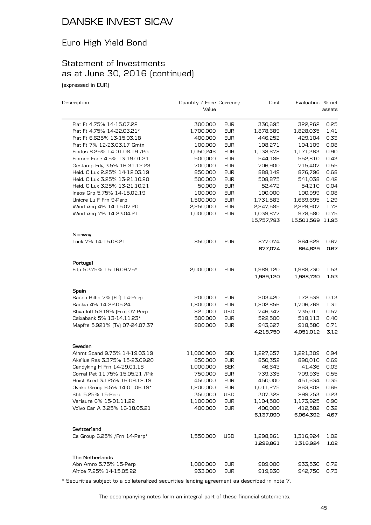## Euro High Yield Bond

## Statement of Investments as at June 30, 2016 (continued)

(expressed in EUR)

| Description                                                     | Quantity / Face Currency<br>Value |                          | Cost                 | Evaluation % net     | assets       |
|-----------------------------------------------------------------|-----------------------------------|--------------------------|----------------------|----------------------|--------------|
| Fiat Ft 4.75% 14-15.07.22                                       | 300,000                           | <b>EUR</b>               | 330,695              | 322,262              | 0.25         |
| Fiat Ft 4.75% 14-22.03.21*                                      | 1,700,000                         | <b>EUR</b>               | 1,878,689            | 1,828,035            | 1.41         |
| Fiat Ft 6.625% 13-15.03.18                                      | 400,000                           | <b>EUR</b>               | 446,252              | 429,104              | 0.33         |
| Fiat Ft 7% 12-23.03.17 Gmtn                                     | 100,000                           | <b>EUR</b>               | 108,271              | 104,109              | 0.08         |
| Findus 8.25% 14-01.08.19 / Pik                                  | 1,050,246                         | <b>EUR</b>               | 1,138,678            | 1,171,363            | 0.90         |
| Finmec Fnce 4.5% 13-19.01.21                                    | 500,000                           | <b>EUR</b>               | 544,186              | 552,810              | 0.43         |
| Gestamp Fdg 3.5% 16-31.12.23                                    | 700,000                           | <b>EUR</b>               | 706,900              | 715,407              | 0.55         |
| Heid. C Lux 2.25% 14-12.03.19                                   | 850,000                           | <b>EUR</b>               | 888,149              | 876,796              | 0.68         |
| Heid. C Lux 3.25% 13-21.10.20                                   | 500,000                           | <b>EUR</b>               | 508,875              | 541,038              | 0.42         |
| Heid. C Lux 3.25% 13-21.10.21                                   | 50,000                            | <b>EUR</b>               | 52,472               | 54,210               | 0.04         |
| Ineos Grp 5.75% 14-15.02.19                                     | 100,000                           | <b>EUR</b>               | 100,000              | 100,999              | 0.08         |
| Unicre Lu F Frn 9-Perp                                          | 1,500,000                         | <b>EUR</b>               | 1,731,583            | 1,669,695            | 1.29         |
| Wind Acq 4% 14-15.07.20                                         | 2,250,000                         | <b>EUR</b>               | 2,247,585            | 2,229,907            | 1.72         |
| Wind Acq 7% 14-23.04.21                                         | 1,000,000                         | <b>EUR</b>               | 1,039,877            | 978,580              | 0.75         |
|                                                                 |                                   |                          | 15,757,783           | 15,501,569 11.95     |              |
| Norway                                                          |                                   |                          |                      |                      |              |
| Lock 7% 14-15.08.21                                             | 850,000                           | <b>EUR</b>               | 877,074              | 864,629              | 0.67         |
|                                                                 |                                   |                          | 877,074              | 864,629              | 0.67         |
| Portugal                                                        |                                   |                          |                      |                      |              |
| Edp 5.375% 15-16.09.75*                                         | 2,000,000                         | <b>EUR</b>               | 1,989,120            | 1,988,730            | 1.53         |
|                                                                 |                                   |                          | 1,989,120            | 1,988,730            | 1.53         |
| Spain                                                           |                                   |                          |                      |                      |              |
| Banco Bilba 7% [Ftf] 14-Perp                                    | 200,000                           | <b>EUR</b>               | 203,420              | 172,539              | 0.13         |
| Bankia 4% 14-22.05.24                                           | 1,800,000                         | <b>EUR</b>               | 1,802,856            | 1,706,769            | 1.31         |
| Bbva Intl 5.919% [Frn] 07-Perp                                  | 821,000                           | <b>USD</b>               | 746,347              | 735,011              | 0.57         |
| Caixabank 5% 13-14.11.23*                                       | 500,000                           | <b>EUR</b>               | 522,500              | 518,113              | 0.40         |
| Mapfre 5.921% [Tv] 07-24.07.37                                  | 900,000                           | <b>EUR</b>               | 943,627              | 918,580              | 0.71         |
|                                                                 |                                   |                          | 4,218,750            | 4,051,012            | 3.12         |
| Sweden<br>Ainmt Scand 9.75% 14-19.03.19                         |                                   | <b>SEK</b>               |                      |                      |              |
| Akelius Res 3.375% 15-23.09.20                                  | 11,000,000<br>850,000             | <b>EUR</b>               | 1,227,657<br>850,352 | 1,221,309<br>890,010 | 0.94<br>0.69 |
|                                                                 |                                   | <b>SEK</b>               | 46,643               | 41,436               | 0.03         |
| Candyking H Frn 14-29.01.18<br>Corral Pet 11.75% 15.05.21 / Pik | 1,000,000<br>750,000              | <b>EUR</b>               | 739,335              | 709,935              | 0.55         |
|                                                                 |                                   |                          |                      |                      |              |
| Hoist Kred 3.125% 16-09.12.19                                   | 450,000                           | <b>EUR</b>               | 450,000              | 451,634              | 0.35         |
| Ovako Group 6.5% 14-01.06.19*                                   | 1,200,000                         | <b>EUR</b>               | 1,011,275            | 863,808              | 0.66         |
| Shb 5.25% 15-Perp<br>Verisure 6% 15-01.11.22                    | 350,000                           | USD                      | 307,328              | 299,753              | 0.23<br>0.90 |
| Volvo Car A 3.25% 16-18.05.21                                   | 1,100,000<br>400,000              | <b>EUR</b><br><b>EUR</b> | 1,104,500<br>400,000 | 1,173,925<br>412,582 | 0.32         |
|                                                                 |                                   |                          | 6,137,090            | 6,064,392            | 4.67         |
| Switzerland                                                     |                                   |                          |                      |                      |              |
| Cs Group 6.25% / Frn 14-Perp*                                   | 1,550,000                         | <b>USD</b>               | 1,298,861            | 1,316,924            | 1.02         |
|                                                                 |                                   |                          | 1,298,861            | 1,316,924            | 1.02         |
| The Netherlands                                                 |                                   |                          |                      |                      |              |
| Abn Amro 5.75% 15-Perp                                          | 1,000,000                         | <b>EUR</b>               | 989,000              | 933,530              | 0.72         |
| Altice 7.25% 14-15.05.22                                        | 933,000                           | <b>EUR</b>               | 919,830              | 942,750              | 0.73         |

\* Securities subject to a collateralized securities lending agreement as described in note 7.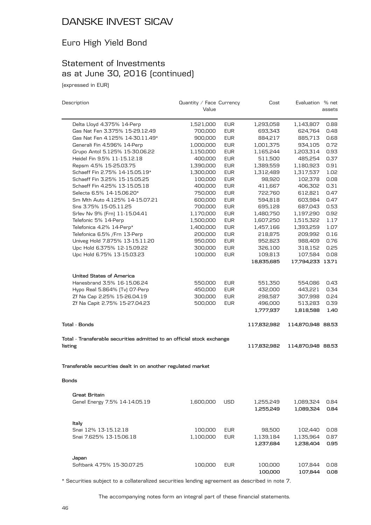## Euro High Yield Bond

## Statement of Investments as at June 30, 2016 (continued)

(expressed in EUR)

| Description                                                            | Quantity / Face Currency |            | Cost        | Evaluation % net  |        |
|------------------------------------------------------------------------|--------------------------|------------|-------------|-------------------|--------|
|                                                                        | Value                    |            |             |                   | assets |
| Delta Lloyd 4.375% 14-Perp                                             | 1,521,000                | <b>EUR</b> | 1,293,058   | 1,143,807         | 0.88   |
| Gas Nat Fen 3.375% 15-29.12.49                                         | 700,000                  | <b>EUR</b> | 693,343     | 624,764           | 0.48   |
| Gas Nat Fen 4.125% 14-30.11.49*                                        | 900,000                  | <b>EUR</b> | 884,217     | 885,713           | 0.68   |
| Generali Fin 4.596% 14-Perp                                            | 1,000,000                | <b>EUR</b> | 1,001,375   | 934,105           | 0.72   |
| Grupo Antol 5.125% 15-30.06.22                                         | 1,150,000                | <b>EUR</b> | 1,165,244   | 1,203,314         | 0.93   |
| Heidel Fin 9.5% 11-15.12.18                                            | 400,000                  | <b>EUR</b> | 511,500     | 485,254           | 0.37   |
| Repsm 4.5% 15-25.03.75                                                 | 1,390,000                | <b>EUR</b> | 1,389,559   | 1,180,923         | 0.91   |
| Schaeff Fin 2.75% 14-15.05.19*                                         | 1,300,000                | <b>EUR</b> | 1,312,489   | 1,317,537         | 1.02   |
| Schaeff Fin 3.25% 15-15.05.25                                          | 100,000                  | <b>EUR</b> | 98,920      | 102,378           | 0.08   |
| Schaeff Fin 4.25% 13-15.05.18                                          | 400,000                  | <b>EUR</b> | 411,667     | 406,302           | 0.31   |
| Selecta 6.5% 14-15.06.20*                                              | 750,000                  | <b>EUR</b> | 722,760     | 612,821           | 0.47   |
| Sm Mth Auto 4.125% 14-15.07.21                                         | 600,000                  | <b>EUR</b> | 594,818     | 603,984           | 0.47   |
| Sns 3.75% 15-05.11.25                                                  | 700,000                  | <b>EUR</b> | 695,128     | 687,043           | 0.53   |
| Srlev Nv 9% [Frn] 11-15.04.41                                          | 1,170,000                | <b>EUR</b> | 1,480,750   | 1,197,290         | 0.92   |
| Telefonic 5% 14-Perp                                                   | 1,500,000                | <b>EUR</b> | 1,607,250   | 1,515,322         | 1.17   |
| Telefonica 4.2% 14-Perp*                                               | 1,400,000                | <b>EUR</b> | 1,457,166   | 1,393,259         | 1.07   |
| Telefonica 6.5% / Frn 13-Perp                                          | 200,000                  | <b>EUR</b> | 218,875     | 209,992           | 0.16   |
| Univeg Hold 7.875% 13-15.11.20                                         | 950,000                  | <b>EUR</b> | 952,823     | 988,409           | 0.76   |
| Upc Hold 6.375% 12-15.09.22                                            | 300,000                  | <b>EUR</b> | 326,100     | 318,152           | 0.25   |
| Upc Hold 6.75% 13-15.03.23                                             | 100,000                  | <b>EUR</b> | 109,813     | 107,584           | 0.08   |
|                                                                        |                          |            | 18,835,685  | 17,794,233 13.71  |        |
| <b>United States of America</b>                                        |                          |            |             |                   |        |
| Hanesbrand 3.5% 16-15.06.24                                            | 550,000                  | EUR        | 551,350     | 554,086           | 0.43   |
| Hypo Real 5.864% (Tv) 07-Perp                                          | 450,000                  | <b>EUR</b> | 432,000     | 443,221           | 0.34   |
| Zf Na Cap 2.25% 15-26.04.19                                            | 300,000                  | <b>EUR</b> | 298,587     | 307,998           | 0.24   |
| Zf Na Capit 2.75% 15-27.04.23                                          | 500,000                  | <b>EUR</b> | 496,000     | 513,283           | 0.39   |
|                                                                        |                          |            | 1,777,937   | 1,818,588         | 1.40   |
| <b>Total - Bonds</b>                                                   |                          |            | 117,832,982 | 114,870,948 88.53 |        |
| Total - Transferable securities admitted to an official stock exchange |                          |            |             |                   |        |
| listing                                                                |                          |            | 117,832,982 | 114,870,948 88.53 |        |
| Transferable securities dealt in on another regulated market           |                          |            |             |                   |        |
| Bonds                                                                  |                          |            |             |                   |        |
| <b>Great Britain</b>                                                   |                          |            |             |                   |        |
| Genel Energy 7.5% 14-14.05.19                                          | 1,600,000                | USD        | 1,255,249   | 1,089,324         | 0.84   |
|                                                                        |                          |            | 1,255,249   | 1,089,324         | 0.84   |
| Italy                                                                  |                          |            |             |                   |        |
| Snai 12% 13-15.12.18                                                   | 100,000                  | <b>EUR</b> | 98,500      | 102,440           | 0.08   |
| Snai 7.625% 13-15.06.18                                                | 1,100,000                | <b>EUR</b> | 1,139,184   | 1,135,964         | 0.87   |
|                                                                        |                          |            | 1,237,684   | 1,238,404         | 0.95   |
| Japan                                                                  |                          |            |             |                   |        |
| Softbank 4.75% 15-30.07.25                                             | 100,000                  | <b>EUR</b> | 100,000     | 107,844           | 0.08   |
|                                                                        |                          |            | 100,000     | 107,844           | 0.08   |

\* Securities subject to a collateralized securities lending agreement as described in note 7.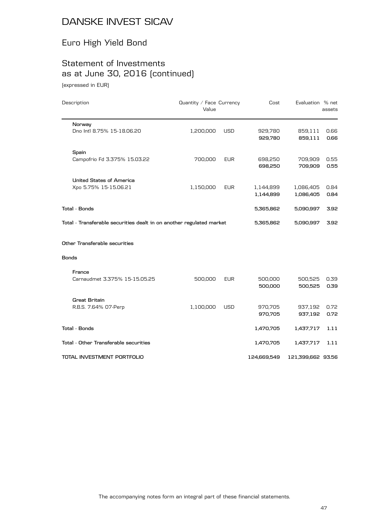## Euro High Yield Bond

## Statement of Investments as at June 30, 2016 (continued)

(expressed in EUR)

| Description                                                          | Quantity / Face Currency<br>Value |            | Cost                   | Evaluation % net       | assets       |
|----------------------------------------------------------------------|-----------------------------------|------------|------------------------|------------------------|--------------|
| Norway                                                               |                                   |            |                        |                        |              |
| Dno Intl 8.75% 15-18.06.20                                           | 1,200,000                         | <b>USD</b> | 929,780<br>929,780     | 859,111<br>859,111     | 0.66<br>0.66 |
| Spain                                                                |                                   |            |                        |                        |              |
| Campofrio Fd 3.375% 15.03.22                                         | 700,000                           | <b>EUR</b> | 698,250<br>698,250     | 709,909<br>709,909     | 0.55<br>0.55 |
| <b>United States of America</b>                                      |                                   |            |                        |                        |              |
| Xpo 5.75% 15-15.06.21                                                | 1,150,000                         | <b>EUR</b> | 1,144,899<br>1,144,899 | 1,086,405<br>1,086,405 | 0.84<br>0.84 |
| Total - Bonds                                                        |                                   |            | 5,365,862              | 5,090,997              | 3.92         |
| Total - Transferable securities dealt in on another regulated market |                                   |            | 5,365,862              | 5,090,997              | 3.92         |
| Other Transferable securities                                        |                                   |            |                        |                        |              |
| Bonds                                                                |                                   |            |                        |                        |              |
| France                                                               |                                   |            |                        |                        |              |
| Carnaudmet 3.375% 15-15.05.25                                        | 500,000                           | <b>EUR</b> | 500,000<br>500,000     | 500,525<br>500,525     | 0.39<br>0.39 |
| <b>Great Britain</b>                                                 |                                   |            |                        |                        |              |
| R.B.S. 7.64% 07-Perp                                                 | 1,100,000                         | <b>USD</b> | 970,705<br>970,705     | 937,192<br>937,192     | 0.72<br>0.72 |
| Total - Bonds                                                        |                                   |            | 1,470,705              | 1,437,717              | 1.11         |
| Total - Other Transferable securities                                |                                   |            | 1,470,705              | 1,437,717              | 1.11         |
| TOTAL INVESTMENT PORTFOLIO                                           |                                   |            | 124,669,549            | 121,399,662 93.56      |              |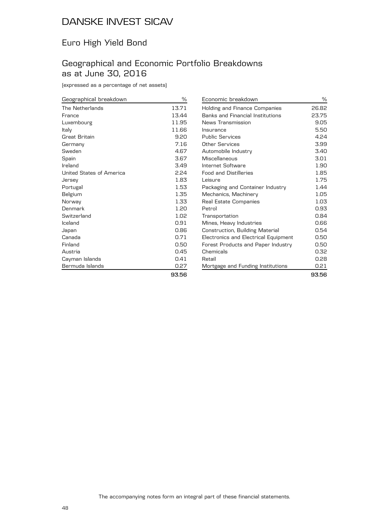#### Euro High Yield Bond

#### Geographical and Economic Portfolio Breakdowns as at June 30, 2016

(expressed as a percentage of net assets)

| Geographical breakdown   | ℅     |
|--------------------------|-------|
| The Netherlands          | 13.71 |
| France                   | 13.44 |
| Luxembourg               | 11.95 |
| Italy                    | 11.66 |
| Great Britain            | 9.20  |
| Germany                  | 7.16  |
| Sweden                   | 4.67  |
| Spain                    | 3.67  |
| Ireland                  | 3.49  |
| United States of America | 2.24  |
| Jersey                   | 1.83  |
| Portugal                 | 1.53  |
| Belgium                  | 1.35  |
| Norway                   | 1.33  |
| Denmark                  | 1.20  |
| Switzerland              | 1.02  |
| Iceland                  | 0.91  |
| Japan                    | 0.86  |
| Canada                   | 0.71  |
| Finland                  | 0.50  |
| Austria                  | 0.45  |
| Cayman Islands           | 0.41  |
| Bermuda Islands          | 0.27  |
|                          | 07 EC |

| Economic breakdown                      | %     |
|-----------------------------------------|-------|
| Holding and Finance Companies           | 26.82 |
| <b>Banks and Financial Institutions</b> | 23.75 |
| News Transmission                       | 9.05  |
| Insurance                               | 5.50  |
| <b>Public Services</b>                  | 4.24  |
| Other Services                          | 3.99  |
| Automobile Industry                     | 3.40  |
| Miscellaneous                           | 3.01  |
| Internet Software                       | 1.90  |
| <b>Food and Distilleries</b>            | 1.85  |
| Leisure                                 | 1.75  |
| Packaging and Container Industry        | 1.44  |
| Mechanics, Machinery                    | 1.05  |
| Real Estate Companies                   | 1.03  |
| Petrol                                  | 0.93  |
| Transportation                          | 0.84  |
| Mines, Heavy Industries                 | 0.66  |
| Construction, Building Material         | 0.54  |
| Electronics and Electrical Equipment    | 0.50  |
| Forest Products and Paper Industry      | 0.50  |
| Chemicals                               | 0.32  |
| Retail                                  | 0.28  |
| Mortgage and Funding Institutions       | 0.21  |

**93.56**

**93.56**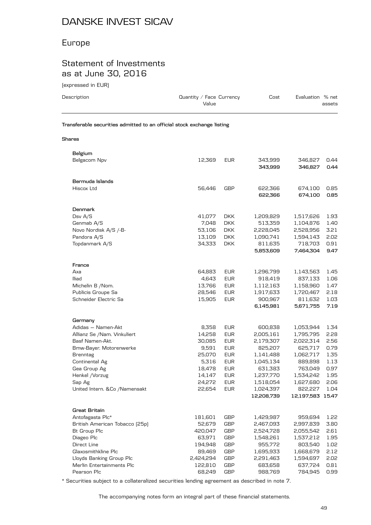#### Europe

#### Statement of Investments as at June 30, 2016

| (expressed in EUR)                                                     |                                   |                   |                      |                      |              |
|------------------------------------------------------------------------|-----------------------------------|-------------------|----------------------|----------------------|--------------|
| Description                                                            | Quantity / Face Currency<br>Value |                   | Cost                 | Evaluation % net     | assets       |
| Transferable securities admitted to an official stock exchange listing |                                   |                   |                      |                      |              |
| Shares                                                                 |                                   |                   |                      |                      |              |
| Belgium                                                                |                                   |                   |                      |                      |              |
| Belgacom Npv                                                           | 12,369                            | <b>EUR</b>        | 343,999<br>343,999   | 346,827<br>346,827   | 0.44<br>0.44 |
| Bermuda Islands                                                        |                                   |                   |                      |                      |              |
| Hiscox Ltd                                                             | 56,446                            | GBP               | 622,366<br>622,366   | 674,100<br>674,100   | 0.85<br>0.85 |
| Denmark                                                                |                                   |                   |                      |                      |              |
| Dsv A/S                                                                | 41,077                            | DKK.              | 1,209,829            | 1,517,626            | 1.93         |
| Genmab A/S                                                             | 7,048                             | <b>DKK</b>        | 513,359              | 1,104,876            | 1.40         |
| Novo Nordisk A/S /-B-                                                  | 53,106                            | DKK.              | 2,228,045            | 2,528,956            | 3.21         |
| Pandora A/S                                                            | 13,109                            | <b>DKK</b>        | 1,090,741            | 1,594,143            | 2.02         |
| Topdanmark A/S                                                         | 34,333                            | DKK.              | 811,635<br>5,853,609 | 718,703<br>7,464,304 | 0.91<br>9.47 |
| France                                                                 |                                   |                   |                      |                      |              |
| Axa                                                                    | 64,883                            | <b>EUR</b>        | 1,296,799            | 1,143,563            | 1.45         |
| lliad                                                                  | 4,643                             | <b>EUR</b>        | 918,419              | 837,133              | 1.06         |
| Michelin B / Nom.                                                      | 13,766                            | <b>EUR</b>        | 1,112,163            | 1,158,960            | 1.47         |
| Publicis Groupe Sa                                                     | 28,546                            | <b>EUR</b>        | 1,917,633            | 1,720,467            | 2.18         |
| Schneider Electric Sa                                                  | 15,905                            | <b>EUR</b>        | 900,967<br>6,145,981 | 811,632<br>5,671,755 | 1.03<br>7.19 |
| Germany                                                                |                                   |                   |                      |                      |              |
| Adidas - Namen-Akt                                                     | 8,358                             | EUR               | 600,838              | 1,053,944            | 1.34         |
| Allianz Se / Nam. Vinkuliert                                           | 14,258                            | EUR               | 2,005,161            | 1,795,795            | 2.28         |
| Basf Namen-Akt.                                                        | 30,085                            | <b>EUR</b>        | 2,179,307            | 2,022,314            | 2.56         |
| Bmw-Bayer. Motorenwerke                                                | 9,591                             | <b>EUR</b>        | 825,207              | 625,717              | 0.79         |
| Brenntag                                                               | 25,070                            | <b>EUR</b>        | 1,141,488            | 1,062,717            | 1.35         |
| Continental Ag                                                         | 5,316                             | <b>EUR</b>        | 1,045,134            | 889,898              | 1.13         |
| Gea Group Ag<br>Henkel /Vorzug                                         | 18,478<br>14,147                  | EUR<br><b>EUR</b> | 631,383<br>1,237,770 | 763,049<br>1,534,242 | 0.97<br>1.95 |
| Sap Ag                                                                 | 24,272                            | EUR               | 1,518,054            | 1,627,680            | 2.06         |
| United Intern. &Co /Namensakt                                          | 22,654                            | <b>EUR</b>        | 1,024,397            | 822,227              | 1.04         |
|                                                                        |                                   |                   | 12,208,739           | 12,197,583 15.47     |              |
| <b>Great Britain</b>                                                   |                                   |                   |                      |                      |              |
| Antofagasta Plc*                                                       | 181,601                           | GBP               | 1,429,987            | 959,694              | 1.22         |
| British American Tobacco (25p)                                         | 52,679                            | GBP               | 2,467,093            | 2,997,839            | 3.80         |
| <b>Bt Group Plc</b>                                                    | 420,047                           | GBP               | 2,524,728            | 2,055,542            | 2.61         |
| Diageo Plc                                                             | 63,971                            | GBP               | 1,548,261            | 1,537,212            | 1.95         |
| Direct Line                                                            | 194,948                           | GBP               | 955,772              | 803,540              | 1.02         |
| Glaxosmithkline Plc                                                    | 89,469                            | GBP               | 1,695,933            | 1,668,679            | 2.12         |

\* Securities subject to a collateralized securities lending agreement as described in note 7.

The accompanying notes form an integral part of these financial statements.

Lloyds Banking Group Plc 2,424,294 GBP 2,291,463 1,594,697 2.02 Merlin Entertainments Plc 122,810 GBP 683,658 637,724 0.81 Pearson Plc **68,249 GBP** 988,769 784,945 0.99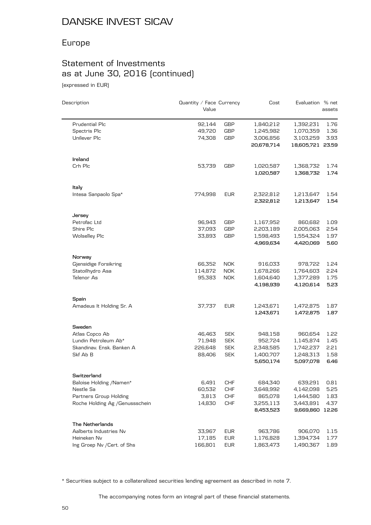## Europe

# Statement of Investments as at June 30, 2016 (continued)

(expressed in EUR)

| Description                            | Quantity / Face Currency<br>Value |                          | Cost               | Evaluation % net     | assets       |
|----------------------------------------|-----------------------------------|--------------------------|--------------------|----------------------|--------------|
| Prudential Plc                         | 92,144                            | GBP                      | 1,840,212          | 1,392,231            | 1.76         |
| Spectris Plc                           | 49,720                            | <b>GBP</b>               | 1,245,982          | 1,070,359            | 1.36         |
| Unilever Plc                           | 74,308                            | <b>GBP</b>               | 3,006,856          | 3,103,259            | 3.93         |
|                                        |                                   |                          | 20,678,714         | 18,605,721 23.59     |              |
| Ireland                                |                                   |                          |                    |                      |              |
| Crh Plc                                | 53,739                            | <b>GBP</b>               | 1,020,587          | 1,368,732            | 1.74         |
|                                        |                                   |                          | 1,020,587          | 1,368,732            | 1.74         |
| Italy                                  |                                   |                          |                    |                      |              |
| Intesa Sanpaolo Spa*                   | 774,998                           | <b>EUR</b>               | 2,322,812          | 1,213,647            | 1.54         |
|                                        |                                   |                          | 2,322,812          | 1,213,647            | 1.54         |
| Jersey<br>Petrofac Ltd                 | 96,943                            | GBP                      | 1,167,952          | 860,682              | 1.09         |
| Shire Plc                              | 37,093                            | <b>GBP</b>               | 2,203,189          | 2,005,063            | 2.54         |
| <b>Wolselley Plc</b>                   | 33,893                            | <b>GBP</b>               | 1,598,493          | 1,554,324            | 1.97         |
|                                        |                                   |                          | 4,969,634          | 4,420,069            | 5.60         |
| Norway                                 |                                   |                          |                    |                      |              |
| Gjensidige Forsikring                  | 66,352                            | NOK.                     | 916,033            | 978,722              | 1.24         |
| Statoilhydro Asa                       | 114,872                           | <b>NOK</b>               | 1,678,266          | 1,764,603            | 2.24         |
| Telenor As                             | 95,383                            | <b>NOK</b>               | 1,604,640          | 1,377,289            | 1.75         |
|                                        |                                   |                          | 4,198,939          | 4,120,614            | 5.23         |
| Spain                                  |                                   |                          |                    |                      |              |
| Amadeus It Holding Sr. A               | 37,737                            | <b>EUR</b>               | 1,243,671          | 1,472,875            | 1.87         |
|                                        |                                   |                          | 1,243,671          | 1,472,875            | 1.87         |
| Sweden                                 |                                   |                          |                    |                      |              |
| Atlas Copco Ab<br>Lundin Petroleum Ab* | 46,463<br>71,948                  | <b>SEK</b><br><b>SEK</b> | 948,158<br>952,724 | 960,654<br>1,145,874 | 1.22<br>1.45 |
| Skandinav, Ensk, Banken A              | 226,648                           | <b>SEK</b>               | 2,348,585          | 1,742,237            | 2.21         |
| Skf Ab B                               | 88,406                            | <b>SEK</b>               | 1,400,707          | 1,248,313            | 1.58         |
|                                        |                                   |                          | 5,650,174          | 5,097,078            | 6.46         |
| Switzerland                            |                                   |                          |                    |                      |              |
| Baloise Holding /Namen*                | 6,491                             | <b>CHF</b>               | 684,340            | 639,291              | 0.81         |
| Nestle Sa                              | 60,532                            | CHF                      | 3,648,992          | 4,142,098            | 5.25         |
| Partners Group Holding                 | 3,813                             | <b>CHF</b>               | 865,078            | 1,444,580            | 1.83         |
| Roche Holding Ag / Genussschein        | 14,830                            | <b>CHF</b>               | 3,255,113          | 3,443,891            | 4.37         |
|                                        |                                   |                          | 8,453,523          | 9,669,860 12.26      |              |
| The Netherlands                        |                                   |                          |                    |                      |              |
| Aalberts Industries Nv                 | 33,967                            | <b>EUR</b>               | 963,786            | 906,070              | 1.15         |
| Heineken Nv                            | 17,185                            | EUR                      | 1,176,828          | 1,394,734            | 1.77         |
| Ing Groep Nv / Cert. of Shs            | 166,801                           | EUR                      | 1,863,473          | 1,490,367            | 1.89         |

\* Securities subject to a collateralized securities lending agreement as described in note 7.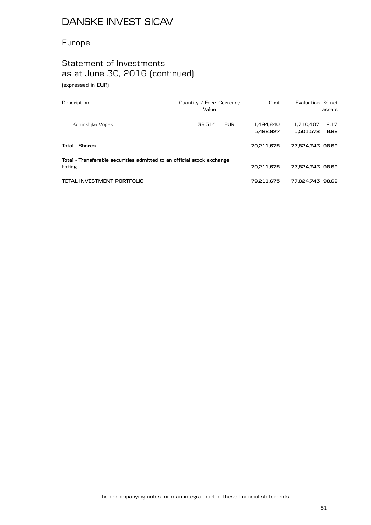## Europe

## Statement of Investments as at June 30, 2016 (continued)

(expressed in EUR)

| Description                                                                       | Quantity / Face Currency<br>Value | Cost                   | Evaluation % net       | assets       |
|-----------------------------------------------------------------------------------|-----------------------------------|------------------------|------------------------|--------------|
| Koninklijke Vopak                                                                 | 38.514<br>EUR                     | 1.494.840<br>5,498,927 | 1.710.407<br>5.501.578 | 2.17<br>6.98 |
| Total - Shares                                                                    |                                   | 79.211.675             | 77.824.743 98.69       |              |
| Total - Transferable securities admitted to an official stock exchange<br>listing |                                   | 79.211.675             | 77.824.743 98.69       |              |
| TOTAL INVESTMENT PORTFOLIO                                                        |                                   | 79,211,675             | 77.824.743 98.69       |              |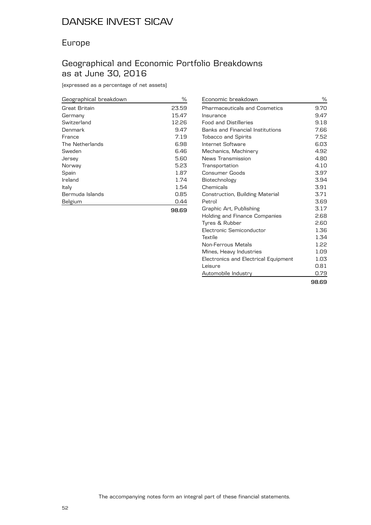#### Europe

#### Geographical and Economic Portfolio Breakdowns as at June 30, 2016

(expressed as a percentage of net assets)

| Geographical breakdown | $\frac{0}{0}$ |
|------------------------|---------------|
| Great Britain          | 23.59         |
| Germany                | 15.47         |
| Switzerland            | 12.26         |
| Denmark                | 9.47          |
| France                 | 7.19          |
| The Netherlands        | 6.98          |
| Sweden                 | 6.46          |
| Jersey                 | 5.60          |
| Norway                 | 5.23          |
| Spain                  | 1.87          |
| Ireland                | 1.74          |
| Italy                  | 1.54          |
| Bermuda Islands        | 0.85          |
| Belgium                | 0.44          |
|                        | 98.69         |

| Economic breakdown                   | %     |
|--------------------------------------|-------|
| <b>Pharmaceuticals and Cosmetics</b> | 9.70  |
| Insurance                            | 9.47  |
| <b>Food and Distilleries</b>         | 9.18  |
| Banks and Financial Institutions     | 7.66  |
| <b>Tobacco and Spirits</b>           | 7.52  |
| Internet Software                    | 6.03  |
| Mechanics, Machinery                 | 4.92  |
| News Transmission                    | 4.80  |
| Transportation                       | 4.10  |
| Consumer Goods                       | 3.97  |
| Biotechnology                        | 3.94  |
| Chemicals                            | 3.91  |
| Construction, Building Material      | 3.71  |
| Petrol                               | 3.69  |
| Graphic Art, Publishing              | 3.17  |
| Holding and Finance Companies        | 2.68  |
| Tyres & Rubber                       | 2.60  |
| Electronic Semiconductor             | 1.36  |
| Textile                              | 1.34  |
| Non-Ferrous Metals                   | 1.22  |
| Mines, Heavy Industries              | 1.09  |
| Electronics and Electrical Equipment | 1.03  |
| Leisure                              | 0.81  |
| Automobile Industry                  | 0.79  |
|                                      | 98.69 |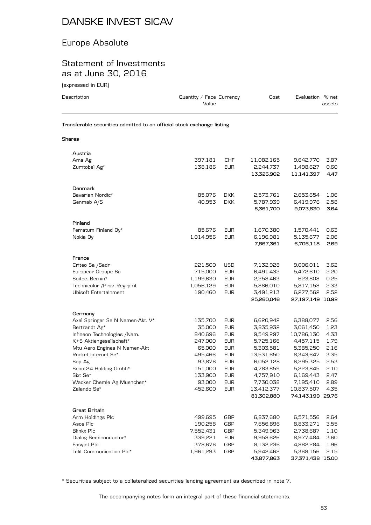#### Europe Absolute

#### Statement of Investments as at June 30, 2016

(expressed in EUR)

| (expressed in EUR)                                                     |                                   |                          |                         |                               |              |
|------------------------------------------------------------------------|-----------------------------------|--------------------------|-------------------------|-------------------------------|--------------|
| Description                                                            | Quantity / Face Currency<br>Value |                          | Cost                    | Evaluation % net              | assets       |
| Transferable securities admitted to an official stock exchange listing |                                   |                          |                         |                               |              |
| <b>Shares</b>                                                          |                                   |                          |                         |                               |              |
| Austria                                                                |                                   |                          |                         |                               |              |
| Ams Ag                                                                 | 397,181                           | CHF                      | 11,082,165              | 9,642,770                     | 3.87         |
| Zumtobel Ag*                                                           | 138,186                           | <b>EUR</b>               | 2,244,737<br>13,326,902 | 1,498,627<br>11,141,397       | 0.60<br>4.47 |
| Denmark                                                                |                                   |                          |                         |                               |              |
| Bavarian Nordic*                                                       | 85,076                            | DKK.                     | 2,573,761               | 2,653,654                     | 1.06         |
| Genmab A/S                                                             | 40,953                            | <b>DKK</b>               | 5,787,939               | 6,419,976                     | 2.58         |
|                                                                        |                                   |                          | 8,361,700               | 9,073,630                     | 3.64         |
| Finland                                                                |                                   |                          |                         |                               |              |
| Ferratum Finland Oy*                                                   | 85,676                            | <b>EUR</b>               | 1,670,380               | 1,570,441                     | 0.63         |
| Nokia Oy                                                               | 1,014,956                         | EUR                      | 6,196,981               | 5,135,677                     | 2.06         |
|                                                                        |                                   |                          | 7,867,361               | 6,706,118                     | 2.69         |
| France                                                                 |                                   |                          |                         |                               |              |
| Criteo Sa / Sadr                                                       | 221,500                           | USD                      | 7,132,928               | 9,006,011                     | 3.62         |
| Europcar Groupe Sa                                                     | 715,000                           | <b>EUR</b>               | 6,491,432               | 5,472,610                     | 2.20         |
| Soitec. Bernin*                                                        | 1,199,630                         | <b>EUR</b>               | 2,258,463               | 623,808                       | 0.25         |
| Technicolor /Prov .Regrpmt                                             | 1,056,129                         | <b>EUR</b>               | 5,886,010               | 5,817,158                     | 2.33         |
| Ubisoft Entertainment                                                  | 190,460                           | <b>EUR</b>               | 3,491,213<br>25,260,046 | 6,277,562<br>27,197,149 10.92 | 2.52         |
|                                                                        |                                   |                          |                         |                               |              |
| Germany                                                                |                                   |                          |                         |                               |              |
| Axel Springer Se N Namen-Akt. V*                                       | 135,700<br>35,000                 | <b>EUR</b>               | 6,620,942               | 6,388,077                     | 2.56         |
| Bertrandt Ag*<br>Infineon Technologies / Nam.                          | 840,696                           | <b>EUR</b><br><b>EUR</b> | 3,835,932<br>9,549,297  | 3,061,450<br>10,786,130       | 1.23<br>4.33 |
| K+S Aktiengesellschaft*                                                | 247,000                           | <b>EUR</b>               | 5,725,166               | 4,457,115                     | 1.79         |
| Mtu Aero Engines N Namen-Akt                                           | 65,000                            | <b>EUR</b>               | 5,303,581               | 5,385,250                     | 2.16         |
| Rocket Internet Se*                                                    | 495,466                           | <b>EUR</b>               | 13,531,650              | 8,343,647                     | 3.35         |
| Sap Ag                                                                 | 93,876                            | EUR                      | 6,052,128               | 6,295,325                     | 2.53         |
| Scout24 Holding Gmbh*                                                  | 151,000                           | <b>EUR</b>               | 4,783,859               | 5,223,845                     | 2.10         |
| Sixt Se*                                                               | 133,900                           | <b>EUR</b>               | 4,757,910               | 6,169,443                     | 2.47         |
| Wacker Chemie Ag Muenchen*                                             | 93,000                            | <b>EUR</b>               | 7,730,038               | 7,195,410                     | 2.89         |
| Zalando Se*                                                            | 452,600                           | <b>EUR</b>               | 13,412,377              | 10,837,507                    | 4.35         |
|                                                                        |                                   |                          | 81,302,880              | 74,143,199 29.76              |              |
| <b>Great Britain</b>                                                   |                                   |                          |                         |                               |              |
| Arm Holdings Plc                                                       | 499,695                           | GBP                      | 6,837,680               | 6,571,556                     | 2.64         |
| Asos Plc                                                               | 190,258                           | GBP                      | 7,656,896               | 8,833,271                     | 3.55         |
| Blinkx Plc                                                             | 7,552,431                         | <b>GBP</b>               | 5,349,963               | 2,738,687                     | 1.10         |
| Dialog Semiconductor*                                                  | 339,221                           | <b>EUR</b>               | 9,958,626               | 8,977,484                     | 3.60         |
| Easyjet Plc                                                            | 378,676                           | GBP                      | 8,132,236               | 4,882,284                     | 1.96         |
| Telit Communication Plc*                                               | 1,961,293                         | GBP                      | 5,942,462               | 5,368,156                     | 2.15         |

\* Securities subject to a collateralized securities lending agreement as described in note 7.

The accompanying notes form an integral part of these financial statements.

**43,877,863 37,371,438 15.00**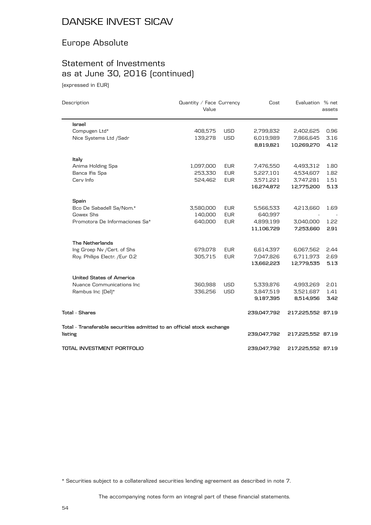## Europe Absolute

## Statement of Investments as at June 30, 2016 (continued)

(expressed in EUR)

 $\overline{\phantom{0}}$ 

| Description                                                            | Quantity / Face Currency<br>Value |            | Cost        | Evaluation % net  | assets |
|------------------------------------------------------------------------|-----------------------------------|------------|-------------|-------------------|--------|
| <b>Israel</b>                                                          |                                   |            |             |                   |        |
| Compugen Ltd*                                                          | 408,575                           | <b>USD</b> | 2,799,832   | 2,402,625         | 0.96   |
| Nice Systems Ltd /Sadr                                                 | 139,278                           | <b>USD</b> | 6,019,989   | 7,866,645         | 3.16   |
|                                                                        |                                   |            | 8,819,821   | 10,269,270        | 4.12   |
| Italy                                                                  |                                   |            |             |                   |        |
| Anima Holding Spa                                                      | 1,097,000                         | <b>EUR</b> | 7,476,550   | 4,493,312         | 1.80   |
| Banca Ifis Spa                                                         | 253,330                           | <b>EUR</b> | 5,227,101   | 4,534,607         | 1.82   |
| Cerv Info                                                              | 524,462                           | <b>EUR</b> | 3,571,221   | 3,747,281         | 1.51   |
|                                                                        |                                   |            | 16,274,872  | 12,775,200        | 5.13   |
| Spain                                                                  |                                   |            |             |                   |        |
| Bco De Sabadell Sa/Nom.*                                               | 3,580,000                         | <b>EUR</b> | 5,566,533   | 4,213,660         | 1.69   |
| Gowex Shs                                                              | 140,000                           | <b>EUR</b> | 640,997     |                   |        |
| Promotora De Informaciones Sa*                                         | 640,000                           | <b>EUR</b> | 4,899,199   | 3,040,000         | 1.22   |
|                                                                        |                                   |            | 11,106,729  | 7,253,660         | 2.91   |
| The Netherlands                                                        |                                   |            |             |                   |        |
| Ing Groep Nv / Cert. of Shs                                            | 679,078                           | <b>EUR</b> | 6,614,397   | 6,067,562         | 2.44   |
| Roy. Philips Electr. /Eur 0.2                                          | 305,715                           | <b>EUR</b> | 7,047,826   | 6,711,973         | 2.69   |
|                                                                        |                                   |            | 13,662,223  | 12,779,535        | 5.13   |
| United States of America                                               |                                   |            |             |                   |        |
| Nuance Communications Inc                                              | 360,988                           | <b>USD</b> | 5,339,876   | 4,993,269         | 2.01   |
| Rambus Inc [Del]*                                                      | 336,256                           | <b>USD</b> | 3,847,519   | 3,521,687         | 1.41   |
|                                                                        |                                   |            | 9,187,395   | 8,514,956         | 3.42   |
| <b>Total - Shares</b>                                                  |                                   |            | 239,047,792 | 217,225,552 87.19 |        |
| Total - Transferable securities admitted to an official stock exchange |                                   |            |             |                   |        |
| listing                                                                |                                   |            | 239,047,792 | 217,225,552 87.19 |        |
| TOTAL INVESTMENT PORTFOLIO                                             |                                   |            | 239,047,792 | 217,225,552 87.19 |        |

\* Securities subject to a collateralized securities lending agreement as described in note 7.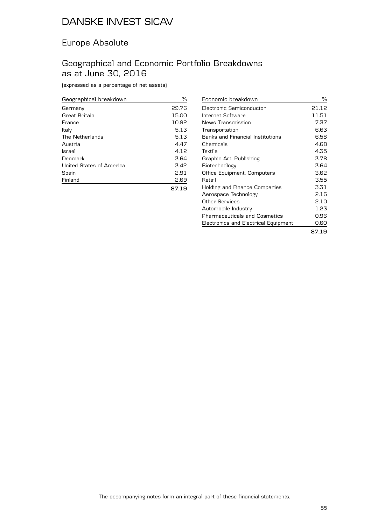#### Europe Absolute

#### Geographical and Economic Portfolio Breakdowns as at June 30, 2016

(expressed as a percentage of net assets)

| Geographical breakdown   | %     |
|--------------------------|-------|
| Germany                  | 29.76 |
| Great Britain            | 15.00 |
| France                   | 10.92 |
| Italy                    | 5.13  |
| The Netherlands          | 5.13  |
| Austria                  | 4.47  |
| <b>Israel</b>            | 4.12  |
| Denmark                  | 3.64  |
| United States of America | 3.42  |
| Spain                    | 2.91  |
| Finland                  | 2.69  |
|                          | 87.19 |

| Economic breakdown                   | %     |
|--------------------------------------|-------|
| Electronic Semiconductor             | 21.12 |
| Internet Software                    | 11.51 |
| News Transmission                    | 7.37  |
| Transportation                       | 6.63  |
| Banks and Financial Institutions     | 6.58  |
| Chemicals                            | 4.68  |
| Textile                              | 4.35  |
| Graphic Art, Publishing              | 3.78  |
| Biotechnology                        | 3.64  |
| Office Equipment, Computers          | 3.62  |
| Retail                               | 3.55  |
| Holding and Finance Companies        | 3.31  |
| Aerospace Technology                 | 2.16  |
| Other Services                       | 2.10  |
| Automobile Industry                  | 1.23  |
| <b>Pharmaceuticals and Cosmetics</b> | 0.96  |
| Electronics and Electrical Equipment | 0.60  |
|                                      | 87.19 |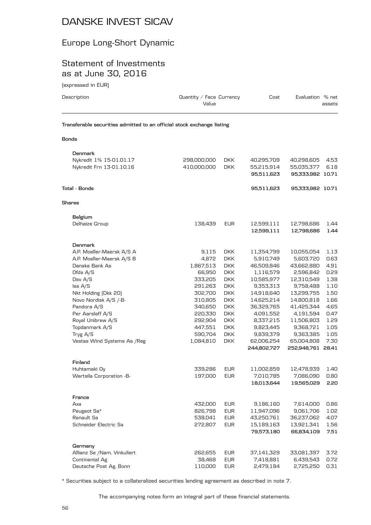## Europe Long-Short Dynamic

#### Statement of Investments as at June 30, 2016

| (expressed in EUR)                                                     |             |                          |             |                   |        |
|------------------------------------------------------------------------|-------------|--------------------------|-------------|-------------------|--------|
| Description                                                            | Value       | Quantity / Face Currency |             | Evaluation % net  | assets |
| Transferable securities admitted to an official stock exchange listing |             |                          |             |                   |        |
| <b>Bonds</b>                                                           |             |                          |             |                   |        |
| Denmark                                                                |             |                          |             |                   |        |
| Nykredit 1% 15-01.01.17                                                | 298,000,000 | <b>DKK</b>               | 40,295,709  | 40,298,605        | 4.53   |
| Nykredit Frn 13-01.10.16                                               | 410,000,000 | DKK                      | 55,215,914  | 55,035,377        | 6.18   |
|                                                                        |             |                          | 95,511,623  | 95,333,982 10.71  |        |
| Total - Bonds                                                          |             |                          | 95,511,623  | 95,333,982 10.71  |        |
| <b>Shares</b>                                                          |             |                          |             |                   |        |
| Belgium                                                                |             |                          |             |                   |        |
| Delhaize Group                                                         | 138,439     | EUR                      | 12,599,111  | 12,798,686        | 1.44   |
|                                                                        |             |                          | 12,599,111  | 12,798,686        | 1.44   |
| Denmark                                                                |             |                          |             |                   |        |
| A.P. Moeller-Maersk A/S A                                              | 9,115       | DKK.                     | 11,354,799  | 10,055,054        | 1.13   |
| A.P. Moeller-Maersk A/S B                                              | 4,872       | <b>DKK</b>               | 5,910,749   | 5,603,720         | 0.63   |
| Danske Bank As                                                         | 1,867,513   | <b>DKK</b>               | 46,509,846  | 43,662,880        | 4.91   |
| Dfds $A/S$                                                             | 66,950      | <b>DKK</b>               | 1,116,579   | 2,596,842         | 0.29   |
| Dsv A/S                                                                | 333,205     | <b>DKK</b>               | 10,585,977  | 12,310,549        | 1.38   |
| $\textsf{lss } A/S$                                                    | 291,263     | <b>DKK</b>               | 9,353,313   | 9,758,488         | 1.10   |
| Nkt Holding (Dkk 20)                                                   | 302,700     | <b>DKK</b>               | 14,918,640  | 13,299,755        | 1.50   |
| Novo Nordisk A/S /-B-                                                  | 310,805     | <b>DKK</b>               | 14,625,214  | 14,800,818        | 1.66   |
| Pandora A/S                                                            | 340,650     | <b>DKK</b>               | 36,329,765  | 41,425,344        | 4.65   |
| Per Aarsleff A/S                                                       | 220,330     | <b>DKK</b>               | 4,091,552   | 4,191,594         | 0.47   |
| Royal Unibrew A/S                                                      | 292,904     | DKK.                     | 8,337,215   | 11,506,803        | 1.29   |
| Topdanmark A/S                                                         | 447,551     | <b>DKK</b>               | 9,823,445   | 9,368,721         | 1.05   |
| Tryg A/S                                                               | 590,704     | <b>DKK</b>               | 9,839,379   | 9,363,385         | 1.05   |
| Vestas Wind Systems As / Reg                                           | 1,084,810   | <b>DKK</b>               | 62,006,254  | 65,004,808        | 7.30   |
|                                                                        |             |                          | 244,802,727 | 252,948,761 28.41 |        |
| Finland                                                                |             |                          |             |                   |        |
| Huhtamaki Oy                                                           | 339,286     | <b>EUR</b>               | 11,002,859  | 12,478,939        | 1.40   |
| Wartsila Corporation -B-                                               | 197,000     | <b>EUR</b>               | 7,010,785   | 7,086,090         | 0.80   |
|                                                                        |             |                          | 18,013,644  | 19,565,029        | 2.20   |
| France                                                                 |             |                          |             |                   |        |
| Axa                                                                    | 432,000     | <b>EUR</b>               | 9,186,160   | 7,614,000         | 0.86   |
| Peugeot Sa*                                                            | 826,798     | <b>EUR</b>               | 11,947,096  | 9,061,706         | 1.02   |
| Renault Sa                                                             | 538,041     | <b>EUR</b>               | 43,250,761  | 36,237,062        | 4.07   |
| Schneider Electric Sa                                                  | 272,807     | <b>EUR</b>               | 15,189,163  | 13,921,341        | 1.56   |
|                                                                        |             |                          | 79,573,180  | 66,834,109        | 7.51   |

| Germany                     |         |     |            |                 |  |
|-----------------------------|---------|-----|------------|-----------------|--|
| Allianz Se /Nam. Vinkuliert | 262.655 | EUR | 37.141.329 | 33.081.397 3.72 |  |
| Continental Ag              | 38.468  | EUR | 7.418.881  | 6.439.543 0.72  |  |
| Deutsche Post Ag. Bonn      | 110.000 | EUR | 2.479.184  | 2.725.250 0.31  |  |
|                             |         |     |            |                 |  |

\* Securities subject to a collateralized securities lending agreement as described in note 7.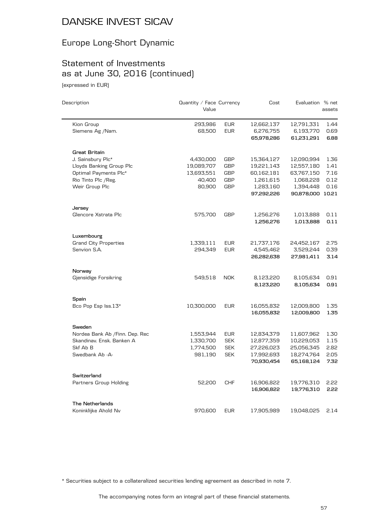## Europe Long-Short Dynamic

## Statement of Investments as at June 30, 2016 (continued)

(expressed in EUR)

| Description                     | Quantity / Face Currency<br>Value |            | Cost                   | Evaluation % net       | assets       |
|---------------------------------|-----------------------------------|------------|------------------------|------------------------|--------------|
| Kion Group                      | 293,986                           | <b>EUR</b> | 12,662,137             | 12,791,331             | 1.44         |
| Siemens Ag /Nam.                | 68,500                            | <b>EUR</b> | 6,276,755              | 6,193,770              | 0.69         |
|                                 |                                   |            | 65,978,286             | 61,231,291             | 6.88         |
| <b>Great Britain</b>            |                                   |            |                        |                        |              |
| J. Sainsbury Plc*               | 4,430,000                         | GBP        | 15,364,127             | 12,090,994             | 1.36         |
| Lloyds Banking Group Plc        | 19,089,707                        | GBP        | 19,221,143             | 12,557,180             | 1.41         |
| Optimal Payments Plc*           | 13,693,551                        | <b>GBP</b> | 60,162,181             | 63,767,150             | 7.16         |
| Rio Tinto Plc / Reg.            | 40,400                            | GBP        | 1,261,615              | 1,068,228              | 0.12         |
| Weir Group Plc                  | 80,900                            | <b>GBP</b> | 1,283,160              | 1,394,448              | 0.16         |
|                                 |                                   |            | 97,292,226             | 90,878,000 10.21       |              |
| Jersey                          |                                   |            |                        |                        |              |
| Glencore Xstrata Plc            | 575,700                           | <b>GBP</b> | 1,256,276              | 1,013,888              | 0.11         |
|                                 |                                   |            | 1,256,276              | 1,013,888              | 0.11         |
| Luxembourg                      |                                   |            |                        |                        |              |
| <b>Grand City Properties</b>    | 1,339,111                         | <b>EUR</b> | 21,737,176             | 24,452,167             | 2.75         |
| Senvion S.A.                    | 294,349                           | <b>EUR</b> | 4,545,462              | 3,529,244              | 0.39         |
|                                 |                                   |            | 26,282,638             | 27,981,411             | 3.14         |
| Norway                          |                                   |            |                        |                        |              |
| Gjensidige Forsikring           | 549,518                           | <b>NOK</b> | 8,123,220<br>8,123,220 | 8,105,634<br>8,105,634 | 0.91<br>0.91 |
|                                 |                                   |            |                        |                        |              |
| Spain                           |                                   |            |                        |                        |              |
| Bco Pop Esp Iss.13*             | 10,300,000                        | <b>EUR</b> | 16,055,832             | 12,009,800             | 1.35         |
|                                 |                                   |            | 16,055,832             | 12,009,800             | 1.35         |
| Sweden                          |                                   |            |                        |                        |              |
| Nordea Bank Ab / Finn. Dep. Rec | 1,553,944                         | <b>EUR</b> | 12,834,379             | 11,607,962             | 1.30         |
| Skandinav. Ensk. Banken A       | 1,330,700                         | <b>SEK</b> | 12,877,359             | 10,229,053             | 1.15         |
| Skf Ab B                        | 1,774,500                         | <b>SEK</b> | 27,226,023             | 25,056,345             | 2.82         |
| Swedbank Ab -A-                 | 981,190                           | <b>SEK</b> | 17,992,693             | 18,274,764             | 2.05         |
|                                 |                                   |            | 70,930,454             | 65,168,124             | 7.32         |
| Switzerland                     |                                   |            |                        |                        |              |
| Partners Group Holding          | 52,200                            | <b>CHF</b> | 16,906,822             | 19,776,310             | 5.55         |
|                                 |                                   |            | 16,906,822             | 19,776,310             | 2.22         |
| The Netherlands                 |                                   |            |                        |                        |              |
| Koninklijke Ahold Nv            | 970,600                           | <b>EUR</b> | 17,905,989             | 19,048,025             | 2.14         |

\* Securities subject to a collateralized securities lending agreement as described in note 7.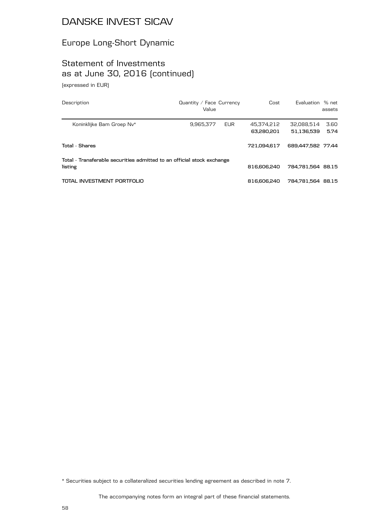#### Europe Long-Short Dynamic

#### Statement of Investments as at June 30, 2016 (continued) (expressed in EUR)

| Description                                                                       | Quantity / Face Currency<br>Value |            | Cost                     | Evaluation % net         | assets       |
|-----------------------------------------------------------------------------------|-----------------------------------|------------|--------------------------|--------------------------|--------------|
| Koninklijke Bam Groep Nv*                                                         | 9,965,377                         | <b>EUR</b> | 45,374,212<br>63,280,201 | 32,088,514<br>51.136.539 | 3.60<br>5.74 |
| <b>Total - Shares</b>                                                             |                                   |            | 721.094.617              | 689.447.582 77.44        |              |
| Total - Transferable securities admitted to an official stock exchange<br>listing |                                   |            | 816,606,240              | 784.781,564 88.15        |              |
| TOTAL INVESTMENT PORTFOLIO                                                        |                                   |            | 816,606,240              | 784.781.564 88.15        |              |

\* Securities subject to a collateralized securities lending agreement as described in note 7.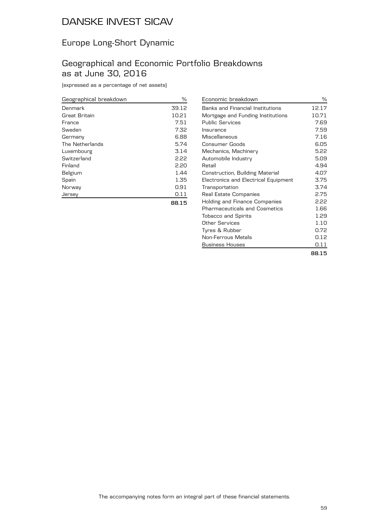#### Europe Long-Short Dynamic

#### Geographical and Economic Portfolio Breakdowns as at June 30, 2016

(expressed as a percentage of net assets)

| Geographical breakdown | ℅     |
|------------------------|-------|
| Denmark                | 39.12 |
| Great Britain          | 10.21 |
| France                 | 7.51  |
| Sweden                 | 7.32  |
| Germany                | 6.88  |
| The Netherlands        | 5.74  |
| Luxembourg             | 3.14  |
| Switzerland            | 2.22  |
| Finland                | 2.20  |
| Belgium                | 1.44  |
| Spain                  | 1.35  |
| Norway                 | 0.91  |
| Jersev                 | 0.11  |
|                        | 88.15 |

Economic breakdown  $\%$ Banks and Financial Institutions 12.17 Mortgage and Funding Institutions 10.71 Public Services 7.69 Insurance 7.59 Miscellaneous 7.16 Consumer Goods 6.05 Mechanics, Machinery 6.22 Automobile Industry **5.09** Retail and the contract of the contract of the contract of the contract of the contract of the contract of the contract of the contract of the contract of the contract of the contract of the contract of the contract of the Construction, Building Material 4.07 Electronics and Electrical Equipment 3.75 Transportation 3.74 Real Estate Companies<br>Holding and Finance Companies 2.22 Holding and Finance Companies Pharmaceuticals and Cosmetics 1.66 Tobacco and Spirits 1.29 Other Services 1.10 Tyres & Rubber 0.72 Non-Ferrous Metals **6.12** Business Houses **6.11 88.15**

| ۰.<br>× | × | I | × |
|---------|---|---|---|
|         |   |   |   |
|         |   |   |   |
|         |   |   |   |
|         |   |   |   |
|         |   |   |   |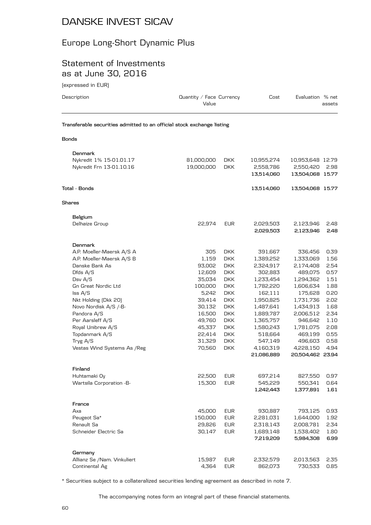## Europe Long-Short Dynamic Plus

#### Statement of Investments as at June 30, 2016

| (expressed in EUR)                                                     |                                   |            |            |                  |        |
|------------------------------------------------------------------------|-----------------------------------|------------|------------|------------------|--------|
| Description                                                            | Quantity / Face Currency<br>Value |            | Cost       | Evaluation % net | assets |
| Transferable securities admitted to an official stock exchange listing |                                   |            |            |                  |        |
| Bonds                                                                  |                                   |            |            |                  |        |
| Denmark                                                                |                                   |            |            |                  |        |
| Nykredit 1% 15-01.01.17                                                | 81,000,000                        | DKK.       | 10,955,274 | 10,953,648 12.79 |        |
| Nykredit Frn 13-01.10.16                                               | 19,000,000                        | DKK.       | 2,558,786  | 2,550,420        | 2.98   |
|                                                                        |                                   |            | 13,514,060 | 13,504,068 15.77 |        |
| Total - Bonds                                                          |                                   |            | 13,514,060 | 13,504,068 15.77 |        |
| Shares                                                                 |                                   |            |            |                  |        |
| Belgium                                                                |                                   |            |            |                  |        |
| Delhaize Group                                                         | 22,974                            | <b>EUR</b> | 2,029,503  | 2,123,946        | 2.48   |
|                                                                        |                                   |            | 2,029,503  | 2,123,946        | 2.48   |
| Denmark                                                                |                                   |            |            |                  |        |
| A.P. Moeller-Maersk A/S A                                              | 305                               | DKK        | 391,667    | 336,456          | 0.39   |
| A.P. Moeller-Maersk A/S B                                              | 1,159                             | <b>DKK</b> | 1,389,252  | 1,333,069        | 1.56   |
| Danske Bank As                                                         | 93,002                            | <b>DKK</b> | 2,324,917  | 2,174,408        | 2.54   |
| Dfds A/S                                                               | 12,609                            | <b>DKK</b> | 302,883    | 489,075          | 0.57   |
| Dsv A/S                                                                | 35,034                            | <b>DKK</b> | 1,233,454  | 1,294,362        | 1.51   |
| Gn Great Nordic Ltd                                                    | 100,000                           | <b>DKK</b> | 1,782,220  | 1,606,634        | 1.88   |
| $\textsf{lss } A/S$                                                    | 5,242                             | DKK.       | 162,111    | 175,628          | 0.20   |
| Nkt Holding (Dkk 20)                                                   | 39,414                            | DKK.       | 1,950,825  | 1,731,736        | 2.02   |
| Novo Nordisk A/S /-B-                                                  | 30,132                            | <b>DKK</b> | 1,487,641  | 1,434,913        | 1.68   |
| Pandora A/S                                                            | 16,500                            | <b>DKK</b> | 1,889,787  | 2,006,512        | 2.34   |
| Per Aarsleff A/S                                                       | 49,760                            | DKK        | 1,365,757  | 946,642          | 1.10   |
| Royal Unibrew A/S                                                      | 45,337                            | <b>DKK</b> | 1,580,243  | 1,781,075        | 2.08   |
| Topdanmark A/S                                                         | 22,414                            | DKK.       | 518,664    | 469,199          | 0.55   |
| Tryg A/S                                                               | 31,329                            | DKK.       | 547,149    | 496,603          | 0.58   |
| Vestas Wind Systems As / Reg                                           | 70,560                            | <b>DKK</b> | 4,160,319  | 4,228,150        | 4.94   |
|                                                                        |                                   |            | 21,086,889 | 20,504,462 23.94 |        |
| Finland                                                                |                                   |            |            |                  |        |
| Huhtamaki Oy                                                           | 22,500                            | <b>EUR</b> | 697,214    | 827,550          | 0.97   |
| Wartsila Corporation -B-                                               | 15,300                            | <b>EUR</b> | 545,229    | 550,341          | 0.64   |
|                                                                        |                                   |            | 1,242,443  | 1,377,891        | 1.61   |
| France                                                                 |                                   |            |            |                  |        |
| Axa                                                                    | 45,000                            | <b>EUR</b> | 930,887    | 793,125          | 0.93   |
| Peugeot Sa*                                                            | 150,000                           | EUR        | 2,281,031  | 1,644,000        | 1.92   |
| Renault Sa                                                             | 29,826                            | <b>EUR</b> | 2,318,143  | 2,008,781        | 2.34   |
| Schneider Electric Sa                                                  | 30,147                            | <b>EUR</b> | 1,689,148  | 1,538,402        | 1.80   |
|                                                                        |                                   |            | 7,219,209  | 5,984,308        | 6.99   |
| Germany                                                                |                                   |            |            |                  |        |
| Allianz Se /Nam. Vinkuliert                                            | 15,987                            | EUR        | 2,332,579  | 2,013,563        | 2.35   |

\* Securities subject to a collateralized securities lending agreement as described in note 7.

The accompanying notes form an integral part of these financial statements.

Continental Ag 600 and 500 and 4,364 EUR 662,073 730,533 0.85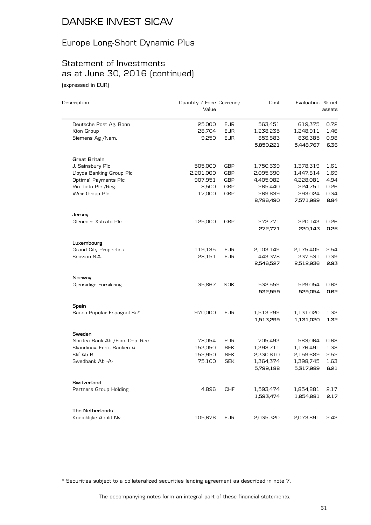## Europe Long-Short Dynamic Plus

## Statement of Investments as at June 30, 2016 (continued)

(expressed in EUR)

| Description                     | Quantity / Face Currency<br>Value |            | Cost      | Evaluation % net | assets |
|---------------------------------|-----------------------------------|------------|-----------|------------------|--------|
|                                 |                                   |            |           |                  |        |
| Deutsche Post Ag. Bonn          | 25,000                            | <b>EUR</b> | 563,451   | 619,375          | 0.72   |
| Kion Group                      | 28,704                            | <b>EUR</b> | 1,238,235 | 1,248,911        | 1.46   |
| Siemens Ag /Nam.                | 9,250                             | <b>EUR</b> | 853,883   | 836,385          | 0.98   |
|                                 |                                   |            | 5,850,221 | 5,448,767        | 6.36   |
| Great Britain                   |                                   |            |           |                  |        |
| J. Sainsbury Plc                | 505,000                           | <b>GBP</b> | 1,750,639 | 1,378,319        | 1.61   |
| Lloyds Banking Group Plc        | 2,201,000                         | GBP        | 2,095,690 | 1,447,814        | 1.69   |
| Optimal Payments Plc            | 907,951                           | <b>GBP</b> | 4,405,082 | 4,228,081        | 4.94   |
| Rio Tinto Plc / Reg.            | 8,500                             | <b>GBP</b> | 265,440   | 224,751          | 0.26   |
| Weir Group Plc                  | 17,000                            | <b>GBP</b> | 269,639   | 293,024          | 0.34   |
|                                 |                                   |            | 8,786,490 | 7,571,989        | 8.84   |
| Jersey                          |                                   |            |           |                  |        |
| Glencore Xstrata Plc            | 125,000                           | <b>GBP</b> | 272,771   | 220,143          | 0.26   |
|                                 |                                   |            | 272,771   | 220,143          | 0.26   |
| Luxembourg                      |                                   |            |           |                  |        |
| <b>Grand City Properties</b>    | 119,135                           | <b>EUR</b> | 2,103,149 | 2,175,405        | 2.54   |
| Senvion S.A.                    | 28,151                            | <b>EUR</b> | 443,378   | 337,531          | 0.39   |
|                                 |                                   |            | 2,546,527 | 2,512,936        | 2.93   |
| Norway                          |                                   |            |           |                  |        |
| Gjensidige Forsikring           | 35,867                            | <b>NOK</b> | 532,559   | 529,054          | 0.62   |
|                                 |                                   |            | 532,559   | 529,054          | 0.62   |
| Spain                           |                                   |            |           |                  |        |
| Banco Popular Espagnol Sa*      | 970,000                           | <b>EUR</b> | 1,513,299 | 1,131,020        | 1.32   |
|                                 |                                   |            | 1,513,299 | 1,131,020        | 1.32   |
| Sweden                          |                                   |            |           |                  |        |
| Nordea Bank Ab / Finn. Dep. Rec | 78,054                            | <b>EUR</b> | 705,493   | 583,064          | 0.68   |
| Skandinav. Ensk. Banken A       | 153,050                           | <b>SEK</b> | 1,398,711 | 1,176,491        | 1.38   |
| Skf Ab B                        | 152,950                           | <b>SEK</b> | 2,330,610 | 2,159,689        | 2.52   |
| Swedbank Ab -A-                 | 75,100                            | <b>SEK</b> | 1,364,374 | 1,398,745        | 1.63   |
|                                 |                                   |            | 5,799,188 | 5,317,989        | 6.21   |
| Switzerland                     |                                   |            |           |                  |        |
| Partners Group Holding          | 4,896                             | <b>CHF</b> | 1,593,474 | 1,854,881        | 2.17   |
|                                 |                                   |            | 1,593,474 | 1,854,881        | 2.17   |
| The Netherlands                 |                                   |            |           |                  |        |
| Koninklijke Ahold Nv            | 105,676                           | <b>EUR</b> | 2,035,320 | 2,073,891        | 2.42   |

\* Securities subject to a collateralized securities lending agreement as described in note 7.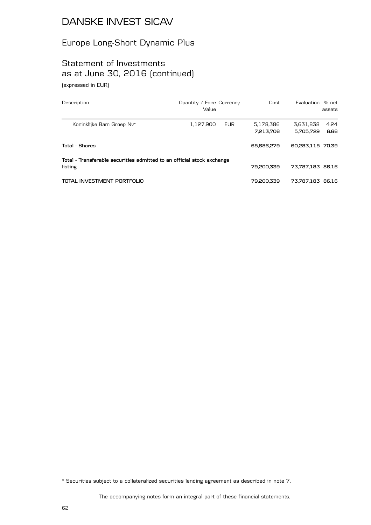## Europe Long-Short Dynamic Plus

#### Statement of Investments as at June 30, 2016 (continued) (expressed in EUR)

| Description                                                                       | Quantity / Face Currency<br>Value |            | Cost                   | Evaluation % net       | assets       |
|-----------------------------------------------------------------------------------|-----------------------------------|------------|------------------------|------------------------|--------------|
| Koninklijke Bam Groep Nv*                                                         | 1,127,900                         | <b>EUR</b> | 5,178,386<br>7,213,706 | 3,631,838<br>5.705.729 | 4.24<br>6.66 |
| <b>Total - Shares</b>                                                             |                                   |            | 65,686,279             | 60,283,115 70,39       |              |
| Total - Transferable securities admitted to an official stock exchange<br>listing |                                   |            | 79.200.339             | 73.787.183 86.16       |              |
| TOTAL INVESTMENT PORTFOLIO                                                        |                                   |            | 79.200.339             | 73,787,183 86.16       |              |

\* Securities subject to a collateralized securities lending agreement as described in note 7.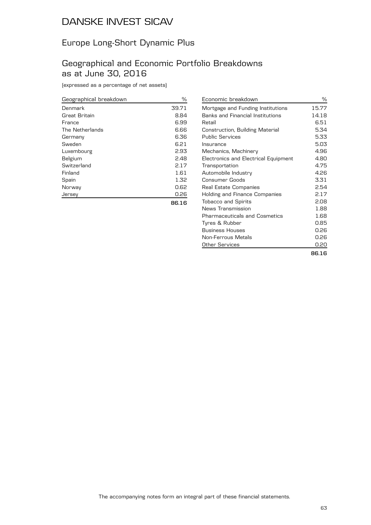#### Europe Long-Short Dynamic Plus

#### Geographical and Economic Portfolio Breakdowns as at June 30, 2016

(expressed as a percentage of net assets)

| Geographical breakdown | ℅     |
|------------------------|-------|
| Denmark                | 39.71 |
| Great Britain          | 8.84  |
| France                 | 6.99  |
| The Netherlands        | 6.66  |
| Germany                | 6.36  |
| Sweden                 | 6.21  |
| Luxembourg             | 2.93  |
| Belgium                | 2.48  |
| Switzerland            | 2.17  |
| Finland                | 1.61  |
| Spain                  | 1.32  |
| Norway                 | 0.62  |
| Jersey                 | 0.26  |
|                        | 86.16 |

| Economic breakdown                      | %     |
|-----------------------------------------|-------|
| Mortgage and Funding Institutions       | 15.77 |
| <b>Banks and Financial Institutions</b> | 14.18 |
| Retail                                  | 6.51  |
| Construction, Building Material         | 5.34  |
| <b>Public Services</b>                  | 5.33  |
| Insurance                               | 5.03  |
| Mechanics, Machinery                    | 4.96  |
| Electronics and Electrical Equipment    | 4.80  |
| Transportation                          | 4.75  |
| Automobile Industry                     | 4.26  |
| Consumer Goods                          | 3.31  |
| Real Estate Companies                   | 2.54  |
| Holding and Finance Companies           | 2.17  |
| <b>Tobacco and Spirits</b>              | 2.08  |
| News Transmission                       | 1.88  |
| <b>Pharmaceuticals and Cosmetics</b>    | 1.68  |
| Tyres & Rubber                          | 0.85  |
| <b>Business Houses</b>                  | 0.26  |
| Non-Ferrous Metals                      | 0.26  |
| <b>Other Services</b>                   | 0.20  |
|                                         | 86.16 |

| $\sim$ |  |  |
|--------|--|--|
|        |  |  |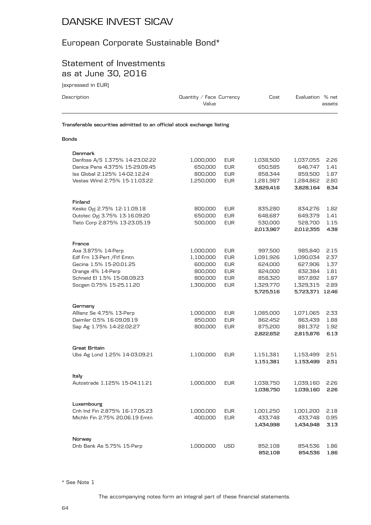#### European Corporate Sustainable Bond\*

#### Statement of Investments as at June 30, 2016

(expressed in EUR)

| Description                                                            | Quantity / Face Currency<br>Value |            | Cost                 | Evaluation % net     | assets       |
|------------------------------------------------------------------------|-----------------------------------|------------|----------------------|----------------------|--------------|
| Transferable securities admitted to an official stock exchange listing |                                   |            |                      |                      |              |
| Bonds                                                                  |                                   |            |                      |                      |              |
| Denmark                                                                |                                   |            |                      |                      |              |
| Danfoss A/S 1.375% 14-23.02.22                                         | 1,000,000                         | EUR        | 1,038,500            | 1,037,055            | 2.26         |
| Danica Pens 4.375% 15-29.09.45                                         | 650,000                           | <b>EUR</b> | 650,585              | 646,747              | 1.41         |
| Iss Global 2.125% 14-02.12.24                                          | 800,000                           | <b>EUR</b> | 858,344              | 859,500              | 1.87         |
| Vestas Wind 2.75% 15-11.03.22                                          | 1,250,000                         | <b>EUR</b> | 1,281,987            | 1,284,862            | 2.80         |
|                                                                        |                                   |            | 3,829,416            | 3,828,164            | 8.34         |
| Finland                                                                |                                   |            |                      |                      |              |
| Kesko Oyj 2.75% 12-11.09.18                                            | 800,000                           | <b>EUR</b> | 835,280              | 834,276              | 1.82         |
| Outotec Oyj 3.75% 13-16.09.20                                          | 650,000                           | <b>EUR</b> | 648,687              | 649,379              | 1.41         |
| Tieto Corp 2.875% 13-23.05.19                                          | 500,000                           | <b>EUR</b> | 530,000              | 528,700              | 1.15         |
|                                                                        |                                   |            | 2,013,967            | 2,012,355            | 4.38         |
| France                                                                 |                                   |            |                      |                      |              |
| Axa 3.875% 14-Perp                                                     | 1,000,000                         | <b>EUR</b> | 997,500              | 985,840              | 2.15         |
| Edf Frn 13-Pert / Ftf Emtn                                             | 1,100,000                         | <b>EUR</b> | 1,091,926            | 1,090,034            | 2.37         |
| Gecina 1.5% 15-20.01.25                                                | 600,000                           | <b>EUR</b> | 624,000              | 627,906              | 1.37         |
| Orange 4% 14-Perp                                                      | 800,000                           | <b>EUR</b> | 824,000              | 832,384              | 1.81         |
| Schneid El 1.5% 15-08.09.23                                            | 800,000                           | <b>EUR</b> | 858,320              | 857,892              | 1.87         |
| Socgen 0.75% 15-25.11.20                                               | 1,300,000                         | <b>EUR</b> | 1,329,770            | 1,329,315            | 2.89         |
|                                                                        |                                   |            | 5,725,516            | 5,723,371 12.46      |              |
| Germany                                                                |                                   |            |                      |                      |              |
| Allianz Se 4.75% 13-Perp                                               | 1,000,000                         | <b>EUR</b> | 1,085,000            | 1,071,065            | 2.33         |
| Daimler 0.5% 16-09.09.19                                               | 850,000                           | <b>EUR</b> | 862,452              | 863,439              | 1.88         |
| Sap Ag 1.75% 14-22.02.27                                               | 800,000                           | <b>EUR</b> | 875,200              | 881,372              | 1.92         |
|                                                                        |                                   |            | 2,822,652            | 2,815,876            | 6.13         |
| Great Britain                                                          |                                   |            |                      |                      |              |
| Ubs Ag Lond 1.25% 14-03.09.21                                          | 1,100,000                         | <b>EUR</b> | 1,151,381            | 1,153,499            | 2.51         |
|                                                                        |                                   |            | 1,151,381            | 1,153,499            | 2.51         |
| Italy                                                                  |                                   |            |                      |                      |              |
| Autostrade 1.125% 15-04.11.21                                          | 1,000,000                         | <b>EUR</b> | 1,038,750            | 1,039,160            | 2.26         |
|                                                                        |                                   |            | 1,038,750            | 1,039,160            | 2.26         |
|                                                                        |                                   |            |                      |                      |              |
| Luxembourg<br>Cnh Ind Fin 2.875% 16-17.05.23                           |                                   |            |                      |                      |              |
| Michln Fin 2.75% 20.06.19 Emtn                                         | 1,000,000<br>400,000              | EUR        | 1,001,250<br>433,748 | 1,001,200            | 2.18         |
|                                                                        |                                   | <b>EUR</b> | 1,434,998            | 433,748<br>1,434,948 | 0.95<br>3.13 |
|                                                                        |                                   |            |                      |                      |              |
| Norway                                                                 |                                   |            |                      |                      |              |

\* See Note 1

The accompanying notes form an integral part of these financial statements.

Dnb Bank As 5.75% 15-Perp 1,000,000 USD 852,108 854,536 1.86

**852,108 854,536 1.86**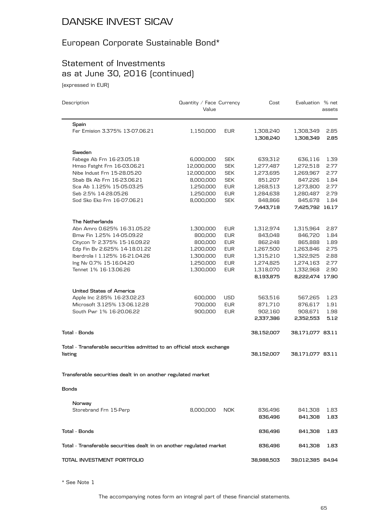## European Corporate Sustainable Bond\*

## Statement of Investments as at June 30, 2016 (continued)

(expressed in EUR)

| Description                                                            | Quantity / Face Currency<br>Value |            | Cost                   | Evaluation % net       | assets       |
|------------------------------------------------------------------------|-----------------------------------|------------|------------------------|------------------------|--------------|
| Spain                                                                  |                                   |            |                        |                        |              |
| Fer Emision 3.375% 13-07.06.21                                         | 1,150,000                         | <b>EUR</b> | 1,308,240<br>1,308,240 | 1,308,349<br>1,308,349 | 2.85<br>2.85 |
| Sweden                                                                 |                                   |            |                        |                        |              |
| Fabege Ab Frn 16-23.05.18                                              | 6,000,000                         | <b>SEK</b> | 639,312                | 636,116                | 1.39         |
| Hmso Fstght Frn 16-03.06.21                                            | 12,000,000                        | <b>SEK</b> | 1,277,487              | 1,272,518              | 2.77         |
| Nibe Indust Frn 15-28.05.20                                            | 12,000,000                        | <b>SEK</b> | 1,273,695              | 1,269,967              | 2.77         |
| Sbab Bk Ab Frn 16-23.06.21                                             | 8,000,000                         | <b>SEK</b> | 851,207                | 847,226                | 1.84         |
| Sca Ab 1.125% 15-05.03.25                                              | 1,250,000                         | <b>EUR</b> | 1,268,513              | 1,273,800              | 2.77         |
| Seb 2.5% 14-28.05.26                                                   | 1,250,000                         | <b>EUR</b> | 1,284,638              | 1,280,487              | 2.79         |
| Sod Sko Eko Frn 16-07.06.21                                            | 8,000,000                         | <b>SEK</b> | 848,866                | 845,678                | 1.84         |
|                                                                        |                                   |            | 7,443,718              | 7,425,792 16.17        |              |
| The Netherlands                                                        |                                   |            |                        |                        |              |
| Abn Amro 0.625% 16-31.05.22                                            | 1,300,000                         | <b>EUR</b> | 1,312,974              | 1,315,964              | 2.87         |
| Bmw Fin 1.25% 14-05.09.22                                              | 800,000                           | <b>EUR</b> | 843,048                | 846,720                | 1.84         |
| Citycon Tr 2.375% 15-16.09.22                                          | 800,000                           | <b>EUR</b> | 862,248                | 865,888                | 1.89         |
| Edp Fin Bv 2.625% 14-18.01.22                                          | 1,200,000                         | <b>EUR</b> | 1,267,500              | 1,263,846              | 2.75         |
| Iberdrola   1.125% 16-21.04.26                                         | 1,300,000                         | <b>EUR</b> | 1,315,210              | 1,322,925              | 2.88         |
| Ing Nv 0.7% 15-16.04.20                                                | 1,250,000                         | <b>EUR</b> | 1,274,825              | 1,274,163              | 2.77         |
| Tennet 1% 16-13.06.26                                                  | 1,300,000                         | <b>EUR</b> | 1,318,070              | 1,332,968              | 2.90         |
|                                                                        |                                   |            | 8,193,875              | 8,222,474 17.90        |              |
| United States of America                                               |                                   |            |                        |                        |              |
| Apple Inc 2.85% 16-23.02.23                                            | 600,000                           | <b>USD</b> | 563,516                | 567,265                | 1.23         |
| Microsoft 3.125% 13-06.12.28                                           | 700,000                           | <b>EUR</b> | 871,710                | 876,617                | 1.91         |
| South Pwr 1% 16-20.06.22                                               | 900,000                           | <b>EUR</b> | 902,160                | 908,671                | 1.98         |
|                                                                        |                                   |            | 2,337,386              | 2,352,553              | 5.12         |
| Total - Bonds                                                          |                                   |            | 38,152,007             | 38,171,077 83.11       |              |
| Total - Transferable securities admitted to an official stock exchange |                                   |            |                        |                        |              |
| listing                                                                |                                   |            | 38,152,007             | 38,171,077 83.11       |              |
| Transferable securities dealt in on another regulated market           |                                   |            |                        |                        |              |
| Bonds                                                                  |                                   |            |                        |                        |              |
|                                                                        |                                   |            |                        |                        |              |
| Norway                                                                 |                                   |            |                        |                        |              |
| Storebrand Frn 15-Perp                                                 | 8,000,000                         | <b>NOK</b> | 836,496                | 841,308                | 1.83         |
|                                                                        |                                   |            | 836,496                | 841,308                | 1.83         |
| <b>Total - Bonds</b>                                                   |                                   |            | 836,496                | 841,308                | 1.83         |
| Total - Transferable securities dealt in on another regulated market   |                                   |            | 836,496                | 841,308                | 1.83         |
| TOTAL INVESTMENT PORTFOLIO                                             |                                   |            | 38,988,503             | 39,012,385 84.94       |              |

\* See Note 1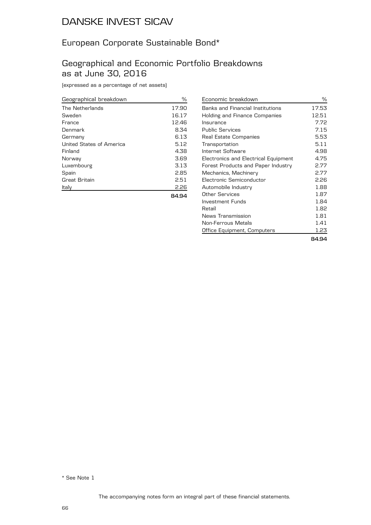#### European Corporate Sustainable Bond\*

#### Geographical and Economic Portfolio Breakdowns as at June 30, 2016

(expressed as a percentage of net assets)

| Geographical breakdown   | %     |
|--------------------------|-------|
| The Netherlands          | 17.90 |
| Sweden                   | 16.17 |
| France                   | 12.46 |
| Denmark                  | 8.34  |
| Germany                  | 6.13  |
| United States of America | 5.12  |
| Finland                  | 4.38  |
| Norway                   | 3.69  |
| Luxembourg               | 3.13  |
| Spain                    | 2.85  |
| Great Britain            | 2.51  |
| Italy                    | 2.26  |
|                          | 84.94 |

| Economic breakdown                   | ℅     |
|--------------------------------------|-------|
| Banks and Financial Institutions     | 17.53 |
| Holding and Finance Companies        | 12.51 |
| Insurance                            | 7.72  |
| <b>Public Services</b>               | 7.15  |
| Real Estate Companies                | 5.53  |
| Transportation                       | 5.11  |
| Internet Software                    | 4.98  |
| Electronics and Electrical Equipment | 4.75  |
| Forest Products and Paper Industry   | 2.77  |
| Mechanics, Machinery                 | 2.77  |
| Electronic Semiconductor             | 2.26  |
| Automobile Industry                  | 1.88  |
| Other Services                       | 1.87  |
| Investment Funds                     | 1.84  |
| Retail                               | 1.82  |
| News Transmission                    | 1.81  |
| Non-Ferrous Metals                   | 1.41  |
| Office Equipment, Computers          | 1.23  |
|                                      | 84.94 |

\* See Note 1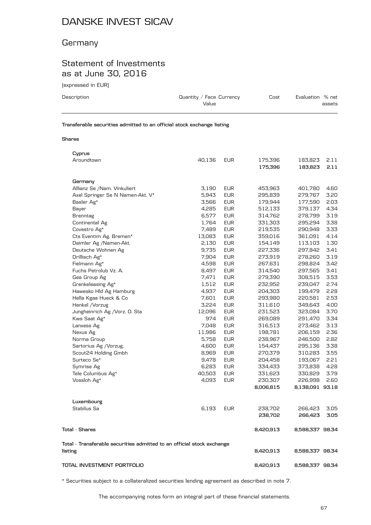#### **Germany**

#### Statement of Investments as at June 30, 2016

(expressed in EUR)

| Description                                                            | Quantity / Face Currency<br>Value | Cost | Evaluation % net | assets |
|------------------------------------------------------------------------|-----------------------------------|------|------------------|--------|
| Transferable securities admitted to an official stock exchange listing |                                   |      |                  |        |

#### **Shares**

| Cyprus                                                                 |        |            |           |                 |      |
|------------------------------------------------------------------------|--------|------------|-----------|-----------------|------|
| Aroundtown                                                             | 40,136 | <b>EUR</b> | 175,396   | 183,823         | 2.11 |
|                                                                        |        |            | 175,396   | 183,823         | 2.11 |
| Germany                                                                |        |            |           |                 |      |
| Allianz Se /Nam. Vinkuliert                                            | 3,190  | <b>EUR</b> | 453,963   | 401,780         | 4.60 |
| Axel Springer Se N Namen-Akt. V*                                       | 5,943  | <b>EUR</b> | 295,839   | 279,767         | 3.20 |
| Basler Ag*                                                             | 3,566  | <b>EUR</b> | 179,944   | 177,590         | 2.03 |
| Bayer                                                                  | 4,285  | <b>EUR</b> | 512,133   | 379,137         | 4.34 |
| <b>Brenntag</b>                                                        | 6,577  | <b>EUR</b> | 314,762   | 278,799         | 3.19 |
| Continental Ag                                                         | 1,764  | <b>EUR</b> | 331,303   | 295,294         | 3.38 |
| Covestro Ag*                                                           | 7,489  | <b>EUR</b> | 219,535   | 290,948         | 3.33 |
| Cts Eventim Ag. Bremen*                                                | 13,083 | <b>EUR</b> | 359,016   | 361,091         | 4.14 |
| Daimler Ag /Namen-Akt.                                                 | 2,130  | <b>EUR</b> | 154,149   | 113,103         | 1.30 |
| Deutsche Wohnen Ag                                                     | 9,735  | <b>EUR</b> | 227,336   | 297,842         | 3.41 |
| Drillisch Ag*                                                          | 7,904  | <b>EUR</b> | 273,919   | 278,260         | 3.19 |
| Fielmann Ag*                                                           | 4,598  | <b>EUR</b> | 267,631   | 298,824         | 3.42 |
| Fuchs Petrolub Vz. A.                                                  | 8,497  | <b>EUR</b> | 314,540   | 297,565         | 3.41 |
| Gea Group Ag                                                           | 7,471  | <b>EUR</b> | 279,390   | 308,515         | 3.53 |
| Grenkeleasing Ag*                                                      | 1,512  | <b>EUR</b> | 232,952   | 239,047         | 2.74 |
| Hawesko Hld Ag Hamburg                                                 | 4,937  | <b>EUR</b> | 204,303   | 199,479         | 2.28 |
| Hella Kgaa Hueck & Co                                                  | 7,601  | <b>EUR</b> | 293,980   | 220,581         | 2.53 |
| Henkel / Vorzug                                                        | 3,224  | <b>EUR</b> | 311,610   | 349,643         | 4.00 |
| Jungheinrich Ag / Vorz. O. Sta                                         | 12,096 | <b>EUR</b> | 231,523   | 323,084         | 3.70 |
| Kws Saat Ag*                                                           | 974    | <b>EUR</b> | 269,089   | 291,470         | 3.34 |
| Lanxess Ag                                                             | 7,048  | <b>EUR</b> | 316,513   | 273,462         | 3.13 |
| Nexus Ag                                                               | 11,986 | <b>EUR</b> | 198,781   | 206,159         | 2.36 |
| Norma Group                                                            | 5,758  | <b>EUR</b> | 238,967   | 246,500         | 2.82 |
| Sartorius Ag / Vorzug.                                                 | 4,600  | <b>EUR</b> | 154,437   | 295,136         | 3.38 |
| Scout24 Holding Gmbh                                                   | 8,969  | <b>EUR</b> | 270,379   | 310,283         | 3.55 |
| Surteco Se*                                                            | 9,478  | <b>EUR</b> | 204,458   | 193,067         | 2.21 |
| Symrise Ag                                                             | 6,283  | <b>EUR</b> | 334,433   | 373,838         | 4.28 |
| Tele Columbus Ag*                                                      | 40,503 | <b>EUR</b> | 331,623   | 330,829         | 3.79 |
| Vossloh Ag*                                                            | 4,093  | <b>EUR</b> | 230,307   | 226,998         | 2.60 |
|                                                                        |        |            | 8,006,815 | 8,138,091 93.18 |      |
| Luxembourg                                                             |        |            |           |                 |      |
| Stabilus Sa                                                            | 6,193  | <b>EUR</b> | 238,702   | 266,423         | 3.05 |
|                                                                        |        |            | 238,702   | 266,423         | 3.05 |
| <b>Total - Shares</b>                                                  |        |            | 8,420,913 | 8,588,337 98.34 |      |
| Total - Transferable securities admitted to an official stock exchange |        |            |           |                 |      |
| listing                                                                |        |            | 8,420,913 | 8,588,337 98.34 |      |
| TOTAL INVESTMENT PORTFOLIO                                             |        |            | 8,420,913 | 8,588,337 98.34 |      |

\* Securities subject to a collateralized securities lending agreement as described in note 7.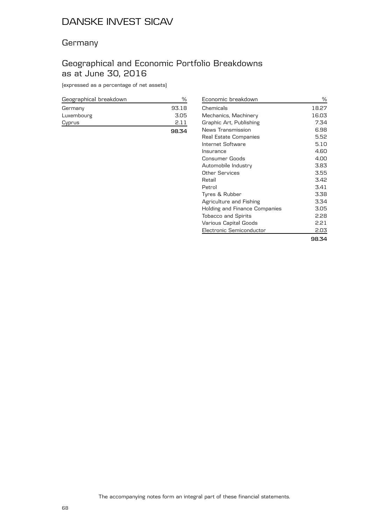#### **Germany**

#### Geographical and Economic Portfolio Breakdowns as at June 30, 2016

(expressed as a percentage of net assets)

| Geographical breakdown |       |
|------------------------|-------|
| Germany                | 93.18 |
| Luxembourg             | 3.05  |
| Cyprus                 | 2.11  |
|                        | 98.34 |

| Economic breakdown            | ℅     |
|-------------------------------|-------|
| Chemicals                     | 18.27 |
| Mechanics, Machinery          | 16.03 |
| Graphic Art, Publishing       | 7.34  |
| News Transmission             | 6.98  |
| Real Estate Companies         | 5.52  |
| Internet Software             | 5.10  |
| Insurance                     | 4.60  |
| Consumer Goods                | 4.00  |
| Automobile Industry           | 3.83  |
| Other Services                | 3.55  |
| Retail                        | 3.42  |
| Petrol                        | 3.41  |
| Tyres & Rubber                | 3.38  |
| Agriculture and Fishing       | 3.34  |
| Holding and Finance Companies | 3.05  |
| <b>Tobacco and Spirits</b>    | 2.28  |
| Various Capital Goods         | 2.21  |
| Electronic Semiconductor      | 2.03  |
|                               | 98.34 |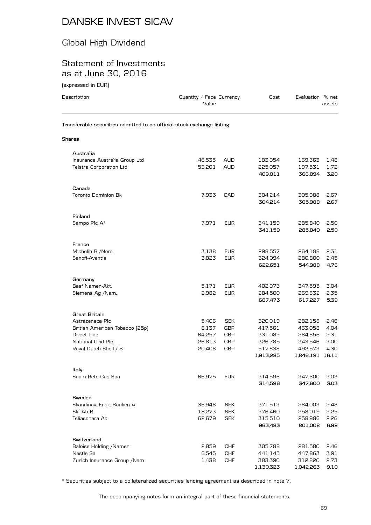## Global High Dividend

#### Statement of Investments as at June 30, 2016

(expressed in EUR)

| Description                                                            | Quantity / Face Currency |                          | Cost               | Evaluation % net   |              |
|------------------------------------------------------------------------|--------------------------|--------------------------|--------------------|--------------------|--------------|
|                                                                        | Value                    |                          |                    |                    | assets       |
| Transferable securities admitted to an official stock exchange listing |                          |                          |                    |                    |              |
| Shares                                                                 |                          |                          |                    |                    |              |
| Australia                                                              |                          |                          |                    |                    |              |
| Insurance Australia Group Ltd                                          | 46,535                   | AUD                      | 183,954            | 169,363            | 1.48         |
| <b>Telstra Corporation Ltd</b>                                         | 53,201                   | <b>AUD</b>               | 225,057            | 197,531            | 1.72         |
|                                                                        |                          |                          | 409,011            | 366,894            | 3.20         |
| Canada                                                                 |                          |                          |                    |                    |              |
| <b>Toronto Dominion Bk</b>                                             | 7,933                    | CAD                      | 304,214            | 305,988            | 2.67         |
|                                                                        |                          |                          | 304,214            | 305,988            | 2.67         |
| Finland                                                                |                          |                          |                    |                    |              |
| Sampo Plc A*                                                           | 7,971                    | <b>EUR</b>               | 341,159            | 285,840            | 2.50         |
|                                                                        |                          |                          | 341,159            | 285,840            | 2.50         |
| France                                                                 |                          |                          |                    |                    |              |
| Michelin B / Nom.                                                      | 3,138                    | <b>EUR</b>               | 298,557            | 264,188            | 2.31         |
| Sanofi-Aventis                                                         | 3,823                    | <b>EUR</b>               | 324,094            | 280,800            | 2.45         |
|                                                                        |                          |                          | 622,651            | 544,988            | 4.76         |
| Germany                                                                |                          |                          |                    |                    |              |
| Basf Namen-Akt.                                                        | 5,171                    | <b>EUR</b>               | 402,973            | 347,595            | 3.04         |
| Siemens Ag /Nam.                                                       | 2,982                    | <b>EUR</b>               | 284,500            | 269,632            | 2.35         |
|                                                                        |                          |                          | 687,473            | 617,227            | 5.39         |
| <b>Great Britain</b>                                                   |                          |                          |                    |                    |              |
| Astrazeneca Plc                                                        | 5,406                    | <b>SEK</b>               | 320,019            | 282,158            | 2.46         |
| British American Tobacco (25p)                                         | 8,137                    | <b>GBP</b>               | 417,561            | 463,058            | 4.04         |
| Direct Line                                                            | 64,257                   | <b>GBP</b>               | 331,082            | 264,856            | 2.31         |
| National Grid Plc<br>Royal Dutch Shell /-B-                            | 26,813<br>20,406         | <b>GBP</b><br><b>GBP</b> | 326,785<br>517,838 | 343,546<br>492,573 | 3.00<br>4.30 |
|                                                                        |                          |                          | 1,913,285          | 1,846,191 16.11    |              |
|                                                                        |                          |                          |                    |                    |              |
| Italy<br>Snam Rete Gas Spa                                             | 66,975                   | <b>EUR</b>               | 314,596            | 347,600            | 3.03         |
|                                                                        |                          |                          | 314,596            | 347,600            | 3.03         |
| Sweden                                                                 |                          |                          |                    |                    |              |
| Skandinav, Ensk, Banken A                                              | 36,946                   | <b>SEK</b>               | 371,513            | 284,003            | 2.48         |
| Skf Ab B                                                               | 18,273                   | <b>SEK</b>               | 276,460            | 258,019            | 2.25         |
| Teliasonera Ab                                                         | 62,679                   | <b>SEK</b>               | 315,510            | 258,986            | 2.26         |
|                                                                        |                          |                          | 963,483            | 801,008            | 6.99         |
| Switzerland                                                            |                          |                          |                    |                    |              |
| Baloise Holding / Namen                                                | 2,859                    | CHF                      | 305,788            | 281,580            | 2.46         |
| Nestle Sa                                                              | 6,545                    | <b>CHF</b>               | 441,145            | 447,863            | 3.91         |
| Zurich Insurance Group / Nam                                           | 1,438                    | <b>CHF</b>               | 383,390            | 312,820            | 2.73         |
|                                                                        |                          |                          | 1,130,323          | 1,042,263          | 9.10         |

\* Securities subject to a collateralized securities lending agreement as described in note 7.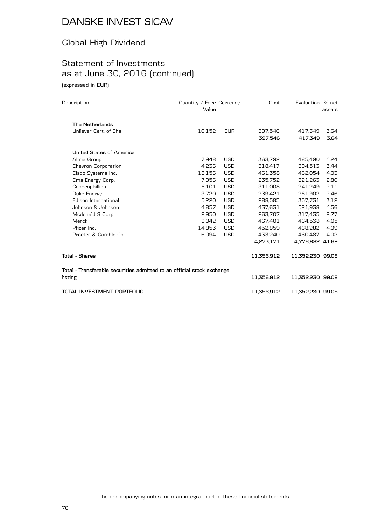## Global High Dividend

## Statement of Investments as at June 30, 2016 (continued)

(expressed in EUR)

| Description                                                            | Quantity / Face Currency<br>Value |            | Cost       | Evaluation % net | assets |
|------------------------------------------------------------------------|-----------------------------------|------------|------------|------------------|--------|
| <b>The Netherlands</b>                                                 |                                   |            |            |                  |        |
| Unilever Cert, of Shs                                                  | 10,152                            | <b>EUR</b> | 397,546    | 417,349          | 3.64   |
|                                                                        |                                   |            | 397,546    | 417,349          | 3.64   |
| United States of America                                               |                                   |            |            |                  |        |
| Altria Group                                                           | 7.948                             | <b>USD</b> | 363.792    | 485.490          | 4.24   |
| Chevron Corporation                                                    | 4,236                             | <b>USD</b> | 318,417    | 394,513          | 3.44   |
| Cisco Systems Inc.                                                     | 18,156                            | <b>USD</b> | 461,358    | 462,054          | 4.03   |
| Cms Energy Corp.                                                       | 7,956                             | <b>USD</b> | 235.752    | 321.263          | 2.80   |
| Conocophillips                                                         | 6,101                             | <b>USD</b> | 311,008    | 241,249          | 2.11   |
| Duke Energy                                                            | 3.720                             | <b>USD</b> | 239.421    | 281.902          | 2.46   |
| Edison International                                                   | 5,220                             | <b>USD</b> | 288,585    | 357,731          | 3.12   |
| Johnson & Johnson                                                      | 4.857                             | <b>USD</b> | 437.631    | 521.938          | 4.56   |
| Mcdonald S Corp.                                                       | 2.950                             | <b>USD</b> | 263,707    | 317,435          | 2.77   |
| Merck                                                                  | 9,042                             | <b>USD</b> | 467,401    | 464,538          | 4.05   |
| Pfizer Inc.                                                            | 14.853                            | <b>USD</b> | 452.859    | 468.282          | 4.09   |
| Procter & Gamble Co.                                                   | 6,094                             | <b>USD</b> | 433,240    | 460,487          | 4.02   |
|                                                                        |                                   |            | 4,273,171  | 4,776,882 41.69  |        |
| <b>Total - Shares</b>                                                  |                                   |            | 11,356,912 | 11,352,230 99.08 |        |
| Total - Transferable securities admitted to an official stock exchange |                                   |            |            |                  |        |
| listing                                                                |                                   |            | 11,356,912 | 11,352,230 99.08 |        |
| TOTAL INVESTMENT PORTFOLIO                                             |                                   |            | 11,356,912 | 11,352,230 99.08 |        |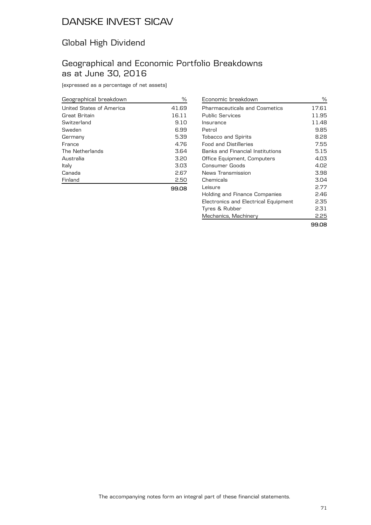## Global High Dividend

#### Geographical and Economic Portfolio Breakdowns as at June 30, 2016

(expressed as a percentage of net assets)

| Geographical breakdown   | %     |
|--------------------------|-------|
| United States of America | 41.69 |
| Great Britain            | 16.11 |
| Switzerland              | 9.10  |
| Sweden                   | 6.99  |
| Germany                  | 5.39  |
| France                   | 4.76  |
| The Netherlands          | 3.64  |
| Australia                | 3.20  |
| Italy                    | 3.03  |
| Canada                   | 2.67  |
| Finland                  | 2.50  |
|                          | 99.08 |

| Economic breakdown                   | ℅     |
|--------------------------------------|-------|
| Pharmaceuticals and Cosmetics        | 17.61 |
| Public Services                      | 11.95 |
| Insurance                            | 11.48 |
| Petrol                               | 9.85  |
| <b>Tobacco and Spirits</b>           | 8.28  |
| Food and Distilleries                | 7.55  |
| Banks and Financial Institutions     | 5.15  |
| Office Equipment, Computers          | 4.03  |
| Consumer Goods                       | 4.02  |
| News Transmission                    | 3.98  |
| Chemicals                            | 3.04  |
| Leisure                              | 2.77  |
| Holding and Finance Companies        | 2.46  |
| Electronics and Electrical Equipment | 2.35  |
| Tyres & Rubber                       | 2.31  |
| Mechanics, Machinery                 | 2.25  |
|                                      | 99.08 |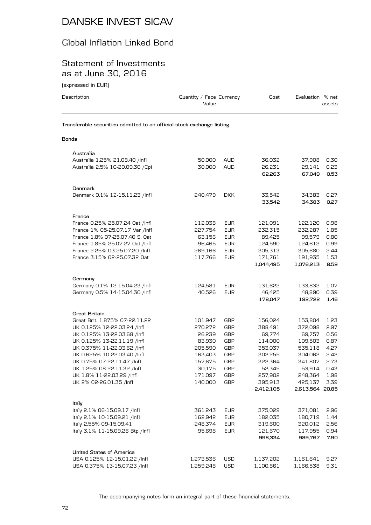## Global Inflation Linked Bond

#### Statement of Investments as at June 30, 2016

(expressed in EUR)

| Description                                                            | Quantity / Face Currency<br>Value |                   | Cost               | Evaluation % net   | assets       |
|------------------------------------------------------------------------|-----------------------------------|-------------------|--------------------|--------------------|--------------|
| Transferable securities admitted to an official stock exchange listing |                                   |                   |                    |                    |              |
| Bonds                                                                  |                                   |                   |                    |                    |              |
| Australia                                                              |                                   |                   |                    |                    |              |
| Australia 1.25% 21.08.40 /Infl                                         | 50,000                            | <b>AUD</b>        | 36,032             | 37,908             | 0.30         |
| Australia 2.5% 10-20.09.30 / Cpi                                       | 30,000                            | AUD               | 26,231<br>62,263   | 29,141<br>67,049   | 0.23<br>0.53 |
| Denmark                                                                |                                   |                   |                    |                    |              |
| Denmark 0.1% 12-15.11.23 /lnfl                                         | 240,479                           | <b>DKK</b>        | 33,542<br>33,542   | 34,383<br>34,383   | 0.27<br>0.27 |
| France                                                                 |                                   |                   |                    |                    |              |
| France 0.25% 25.07.24 Oat /Infl                                        | 112,038                           | <b>EUR</b>        | 121,091            | 122,120            | 0.98         |
| France 1% 05-25.07.17 Var /Infl                                        | 227,754                           | <b>EUR</b>        | 232,315            | 232,287            | 1.85         |
| France 1.8% 07-25.07.40 S. Oat                                         | 63,156                            | <b>EUR</b>        | 89,425             | 99,579             | 0.80         |
| France 1.85% 25.07.27 Oat /Infl                                        | 96,465                            | <b>EUR</b>        | 124,590            | 124,612            | 0.99         |
| France 2.25% 03-25.07.20 /Infl                                         | 269,166                           | <b>EUR</b>        | 305,313            | 305,680            | 2.44         |
| France 3.15% 02-25.07.32 Oat                                           | 117,766                           | <b>EUR</b>        | 171,761            | 191,935            | 1.53         |
|                                                                        |                                   |                   | 1,044,495          | 1,076,213          | 8.59         |
| Germany                                                                |                                   |                   |                    |                    |              |
| Germany 0.1% 12-15.04.23 /Infl                                         | 124,581                           | <b>EUR</b>        | 131,622            | 133,832            | 1.07         |
| Germany 0.5% 14-15.04.30 /Infl                                         | 40,526                            | <b>EUR</b>        | 46,425             | 48,890             | 0.39         |
|                                                                        |                                   |                   | 178,047            | 182,722            | 1.46         |
| Great Britain                                                          |                                   |                   |                    |                    |              |
| Great Brit. 1.875% 07-22.11.22                                         | 101,947                           | GBP               | 156,024            | 153,804            | 1.23         |
| UK 0.125% 12-22.03.24 /lnfl                                            | 270,272                           | GBP               | 388,491            | 372,098            | 2.97         |
| UK 0.125% 13-22.03.68 /lnfl                                            | 26,239                            | GBP               | 69,774             | 69,757             | 0.56         |
| UK 0.125% 13-22.11.19 /Infl                                            | 83,930                            | GBP               | 114,000            | 109,503            | 0.87         |
| UK 0.375% 11-22.03.62 /lnfl                                            | 205,590                           | GBP               | 353,037            | 535,118            | 4.27         |
| UK 0.625% 10-22.03.40 /lnfl                                            | 163,403                           | <b>GBP</b>        | 302,255            | 304,062            | 2.42         |
| UK 0.75% 07-22.11.47 /Infl                                             | 157,675                           | GBP               | 322,364            | 341,807            | 2.73         |
| UK 1.25% 08-22.11.32 /Infl                                             | 30,175                            | GBP               | 52,345             | 53,914             | 0.43         |
| UK 1.8% 11-22.03.29 /lnfl                                              | 171,097                           | GBP               | 257,902            | 248,364            | 1.98         |
| UK 2% 02-26.01.35 /lnfl                                                | 140,000                           | GBP               | 395,913            | 425,137            | 3.39         |
|                                                                        |                                   |                   | 2,412,105          | 2,613,564 20.85    |              |
|                                                                        |                                   |                   |                    |                    |              |
| Italy                                                                  |                                   |                   |                    |                    |              |
| Italy 2.1% 06-15.09.17 /Infl                                           | 361,243                           | <b>EUR</b>        | 375,029            | 371,081            | 2.96         |
| Italy 2.1% 10-15.09.21 /Infl                                           | 162,942                           | <b>EUR</b>        | 182,035            | 180,719            | 1.44         |
| Italy 2.55% 09-15.09.41                                                | 248,374                           | <b>EUR</b>        | 319,600            | 320,012            | 2.56         |
| Italy 3.1% 11-15.09.26 Btp /Infl                                       | 95,698                            | <b>EUR</b>        | 121,670<br>998,334 | 117,955<br>989,767 | 0.94<br>7.90 |
|                                                                        |                                   |                   |                    |                    |              |
| <b>United States of America</b>                                        |                                   |                   |                    |                    |              |
| USA 0.125% 12-15.01.22 /Infl                                           | 1,273,536                         | USD<br><b>USD</b> | 1,137,202          | 1,161,641          | 9.27         |
| USA 0.375% 13-15.07.23 /Infl                                           | 1,259,248                         |                   | 1,100,861          | 1,166,538          | 9.31         |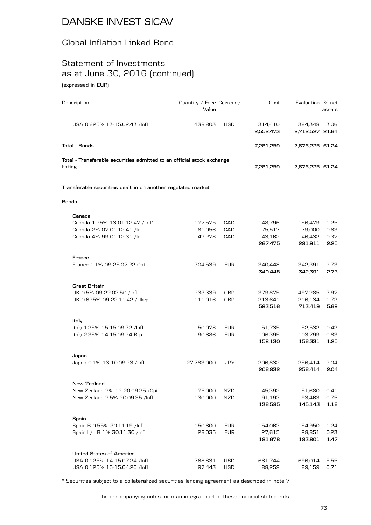### Global Inflation Linked Bond

### Statement of Investments as at June 30, 2016 (continued) (expressed in EUR)

Description **Description** Description **Description** Value assets USA 0.625% 13-15.02.43 /Infl 438,803 USD 314,410 384,348 3.06 **2,552,473 2,712,527 21.64 Total - Bonds 7,281,259 7,676,225 61.24 Total - Transferable securities admitted to an official stock exchange listing 7,281,259 7,676,225 61.24 Transferable securities dealt in on another regulated market Bonds Canada** Canada 1.25% 13-01.12.47 /Infl\* 177,575 CAD 148,796 156,479 1.25 Canada 2% 07-01.12.41 /Infl 81,056 CAD 75,517 79,000 0.63 Canada 4% 99-01.12.31 /Infl 42,278 CAD 43,162 46,432 0.37 **267,475 281,911 2.25 France** France 1.1% 09-25.07.22 Oat 304,539 EUR 340,448 342,391 2.73 **340,448 342,391 2.73 Great Britain** UK 0.5% 09-22.03.50 /Infl 233,339 GBP 379,875 497,285 3.97 UK 0.625% 09-22.11.42 /Ukrpi 111,016 GBP 213,641 216,134 1.72 **593,516 713,419 5.69 Italy** Italy 1.25% 15-15.09.32 /Infl 50,078 EUR 51,735 52,532 0.42 Italy 2.35% 14-15.09.24 Btp 90,686 EUR 106,395 103,799 0.83 **158,130 156,331 1.25 Japan** Japan 0.1% 13-10.09.23 /Infl 27,783,000 JPY 206,832 256,414 2.04 **206,832 256,414 2.04 New Zealand** New Zealand 2% 12-20.09.25 /Cpi  $75,000$  NZD  $45,392$  51,680 0.41 New Zealand 2.5% 20.09.35 /Infl  $130,000$  NZD 91,193 93,463 0.75 **136,585 145,143 1.16 Spain** Spain B 0.55% 30.11.19 /Infl 150,600 EUR 154,063 154,950 1.24 Spain I /L B 1% 30.11.30 /Infl 28,035 EUR 27,615 28,851 0.23 **181,678 183,801 1.47 United States of America** USA 0.125% 14-15.07.24 /Infl 768,831 USD 661,744 696,014 5.55 USA 0.125% 15-15.04.20 /Infl 97,443 USD 88,259 89,159 0.71

\* Securities subject to a collateralized securities lending agreement as described in note 7.

The accompanying notes form an integral part of these financial statements.

Cost Evaluation % net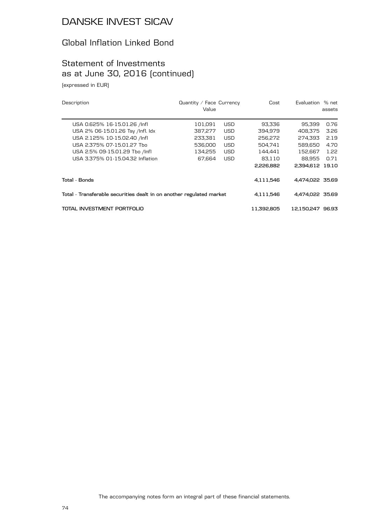### Global Inflation Linked Bond

# Statement of Investments as at June 30, 2016 (continued)

(expressed in EUR)

| Description                                                          | Quantity / Face Currency<br>Value |            | Cost       | Evaluation      | % net<br>assets |  |
|----------------------------------------------------------------------|-----------------------------------|------------|------------|-----------------|-----------------|--|
| USA 0.625% 16-15.01.26 /lnfl                                         | 101,091                           | <b>USD</b> | 93,336     | 95,399          | 0.76            |  |
| USA 2% 06-15.01.26 Tsy /Infl. Idx                                    | 387,277                           | <b>USD</b> | 394.979    | 408.375         | 3.26            |  |
| USA 2.125% 10-15.02.40 /lnfl                                         | 233.381                           | <b>USD</b> | 256,272    | 274.393         | 2.19            |  |
| USA 2.375% 07-15.01.27 Tho                                           | 536,000                           | <b>USD</b> | 504.741    | 589.650         | 4.70            |  |
| USA 2.5% 09-15.01.29 Tbo /lnfl                                       | 134.255                           | <b>USD</b> | 144.441    | 152.667         | 1.22            |  |
| USA 3.375% 01-15.04.32 Inflation                                     | 67.664                            | <b>USD</b> | 83.110     | 88.955          | 0.71            |  |
|                                                                      |                                   |            | 2,226,882  | 2,394,612       | 19.10           |  |
| Total - Bonds                                                        |                                   |            | 4,111,546  | 4.474.022 35.69 |                 |  |
| Total - Transferable securities dealt in on another regulated market |                                   |            | 4,111,546  | 4.474.022 35.69 |                 |  |
| TOTAL INVESTMENT PORTFOLIO                                           |                                   |            | 11.392.805 | 12.150.247      | 96.93           |  |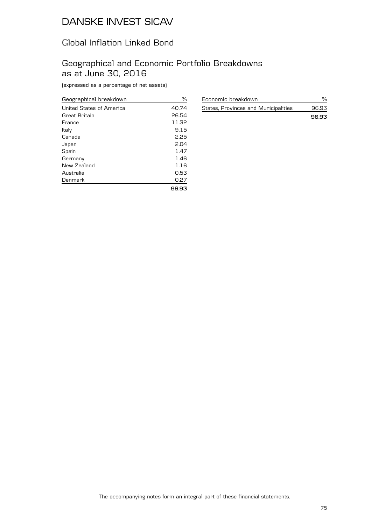### Global Inflation Linked Bond

### Geographical and Economic Portfolio Breakdowns as at June 30, 2016

(expressed as a percentage of net assets)

| Geographical breakdown   | ℅     |
|--------------------------|-------|
| United States of America | 40.74 |
| Great Britain            | 26.54 |
| France                   | 11.32 |
| Italy                    | 9.15  |
| Canada                   | 2.25  |
| Japan                    | 2.04  |
| Spain                    | 1.47  |
| Germany                  | 1.46  |
| New Zealand              | 1.16  |
| Australia                | 0.53  |
| Denmark                  | 0.27  |
|                          | 96.93 |

| Economic breakdown                   |       |
|--------------------------------------|-------|
| States, Provinces and Municipalities | 96.93 |
|                                      | 9693  |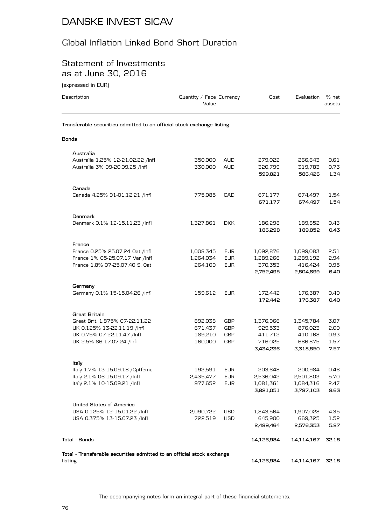## Global Inflation Linked Bond Short Duration

### Statement of Investments as at June 30, 2016

(expressed in EUR)

| Description                                                            | Quantity / Face Currency<br>Value |                          | Cost                          | Evaluation                    | % net<br>assets      |
|------------------------------------------------------------------------|-----------------------------------|--------------------------|-------------------------------|-------------------------------|----------------------|
| Transferable securities admitted to an official stock exchange listing |                                   |                          |                               |                               |                      |
| Bonds                                                                  |                                   |                          |                               |                               |                      |
| Australia                                                              |                                   |                          |                               |                               |                      |
| Australia 1.25% 12-21.02.22 /Infl<br>Australia 3% 09-20.09.25 /Infl    | 350,000<br>330,000                | <b>AUD</b><br><b>AUD</b> | 279,022<br>320,799<br>599,821 | 266,643<br>319,783<br>586,426 | 0.61<br>0.73<br>1.34 |
|                                                                        |                                   |                          |                               |                               |                      |
| Canada<br>Canada 4.25% 91-01.12.21 /Infl                               | 775,085                           | CAD                      | 671,177                       | 674,497                       | 1.54                 |
|                                                                        |                                   |                          | 671,177                       | 674,497                       | 1.54                 |
| <b>Denmark</b>                                                         |                                   |                          |                               |                               |                      |
| Denmark 0.1% 12-15.11.23 /Infl                                         | 1,327,861                         | <b>DKK</b>               | 186,298<br>186,298            | 189,852<br>189,852            | 0.43<br>0.43         |
| France                                                                 |                                   |                          |                               |                               |                      |
| France 0.25% 25.07.24 Oat /Infl                                        | 1,008,345                         | <b>EUR</b>               | 1,092,876                     | 1,099,083                     | 2.51                 |
| France 1% 05-25.07.17 Var /Infl                                        | 1,264,034                         | <b>EUR</b>               | 1,289,266                     | 1,289,192                     | 2.94                 |
| France 1.8% 07-25.07.40 S. Oat                                         | 264,109                           | <b>EUR</b>               | 370,353<br>2,752,495          | 416,424<br>2,804,699          | 0.95<br>6.40         |
| Germany                                                                |                                   |                          |                               |                               |                      |
| Germany 0.1% 15-15.04.26 /Infl                                         | 159,612                           | <b>EUR</b>               | 172,442<br>172,442            | 176,387<br>176,387            | 0.40<br>0.40         |
| <b>Great Britain</b>                                                   |                                   |                          |                               |                               |                      |
| Great Brit. 1.875% 07-22.11.22                                         | 892,038                           | GBP                      | 1,376,966                     | 1,345,784                     | 3.07                 |
| UK 0.125% 13-22.11.19 /lnfl                                            | 671,437                           | GBP                      | 929,533                       | 876,023                       | 2.00                 |
| UK 0.75% 07-22.11.47 /Infl                                             | 189,210                           | GBP                      | 411,712                       | 410.168                       | 0.93                 |
| UK 2.5% 86-17.07.24 /lnfl                                              | 160,000                           | GBP                      | 716,025<br>3,434,236          | 686,875<br>3,318,850          | 1.57<br>7.57         |
| Italy                                                                  |                                   |                          |                               |                               |                      |
| Italy 1.7% 13-15.09.18 / Cptfemu                                       | 192,591                           | <b>EUR</b>               | 203,648                       | 200,984                       | 0.46                 |
| Italy 2.1% 06-15.09.17 /Infl                                           | 2,435,477                         | <b>EUR</b>               | 2,536,042                     | 2,501,803                     | 5.70                 |
| Italy 2.1% 10-15.09.21 /Infl                                           | 977,652                           | <b>EUR</b>               | 1,081,361                     | 1,084,316                     | 2.47                 |
|                                                                        |                                   |                          | 3,821,051                     | 3,787,103                     | 8.63                 |
| <b>United States of America</b>                                        |                                   |                          |                               |                               |                      |
| USA 0.125% 12-15.01.22 /lnfl                                           | 2,090,722                         | USD                      | 1,843,564                     | 1,907,028                     | 4.35                 |
| USA 0.375% 13-15.07.23 /Infl                                           | 722,519                           | <b>USD</b>               | 645,900<br>2,489,464          | 669,325<br>2,576,353          | 1.52<br>5.87         |
| Tota1 - Bonds                                                          |                                   |                          | 14,126,984                    | 14,114,167                    | 32.18                |
| Total - Transferable securities admitted to an official stock exchange |                                   |                          |                               |                               |                      |
| listing                                                                |                                   |                          | 14,126,984                    | 14,114,167                    | 32.18                |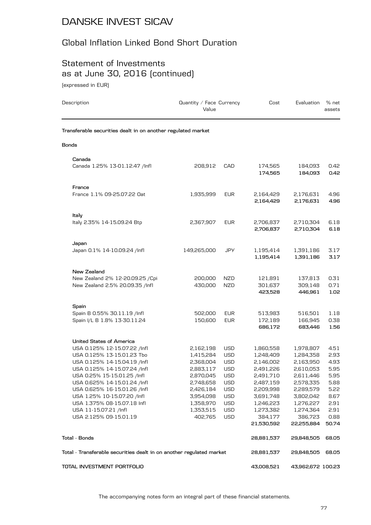### Global Inflation Linked Bond Short Duration

### Statement of Investments as at June 30, 2016 (continued) (expressed in EUR)

Description **Description** Description **Description** Value Cost Evaluation % net assets **Transferable securities dealt in on another regulated market Bonds Canada** Canada 1.25% 13-01.12.47 /Infl 208,912 CAD 174,565 184,093 0.42 **174,565 184,093 0.42 France** France 1.1% 09-25.07.22 Oat 1,935,999 EUR 2,164,429 2,176,631 4.96 **2,164,429 2,176,631 4.96 Italy** Italy 2.35% 14-15.09.24 Btp 2,367,907 EUR 2,706,837 2,710,304 6.18 **2,706,837 2,710,304 6.18 Japan** Japan 0.1% 14-10.09.24 /Infl 149,265,000 JPY 1,195,414 1,391,186 3.17 **1,195,414 1,391,186 3.17 New Zealand** New Zealand 2% 12-20.09.25 /Cpi 200,000 NZD 121,891 137,813 0.31 New Zealand 2.5% 20.09.35 /Infl 430,000 NZD 301,637 309,148 0.71 **423,528 446,961 1.02 Spain** Spain B 0.55% 30.11.19 /Infl 502,000 EUR 513,983 516,501 1.18 Spain I/L B 1.8% 13-30.11.24 150,600 EUR 172,189 166,945 0.38 **686,172 683,446 1.56 United States of America** USA 0.125% 12-15.07.22 /Infl 2,162,198 USD 1,860,558 1,978,807 4.51 USA 0.125% 13-15.01.23 Tbo 1,415,284 USD 1,248,409 1,284,358 2.93 USA 0.125% 14-15.04.19 /Infl 2,368,004 USD 2,146,002 2,163,950 4.93 USA 0.125% 14-15.07.24 /Infl 2,883,117 USD 2,491,226 2,610,053 5.95 USA 0.25% 15-15.01.25 /Infl 2,870,045 USD 2,491,710 2,611,446 5.95 USA 0.625% 14-15.01.24 /Infl 2,748,658 USD 2,487,159 2,578,335 5.88 USA 0.625% 16-15.01.26 /Infl 2,426,184 USD 2,209,998 2,289,579 5.22 USA 1.25% 10-15.07.20 /Infl 3,954,098 USD 3,691,748 3,802,042 8.67 USA 1.375% 08-15.07.18 Infl 1,358,970 USD 1,246,223 1,276,227 2.91 USA 11-15.07.21 /Infl 1,353,515 USD 1,273,382 1,274,364 2.91 USA 2.125% 09-15.01.19 402,765 USD 384,177 386,723 0.88 **21,530,592 22,255,884 50.74 Total - Bonds 28,881,537 29,848,505 68.05 Total - Transferable securities dealt in on another regulated market 28,881,537 29,848,505 68.05 TOTAL INVESTMENT PORTFOLIO 43,008,521 43,962,672 100.23**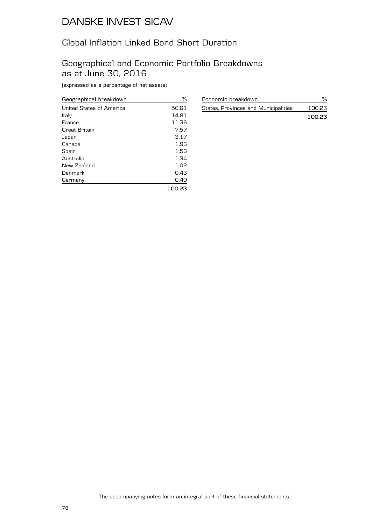## Global Inflation Linked Bond Short Duration

### Geographical and Economic Portfolio Breakdowns as at June 30, 2016

(expressed as a percentage of net assets)

| Geographical breakdown   | ℅      |
|--------------------------|--------|
| United States of America | 56.61  |
| Italy                    | 14.81  |
| France                   | 11.36  |
| Great Britain            | 7.57   |
| Japan                    | 3.17   |
| Canada                   | 1.96   |
| Spain                    | 1.56   |
| Australia                | 1.34   |
| New Zealand              | 1.02   |
| Denmark                  | 0.43   |
| Germany                  | 0.40   |
|                          | 100.23 |

| Economic breakdown                   |        |
|--------------------------------------|--------|
| States, Provinces and Municipalities | 100.23 |
|                                      | 10023  |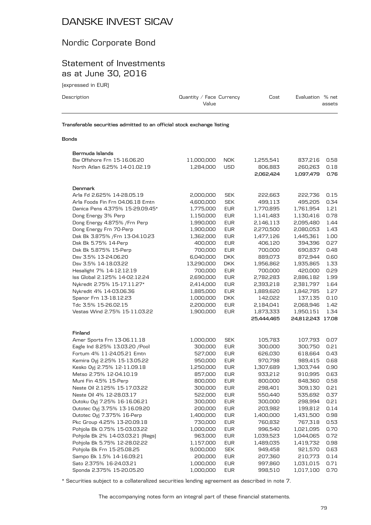### Nordic Corporate Bond

### Statement of Investments as at June 30, 2016

(expressed in EUR)

| Description                                                            | Quantity / Face Currency<br>Value | Cost | Evaluation % net | assets |
|------------------------------------------------------------------------|-----------------------------------|------|------------------|--------|
| Transferable securities admitted to an official stock exchange listing |                                   |      |                  |        |

#### **Bonds**

| Bermuda Islands                  |            |            |            |                  |      |
|----------------------------------|------------|------------|------------|------------------|------|
| Bw Offshore Frn 15-16.06.20      | 11,000,000 | <b>NOK</b> | 1,255,541  | 837,216          | 0.58 |
| North Atlan 6.25% 14-01.02.19    | 1,284,000  | <b>USD</b> | 806,883    | 260,263          | 0.18 |
|                                  |            |            | 2,062,424  | 1,097,479        | 0.76 |
|                                  |            |            |            |                  |      |
| Denmark                          |            |            |            |                  |      |
| Arla Fd 2.625% 14-28.05.19       | 2,000,000  | <b>SEK</b> | 222,663    | 222,736          | 0.15 |
| Arla Foods Fin Frn 04.06.18 Emtn | 4,600,000  | <b>SEK</b> | 499,113    | 495,205          | 0.34 |
| Danica Pens 4.375% 15-29.09.45*  | 1,775,000  | <b>EUR</b> | 1,770,895  | 1,761,954        | 1.21 |
| Dong Energy 3% Perp              | 1,150,000  | <b>EUR</b> | 1,141,483  | 1,130,416        | 0.78 |
| Dong Energy 4.875% / Frn Perp    | 1,990,000  | <b>EUR</b> | 2,146,113  | 2,095,480        | 1.44 |
| Dong Energy Frn 70-Perp          | 1,900,000  | <b>EUR</b> | 2,270,500  | 2,080,053        | 1.43 |
| Dsk Bk 3.875% / Frn 13-04.10.23  | 1,362,000  | <b>EUR</b> | 1,477,126  | 1,445,361        | 1.00 |
| Dsk Bk 5.75% 14-Perp             | 400,000    | <b>EUR</b> | 406,120    | 394,396          | 0.27 |
| Dsk Bk 5.875% 15-Perp            | 700,000    | <b>EUR</b> | 700,000    | 690,837          | 0.48 |
| Dsv 3.5% 13-24.06.20             | 6,040,000  | <b>DKK</b> | 889,073    | 872,944          | 0.60 |
| Dsv 3.5% 14-18.03.22             | 13,290,000 | <b>DKK</b> | 1,956,862  | 1,935,865        | 1.33 |
| Hesalight 7% 14-12.12.19         | 700,000    | <b>EUR</b> | 700,000    | 420,000          | 0.29 |
| Iss Global 2.125% 14-02.12.24    | 2,690,000  | <b>EUR</b> | 2,782,283  | 2,886,182        | 1.99 |
| Nykredit 2.75% 15-17.11.27*      | 2,414,000  | <b>EUR</b> | 2,393,218  | 2,381,797        | 1.64 |
| Nykredit 4% 14-03.06.36          | 1,885,000  | <b>EUR</b> | 1,889,620  | 1,842,785        | 1.27 |
| Spanor Frn 13-18.12.23           | 1,000,000  | <b>DKK</b> | 142,022    | 137,135          | 0.10 |
| Tdc 3.5% 15-26.02.15             | 2,200,000  | <b>EUR</b> | 2,184,041  | 2,068,946        | 1.42 |
| Vestas Wind 2.75% 15-11.03.22    | 1,900,000  | <b>EUR</b> | 1,873,333  | 1,950,151        | 1.34 |
|                                  |            |            | 25,444,465 | 24,812,243 17.08 |      |
| Finland                          |            |            |            |                  |      |
| Amer Sports Frn 13-06.11.18      | 1,000,000  | <b>SEK</b> | 105,783    | 107,793          | 0.07 |
| Eagle Ind 8.25% 13.03.20 / Pool  | 300,000    | <b>EUR</b> | 300,000    | 300,750          | 0.21 |
| Fortum 4% 11-24.05.21 Emtn       | 527,000    | <b>EUR</b> | 626,030    | 618,664          | 0.43 |
| Kemira Oyj 2.25% 15-13.05.22     | 950,000    | <b>EUR</b> | 970,798    | 989,415          | 0.68 |
| Kesko Oyj 2.75% 12-11.09.18      | 1,250,000  | <b>EUR</b> | 1,307,689  | 1,303,744        | 0.90 |
| Metso 2.75% 12-04.10.19          | 857,000    | <b>EUR</b> | 933,212    | 910,995          | 0.63 |
| Muni Fin 4.5% 15-Perp            | 800,000    | <b>EUR</b> | 800,000    | 848,360          | 0.58 |
| Neste Oil 2.125% 15-17.03.22     | 300,000    | <b>EUR</b> | 298,401    | 309,130          | 0.21 |
| Neste Oil 4% 12-28.03.17         | 522,000    | <b>EUR</b> | 550,440    | 535,692          | 0.37 |
| Outoku Oyj 7.25% 16-16.06.21     | 300,000    | <b>EUR</b> | 300,000    | 298,994          | 0.21 |
| Outotec Oyj 3.75% 13-16.09.20    | 200,000    | <b>EUR</b> | 203,982    | 199,812          | 0.14 |
| Outotec Oyj 7.375% 16-Perp       | 1,400,000  | <b>EUR</b> | 1,400,000  | 1,431,500        | 0.98 |
| Pkc Group 4.25% 13-20.09.18      | 730,000    | <b>EUR</b> | 760,832    | 767,318          | 0.53 |
| Pohjola Bk 0.75% 15-03.03.22     | 1,000,000  | <b>EUR</b> | 996,540    | 1,021,095        | 0.70 |
| Pohjola Bk 2% 14-03.03.21 [Regs] | 963,000    | <b>EUR</b> | 1,039,523  | 1,044,065        | 0.72 |
| Pohjola Bk 5.75% 12-28.02.22     | 1,157,000  | <b>EUR</b> | 1,489,035  | 1,419,732        | 0.98 |
| Pohjola Bk Frn 15-25.08.25       | 9,000,000  | <b>SEK</b> | 949,458    | 921,570          | 0.63 |
| Sampo Bk 1.5% 14-16.09.21        | 200,000    | <b>EUR</b> | 207,360    | 210,773          | 0.14 |
| Sato 2.375% 16-24.03.21          | 1,000,000  | <b>EUR</b> | 997,860    | 1,031,015        | 0.71 |
| Sponda 2.375% 15-20.05.20        | 1,000,000  | <b>EUR</b> | 998,510    | 1,017,100        | 0.70 |

\* Securities subject to a collateralized securities lending agreement as described in note 7.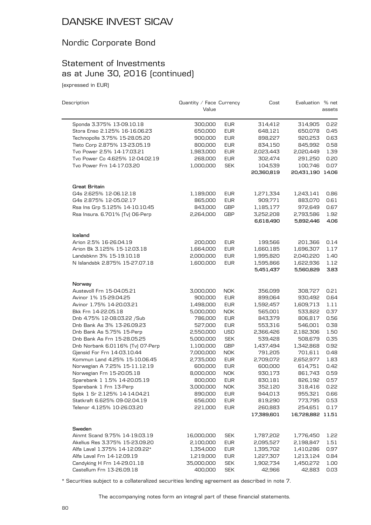### Nordic Corporate Bond

# Statement of Investments as at June 30, 2016 (continued)

(expressed in EUR)

| Sponda 3.375% 13-09.10.18<br>300,000<br><b>EUR</b><br>314,412<br>314,905<br>Stora Enso 2.125% 16-16.06.23<br><b>EUR</b><br>650,000<br>648,121<br>650,078<br>Technopolis 3.75% 15-28.05.20<br>900,000<br><b>EUR</b><br>898,227<br>920,253<br>Tieto Corp 2.875% 13-23.05.19<br><b>EUR</b><br>845,992<br>800,000<br>834,150<br>Tvo Power 2.5% 14-17.03.21<br><b>EUR</b><br>1,983,000<br>2,023,443<br>2,020,449<br>Tvo Power Co 4.625% 12-04.02.19<br>268,000<br><b>EUR</b><br>302,474<br>291,250<br>Tvo Power Frn 14-17.03.20<br><b>SEK</b><br>100,746<br>1,000,000<br>104,539<br>20,431,190 14.06<br>20,360,819<br><b>Great Britain</b><br>G4s 2.625% 12-06.12.18<br><b>EUR</b><br>1,189,000<br>1,271,334<br>1,243,141<br>G4s 2.875% 12-05.02.17<br>865,000<br><b>EUR</b><br>909,771<br>883,070<br>0.61<br>Rsa Ins Grp 5.125% 14-10.10.45<br>843,000<br><b>GBP</b><br>1,185,177<br>972,649<br>0.67<br>Rsa Insura. 6.701% (Tv) 06-Perp<br>1.92<br>2,264,000<br>GBP<br>3,252,208<br>2,793,586<br>6,618,490<br>5,892,446<br>Iceland<br>Arion 2.5% 16-26.04.19<br>200,000<br><b>EUR</b><br>199,566<br>201,366<br>0.14<br>Arion Bk 3.125% 15-12.03.18<br><b>EUR</b><br>1.17<br>1,664,000<br>1,660,185<br>1,696,307<br>Landsbknn 3% 15-19.10.18<br><b>EUR</b><br>2,000,000<br>1,995,820<br>2,040,220<br>1.40<br>N Islandsbk 2.875% 15-27.07.18<br><b>EUR</b><br>1.12<br>1,600,000<br>1,595,866<br>1,622,936<br>5,451,437<br>5,560,829<br>Norway<br>Austevoll Frn 15-04.05.21<br><b>NOK</b><br>308,727<br>3,000,000<br>356,099<br>0.21<br>Avinor 1% 15-29.04.25<br>900,000<br><b>EUR</b><br>899,064<br>930,492<br>0.64<br>Avinor 1.75% 14-20.03.21<br><b>EUR</b><br>1,609,713<br>1.11<br>1,498,000<br>1,592,457<br>Bkk Frn 14-22.05.18<br>5,000,000<br><b>NOK</b><br>565,001<br>533,822<br>0.37<br>Dnb 4.75% 12-08.03.22 /Sub<br>786,000<br><b>EUR</b><br>806,817<br>0.56<br>843,379<br>Dnb Bank As 3% 13-26.09.23<br>0.38<br>527,000<br><b>EUR</b><br>546,001<br>553,316<br>Dnb Bank As 5.75% 15-Perp<br>1.50<br>2,550,000<br><b>USD</b><br>2,366,426<br>2,182,306<br><b>SEK</b><br>Dnb Bank As Frn 15-28.05.25<br>539,428<br>0.35<br>5,000,000<br>508,679<br>Dnb Norbank 6.0116% [Tv] 07-Perp<br>GBP<br>0.92<br>1,100,000<br>1,437,494<br>1,342,868<br>Gjensid For Frn 14-03.10.44<br><b>NOK</b><br>791,205<br>701,611<br>0.48<br>7,000,000<br>Kommun Land 4.25% 15-10.06.45<br><b>EUR</b><br>1.83<br>2,735,000<br>2,709,072<br>2,652,977<br>Norwegian A 7.25% 15-11.12.19<br><b>EUR</b><br>0.42<br>600,000<br>600,000<br>614,751<br>0.59<br>Norwegian Frn 15-20.05.18<br>8,000,000<br><b>NOK</b><br>930,173<br>861,743<br>Sparebank 1 1.5% 14-20.05.19<br>800,000<br><b>EUR</b><br>0.57<br>830,181<br>826,192<br>Sparebank 1 Frn 13-Perp<br>3,000,000<br>352,120<br><b>NOK</b><br>318,416<br>0.22<br>Spbk 1 Sr 2.125% 14-14.04.21<br>890,000<br><b>EUR</b><br>944,013<br>955,321<br>0.66<br>Statkraft 6.625% 09-02.04.19<br>656,000<br><b>EUR</b><br>819,290<br>0.53<br>773,795<br>Telenor 4.125% 10-26.03.20<br><b>EUR</b><br>221,000<br>260,883<br>254,651<br>0.17<br>17,389,601<br>16,728,882 11.51<br>Sweden<br>Ainmt Scand 9.75% 14-19.03.19<br><b>SEK</b><br>16,000,000<br>1,787,202<br>1,776,450<br>1.22<br>Akelius Res 3.375% 15-23.09.20<br>2,100,000<br><b>EUR</b><br>2,095,527<br>2,198,847<br>1.51<br>Alfa Laval 1.375% 14-12.09.22*<br><b>EUR</b><br>0.97<br>1,354,000<br>1,395,702<br>1,410,286<br>Alfa Laval Frn 14-12.09.19<br><b>EUR</b><br>0.84<br>1,219,000<br>1,227,307<br>1,213,124<br>Candyking H Frn 14-29.01.18<br><b>SEK</b><br>35,000,000<br>1,902,734<br>1,450,272<br>1.00 | Description               | Quantity / Face Currency<br>Value |            | Cost   | Evaluation % net | assets |
|-------------------------------------------------------------------------------------------------------------------------------------------------------------------------------------------------------------------------------------------------------------------------------------------------------------------------------------------------------------------------------------------------------------------------------------------------------------------------------------------------------------------------------------------------------------------------------------------------------------------------------------------------------------------------------------------------------------------------------------------------------------------------------------------------------------------------------------------------------------------------------------------------------------------------------------------------------------------------------------------------------------------------------------------------------------------------------------------------------------------------------------------------------------------------------------------------------------------------------------------------------------------------------------------------------------------------------------------------------------------------------------------------------------------------------------------------------------------------------------------------------------------------------------------------------------------------------------------------------------------------------------------------------------------------------------------------------------------------------------------------------------------------------------------------------------------------------------------------------------------------------------------------------------------------------------------------------------------------------------------------------------------------------------------------------------------------------------------------------------------------------------------------------------------------------------------------------------------------------------------------------------------------------------------------------------------------------------------------------------------------------------------------------------------------------------------------------------------------------------------------------------------------------------------------------------------------------------------------------------------------------------------------------------------------------------------------------------------------------------------------------------------------------------------------------------------------------------------------------------------------------------------------------------------------------------------------------------------------------------------------------------------------------------------------------------------------------------------------------------------------------------------------------------------------------------------------------------------------------------------------------------------------------------------------------------------------------------------------------------------------------------------------------------------------------------------------------------------------------------------------------------------------------------------------------------------------------------------------|---------------------------|-----------------------------------|------------|--------|------------------|--------|
|                                                                                                                                                                                                                                                                                                                                                                                                                                                                                                                                                                                                                                                                                                                                                                                                                                                                                                                                                                                                                                                                                                                                                                                                                                                                                                                                                                                                                                                                                                                                                                                                                                                                                                                                                                                                                                                                                                                                                                                                                                                                                                                                                                                                                                                                                                                                                                                                                                                                                                                                                                                                                                                                                                                                                                                                                                                                                                                                                                                                                                                                                                                                                                                                                                                                                                                                                                                                                                                                                                                                                                                                 |                           |                                   |            |        |                  |        |
|                                                                                                                                                                                                                                                                                                                                                                                                                                                                                                                                                                                                                                                                                                                                                                                                                                                                                                                                                                                                                                                                                                                                                                                                                                                                                                                                                                                                                                                                                                                                                                                                                                                                                                                                                                                                                                                                                                                                                                                                                                                                                                                                                                                                                                                                                                                                                                                                                                                                                                                                                                                                                                                                                                                                                                                                                                                                                                                                                                                                                                                                                                                                                                                                                                                                                                                                                                                                                                                                                                                                                                                                 |                           |                                   |            |        |                  | 0.22   |
|                                                                                                                                                                                                                                                                                                                                                                                                                                                                                                                                                                                                                                                                                                                                                                                                                                                                                                                                                                                                                                                                                                                                                                                                                                                                                                                                                                                                                                                                                                                                                                                                                                                                                                                                                                                                                                                                                                                                                                                                                                                                                                                                                                                                                                                                                                                                                                                                                                                                                                                                                                                                                                                                                                                                                                                                                                                                                                                                                                                                                                                                                                                                                                                                                                                                                                                                                                                                                                                                                                                                                                                                 |                           |                                   |            |        |                  | 0.45   |
|                                                                                                                                                                                                                                                                                                                                                                                                                                                                                                                                                                                                                                                                                                                                                                                                                                                                                                                                                                                                                                                                                                                                                                                                                                                                                                                                                                                                                                                                                                                                                                                                                                                                                                                                                                                                                                                                                                                                                                                                                                                                                                                                                                                                                                                                                                                                                                                                                                                                                                                                                                                                                                                                                                                                                                                                                                                                                                                                                                                                                                                                                                                                                                                                                                                                                                                                                                                                                                                                                                                                                                                                 |                           |                                   |            |        |                  | 0.63   |
|                                                                                                                                                                                                                                                                                                                                                                                                                                                                                                                                                                                                                                                                                                                                                                                                                                                                                                                                                                                                                                                                                                                                                                                                                                                                                                                                                                                                                                                                                                                                                                                                                                                                                                                                                                                                                                                                                                                                                                                                                                                                                                                                                                                                                                                                                                                                                                                                                                                                                                                                                                                                                                                                                                                                                                                                                                                                                                                                                                                                                                                                                                                                                                                                                                                                                                                                                                                                                                                                                                                                                                                                 |                           |                                   |            |        |                  | 0.58   |
|                                                                                                                                                                                                                                                                                                                                                                                                                                                                                                                                                                                                                                                                                                                                                                                                                                                                                                                                                                                                                                                                                                                                                                                                                                                                                                                                                                                                                                                                                                                                                                                                                                                                                                                                                                                                                                                                                                                                                                                                                                                                                                                                                                                                                                                                                                                                                                                                                                                                                                                                                                                                                                                                                                                                                                                                                                                                                                                                                                                                                                                                                                                                                                                                                                                                                                                                                                                                                                                                                                                                                                                                 |                           |                                   |            |        |                  | 1.39   |
|                                                                                                                                                                                                                                                                                                                                                                                                                                                                                                                                                                                                                                                                                                                                                                                                                                                                                                                                                                                                                                                                                                                                                                                                                                                                                                                                                                                                                                                                                                                                                                                                                                                                                                                                                                                                                                                                                                                                                                                                                                                                                                                                                                                                                                                                                                                                                                                                                                                                                                                                                                                                                                                                                                                                                                                                                                                                                                                                                                                                                                                                                                                                                                                                                                                                                                                                                                                                                                                                                                                                                                                                 |                           |                                   |            |        |                  | 0.20   |
|                                                                                                                                                                                                                                                                                                                                                                                                                                                                                                                                                                                                                                                                                                                                                                                                                                                                                                                                                                                                                                                                                                                                                                                                                                                                                                                                                                                                                                                                                                                                                                                                                                                                                                                                                                                                                                                                                                                                                                                                                                                                                                                                                                                                                                                                                                                                                                                                                                                                                                                                                                                                                                                                                                                                                                                                                                                                                                                                                                                                                                                                                                                                                                                                                                                                                                                                                                                                                                                                                                                                                                                                 |                           |                                   |            |        |                  | 0.07   |
|                                                                                                                                                                                                                                                                                                                                                                                                                                                                                                                                                                                                                                                                                                                                                                                                                                                                                                                                                                                                                                                                                                                                                                                                                                                                                                                                                                                                                                                                                                                                                                                                                                                                                                                                                                                                                                                                                                                                                                                                                                                                                                                                                                                                                                                                                                                                                                                                                                                                                                                                                                                                                                                                                                                                                                                                                                                                                                                                                                                                                                                                                                                                                                                                                                                                                                                                                                                                                                                                                                                                                                                                 |                           |                                   |            |        |                  |        |
|                                                                                                                                                                                                                                                                                                                                                                                                                                                                                                                                                                                                                                                                                                                                                                                                                                                                                                                                                                                                                                                                                                                                                                                                                                                                                                                                                                                                                                                                                                                                                                                                                                                                                                                                                                                                                                                                                                                                                                                                                                                                                                                                                                                                                                                                                                                                                                                                                                                                                                                                                                                                                                                                                                                                                                                                                                                                                                                                                                                                                                                                                                                                                                                                                                                                                                                                                                                                                                                                                                                                                                                                 |                           |                                   |            |        |                  |        |
|                                                                                                                                                                                                                                                                                                                                                                                                                                                                                                                                                                                                                                                                                                                                                                                                                                                                                                                                                                                                                                                                                                                                                                                                                                                                                                                                                                                                                                                                                                                                                                                                                                                                                                                                                                                                                                                                                                                                                                                                                                                                                                                                                                                                                                                                                                                                                                                                                                                                                                                                                                                                                                                                                                                                                                                                                                                                                                                                                                                                                                                                                                                                                                                                                                                                                                                                                                                                                                                                                                                                                                                                 |                           |                                   |            |        |                  | 0.86   |
|                                                                                                                                                                                                                                                                                                                                                                                                                                                                                                                                                                                                                                                                                                                                                                                                                                                                                                                                                                                                                                                                                                                                                                                                                                                                                                                                                                                                                                                                                                                                                                                                                                                                                                                                                                                                                                                                                                                                                                                                                                                                                                                                                                                                                                                                                                                                                                                                                                                                                                                                                                                                                                                                                                                                                                                                                                                                                                                                                                                                                                                                                                                                                                                                                                                                                                                                                                                                                                                                                                                                                                                                 |                           |                                   |            |        |                  |        |
|                                                                                                                                                                                                                                                                                                                                                                                                                                                                                                                                                                                                                                                                                                                                                                                                                                                                                                                                                                                                                                                                                                                                                                                                                                                                                                                                                                                                                                                                                                                                                                                                                                                                                                                                                                                                                                                                                                                                                                                                                                                                                                                                                                                                                                                                                                                                                                                                                                                                                                                                                                                                                                                                                                                                                                                                                                                                                                                                                                                                                                                                                                                                                                                                                                                                                                                                                                                                                                                                                                                                                                                                 |                           |                                   |            |        |                  |        |
|                                                                                                                                                                                                                                                                                                                                                                                                                                                                                                                                                                                                                                                                                                                                                                                                                                                                                                                                                                                                                                                                                                                                                                                                                                                                                                                                                                                                                                                                                                                                                                                                                                                                                                                                                                                                                                                                                                                                                                                                                                                                                                                                                                                                                                                                                                                                                                                                                                                                                                                                                                                                                                                                                                                                                                                                                                                                                                                                                                                                                                                                                                                                                                                                                                                                                                                                                                                                                                                                                                                                                                                                 |                           |                                   |            |        |                  |        |
|                                                                                                                                                                                                                                                                                                                                                                                                                                                                                                                                                                                                                                                                                                                                                                                                                                                                                                                                                                                                                                                                                                                                                                                                                                                                                                                                                                                                                                                                                                                                                                                                                                                                                                                                                                                                                                                                                                                                                                                                                                                                                                                                                                                                                                                                                                                                                                                                                                                                                                                                                                                                                                                                                                                                                                                                                                                                                                                                                                                                                                                                                                                                                                                                                                                                                                                                                                                                                                                                                                                                                                                                 |                           |                                   |            |        |                  | 4.06   |
|                                                                                                                                                                                                                                                                                                                                                                                                                                                                                                                                                                                                                                                                                                                                                                                                                                                                                                                                                                                                                                                                                                                                                                                                                                                                                                                                                                                                                                                                                                                                                                                                                                                                                                                                                                                                                                                                                                                                                                                                                                                                                                                                                                                                                                                                                                                                                                                                                                                                                                                                                                                                                                                                                                                                                                                                                                                                                                                                                                                                                                                                                                                                                                                                                                                                                                                                                                                                                                                                                                                                                                                                 |                           |                                   |            |        |                  |        |
|                                                                                                                                                                                                                                                                                                                                                                                                                                                                                                                                                                                                                                                                                                                                                                                                                                                                                                                                                                                                                                                                                                                                                                                                                                                                                                                                                                                                                                                                                                                                                                                                                                                                                                                                                                                                                                                                                                                                                                                                                                                                                                                                                                                                                                                                                                                                                                                                                                                                                                                                                                                                                                                                                                                                                                                                                                                                                                                                                                                                                                                                                                                                                                                                                                                                                                                                                                                                                                                                                                                                                                                                 |                           |                                   |            |        |                  |        |
|                                                                                                                                                                                                                                                                                                                                                                                                                                                                                                                                                                                                                                                                                                                                                                                                                                                                                                                                                                                                                                                                                                                                                                                                                                                                                                                                                                                                                                                                                                                                                                                                                                                                                                                                                                                                                                                                                                                                                                                                                                                                                                                                                                                                                                                                                                                                                                                                                                                                                                                                                                                                                                                                                                                                                                                                                                                                                                                                                                                                                                                                                                                                                                                                                                                                                                                                                                                                                                                                                                                                                                                                 |                           |                                   |            |        |                  |        |
|                                                                                                                                                                                                                                                                                                                                                                                                                                                                                                                                                                                                                                                                                                                                                                                                                                                                                                                                                                                                                                                                                                                                                                                                                                                                                                                                                                                                                                                                                                                                                                                                                                                                                                                                                                                                                                                                                                                                                                                                                                                                                                                                                                                                                                                                                                                                                                                                                                                                                                                                                                                                                                                                                                                                                                                                                                                                                                                                                                                                                                                                                                                                                                                                                                                                                                                                                                                                                                                                                                                                                                                                 |                           |                                   |            |        |                  |        |
|                                                                                                                                                                                                                                                                                                                                                                                                                                                                                                                                                                                                                                                                                                                                                                                                                                                                                                                                                                                                                                                                                                                                                                                                                                                                                                                                                                                                                                                                                                                                                                                                                                                                                                                                                                                                                                                                                                                                                                                                                                                                                                                                                                                                                                                                                                                                                                                                                                                                                                                                                                                                                                                                                                                                                                                                                                                                                                                                                                                                                                                                                                                                                                                                                                                                                                                                                                                                                                                                                                                                                                                                 |                           |                                   |            |        |                  |        |
|                                                                                                                                                                                                                                                                                                                                                                                                                                                                                                                                                                                                                                                                                                                                                                                                                                                                                                                                                                                                                                                                                                                                                                                                                                                                                                                                                                                                                                                                                                                                                                                                                                                                                                                                                                                                                                                                                                                                                                                                                                                                                                                                                                                                                                                                                                                                                                                                                                                                                                                                                                                                                                                                                                                                                                                                                                                                                                                                                                                                                                                                                                                                                                                                                                                                                                                                                                                                                                                                                                                                                                                                 |                           |                                   |            |        |                  | 3.83   |
|                                                                                                                                                                                                                                                                                                                                                                                                                                                                                                                                                                                                                                                                                                                                                                                                                                                                                                                                                                                                                                                                                                                                                                                                                                                                                                                                                                                                                                                                                                                                                                                                                                                                                                                                                                                                                                                                                                                                                                                                                                                                                                                                                                                                                                                                                                                                                                                                                                                                                                                                                                                                                                                                                                                                                                                                                                                                                                                                                                                                                                                                                                                                                                                                                                                                                                                                                                                                                                                                                                                                                                                                 |                           |                                   |            |        |                  |        |
|                                                                                                                                                                                                                                                                                                                                                                                                                                                                                                                                                                                                                                                                                                                                                                                                                                                                                                                                                                                                                                                                                                                                                                                                                                                                                                                                                                                                                                                                                                                                                                                                                                                                                                                                                                                                                                                                                                                                                                                                                                                                                                                                                                                                                                                                                                                                                                                                                                                                                                                                                                                                                                                                                                                                                                                                                                                                                                                                                                                                                                                                                                                                                                                                                                                                                                                                                                                                                                                                                                                                                                                                 |                           |                                   |            |        |                  |        |
|                                                                                                                                                                                                                                                                                                                                                                                                                                                                                                                                                                                                                                                                                                                                                                                                                                                                                                                                                                                                                                                                                                                                                                                                                                                                                                                                                                                                                                                                                                                                                                                                                                                                                                                                                                                                                                                                                                                                                                                                                                                                                                                                                                                                                                                                                                                                                                                                                                                                                                                                                                                                                                                                                                                                                                                                                                                                                                                                                                                                                                                                                                                                                                                                                                                                                                                                                                                                                                                                                                                                                                                                 |                           |                                   |            |        |                  |        |
|                                                                                                                                                                                                                                                                                                                                                                                                                                                                                                                                                                                                                                                                                                                                                                                                                                                                                                                                                                                                                                                                                                                                                                                                                                                                                                                                                                                                                                                                                                                                                                                                                                                                                                                                                                                                                                                                                                                                                                                                                                                                                                                                                                                                                                                                                                                                                                                                                                                                                                                                                                                                                                                                                                                                                                                                                                                                                                                                                                                                                                                                                                                                                                                                                                                                                                                                                                                                                                                                                                                                                                                                 |                           |                                   |            |        |                  |        |
|                                                                                                                                                                                                                                                                                                                                                                                                                                                                                                                                                                                                                                                                                                                                                                                                                                                                                                                                                                                                                                                                                                                                                                                                                                                                                                                                                                                                                                                                                                                                                                                                                                                                                                                                                                                                                                                                                                                                                                                                                                                                                                                                                                                                                                                                                                                                                                                                                                                                                                                                                                                                                                                                                                                                                                                                                                                                                                                                                                                                                                                                                                                                                                                                                                                                                                                                                                                                                                                                                                                                                                                                 |                           |                                   |            |        |                  |        |
|                                                                                                                                                                                                                                                                                                                                                                                                                                                                                                                                                                                                                                                                                                                                                                                                                                                                                                                                                                                                                                                                                                                                                                                                                                                                                                                                                                                                                                                                                                                                                                                                                                                                                                                                                                                                                                                                                                                                                                                                                                                                                                                                                                                                                                                                                                                                                                                                                                                                                                                                                                                                                                                                                                                                                                                                                                                                                                                                                                                                                                                                                                                                                                                                                                                                                                                                                                                                                                                                                                                                                                                                 |                           |                                   |            |        |                  |        |
|                                                                                                                                                                                                                                                                                                                                                                                                                                                                                                                                                                                                                                                                                                                                                                                                                                                                                                                                                                                                                                                                                                                                                                                                                                                                                                                                                                                                                                                                                                                                                                                                                                                                                                                                                                                                                                                                                                                                                                                                                                                                                                                                                                                                                                                                                                                                                                                                                                                                                                                                                                                                                                                                                                                                                                                                                                                                                                                                                                                                                                                                                                                                                                                                                                                                                                                                                                                                                                                                                                                                                                                                 |                           |                                   |            |        |                  |        |
|                                                                                                                                                                                                                                                                                                                                                                                                                                                                                                                                                                                                                                                                                                                                                                                                                                                                                                                                                                                                                                                                                                                                                                                                                                                                                                                                                                                                                                                                                                                                                                                                                                                                                                                                                                                                                                                                                                                                                                                                                                                                                                                                                                                                                                                                                                                                                                                                                                                                                                                                                                                                                                                                                                                                                                                                                                                                                                                                                                                                                                                                                                                                                                                                                                                                                                                                                                                                                                                                                                                                                                                                 |                           |                                   |            |        |                  |        |
|                                                                                                                                                                                                                                                                                                                                                                                                                                                                                                                                                                                                                                                                                                                                                                                                                                                                                                                                                                                                                                                                                                                                                                                                                                                                                                                                                                                                                                                                                                                                                                                                                                                                                                                                                                                                                                                                                                                                                                                                                                                                                                                                                                                                                                                                                                                                                                                                                                                                                                                                                                                                                                                                                                                                                                                                                                                                                                                                                                                                                                                                                                                                                                                                                                                                                                                                                                                                                                                                                                                                                                                                 |                           |                                   |            |        |                  |        |
|                                                                                                                                                                                                                                                                                                                                                                                                                                                                                                                                                                                                                                                                                                                                                                                                                                                                                                                                                                                                                                                                                                                                                                                                                                                                                                                                                                                                                                                                                                                                                                                                                                                                                                                                                                                                                                                                                                                                                                                                                                                                                                                                                                                                                                                                                                                                                                                                                                                                                                                                                                                                                                                                                                                                                                                                                                                                                                                                                                                                                                                                                                                                                                                                                                                                                                                                                                                                                                                                                                                                                                                                 |                           |                                   |            |        |                  |        |
|                                                                                                                                                                                                                                                                                                                                                                                                                                                                                                                                                                                                                                                                                                                                                                                                                                                                                                                                                                                                                                                                                                                                                                                                                                                                                                                                                                                                                                                                                                                                                                                                                                                                                                                                                                                                                                                                                                                                                                                                                                                                                                                                                                                                                                                                                                                                                                                                                                                                                                                                                                                                                                                                                                                                                                                                                                                                                                                                                                                                                                                                                                                                                                                                                                                                                                                                                                                                                                                                                                                                                                                                 |                           |                                   |            |        |                  |        |
|                                                                                                                                                                                                                                                                                                                                                                                                                                                                                                                                                                                                                                                                                                                                                                                                                                                                                                                                                                                                                                                                                                                                                                                                                                                                                                                                                                                                                                                                                                                                                                                                                                                                                                                                                                                                                                                                                                                                                                                                                                                                                                                                                                                                                                                                                                                                                                                                                                                                                                                                                                                                                                                                                                                                                                                                                                                                                                                                                                                                                                                                                                                                                                                                                                                                                                                                                                                                                                                                                                                                                                                                 |                           |                                   |            |        |                  |        |
|                                                                                                                                                                                                                                                                                                                                                                                                                                                                                                                                                                                                                                                                                                                                                                                                                                                                                                                                                                                                                                                                                                                                                                                                                                                                                                                                                                                                                                                                                                                                                                                                                                                                                                                                                                                                                                                                                                                                                                                                                                                                                                                                                                                                                                                                                                                                                                                                                                                                                                                                                                                                                                                                                                                                                                                                                                                                                                                                                                                                                                                                                                                                                                                                                                                                                                                                                                                                                                                                                                                                                                                                 |                           |                                   |            |        |                  |        |
|                                                                                                                                                                                                                                                                                                                                                                                                                                                                                                                                                                                                                                                                                                                                                                                                                                                                                                                                                                                                                                                                                                                                                                                                                                                                                                                                                                                                                                                                                                                                                                                                                                                                                                                                                                                                                                                                                                                                                                                                                                                                                                                                                                                                                                                                                                                                                                                                                                                                                                                                                                                                                                                                                                                                                                                                                                                                                                                                                                                                                                                                                                                                                                                                                                                                                                                                                                                                                                                                                                                                                                                                 |                           |                                   |            |        |                  |        |
|                                                                                                                                                                                                                                                                                                                                                                                                                                                                                                                                                                                                                                                                                                                                                                                                                                                                                                                                                                                                                                                                                                                                                                                                                                                                                                                                                                                                                                                                                                                                                                                                                                                                                                                                                                                                                                                                                                                                                                                                                                                                                                                                                                                                                                                                                                                                                                                                                                                                                                                                                                                                                                                                                                                                                                                                                                                                                                                                                                                                                                                                                                                                                                                                                                                                                                                                                                                                                                                                                                                                                                                                 |                           |                                   |            |        |                  |        |
|                                                                                                                                                                                                                                                                                                                                                                                                                                                                                                                                                                                                                                                                                                                                                                                                                                                                                                                                                                                                                                                                                                                                                                                                                                                                                                                                                                                                                                                                                                                                                                                                                                                                                                                                                                                                                                                                                                                                                                                                                                                                                                                                                                                                                                                                                                                                                                                                                                                                                                                                                                                                                                                                                                                                                                                                                                                                                                                                                                                                                                                                                                                                                                                                                                                                                                                                                                                                                                                                                                                                                                                                 |                           |                                   |            |        |                  |        |
|                                                                                                                                                                                                                                                                                                                                                                                                                                                                                                                                                                                                                                                                                                                                                                                                                                                                                                                                                                                                                                                                                                                                                                                                                                                                                                                                                                                                                                                                                                                                                                                                                                                                                                                                                                                                                                                                                                                                                                                                                                                                                                                                                                                                                                                                                                                                                                                                                                                                                                                                                                                                                                                                                                                                                                                                                                                                                                                                                                                                                                                                                                                                                                                                                                                                                                                                                                                                                                                                                                                                                                                                 |                           |                                   |            |        |                  |        |
|                                                                                                                                                                                                                                                                                                                                                                                                                                                                                                                                                                                                                                                                                                                                                                                                                                                                                                                                                                                                                                                                                                                                                                                                                                                                                                                                                                                                                                                                                                                                                                                                                                                                                                                                                                                                                                                                                                                                                                                                                                                                                                                                                                                                                                                                                                                                                                                                                                                                                                                                                                                                                                                                                                                                                                                                                                                                                                                                                                                                                                                                                                                                                                                                                                                                                                                                                                                                                                                                                                                                                                                                 |                           |                                   |            |        |                  |        |
|                                                                                                                                                                                                                                                                                                                                                                                                                                                                                                                                                                                                                                                                                                                                                                                                                                                                                                                                                                                                                                                                                                                                                                                                                                                                                                                                                                                                                                                                                                                                                                                                                                                                                                                                                                                                                                                                                                                                                                                                                                                                                                                                                                                                                                                                                                                                                                                                                                                                                                                                                                                                                                                                                                                                                                                                                                                                                                                                                                                                                                                                                                                                                                                                                                                                                                                                                                                                                                                                                                                                                                                                 |                           |                                   |            |        |                  |        |
|                                                                                                                                                                                                                                                                                                                                                                                                                                                                                                                                                                                                                                                                                                                                                                                                                                                                                                                                                                                                                                                                                                                                                                                                                                                                                                                                                                                                                                                                                                                                                                                                                                                                                                                                                                                                                                                                                                                                                                                                                                                                                                                                                                                                                                                                                                                                                                                                                                                                                                                                                                                                                                                                                                                                                                                                                                                                                                                                                                                                                                                                                                                                                                                                                                                                                                                                                                                                                                                                                                                                                                                                 |                           |                                   |            |        |                  |        |
|                                                                                                                                                                                                                                                                                                                                                                                                                                                                                                                                                                                                                                                                                                                                                                                                                                                                                                                                                                                                                                                                                                                                                                                                                                                                                                                                                                                                                                                                                                                                                                                                                                                                                                                                                                                                                                                                                                                                                                                                                                                                                                                                                                                                                                                                                                                                                                                                                                                                                                                                                                                                                                                                                                                                                                                                                                                                                                                                                                                                                                                                                                                                                                                                                                                                                                                                                                                                                                                                                                                                                                                                 |                           |                                   |            |        |                  |        |
|                                                                                                                                                                                                                                                                                                                                                                                                                                                                                                                                                                                                                                                                                                                                                                                                                                                                                                                                                                                                                                                                                                                                                                                                                                                                                                                                                                                                                                                                                                                                                                                                                                                                                                                                                                                                                                                                                                                                                                                                                                                                                                                                                                                                                                                                                                                                                                                                                                                                                                                                                                                                                                                                                                                                                                                                                                                                                                                                                                                                                                                                                                                                                                                                                                                                                                                                                                                                                                                                                                                                                                                                 |                           |                                   |            |        |                  |        |
|                                                                                                                                                                                                                                                                                                                                                                                                                                                                                                                                                                                                                                                                                                                                                                                                                                                                                                                                                                                                                                                                                                                                                                                                                                                                                                                                                                                                                                                                                                                                                                                                                                                                                                                                                                                                                                                                                                                                                                                                                                                                                                                                                                                                                                                                                                                                                                                                                                                                                                                                                                                                                                                                                                                                                                                                                                                                                                                                                                                                                                                                                                                                                                                                                                                                                                                                                                                                                                                                                                                                                                                                 |                           |                                   |            |        |                  |        |
|                                                                                                                                                                                                                                                                                                                                                                                                                                                                                                                                                                                                                                                                                                                                                                                                                                                                                                                                                                                                                                                                                                                                                                                                                                                                                                                                                                                                                                                                                                                                                                                                                                                                                                                                                                                                                                                                                                                                                                                                                                                                                                                                                                                                                                                                                                                                                                                                                                                                                                                                                                                                                                                                                                                                                                                                                                                                                                                                                                                                                                                                                                                                                                                                                                                                                                                                                                                                                                                                                                                                                                                                 |                           |                                   |            |        |                  |        |
|                                                                                                                                                                                                                                                                                                                                                                                                                                                                                                                                                                                                                                                                                                                                                                                                                                                                                                                                                                                                                                                                                                                                                                                                                                                                                                                                                                                                                                                                                                                                                                                                                                                                                                                                                                                                                                                                                                                                                                                                                                                                                                                                                                                                                                                                                                                                                                                                                                                                                                                                                                                                                                                                                                                                                                                                                                                                                                                                                                                                                                                                                                                                                                                                                                                                                                                                                                                                                                                                                                                                                                                                 |                           |                                   |            |        |                  |        |
|                                                                                                                                                                                                                                                                                                                                                                                                                                                                                                                                                                                                                                                                                                                                                                                                                                                                                                                                                                                                                                                                                                                                                                                                                                                                                                                                                                                                                                                                                                                                                                                                                                                                                                                                                                                                                                                                                                                                                                                                                                                                                                                                                                                                                                                                                                                                                                                                                                                                                                                                                                                                                                                                                                                                                                                                                                                                                                                                                                                                                                                                                                                                                                                                                                                                                                                                                                                                                                                                                                                                                                                                 |                           |                                   |            |        |                  |        |
|                                                                                                                                                                                                                                                                                                                                                                                                                                                                                                                                                                                                                                                                                                                                                                                                                                                                                                                                                                                                                                                                                                                                                                                                                                                                                                                                                                                                                                                                                                                                                                                                                                                                                                                                                                                                                                                                                                                                                                                                                                                                                                                                                                                                                                                                                                                                                                                                                                                                                                                                                                                                                                                                                                                                                                                                                                                                                                                                                                                                                                                                                                                                                                                                                                                                                                                                                                                                                                                                                                                                                                                                 | Castellum Frn 13-26.09.18 | 400,000                           | <b>SEK</b> | 42,966 | 42,883           | 0.03   |

\* Securities subject to a collateralized securities lending agreement as described in note 7.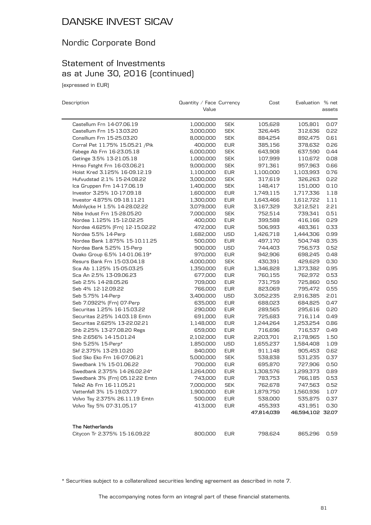### Nordic Corporate Bond

# Statement of Investments as at June 30, 2016 (continued)

(expressed in EUR)

| Description                      | Quantity / Face Currency |            | Cost       | Evaluation % net |        |
|----------------------------------|--------------------------|------------|------------|------------------|--------|
|                                  | Value                    |            |            |                  | assets |
| Castellum Frn 14-07.06.19        | 1,000,000                | <b>SEK</b> | 105,628    | 105,801          | 0.07   |
| Castellum Frn 15-13.03.20        | 3,000,000                | <b>SEK</b> | 326,445    | 312,636          | 0.22   |
| Consilium Frn 15-25.03.20        | 8,000,000                | <b>SEK</b> | 884,254    | 892,475          | 0.61   |
| Corral Pet 11.75% 15.05.21 / Pik | 400,000                  | <b>EUR</b> | 385,156    | 378,632          | 0.26   |
| Fabege Ab Frn 16-23.05.18        | 6,000,000                | <b>SEK</b> | 643,908    | 637,590          | 0.44   |
| Getinge 3.5% 13-21.05.18         | 1,000,000                | <b>SEK</b> | 107,999    | 110,672          | 0.08   |
| Hmso Fstght Frn 16-03.06.21      | 9,000,000                | <b>SEK</b> | 971,361    | 957,963          | 0.66   |
| Hoist Kred 3.125% 16-09.12.19    | 1,100,000                | <b>EUR</b> | 1,100,000  | 1,103,993        | 0.76   |
| Hufvudstad 2.1% 15-24.08.22      | 3,000,000                | <b>SEK</b> | 317,619    | 326,263          | 0.22   |
| Ica Gruppen Frn 14-17.06.19      | 1,400,000                | <b>SEK</b> | 148,417    | 151,000          | 0.10   |
| Investor 3.25% 10-17.09.18       | 1,600,000                | <b>EUR</b> | 1,749,115  | 1,717,336        | 1.18   |
| Investor 4.875% 09-18.11.21      | 1,300,000                | <b>EUR</b> | 1,643,466  | 1,612,722        | 1.11   |
| Molnlycke H 1.5% 14-28.02.22     | 3,079,000                | <b>EUR</b> | 3,167,329  | 3,212,521        | 2.21   |
| Nibe Indust Frn 15-28.05.20      | 7,000,000                | <b>SEK</b> | 752,514    | 739,341          | 0.51   |
| Nordea 1.125% 15-12.02.25        | 400,000                  | <b>EUR</b> | 399,588    | 416,166          | 0.29   |
| Nordea 4.625% [Frn] 12-15.02.22  | 472,000                  | <b>EUR</b> | 506,993    | 483,361          | 0.33   |
| Nordea 5.5% 14-Perp              | 1,682,000                | <b>USD</b> | 1,426,718  | 1,444,306        | 0.99   |
| Nordea Bank 1.875% 15-10.11.25   | 500,000                  | <b>EUR</b> | 497,170    | 504,748          | 0.35   |
| Nordea Bank 5.25% 15-Perp        | 900,000                  | <b>USD</b> | 744,403    | 756,573          | 0.52   |
| Ovako Group 6.5% 14-01.06.19*    | 970,000                  | <b>EUR</b> | 942,906    | 698,245          | 0.48   |
| Resurs Bank Frn 15-03.04.18      | 4,000,000                | <b>SEK</b> | 430,391    | 429,629          | 0.30   |
| Sca Ab 1.125% 15-05.03.25        | 1,350,000                | <b>EUR</b> | 1,346,828  | 1,373,382        | 0.95   |
| Sca An 2.5% 13-09.06.23          | 677,000                  | <b>EUR</b> | 760,155    | 762,972          | 0.53   |
| Seb 2.5% 14-28.05.26             | 709,000                  | <b>EUR</b> | 731,759    | 725,860          | 0.50   |
| Seb 4% 12-12.09.22               | 766,000                  | <b>EUR</b> | 823,069    | 795,472          | 0.55   |
| Seb 5.75% 14-Perp                | 3,400,000                | <b>USD</b> | 3,052,235  | 2,916,385        | 2.01   |
| Seb 7.0922% [Frn] 07-Perp        | 635,000                  | <b>EUR</b> | 688,023    | 684,825          | 0.47   |
| Securitas 1.25% 16-15.03.22      | 290,000                  | <b>EUR</b> | 289,565    | 295,616          | 0.20   |
| Securitas 2.25% 14.03.18 Emtn    | 691,000                  | <b>EUR</b> | 725,683    | 716,114          | 0.49   |
| Securitas 2.625% 13-22.02.21     | 1,148,000                | <b>EUR</b> | 1,244,264  | 1,253,254        | 0.86   |
| Shb 2.25% 13-27.08.20 Regs       | 659,000                  | <b>EUR</b> | 716,696    | 716,537          | 0.49   |
| Shb 2.656% 14-15.01.24           | 2,102,000                | <b>EUR</b> | 2,203,701  | 2,178,965        | 1.50   |
| Shb 5.25% 15-Perp*               | 1,850,000                | <b>USD</b> | 1,655,237  | 1,584,408        | 1.09   |
| Skf 2.375% 13-29.10.20           | 840,000                  | <b>EUR</b> | 911,148    | 905,453          | 0.62   |
| Sod Sko Eko Frn 16-07.06.21      | 5,000,000                | <b>SEK</b> | 538,838    | 531,235          | 0.37   |
| Swedbank 1% 15-01.06.22          | 700,000                  | <b>EUR</b> | 695,870    | 727,906          | 0.50   |
| Swedbank 2.375% 14-26.02.24*     | 1,264,000                | <b>EUR</b> | 1,308,576  | 1,299,373        | 0.89   |
| Swedbank 3% [Frn] 05.12.22 Emtn  | 743,000                  | <b>EUR</b> | 783,753    | 766,185          | 0.53   |
| Tele2 Ab Frn 16-11.05.21         | 7,000,000                | <b>SEK</b> | 762,678    | 747,563          | 0.52   |
| Vattenfall 3% 15-19.03.77        | 1,900,000                | <b>EUR</b> | 1,879,750  | 1,560,936        | 1.07   |
| Volvo Tsy 2.375% 26.11.19 Emtn   | 500,000                  | <b>EUR</b> | 538,000    | 535,875          | 0.37   |
| Volvo Tsy 5% 07-31.05.17         | 413,000                  | <b>EUR</b> | 455,393    | 431,951          | 0.30   |
|                                  |                          |            | 47,814,039 | 46,594,102 32.07 |        |
| The Netherlands                  |                          |            |            |                  |        |
| Citycon Tr 2.375% 15-16.09.22    | 800,000                  | <b>EUR</b> | 798,624    | 865,296          | 0.59   |

\* Securities subject to a collateralized securities lending agreement as described in note 7.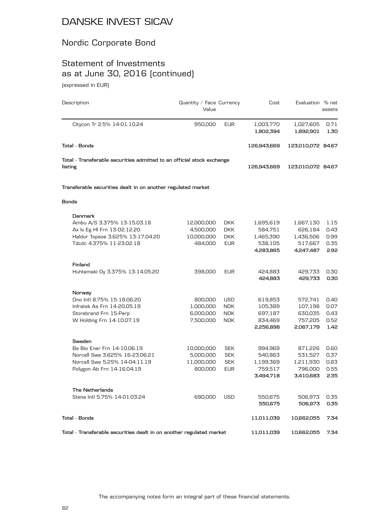### Nordic Corporate Bond

# Statement of Investments as at June 30, 2016 (continued)

(expressed in EUR)

| Description                                                                       | Quantity / Face Currency<br>Value |            | Cost        | Evaluation % net  | assets |
|-----------------------------------------------------------------------------------|-----------------------------------|------------|-------------|-------------------|--------|
| Citycon Tr 2.5% 14-01.10.24                                                       | 950,000                           | <b>EUR</b> | 1,003,770   | 1,027,605         | 0.71   |
|                                                                                   |                                   |            | 1,802,394   | 1,892,901         | 1.30   |
| Total - Bonds                                                                     |                                   |            | 126,943,669 | 123,010,072 84.67 |        |
| Total - Transferable securities admitted to an official stock exchange<br>listing |                                   |            | 126,943,669 | 123,010,072 84.67 |        |
|                                                                                   |                                   |            |             |                   |        |
| Transferable securities dealt in on another regulated market                      |                                   |            |             |                   |        |
| <b>Bonds</b>                                                                      |                                   |            |             |                   |        |
| Denmark                                                                           |                                   |            |             |                   |        |
| Ambu A/S 3.375% 13-15.03.18                                                       | 12,000,000                        | <b>DKK</b> | 1,695,619   | 1,667,130         | 1.15   |
| Ax Iv Eg HI Frn 13-02.12.20                                                       | 4,500,000                         | <b>DKK</b> | 584,751     | 626,184           | 0.43   |
| Haldor Topsoe 3.625% 13-17.04.20                                                  | 10,000,000                        | <b>DKK</b> | 1,465,390   | 1,436,506         | 0.99   |
| Tdcdc 4.375% 11-23.02.18                                                          | 484,000                           | <b>EUR</b> | 538,105     | 517,667           | 0.35   |
|                                                                                   |                                   |            | 4,283,865   | 4,247,487         | 2.92   |
| Finland                                                                           |                                   |            |             |                   |        |
| Huhtamaki Oy 3.375% 13-14.05.20                                                   | 398,000                           | <b>EUR</b> | 424,883     | 429,733           | 0.30   |
|                                                                                   |                                   |            | 424,883     | 429,733           | 0.30   |
| Norway                                                                            |                                   |            |             |                   |        |
| Dno Intl 8.75% 15-18.06.20                                                        | 800,000                           | <b>USD</b> | 619,853     | 572,741           | 0.40   |
| Infratek As Frn 14-20.05.19                                                       | 1,000,000                         | <b>NOK</b> | 105,389     | 107,198           | 0.07   |
| Storebrand Frn 15-Perp                                                            | 6,000,000                         | <b>NOK</b> | 697,187     | 630,035           | 0.43   |
| W Holding Frn 14-10.07.19                                                         | 7,500,000                         | <b>NOK</b> | 834,469     | 757,205           | 0.52   |
|                                                                                   |                                   |            | 2,256,898   | 2,067,179         | 1.42   |
| Sweden                                                                            |                                   |            |             |                   |        |
| Be Bio Ener Frn 14-10.06.19                                                       | 10,000,000                        | <b>SEK</b> | 994,969     | 871,226           | 0.60   |
| Norcell Swe 3.625% 16-23.06.21                                                    | 5,000,000                         | <b>SEK</b> | 540,863     | 531,527           | 0.37   |
| Norcell Swe 5.25% 14-04.11.19                                                     | 11,000,000                        | <b>SEK</b> | 1,199,369   | 1,211,930         | 0.83   |
| Polygon Ab Frn 14-16.04.19                                                        | 800,000                           | <b>EUR</b> | 759,517     | 796,000           | 0.55   |
|                                                                                   |                                   |            | 3,494,718   | 3,410,683         | 2.35   |
| <b>The Netherlands</b>                                                            |                                   |            |             |                   |        |
| Stena Intl 5.75% 14-01.03.24                                                      | 680,000                           | <b>USD</b> | 550,675     | 506,973           | 0.35   |
|                                                                                   |                                   |            | 550,675     | 506,973           | 0.35   |
| Total - Bonds                                                                     |                                   |            | 11,011,039  | 10,662,055        | 7.34   |
| Total - Transferable securities dealt in on another regulated market              |                                   |            | 11,011,039  | 10,662,055        | 7.34   |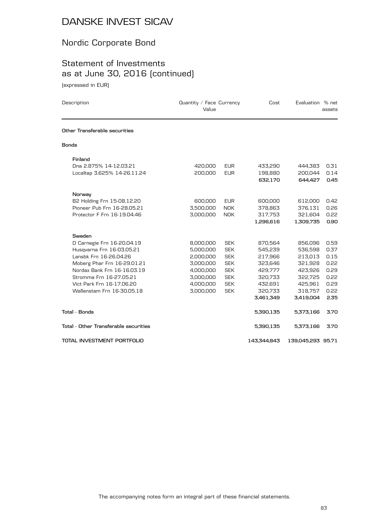### Nordic Corporate Bond

### Statement of Investments as at June 30, 2016 (continued) (expressed in EUR)

| Quantity / Face Currency<br>Description<br>Value |           |            | Cost        | Evaluation % net  | assets |
|--------------------------------------------------|-----------|------------|-------------|-------------------|--------|
| Other Transferable securities                    |           |            |             |                   |        |
| <b>Bonds</b>                                     |           |            |             |                   |        |
| Finland                                          |           |            |             |                   |        |
| Dna 2.875% 14-12.03.21                           | 420,000   | <b>EUR</b> | 433,290     | 444,383           | 0.31   |
| Localtap 3.625% 14-26.11.24                      | 200,000   | <b>EUR</b> | 198,880     | 200,044           | 0.14   |
|                                                  |           |            | 632,170     | 644,427           | 0.45   |
| Norway                                           |           |            |             |                   |        |
| B2 Holding Frn 15-08.12.20                       | 600,000   | <b>EUR</b> | 600,000     | 612,000           | 0.42   |
| Pioneer Pub Frn 16-28.05.21                      | 3,500,000 | <b>NOK</b> | 378,863     | 376,131           | 0.26   |
| Protector F Frn 16-19.04.46                      | 3,000,000 | <b>NOK</b> | 317,753     | 321,604           | 0.22   |
|                                                  |           |            | 1,296,616   | 1,309,735         | 0.90   |
| Sweden                                           |           |            |             |                   |        |
| D Carnegie Frn 16-20.04.19                       | 8,000,000 | <b>SEK</b> | 870,564     | 856,096           | 0.59   |
| Husqvarna Frn 16-03.05.21                        | 5,000,000 | <b>SEK</b> | 545,239     | 536,598           | 0.37   |
| Lansbk Frn 16-26.04.26                           | 2,000,000 | <b>SEK</b> | 217,966     | 213,013           | 0.15   |
| Moberg Phar Frn 16-29.01.21                      | 3,000,000 | <b>SEK</b> | 323,646     | 321,928           | 0.22   |
| Nordax Bank Frn 16-16.03.19                      | 4,000,000 | <b>SEK</b> | 429,777     | 423,926           | 0.29   |
| Stromma Frn 16-27.05.21                          | 3,000,000 | <b>SEK</b> | 320,733     | 322,725           | 0.22   |
| Vict Park Frn 16-17.06.20                        | 4,000,000 | <b>SEK</b> | 432,691     | 425,961           | 0.29   |
| Wallenstam Frn 16-30.05.18                       | 3,000,000 | <b>SEK</b> | 320,733     | 318,757           | 0.22   |
|                                                  |           |            | 3,461,349   | 3,419,004         | 2.35   |
| <b>Total - Bonds</b>                             |           |            | 5,390,135   | 5,373,166         | 3.70   |
| Total - Other Transferable securities            |           |            | 5,390,135   | 5,373,166         | 3.70   |
| TOTAL INVESTMENT PORTFOLIO                       |           |            | 143,344,843 | 139,045,293 95.71 |        |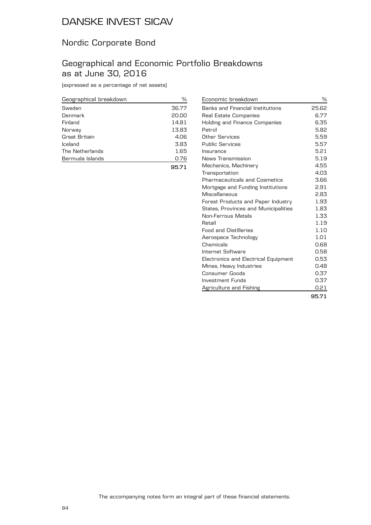### Nordic Corporate Bond

### Geographical and Economic Portfolio Breakdowns as at June 30, 2016

(expressed as a percentage of net assets)

| Geographical breakdown | %     |
|------------------------|-------|
| Sweden                 | 36.77 |
| Denmark                | 20.00 |
| Finland                | 14.81 |
| Norway                 | 13.83 |
| Great Britain          | 4.06  |
| Iceland                | 3.83  |
| The Netherlands        | 1.65  |
| Bermuda Islands        | 0.76  |
|                        | 95.71 |

| Economic breakdown                          | ℅     |
|---------------------------------------------|-------|
| Banks and Financial Institutions            | 25.62 |
| Real Estate Companies                       | 6.77  |
| Holding and Finance Companies               | 6.35  |
| Petrol                                      | 5.82  |
| Other Services                              | 5.59  |
| <b>Public Services</b>                      | 5.57  |
| Insurance                                   | 5.21  |
| News Transmission                           | 5.19  |
| Mechanics, Machinery                        | 4.55  |
| Transportation                              | 4.03  |
| <b>Pharmaceuticals and Cosmetics</b>        | 3.66  |
| Mortgage and Funding Institutions           | 2.91  |
| Miscellaneous                               | 2.83  |
| Forest Products and Paper Industry          | 1.93  |
| <b>States, Provinces and Municipalities</b> | 1.83  |
| Non-Ferrous Metals                          | 1.33  |
| Retail                                      | 1.19  |
| <b>Food and Distilleries</b>                | 1.10  |
| Aerospace Technology                        | 1.01  |
| Chemicals                                   | 0.68  |
| Internet Software                           | 0.58  |
| Electronics and Electrical Equipment        | 0.53  |
| Mines, Heavy Industries                     | 0.48  |
| Consumer Goods                              | 0.37  |
| Investment Funds                            | 0.37  |
| Agriculture and Fishing                     | 0.21  |
|                                             | 95.71 |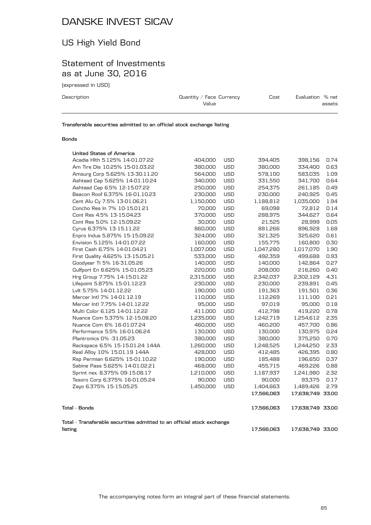# US High Yield Bond

### Statement of Investments as at June 30, 2016

(expressed in USD)

| Description | Quantity / Face Currency<br>Value | Cost | Evaluation % net<br>assets |
|-------------|-----------------------------------|------|----------------------------|
|             |                                   |      |                            |

**Transferable securities admitted to an official stock exchange listing**

#### **Bonds**

| listing                                                                                 |           |            | 17,566,063 | 17,638,749 33.00 |      |
|-----------------------------------------------------------------------------------------|-----------|------------|------------|------------------|------|
| Tota1 - Bonds<br>Total - Transferable securities admitted to an official stock exchange |           |            | 17,566,063 | 17,638,749 33.00 |      |
|                                                                                         |           |            | 17,566,063 | 17,638,749 33.00 |      |
| Zayo 6.375% 15-15.05.25                                                                 | 1,450,000 | <b>USD</b> | 1,404,663  | 1,489,426        | 2.79 |
| Tesoro Corp 6.375% 16-01.05.24                                                          | 90,000    | USD        | 90,000     | 93,375           | 0.17 |
| Sprint nex. 8.375% 09-15.08.17                                                          | 1,210,000 | <b>USD</b> | 1,187,937  | 1,241,980        | 2.32 |
| Sabine Pass 5.625% 14-01.02.21                                                          | 468,000   | <b>USD</b> | 455,715    | 469,226          | 0.88 |
| Rsp Permian 6.625% 15-01.10.22                                                          | 190,000   | <b>USD</b> | 185,488    | 196,650          | 0.37 |
| Real Alloy 10% 15.01.19 144A                                                            | 428,000   | <b>USD</b> | 412,485    | 426,395          | 0.80 |
| Rackspace 6.5% 15-15.01.24 144A                                                         | 1,260,000 | <b>USD</b> | 1,248,525  | 1,244,250        | 2.33 |
| Plantronics 0% - 31.05.23                                                               | 380,000   | <b>USD</b> | 380,000    | 375,250          | 0.70 |
| Performance 5.5% 16-01.06.24                                                            | 130,000   | <b>USD</b> | 130,000    | 130,975          | 0.24 |
| Nuance Com 6% 16-01.07.24                                                               | 460,000   | <b>USD</b> | 460,200    | 457,700          | 0.86 |
| Nuance Com 5.375% 12-15.08.20                                                           | 1,235,000 | <b>USD</b> | 1,242,719  | 1,254,612        | 2.35 |
| Multi Color 6.125 14-01.12.22                                                           | 411,000   | <b>USD</b> | 412,798    | 419,220          | 0.78 |
| Mercer Intl 7.75% 14-01.12.22                                                           | 95,000    | <b>USD</b> | 97,019     | 95,000           | 0.18 |
| Mercer Intl 7% 14-01.12.19                                                              | 110,000   | <b>USD</b> | 112,269    | 111,100          | 0.21 |
| Lvlt 5.75% 14-01.12.22                                                                  | 190,000   | <b>USD</b> | 191,363    | 191,501          | 0.36 |
| Lifepoint 5.875% 15-01.12.23                                                            | 230,000   | <b>USD</b> | 230,000    | 239,891          | 0.45 |
| Hrg Group 7.75% 14-15.01.22                                                             | 2,315,000 | <b>USD</b> | 2,342,037  | 2,302,129        | 4.31 |
| Gulfport En 6.625% 15-01.05.23                                                          | 220,000   | <b>USD</b> | 208,000    | 216,260          | 0.40 |
| Goodyear Ti 5% 16-31.05.26                                                              | 140,000   | <b>USD</b> | 140,000    | 142,864          | 0.27 |
| First Quality 4.625% 13-15.05.21                                                        | 533,000   | <b>USD</b> | 492,359    | 499,688          | 0.93 |
| First Cash 6.75% 14-01.04.21                                                            | 1,007,000 | <b>USD</b> | 1,047,280  | 1,017,070        | 1.90 |
| Envision 5.125% 14-01.07.22                                                             | 160,000   | <b>USD</b> | 155,775    | 160,800          | 0.30 |
| Enpro Indus 5.875% 15-15.09.22                                                          | 324,000   | <b>USD</b> | 321,325    | 325,620          | 0.61 |
| Cyrus 6.375% 13-15.11.22                                                                | 860,000   | <b>USD</b> | 881,266    | 896,928          | 1.68 |
| Cont Res 5.0% 12-15.09.22                                                               | 30,000    | <b>USD</b> | 21,525     | 28,999           | 0.05 |
| Cont Res 4.5% 13-15.04.23                                                               | 370,000   | <b>USD</b> | 288,975    | 344,627          | 0.64 |
| Concho Res In 7% 10-15.01.21                                                            | 70,000    | <b>USD</b> | 69,098     | 72,812           | 0.14 |
| Cent Alu Cy 7.5% 13-01.06.21                                                            | 1,150,000 | <b>USD</b> | 1,188,812  | 1,035,000        | 1.94 |
| Beacon Roof 6.375% 16-01.10.23                                                          | 230,000   | <b>USD</b> | 230,000    | 240,925          | 0.45 |
| Ashtead Cap 6.5% 12-15.07.22                                                            | 250,000   | <b>USD</b> | 254,375    | 261,185          | 0.49 |
| Ashtead Cap 5.625% 14-01.10.24                                                          | 340,000   | <b>USD</b> | 331,550    | 341,700          | 0.64 |
| Amsurg Corp 5.625% 13-30.11.20                                                          | 564,000   | <b>USD</b> | 578,100    | 583,035          | 1.09 |
| Am Tire Dis 10.25% 15-01.03.22                                                          | 380,000   | <b>USD</b> | 380,000    | 334,400          | 0.63 |
| Acadia Hith 5.125% 14-01.07.22                                                          | 404,000   | <b>USD</b> | 394,405    | 398,156          | 0.74 |
| United States of America                                                                |           |            |            |                  |      |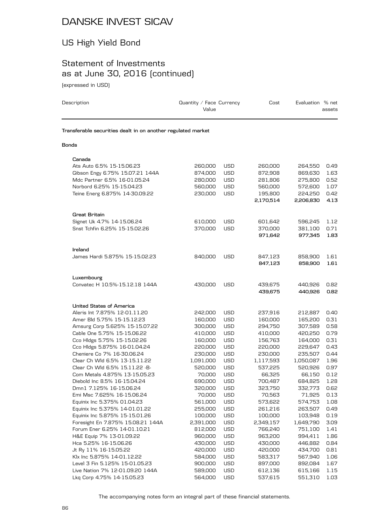# US High Yield Bond

# Statement of Investments as at June 30, 2016 (continued)

(expressed in USD)

| Description                                                  | Quantity / Face Currency<br>Value |            | Cost      | Evaluation % net | assets |
|--------------------------------------------------------------|-----------------------------------|------------|-----------|------------------|--------|
| Transferable securities dealt in on another regulated market |                                   |            |           |                  |        |
| Bonds                                                        |                                   |            |           |                  |        |
| Canada                                                       |                                   |            |           |                  |        |
| Ats Auto 6.5% 15-15.06.23                                    | 260,000                           | USD        | 260,000   | 264,550          | 0.49   |
| Gibson Engy 6.75% 15.07.21 144A                              | 874,000                           | <b>USD</b> | 872,908   | 869,630          | 1.63   |
| Mdc Partner 6.5% 16-01.05.24                                 | 280,000                           | USD        | 281,806   | 275.800          | 0.52   |
| Norbord 6.25% 15-15.04.23                                    | 560,000                           | USD        | 560,000   | 572,600          | 1.07   |
| Teine Energ 6.875% 14-30.09.22                               | 230,000                           | <b>USD</b> | 195,800   | 224,250          | 0.42   |
|                                                              |                                   |            | 2,170,514 | 2,206,830        | 4.13   |
| <b>Great Britain</b>                                         |                                   |            |           |                  |        |
| Signet Uk 4.7% 14-15.06.24                                   | 610,000                           | USD        | 601,642   | 596,245          | 1.12   |
| Snst Tchfin 6.25% 15-15.02.26                                | 370,000                           | USD        | 370,000   | 381,100          | 0.71   |
|                                                              |                                   |            | 971,642   | 977,345          | 1.83   |
| Ireland                                                      |                                   |            |           |                  |        |
| James Hardi 5.875% 15-15.02.23                               | 840,000                           | <b>USD</b> | 847,123   | 858,900          | 1.61   |
|                                                              |                                   |            | 847,123   | 858,900          | 1.61   |
| Luxembourg                                                   |                                   |            |           |                  |        |
| Convatec H 10.5%-15.12.18 144A                               | 430,000                           | <b>USD</b> | 439,675   | 440,926          | 0.82   |
|                                                              |                                   |            | 439,675   | 440,926          | 0.82   |
| United States of America                                     |                                   |            |           |                  |        |
| Aleris Int 7.875% 12-01.11.20                                | 242,000                           | <b>USD</b> | 237,916   | 212,887          | 0.40   |
| Amer Bld 5.75% 15-15.12.23                                   | 160,000                           | USD        | 160,000   | 165,200          | 0.31   |
| Amsurg Corp 5.625% 15-15.07.22                               | 300,000                           | <b>USD</b> | 294,750   | 307,589          | 0.58   |
| Cable One 5.75% 15-15.06.22                                  | 410,000                           | USD        | 410,000   | 420,250          | 0.79   |
| Cco Hldgs 5.75% 15-15.02.26                                  | 160,000                           | USD        | 156,763   | 164,000          | 0.31   |
| Cco Hldgs 5.875% 16-01.04.24                                 | 220,000                           | USD        | 220,000   | 229,647          | 0.43   |
| Cheniere Co 7% 16-30.06.24                                   | 230,000                           | <b>USD</b> | 230,000   | 235,507          | 0.44   |
| Clear Ch Wld 6.5% 13-15.11.22                                | 1,091,000                         | <b>USD</b> | 1,117,593 | 1,050,087        | 1.96   |
| Clear Ch Wld 6.5% 15.11.22 -B-                               | 520,000                           | <b>USD</b> | 537,225   | 520,926          | 0.97   |
| Com Metals 4.875% 13-15.05.23                                | 70,000                            | <b>USD</b> | 66,325    | 66,150           | 0.12   |
| Diebold Inc 8.5% 16-15.04.24                                 | 690,000                           | USD        | 700,487   | 684,825          | 1.28   |
| Dmn1 7.125% 16-15.06.24                                      | 320,000                           | USD        | 323,750   | 332,773          | 0.62   |
| Emi Msc 7.625% 16-15.06.24                                   | 70,000                            | USD        | 70,563    | 71,925           | 0.13   |
| Equinix Inc 5.375% 01.04.23                                  | 561,000                           | USD        | 573,622   | 574,753          | 1.08   |
| Equinix Inc 5.375% 14-01.01.22                               | 255,000                           | <b>USD</b> | 261,216   | 263,507          | 0.49   |
| Equinix Inc 5.875% 15-15.01.26                               | 100,000                           | USD        | 100,000   | 103,948          | 0.19   |
| Foresight En 7.875% 15.08.21 144A                            | 2,391,000                         | USD        | 2,349,157 | 1,649,790        | 3.09   |
| Forum Ener 6.25% 14-01.10.21                                 | 812,000                           | <b>USD</b> | 766,240   | 751,100          | 1.41   |
| H&E Equip 7% 13-01.09.22                                     | 960,000                           | USD        | 963,200   | 994,411          | 1.86   |
| Hca 5.25% 16-15.06.26                                        | 430,000                           | USD        | 430,000   | 446,882          | 0.84   |
| Jt Ry 11% 16-15.05.22                                        | 420,000                           | <b>USD</b> | 420,000   | 434,700          | 0.81   |
| Klx Inc 5.875% 14-01.12.22                                   | 584,000                           | USD        | 583,317   | 567,940          | 1.06   |
| Level 3 Fin 5.125% 15-01.05.23                               | 900,000                           | USD        | 897,000   | 892,084          | 1.67   |
| Live Nation 7% 12-01.09.20 144A                              | 589,000                           | USD        | 612,136   | 615,166          | 1.15   |
| Lkq Corp 4.75% 14-15.05.23                                   | 564,000                           | <b>USD</b> | 537,615   | 551,310          | 1.03   |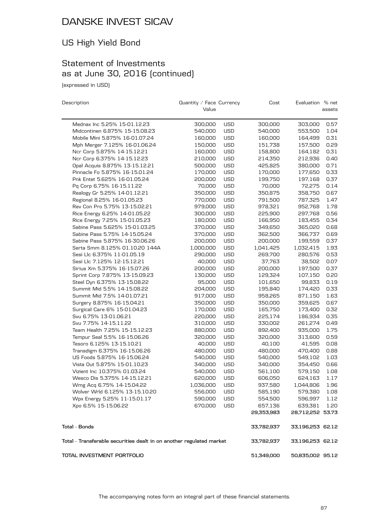# US High Yield Bond

## Statement of Investments as at June 30, 2016 (continued)

(expressed in USD)

| Description                                                          | Quantity / Face Currency |            | Cost       | Evaluation % net |        |
|----------------------------------------------------------------------|--------------------------|------------|------------|------------------|--------|
|                                                                      | Value                    |            |            |                  | assets |
| Mednax Inc 5.25% 15-01.12.23                                         | 300,000                  | <b>USD</b> | 300,000    | 303,000          | 0.57   |
| Midcontinen 6.875% 15-15.08.23                                       | 540,000                  | <b>USD</b> | 540,000    | 553,500          | 1.04   |
| Mobile Mini 5.875% 16-01.07.24                                       | 160,000                  | <b>USD</b> | 160,000    | 164,499          | 0.31   |
| Mph Merger 7.125% 16-01.06.24                                        | 150,000                  | USD        | 151,738    | 157,500          | 0.29   |
| Ncr Corp 5.875% 14-15.12.21                                          | 160,000                  | <b>USD</b> | 158,800    | 164,182          | 0.31   |
| Ncr Corp 6.375% 14-15.12.23                                          | 210,000                  | <b>USD</b> | 214,350    | 212,936          | 0.40   |
| Opal Acquis 8.875% 13-15.12.21                                       | 500,000                  | <b>USD</b> | 425,825    | 380,000          | 0.71   |
| Pinnacle Fo 5.875% 16-15.01.24                                       | 170,000                  | <b>USD</b> | 170,000    | 177,650          | 0.33   |
| Pnk Entet 5.625% 16-01.05.24                                         | 200,000                  | <b>USD</b> | 199,750    | 197,168          | 0.37   |
| Pq Corp 6.75% 16-15.11.22                                            | 70,000                   | USD        | 70,000     | 72,275           | 0.14   |
| Realogy Gr 5.25% 14-01.12.21                                         | 350,000                  | <b>USD</b> | 350,875    | 358,750          | 0.67   |
| Regional 8.25% 16-01.05.23                                           | 770,000                  | USD        | 791,500    | 787,325          | 1.47   |
| Rev Con Pro 5.75% 13-15.02.21                                        | 979,000                  | USD        | 978,321    | 952,768          | 1.78   |
| Rice Energy 6.25% 14-01.05.22                                        | 300,000                  | <b>USD</b> | 225,900    | 297,768          | 0.56   |
| Rice Energy 7.25% 15-01.05.23                                        | 180,000                  | USD        | 166,950    | 183,455          | 0.34   |
| Sabine Pass 5.625% 15-01.03.25                                       | 370,000                  | USD        | 349,650    | 365,020          | 0.68   |
| Sabine Pass 5.75% 14-15.05.24                                        | 370,000                  | <b>USD</b> | 362,500    | 366,737          | 0.69   |
| Sabine Pass 5.875% 16-30.06.26                                       | 200,000                  | USD        | 200,000    | 199,559          | 0.37   |
| Serta Smm 8.125% 01.10.20 144A                                       | 1,000,000                | <b>USD</b> | 1,041,425  | 1,032,415        | 1.93   |
| Sesi Llc 6.375% 11-01.05.19                                          | 290,000                  | <b>USD</b> | 269,700    | 280,576          | 0.53   |
| Sesi Llc 7.125% 12-15.12.21                                          | 40,000                   | USD        | 37,763     | 38,502           | 0.07   |
| Sirius Xm 5.375% 16-15.07.26                                         | 200,000                  | USD        | 200,000    | 197,500          | 0.37   |
| Sprint Corp 7.875% 13-15.09.23                                       | 130,000                  | <b>USD</b> | 129,324    | 107,150          | 0.20   |
| Steel Dyn 6.375% 13-15.08.22                                         | 95,000                   | <b>USD</b> | 101,650    | 99,833           | 0.19   |
| Summit Mid 5.5% 14-15.08.22                                          | 204,000                  | USD        | 195,840    | 174,420          | 0.33   |
| Summit Mid 7.5% 14-01.07.21                                          | 917,000                  | <b>USD</b> | 958,265    | 871,150          | 1.63   |
| Surgery 8.875% 16-15.04.21                                           | 350,000                  | USD        | 350,000    | 359,625          | 0.67   |
| Surgical Care 6% 15-01.04.23                                         | 170,000                  | USD        | 165,750    | 173,400          | 0.32   |
| Svu 6.75% 13-01.06.21                                                | 220,000                  | <b>USD</b> | 225,174    | 186,934          | 0.35   |
| Svu 7.75% 14-15.11.22                                                | 310,000                  | USD        | 330,002    | 261,274          | 0.49   |
| Team Health 7.25% 15-15.12.23                                        | 880,000                  | USD        | 892,400    | 935,000          | 1.75   |
| Tempur Seal 5.5% 16-15.06.26                                         | 320,000                  | <b>USD</b> | 320,000    | 313,600          | 0.59   |
| Tesoro 6.125% 13-15.10.21                                            | 40,000                   | USD        | 40,100     | 41,595           | 0.08   |
| Transdigm 6.375% 16-15.06.26                                         | 480,000                  | USD        | 480,000    | 470,400          | 0.88   |
| US Foods 5.875% 16-15.06.24                                          | 540,000                  | <b>USD</b> | 540,000    | 549,102          | 1.03   |
| Vista Out 5.875% 15-01.10.23                                         | 340,000                  | <b>USD</b> | 340,000    | 354,450          | 0.66   |
| Vizient Inc 10.375% 01.03.24                                         | 540,000                  | <b>USD</b> | 561,100    | 579,150          | 1.08   |
| Wesco Dis 5.375% 14-15.12.21                                         | 620,000                  | <b>USD</b> | 606,050    | 624,163          | 1.17   |
| Wmg Acq 6.75% 14-15.04.22                                            | 1,036,000                | USD        | 937,580    | 1,044,806        | 1.96   |
| Wolver Wrld 6.125% 13-15.10.20                                       | 556,000                  | USD        | 585,190    | 579,380          | 1.08   |
| Wpx Energy 5.25% 11-15.01.17                                         | 590,000                  | <b>USD</b> | 554,500    | 596,997          | 1.12   |
| Xpo 6.5% 15-15.06.22                                                 | 670,000                  | <b>USD</b> | 657,136    | 639,381          | 1.20   |
|                                                                      |                          |            | 29,353,983 | 28,712,252 53.73 |        |
| Total - Bonds                                                        |                          |            | 33,782,937 | 33,196,253 62.12 |        |
| Total - Transferable securities dealt in on another regulated market |                          |            | 33,782,937 | 33,196,253 62.12 |        |
| TOTAL INVESTMENT PORTFOLIO                                           |                          |            | 51,349,000 | 50,835,002 95.12 |        |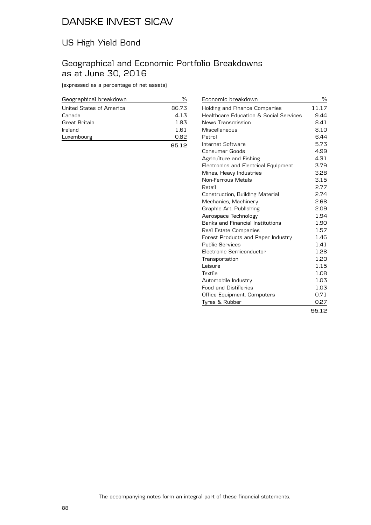## US High Yield Bond

### Geographical and Economic Portfolio Breakdowns as at June 30, 2016

(expressed as a percentage of net assets)

| Geographical breakdown   |       |
|--------------------------|-------|
| United States of America | 86.73 |
| Canada                   | 4.13  |
| Great Britain            | 1.83  |
| Ireland                  | 1.61  |
| Luxembourg               | 0.82  |
|                          | 95.12 |

| Economic breakdown                     | %     |
|----------------------------------------|-------|
| Holding and Finance Companies          | 11.17 |
| Healthcare Education & Social Services | 9.44  |
| News Transmission                      | 8.41  |
| Miscellaneous                          | 8.10  |
| Petrol                                 | 6.44  |
| Internet Software                      | 5.73  |
| Consumer Goods                         | 4.99  |
| Agriculture and Fishing                | 4.31  |
| Electronics and Electrical Equipment   | 3.79  |
| Mines, Heavy Industries                | 3.28  |
| Non-Ferrous Metals                     | 3.15  |
| Retail                                 | 2.77  |
| Construction, Building Material        | 2.74  |
| Mechanics, Machinery                   | 2.68  |
| Graphic Art, Publishing                | 2.09  |
| Aerospace Technology                   | 1.94  |
| Banks and Financial Institutions       | 1.90  |
| Real Estate Companies                  | 1.57  |
| Forest Products and Paper Industry     | 1.46  |
| <b>Public Services</b>                 | 1.41  |
| Electronic Semiconductor               | 1.28  |
| Transportation                         | 1.20  |
| Leisure                                | 1.15  |
| Textile                                | 1.08  |
| Automobile Industry                    | 1.03  |
| <b>Food and Distilleries</b>           | 1.03  |
| Office Equipment, Computers            | 0.71  |
| Tyres & Rubber                         | 0.27  |
|                                        | 95.12 |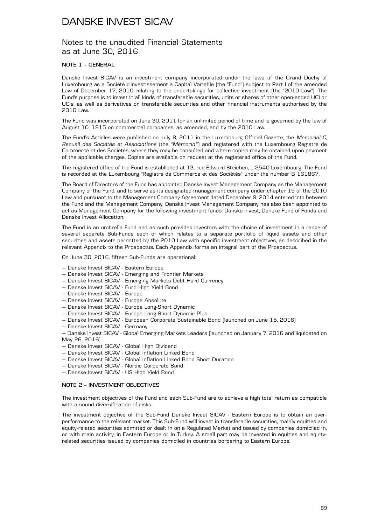### Notes to the unaudited Financial Statements as at June 30, 2016

#### **NOTE 1 – GENERAL**

Danske Invest SICAV is an investment company incorporated under the laws of the Grand Duchy of Luxembourg as a Société d'Investissement à Capital Variable (the "Fund") subject to Part I of the amended Law of December 17, 2010 relating to the undertakings for collective investment (the "2010 Law"). The Fund's purpose is to invest in all kinds of transferable securities, units or shares of other open-ended UCI or UCIs, as well as derivatives on transferable securities and other financial instruments authorised by the 2010 Law.

The Fund was incorporated on June 30, 2011 for an unlimited period of time and is governed by the law of August 10, 1915 on commercial companies, as amended, and by the 2010 Law.

The Fund's Articles were published on July 8, 2011 in the Luxembourg Official Gazette, the *Mémorial C, Recueil des Sociétés et Associations* (the *"Mémorial"*) and registered with the Luxembourg Registre de Commerce et des Sociétés, where they may be consulted and where copies may be obtained upon payment of the applicable charges. Copies are available on request at the registered office of the Fund.

The registered office of the Fund is established at 13, rue Edward Steichen, L-2540 Luxembourg. The Fund is recorded at the Luxembourg "Registre de Commerce et des Sociétés" under the number B 161867.

The Board of Directors of the Fund has appointed Danske Invest Management Company as the Management Company of the Fund, and to serve as its designated management company under chapter 15 of the 2010 Law and pursuant to the Management Company Agreement dated December 9, 2014 entered into between the Fund and the Management Company. Danske Invest Management Company has also been appointed to act as Management Company for the following investment funds: Danske Invest, Danske Fund of Funds and Danske Invest Allocation.

The Fund is an umbrella Fund and as such provides investors with the choice of investment in a range of several separate Sub-Funds each of which relates to a separate portfolio of liquid assets and other securities and assets permitted by the 2010 Law with specific investment objectives, as described in the relevant Appendix to the Prospectus. Each Appendix forms an integral part of the Prospectus.

On June 30, 2016, fifteen Sub-Funds are operational:

- Danske Invest SICAV Eastern Europe
- Danske Invest SICAV Emerging and Frontier Markets
- Danske Invest SICAV Emerging Markets Debt Hard Currency
- Danske Invest SICAV Euro High Yield Bond
- Danske Invest SICAV Europe
- Danske Invest SICAV Europe Absolute
- Danske Invest SICAV Europe Long-Short Dynamic
- Danske Invest SICAV Europe Long-Short Dynamic Plus
- Danske Invest SICAV European Corporate Sustainable Bond (launched on June 15, 2016)
- Danske Invest SICAV Germany
- Danske Invest SICAV Global Emerging Markets Leaders (launched on January 7, 2016 and liquidated on May 26, 2016)
- Danske Invest SICAV Global High Dividend
- Danske Invest SICAV Global Inflation Linked Bond
- Danske Invest SICAV Global Inflation Linked Bond Short Duration
- Danske Invest SICAV Nordic Corporate Bond
- Danske Invest SICAV US High Yield Bond

#### **NOTE 2 – INVESTMENT OBJECTIVES**

The investment objectives of the Fund and each Sub-Fund are to achieve a high total return as compatible with a sound diversification of risks.

The investment objective of the Sub-Fund Danske Invest SICAV - Eastern Europe is to obtain an overperformance to the relevant market. This Sub-Fund will invest in transferable securities, mainly equities and equity-related securities admitted or dealt in on a Regulated Market and issued by companies domiciled in, or with main activity, in Eastern Europe or in Turkey. A small part may be invested in equities and equityrelated securities issued by companies domiciled in countries bordering to Eastern Europe.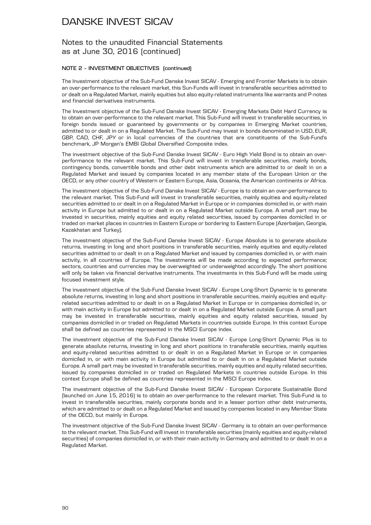### Notes to the unaudited Financial Statements as at June 30, 2016 (continued)

#### **NOTE 2 – INVESTMENT OBJECTIVES (continued)**

The Investment objective of the Sub-Fund Danske Invest SICAV - Emerging and Frontier Markets is to obtain an over-performance to the relevant market, this Sun-Funds will invest in transferable securities admitted to or dealt on a Regulated Market, mainly equities but also equity-related instruments like warrants and P-notes and financial derivatives instruments.

The Investment objective of the Sub-Fund Danske Invest SICAV - Emerging Markets Debt Hard Currency is to obtain an over-performance to the relevant market. This Sub-Fund will invest in transferable securities, in foreign bonds issued or guaranteed by governments or by companies in Emerging Market countries, admitted to or dealt in on a Regulated Market. The Sub-Fund may invest in bonds denominated in USD, EUR, GBP, CAD, CHF, JPY or in local currencies of the countries that are constituents of the Sub-Fund's benchmark, JP Morgan's EMBI Global Diversified Composite index.

The investment objective of the Sub-Fund Danske Invest SICAV - Euro High Yield Bond is to obtain an overperformance to the relevant market. This Sub-Fund will invest in transferable securities, mainly bonds, contingency bonds, convertible bonds and other debt instruments which are admitted to or dealt in on a Regulated Market and issued by companies located in any member state of the European Union or the OECD, or any other country of Western or Eastern Europe, Asia, Oceania, the American continents or Africa.

The investment objective of the Sub-Fund Danske Invest SICAV - Europe is to obtain an over-performance to the relevant market. This Sub-Fund will invest in transferable securities, mainly equities and equity-related securities admitted to or dealt in on a Regulated Market in Europe or in companies domiciled in, or with main activity in Europe but admitted to or dealt in on a Regulated Market outside Europe. A small part may be invested in securities, mainly equities and equity related securities, issued by companies domiciled in or traded on market places in countries in Eastern Europe or bordering to Eastern Europe (Azerbaijan, Georgia, Kazakhstan and Turkey).

The investment objective of the Sub-Fund Danske Invest SICAV - Europe Absolute is to generate absolute returns, investing in long and short positions in transferable securities, mainly equities and equity-related securities admitted to or dealt in on a Regulated Market and issued by companies domiciled in, or with main activity, in all countries of Europe. The investments will be made according to expected performance; sectors, countries and currencies may be overweighted or underweighted accordingly. The short positions will only be taken via financial derivative instruments. The investments in this Sub-Fund will be made using focused investment style.

The investment objective of the Sub-Fund Danske Invest SICAV - Europe Long-Short Dynamic is to generate absolute returns, investing in long and short positions in transferable securities, mainly equities and equityrelated securities admitted to or dealt in on a Regulated Market in Europe or in companies domiciled in, or with main activity in Europe but admitted to or dealt in on a Regulated Market outside Europe. A small part may be invested in transferable securities, mainly equities and equity related securities, issued by companies domiciled in or traded on Regulated Markets in countries outside Europe. In this context Europe shall be defined as countries represented in the MSCI Europe index.

The investment objective of the Sub-Fund Danske Invest SICAV - Europe Long-Short Dynamic Plus is to generate absolute returns, investing in long and short positions in transferable securities, mainly equities and equity-related securities admitted to or dealt in on a Regulated Market in Europe or in companies domiciled in, or with main activity in Europe but admitted to or dealt in on a Regulated Market outside Europe. A small part may be invested in transferable securities, mainly equities and equity related securities, issued by companies domiciled in or traded on Regulated Markets in countries outside Europe. In this context Europe shall be defined as countries represented in the MSCI Europe index.

The investment objective of the Sub-Fund Danske Invest SICAV - European Corporate Sustainable Bond (launched on June 15, 2016) is to obtain an over-performance to the relevant market. This Sub-Fund is to invest in transferable securities, mainly corporate bonds and in a lesser portion other debt instruments, which are admitted to or dealt on a Regulated Market and issued by companies located in any Member State of the OECD, but mainly in Europe.

The investment objective of the Sub-Fund Danske Invest SICAV - Germany is to obtain an over-performance to the relevant market. This Sub-Fund will invest in transferable securities (mainly equities and equity-related securities) of companies domiciled in, or with their main activity in Germany and admitted to or dealt in on a Regulated Market.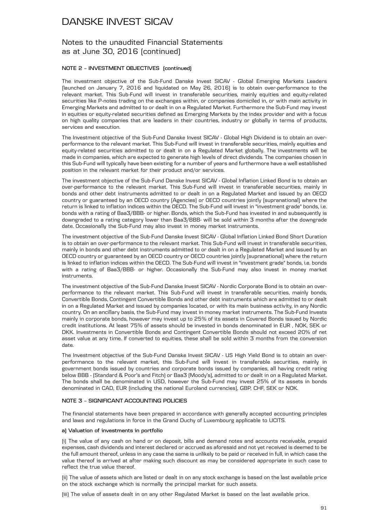### Notes to the unaudited Financial Statements as at June 30, 2016 (continued)

#### **NOTE 2 – INVESTMENT OBJECTIVES (continued)**

The investment objective of the Sub-Fund Danske Invest SICAV - Global Emerging Markets Leaders (launched on January 7, 2016 and liquidated on May 26, 2016) is to obtain over-performance to the relevant market. This Sub-Fund will invest in transferable securities, mainly equities and equity-related securities like P-notes trading on the exchanges within, or companies domiciled in, or with main activity in Emerging Markets and admitted to or dealt in on a Regulated Market. Furthermore the Sub-Fund may invest in equities or equity-related securities defined as Emerging Markets by the index provider and with a focus on high quality companies that are leaders in their countries, industry or globally in terms of products, services and execution.

The Investment objective of the Sub-Fund Danske Invest SICAV - Global High Dividend is to obtain an overperformance to the relevant market. This Sub-Fund will invest in transferable securities, mainly equities and equity-related securities admitted to or dealt in on a Regulated Market globally. The investments will be made in companies, which are expected to generate high levels of direct dividends. The companies chosen in this Sub-Fund will typically have been existing for a number of years and furthermore have a well established position in the relevant market for their product and/or services.

The investment objective of the Sub-Fund Danske Invest SICAV - Global Inflation Linked Bond is to obtain an over-performance to the relevant market. This Sub-Fund will invest in transferable securities, mainly in bonds and other debt instruments admitted to or dealt in on a Regulated Market and issued by an OECD country or guaranteed by an OECD country (Agencies) or OECD countries jointly (supranational) where the return is linked to inflation indices within the OECD. The Sub-Fund will invest in "investment grade" bonds, i.e. bonds with a rating of Baa3/BBB- or higher. Bonds, which the Sub-Fund has invested in and subsequently is downgraded to a rating category lower than Baa3/BBB- will be sold within 3 months after the downgrade date. Occasionally the Sub-Fund may also invest in money market instruments.

The investment objective of the Sub-Fund Danske Invest SICAV - Global Inflation Linked Bond Short Duration is to obtain an over-performance to the relevant market. This Sub-Fund will invest in transferable securities, mainly in bonds and other debt instruments admitted to or dealt in on a Regulated Market and issued by an OECD country or guaranteed by an OECD country or OECD countries jointly (supranational) where the return is linked to inflation indices within the OECD. The Sub-Fund will invest in "investment grade" bonds, i.e. bonds with a rating of Baa3/BBB- or higher. Occasionally the Sub-Fund may also invest in money market instruments.

The investment objective of the Sub-Fund Danske Invest SICAV - Nordic Corporate Bond is to obtain an overperformance to the relevant market. This Sub-Fund will invest in transferable securities, mainly bonds, Convertible Bonds, Contingent Convertible Bonds and other debt instruments which are admitted to or dealt in on a Regulated Market and issued by companies located, or with its main business activity, in any Nordic country. On an ancillary basis, the Sub-Fund may invest in money market instruments. The Sub-Fund Invests mainly in corporate bonds, however may invest up to 25% of its assets in Covered Bonds issued by Nordic credit institutions. At least 75% of assets should be invested in bonds denominated in EUR , NOK, SEK or DKK. Investments in Convertible Bonds and Contingent Convertible Bonds should not exceed 20% of net asset value at any time. If converted to equities, these shall be sold within 3 months from the conversion date.

The Investment objective of the Sub-Fund Danske Invest SICAV - US High Yield Bond is to obtain an overperformance to the relevant market, this Sub-Fund will invest in transferable securities, mainly in government bonds issued by countries and corporate bonds issued by companies, all having credit rating below BBB - (Standard & Poor's and Fitch) or Baa3 (Moody's), admitted to or dealt in on a Regulated Market. The bonds shall be denominated in USD, however the Sub-Fund may invest 25% of its assets in bonds denominated in CAD, EUR (including the national Euroland currencies), GBP, CHF, SEK or NOK.

#### **NOTE 3 – SIGNIFICANT ACCOUNTING POLICIES**

The financial statements have been prepared in accordance with generally accepted accounting principles and laws and regulations in force in the Grand Duchy of Luxembourg applicable to UCITS.

#### **a) Valuation of investments in portfolio**

(i) The value of any cash on hand or on deposit, bills and demand notes and accounts receivable, prepaid expenses, cash dividends and interest declared or accrued as aforesaid and not yet received is deemed to be the full amount thereof, unless in any case the same is unlikely to be paid or received in full, in which case the value thereof is arrived at after making such discount as may be considered appropriate in such case to reflect the true value thereof.

(ii) The value of assets which are listed or dealt in on any stock exchange is based on the last available price on the stock exchange which is normally the principal market for such assets.

(iii) The value of assets dealt in on any other Regulated Market is based on the last available price.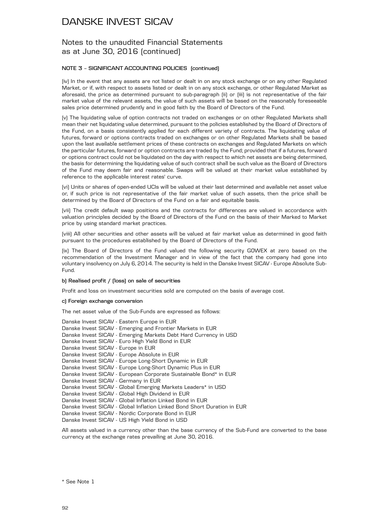### Notes to the unaudited Financial Statements as at June 30, 2016 (continued)

#### **NOTE 3 – SIGNIFICANT ACCOUNTING POLICIES (continued)**

(iv) In the event that any assets are not listed or dealt in on any stock exchange or on any other Regulated Market, or if, with respect to assets listed or dealt in on any stock exchange, or other Regulated Market as aforesaid, the price as determined pursuant to sub-paragraph (ii) or (iii) is not representative of the fair market value of the relevant assets, the value of such assets will be based on the reasonably foreseeable sales price determined prudently and in good faith by the Board of Directors of the Fund.

(v) The liquidating value of option contracts not traded on exchanges or on other Regulated Markets shall mean their net liquidating value determined, pursuant to the policies established by the Board of Directors of the Fund, on a basis consistently applied for each different variety of contracts. The liquidating value of futures, forward or options contracts traded on exchanges or on other Regulated Markets shall be based upon the last available settlement prices of these contracts on exchanges and Regulated Markets on which the particular futures, forward or option contracts are traded by the Fund; provided that if a futures, forward or options contract could not be liquidated on the day with respect to which net assets are being determined, the basis for determining the liquidating value of such contract shall be such value as the Board of Directors of the Fund may deem fair and reasonable. Swaps will be valued at their market value established by reference to the applicable interest rates' curve.

(vi) Units or shares of open-ended UCIs will be valued at their last determined and available net asset value or, if such price is not representative of the fair market value of such assets, then the price shall be determined by the Board of Directors of the Fund on a fair and equitable basis.

(vii) The credit default swap positions and the contracts for differences are valued in accordance with valuation principles decided by the Board of Directors of the Fund on the basis of their Marked to Market price by using standard market practices.

(viii) All other securities and other assets will be valued at fair market value as determined in good faith pursuant to the procedures established by the Board of Directors of the Fund.

(ix) The Board of Directors of the Fund valued the following security GOWEX at zero based on the recommendation of the Investment Manager and in view of the fact that the company had gone into voluntary insolvency on July 6, 2014. The security is held in the Danske Invest SICAV - Europe Absolute Sub-Fund.

#### **b) Realised profit / (loss) on sale of securities**

Profit and loss on investment securities sold are computed on the basis of average cost.

#### **c) Foreign exchange conversion**

The net asset value of the Sub-Funds are expressed as follows:

| Danske Invest SICAV - Eastern Europe in EUR                              |
|--------------------------------------------------------------------------|
| Danske Invest SICAV - Emerging and Frontier Markets in EUR               |
| Danske Invest SICAV - Emerging Markets Debt Hard Currency in USD         |
| Danske Invest SICAV - Euro High Yield Bond in EUR                        |
| Danske Invest SICAV - Europe in EUR                                      |
| Danske Invest SICAV - Europe Absolute in EUR                             |
| Danske Invest SICAV - Europe Long-Short Dynamic in EUR                   |
| Danske Invest SICAV - Europe Long-Short Dynamic Plus in EUR              |
| Danske Invest SICAV - European Corporate Sustainable Bond* in EUR        |
| Danske Invest SICAV - Germany in EUR                                     |
| Danske Invest SICAV - Global Emerging Markets Leaders* in USD            |
| Danske Invest SICAV - Global High Dividend in EUR                        |
| Danske Invest SICAV - Global Inflation Linked Bond in EUR                |
| Danske Invest SICAV - Global Inflation Linked Bond Short Duration in EUR |
| Danske Invest SICAV - Nordic Corporate Bond in EUR                       |
| Danske Invest SICAV - US High Yield Bond in USD                          |

All assets valued in a currency other than the base currency of the Sub-Fund are converted to the base currency at the exchange rates prevailing at June 30, 2016.

\* See Note 1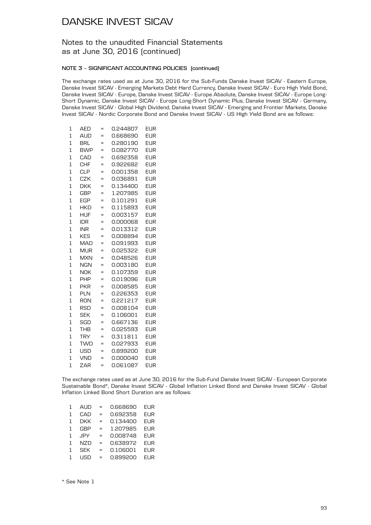### Notes to the unaudited Financial Statements as at June 30, 2016 (continued)

#### **NOTE 3 – SIGNIFICANT ACCOUNTING POLICIES (continued)**

The exchange rates used as at June 30, 2016 for the Sub-Funds Danske Invest SICAV - Eastern Europe, Danske Invest SICAV - Emerging Markets Debt Hard Currency, Danske Invest SICAV - Euro High Yield Bond, Danske Invest SICAV - Europe, Danske Invest SICAV - Europe Absolute, Danske Invest SICAV - Europe Long-Short Dynamic, Danske Invest SICAV - Europe Long-Short Dynamic Plus, Danske Invest SICAV - Germany, Danske Invest SICAV - Global High Dividend, Danske Invest SICAV - Emerging and Frontier Markets, Danske Invest SICAV - Nordic Corporate Bond and Danske Invest SICAV - US High Yield Bond are as follows:

| 1              | <b>AED</b> | =   | 0.244807 | EUR        |
|----------------|------------|-----|----------|------------|
| 1              | <b>AUD</b> | $=$ | 0.668690 | <b>EUR</b> |
| 1              | <b>BRL</b> | =   | 0.280190 | EUR        |
| $\overline{1}$ | <b>BWP</b> | $=$ | 0.082770 | <b>EUR</b> |
| 1              | CAD        | $=$ | 0.692358 | <b>EUR</b> |
| 1              | <b>CHF</b> | Ξ   | 0.922682 | EUR        |
| $\overline{1}$ | <b>CLP</b> | $=$ | 0.001358 | EUR        |
| $\overline{1}$ | <b>CZK</b> | $=$ | 0.036891 | EUR        |
| $\overline{1}$ | <b>DKK</b> | $=$ | 0.134400 | <b>EUR</b> |
| $\overline{1}$ | <b>GBP</b> | Ξ   | 1.207985 | <b>EUR</b> |
| 1              | EGP        | $=$ | 0.101291 | EUR        |
| $\overline{1}$ | <b>HKD</b> | $=$ | 0.115893 | EUR        |
| $\overline{1}$ | <b>HUF</b> | Ξ   | 0.003157 | <b>EUR</b> |
| 1              | IDR        | $=$ | 0.000068 | <b>EUR</b> |
| $\overline{1}$ | <b>INR</b> | $=$ | 0.013312 | <b>EUR</b> |
| 1              | <b>KES</b> | $=$ | 0.008894 | EUR        |
| 1              | MAD        | $=$ | 0.091993 | EUR        |
| $\overline{1}$ | <b>MUR</b> | =   | 0.025322 | EUR        |
| $\overline{1}$ | MXN        | $=$ | 0.048526 | EUR        |
| 1              | <b>NGN</b> | $=$ | 0.003180 | EUR        |
| $\overline{1}$ | <b>NOK</b> | $=$ | 0.107359 | <b>EUR</b> |
| 1              | <b>PHP</b> | $=$ | 0.019096 | EUR        |
| 1              | <b>PKR</b> | $=$ | 0.008585 | EUR        |
| $\overline{1}$ | <b>PLN</b> | $=$ | 0.226353 | EUR        |
| $\overline{1}$ | <b>RON</b> | $=$ | 0.221217 | <b>EUR</b> |
| 1              | <b>RSD</b> | $=$ | 0.008104 | <b>EUR</b> |
| $\overline{1}$ | <b>SEK</b> | Ξ   | 0.106001 | EUR        |
| 1              | SGD        | =   | 0.667136 | EUR        |
| 1              | <b>THB</b> | $=$ | 0.025593 | EUR        |
| $\overline{1}$ | <b>TRY</b> | $=$ | 0.311811 | EUR        |
| $\overline{1}$ | <b>TWD</b> | $=$ | 0.027933 | <b>EUR</b> |
| 1              | USD        | $=$ | 0.899200 | EUR        |
| $\overline{1}$ | <b>VND</b> | $=$ | 0.000040 | EUR        |
| $\overline{1}$ | ZAR        | $=$ | 0.061087 | EUR        |

The exchange rates used as at June 30, 2016 for the Sub-Fund Danske Invest SICAV - European Corporate Sustainable Bond\*, Danske Invest SICAV - Global Inflation Linked Bond and Danske Invest SICAV - Global Inflation Linked Bond Short Duration are as follows:

| 1 | AUD        | $=$ | 0.668690 | EUR             |
|---|------------|-----|----------|-----------------|
| 1 | CAD        | =   | 0.692358 | <b>EUR</b>      |
| 1 | DKK        | $=$ | 0.134400 | EUR             |
| 1 | <b>GBP</b> | =   | 1.207985 | <b>EUR</b>      |
| 1 | .JPY       | $=$ | 0.008748 | EUR             |
| 1 | NZD        | $=$ | 0.638972 | <b>EUR</b>      |
| 1 | <b>SEK</b> | $=$ | 0.106001 | <b>EUR</b>      |
|   | l ISD      | =   | 0.899200 | FUR <sup></sup> |
|   |            |     |          |                 |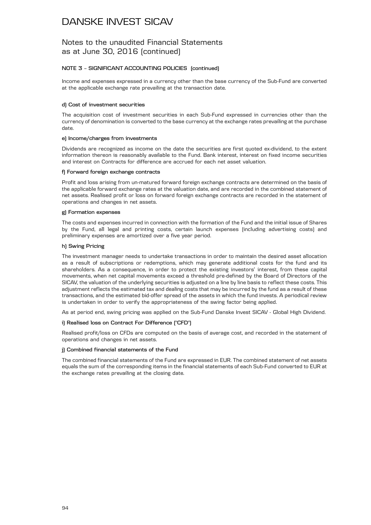### Notes to the unaudited Financial Statements as at June 30, 2016 (continued)

#### **NOTE 3 – SIGNIFICANT ACCOUNTING POLICIES (continued)**

Income and expenses expressed in a currency other than the base currency of the Sub-Fund are converted at the applicable exchange rate prevailing at the transaction date.

#### **d) Cost of investment securities**

The acquisition cost of investment securities in each Sub-Fund expressed in currencies other than the currency of denomination is converted to the base currency at the exchange rates prevailing at the purchase date.

#### **e) Income/charges from investments**

Dividends are recognized as income on the date the securities are first quoted ex-dividend, to the extent information thereon is reasonably available to the Fund. Bank interest, interest on fixed income securities and interest on Contracts for difference are accrued for each net asset valuation.

#### **f) Forward foreign exchange contracts**

Profit and loss arising from un-matured forward foreign exchange contracts are determined on the basis of the applicable forward exchange rates at the valuation date, and are recorded in the combined statement of net assets. Realised profit or loss on forward foreign exchange contracts are recorded in the statement of operations and changes in net assets.

#### **g) Formation expenses**

The costs and expenses incurred in connection with the formation of the Fund and the initial issue of Shares by the Fund, all legal and printing costs, certain launch expenses (including advertising costs) and preliminary expenses are amortized over a five year period.

#### **h) Swing Pricing**

The investment manager needs to undertake transactions in order to maintain the desired asset allocation as a result of subscriptions or redemptions, which may generate additional costs for the fund and its shareholders. As a consequence, in order to protect the existing investors' interest, from these capital movements, when net capital movements exceed a threshold pre-defined by the Board of Directors of the SICAV, the valuation of the underlying securities is adjusted on a line by line basis to reflect these costs. This adjustment reflects the estimated tax and dealing costs that may be incurred by the fund as a result of these transactions, and the estimated bid-offer spread of the assets in which the fund invests. A periodical review is undertaken in order to verify the appropriateness of the swing factor being applied.

As at period end, swing pricing was applied on the Sub-Fund Danske Invest SICAV - Global High Dividend.

#### **i) Realised loss on Contract For Difference ("CFD")**

Realised profit/loss on CFDs are computed on the basis of average cost, and recorded in the statement of operations and changes in net assets.

#### **j) Combined financial statements of the Fund**

The combined financial statements of the Fund are expressed in EUR. The combined statement of net assets equals the sum of the corresponding items in the financial statements of each Sub-Fund converted to EUR at the exchange rates prevailing at the closing date.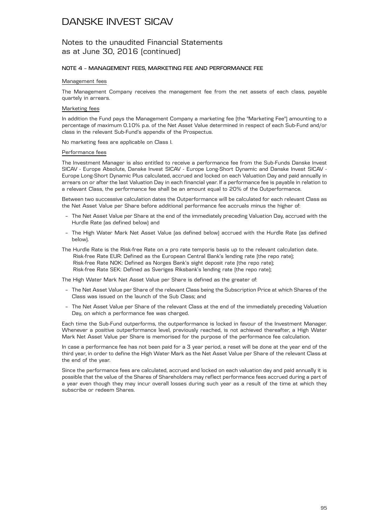### Notes to the unaudited Financial Statements as at June 30, 2016 (continued)

#### **NOTE 4 – MANAGEMENT FEES, MARKETING FEE AND PERFORMANCE FEE**

#### Management fees

The Management Company receives the management fee from the net assets of each class, payable quartely in arrears.

#### Marketing fees

In addition the Fund pays the Management Company a marketing fee (the "Marketing Fee") amounting to a percentage of maximum 0.10% p.a. of the Net Asset Value determined in respect of each Sub-Fund and/or class in the relevant Sub-Fund's appendix of the Prospectus.

No marketing fees are applicable on Class I.

#### Performance fees

The Investment Manager is also entitled to receive a performance fee from the Sub-Funds Danske Invest SICAV - Europe Absolute, Danske Invest SICAV - Europe Long-Short Dynamic and Danske Invest SICAV - Europe Long-Short Dynamic Plus calculated, accrued and locked on each Valuation Day and paid annually in arrears on or after the last Valuation Day in each financial year. If a performance fee is payable in relation to a relevant Class, the performance fee shall be an amount equal to 20% of the Outperformance.

Between two successive calculation dates the Outperformance will be calculated for each relevant Class as the Net Asset Value per Share before additional performance fee accruals minus the higher of:

- The Net Asset Value per Share at the end of the immediately preceding Valuation Day, accrued with the Hurdle Rate (as defined below) and
- The High Water Mark Net Asset Value (as defined below) accrued with the Hurdle Rate (as defined below).
- The Hurdle Rate is the Risk-free Rate on a pro rate temporis basis up to the relevant calculation date. Risk-free Rate EUR: Defined as the European Central Bank's lending rate (the repo rate); Risk-free Rate NOK: Defined as Norges Bank's sight deposit rate (the repo rate); Risk-free Rate SEK: Defined as Sveriges Riksbank's lending rate (the repo rate);

The High Water Mark Net Asset Value per Share is defined as the greater of:

- The Net Asset Value per Share of the relevant Class being the Subscription Price at which Shares of the Class was issued on the launch of the Sub Class; and
- The Net Asset Value per Share of the relevant Class at the end of the immediately preceding Valuation Day, on which a performance fee was charged.

Each time the Sub-Fund outperforms, the outperformance is locked in favour of the Investment Manager. Whenever a positive outperformance level, previously reached, is not achieved thereafter, a High Water Mark Net Asset Value per Share is memorised for the purpose of the performance fee calculation.

In case a performance fee has not been paid for a 3 year period, a reset will be done at the year end of the third year, in order to define the High Water Mark as the Net Asset Value per Share of the relevant Class at the end of the year.

Since the performance fees are calculated, accrued and locked on each valuation day and paid annually it is possible that the value of the Shares of Shareholders may reflect performance fees accrued during a part of a year even though they may incur overall losses during such year as a result of the time at which they subscribe or redeem Shares.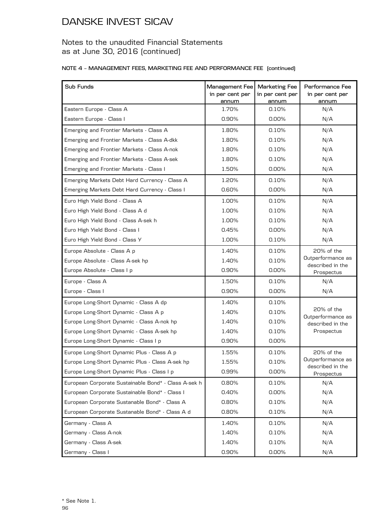### Notes to the unaudited Financial Statements as at June 30, 2016 (continued)

#### **NOTE 4 – MANAGEMENT FEES, MARKETING FEE AND PERFORMANCE FEE (continued)**

| Sub Funds                                            | Management Fee<br>in per cent per<br>annum | <b>Marketing Fee</b><br>in per cent per<br>annum | Performance Fee<br>in per cent per<br>annum |
|------------------------------------------------------|--------------------------------------------|--------------------------------------------------|---------------------------------------------|
| Eastern Europe - Class A                             | 1.70%                                      | 0.10%                                            | N/A                                         |
| Eastern Europe - Class I                             | 0.90%                                      | 0.00%                                            | N/A                                         |
| Emerging and Frontier Markets - Class A              | 1.80%                                      | 0.10%                                            | N/A                                         |
| Emerging and Frontier Markets - Class A-dkk          | 1.80%                                      | 0.10%                                            | N/A                                         |
| Emerging and Frontier Markets - Class A-nok          | 1.80%                                      | 0.10%                                            | N/A                                         |
| Emerging and Frontier Markets - Class A-sek          | 1.80%                                      | 0.10%                                            | N/A                                         |
| Emerging and Frontier Markets - Class I              | 1.50%                                      | 0.00%                                            | N/A                                         |
| Emerging Markets Debt Hard Currency - Class A        | 1.20%                                      | 0.10%                                            | N/A                                         |
| Emerging Markets Debt Hard Currency - Class I        | 0.60%                                      | 0.00%                                            | N/A                                         |
| Euro High Yield Bond - Class A                       | 1.00%                                      | 0.10%                                            | N/A                                         |
| Euro High Yield Bond - Class A d                     | 1.00%                                      | 0.10%                                            | N/A                                         |
| Euro High Yield Bond - Class A-sek h                 | 1.00%                                      | 0.10%                                            | N/A                                         |
| Euro High Yield Bond - Class I                       | 0.45%                                      | $0.00\%$                                         | N/A                                         |
| Euro High Yield Bond - Class Y                       | 1.00%                                      | 0.10%                                            | N/A                                         |
| Europe Absolute - Class A p                          | 1.40%                                      | 0.10%                                            | 20% of the                                  |
| Europe Absolute - Class A-sek hp                     | 1.40%                                      | 0.10%                                            | Outperformance as                           |
| Europe Absolute - Class I p                          | 0.90%                                      | 0.00%                                            | described in the<br>Prospectus              |
| Europe - Class A                                     | 1.50%                                      | 0.10%                                            | N/A                                         |
| Europe - Class I                                     | 0.90%                                      | 0.00%                                            | N/A                                         |
| Europe Long-Short Dynamic - Class A dp               | 1.40%                                      | 0.10%                                            |                                             |
| Europe Long-Short Dynamic - Class A p                | 1.40%                                      | 0.10%                                            | 20% of the                                  |
| Europe Long-Short Dynamic - Class A-nok hp           | 1.40%                                      | 0.10%                                            | Outperformance as<br>described in the       |
| Europe Long-Short Dynamic - Class A-sek hp           | 1.40%                                      | 0.10%                                            | Prospectus                                  |
| Europe Long-Short Dynamic - Class I p                | 0.90%                                      | 0.00%                                            |                                             |
| Europe Long-Short Dynamic Plus - Class A p           | 1.55%                                      | 0.10%                                            | 20% of the                                  |
| Europe Long-Short Dynamic Plus - Class A-sek hp      | 1.55%                                      | 0.10%                                            | Outperformance as<br>described in the       |
| Europe Long-Short Dynamic Plus - Class I p           | 0.99%                                      | 0.00%                                            | Prospectus                                  |
| European Corporate Sustainable Bond* - Class A-sek h | 0.80%                                      | 0.10%                                            | N/A                                         |
| European Corporate Sustainable Bond* - Class I       | 0.40%                                      | $0.00\%$                                         | N/A                                         |
| European Corporate Sustanable Bond* - Class A        | 0.80%                                      | 0.10%                                            | N/A                                         |
| European Corporate Sustanable Bond* - Class A d      | 0.80%                                      | 0.10%                                            | N/A                                         |
| Germany - Class A                                    | 1.40%                                      | 0.10%                                            | N/A                                         |
| Germany - Class A-nok                                | 1.40%                                      | 0.10%                                            | N/A                                         |
| Germany - Class A-sek                                | 1.40%                                      | 0.10%                                            | N/A                                         |
| Germany - Class I                                    | 0.90%                                      | 0.00%                                            | N/A                                         |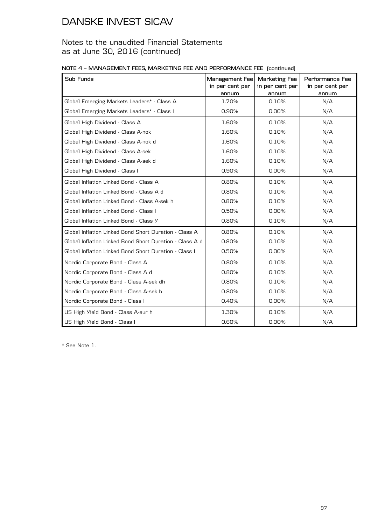### Notes to the unaudited Financial Statements as at June 30, 2016 (continued)

|  | NOTE 4 - MANAGEMENT FEES, MARKETING FEE AND PERFORMANCE FEE (continued) |  |  |
|--|-------------------------------------------------------------------------|--|--|
|  |                                                                         |  |  |

| Sub Funds                                               | Management Fee<br>in per cent per<br>annum | <b>Marketing Fee</b><br>in per cent per<br>annum | Performance Fee<br>in per cent per<br>annum |
|---------------------------------------------------------|--------------------------------------------|--------------------------------------------------|---------------------------------------------|
| Global Emerging Markets Leaders* - Class A              | 1.70%                                      | 0.10%                                            | N/A                                         |
| Global Emerging Markets Leaders* - Class I              | 0.90%                                      | $0.00\%$                                         | N/A                                         |
| Global High Dividend - Class A                          | 1.60%                                      | 0.10%                                            | N/A                                         |
| Global High Dividend - Class A-nok                      | 1.60%                                      | 0.10%                                            | N/A                                         |
| Global High Dividend - Class A-nok d                    | 1.60%                                      | 0.10%                                            | N/A                                         |
| Global High Dividend - Class A-sek                      | 1.60%                                      | 0.10%                                            | N/A                                         |
| Global High Dividend - Class A-sek d                    | 1.60%                                      | 0.10%                                            | N/A                                         |
| Global High Dividend - Class I                          | 0.90%                                      | $0.00\%$                                         | N/A                                         |
| Global Inflation Linked Bond - Class A                  | 0.80%                                      | 0.10%                                            | N/A                                         |
| Global Inflation Linked Bond - Class A d                | 0.80%                                      | 0.10%                                            | N/A                                         |
| Global Inflation Linked Bond - Class A-sek h            | 0.80%                                      | 0.10%                                            | N/A                                         |
| Global Inflation Linked Bond - Class I                  | 0.50%                                      | $0.00\%$                                         | N/A                                         |
| Global Inflation Linked Bond - Class Y                  | 0.80%                                      | 0.10%                                            | N/A                                         |
| Global Inflation Linked Bond Short Duration - Class A   | $0.80\%$                                   | 0.10%                                            | N/A                                         |
| Global Inflation Linked Bond Short Duration - Class A d | 0.80%                                      | 0.10%                                            | N/A                                         |
| Global Inflation Linked Bond Short Duration - Class I   | 0.50%                                      | $0.00\%$                                         | N/A                                         |
| Nordic Corporate Bond - Class A                         | 0.80%                                      | 0.10%                                            | N/A                                         |
| Nordic Corporate Bond - Class A d                       | 0.80%                                      | 0.10%                                            | N/A                                         |
| Nordic Corporate Bond - Class A-sek dh                  | 0.80%                                      | 0.10%                                            | N/A                                         |
| Nordic Corporate Bond - Class A-sek h                   | 0.80%                                      | 0.10%                                            | N/A                                         |
| Nordic Corporate Bond - Class I                         | 0.40%                                      | 0.00%                                            | N/A                                         |
| US High Yield Bond - Class A-eur h                      | 1.30%                                      | 0.10%                                            | N/A                                         |
| US High Yield Bond - Class I                            | 0.60%                                      | $0.00\%$                                         | N/A                                         |

\* See Note 1.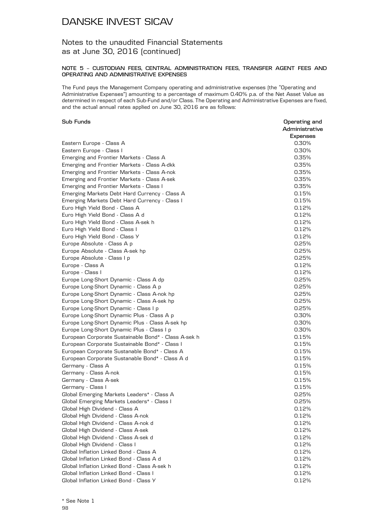### Notes to the unaudited Financial Statements as at June 30, 2016 (continued)

#### **NOTE 5 – CUSTODIAN FEES, CENTRAL ADMINISTRATION FEES, TRANSFER AGENT FEES AND OPERATING AND ADMINISTRATIVE EXPENSES**

The Fund pays the Management Company operating and administrative expenses (the "Operating and Administrative Expenses") amounting to a percentage of maximum 0.40% p.a. of the Net Asset Value as determined in respect of each Sub-Fund and/or Class. The Operating and Administrative Expenses are fixed, and the actual annual rates applied on June 30, 2016 are as follows:

#### **Sub Funds Operating and**

|                                                      | Administrative |
|------------------------------------------------------|----------------|
|                                                      | Expenses       |
| Eastern Europe - Class A                             | 0.30%          |
| Eastern Europe - Class I                             | 0.30%          |
| Emerging and Frontier Markets - Class A              | 0.35%          |
| Emerging and Frontier Markets - Class A-dkk          | 0.35%          |
| Emerging and Frontier Markets - Class A-nok          | 0.35%          |
| Emerging and Frontier Markets - Class A-sek          | 0.35%          |
| Emerging and Frontier Markets - Class I              | 0.35%          |
| Emerging Markets Debt Hard Currency - Class A        | 0.15%          |
| Emerging Markets Debt Hard Currency - Class I        | 0.15%          |
| Euro High Yield Bond - Class A                       | 0.12%          |
| Euro High Yield Bond - Class A d                     | 0.12%          |
| Euro High Yield Bond - Class A-sek h                 | 0.12%          |
| Euro High Yield Bond - Class I                       | 0.12%          |
| Euro High Yield Bond - Class Y                       | 0.12%          |
| Europe Absolute - Class A p                          | 0.25%          |
| Europe Absolute - Class A-sek hp                     | 0.25%          |
| Europe Absolute - Class I p                          | 0.25%          |
| Europe - Class A                                     | 0.12%          |
| Europe - Class I                                     | 0.12%          |
| Europe Long-Short Dynamic - Class A dp               | 0.25%          |
| Europe Long-Short Dynamic - Class A p                | 0.25%          |
| Europe Long-Short Dynamic - Class A-nok hp           | 0.25%          |
| Europe Long-Short Dynamic - Class A-sek hp           | 0.25%          |
| Europe Long-Short Dynamic - Class I p                | 0.25%          |
| Europe Long-Short Dynamic Plus - Class A p           | 0.30%          |
| Europe Long-Short Dynamic Plus - Class A-sek hp      | 0.30%          |
| Europe Long-Short Dynamic Plus - Class I p           | 0.30%          |
| European Corporate Sustainable Bond* - Class A-sek h | 0.15%          |
| European Corporate Sustainable Bond* - Class I       | 0.15%          |
| European Corporate Sustanable Bond* - Class A        | 0.15%          |
| European Corporate Sustanable Bond* - Class A d      | 0.15%          |
| Germany - Class A                                    | 0.15%          |
| Germany - Class A-nok                                | 0.15%          |
| Germany - Class A-sek                                | 0.15%          |
| Germany - Class I                                    | 0.15%          |
|                                                      | 0.25%          |
| Global Emerging Markets Leaders* - Class A           | 0.25%          |
| Global Emerging Markets Leaders* - Class I           |                |
| Global High Dividend - Class A                       | 0.12%          |
| Global High Dividend - Class A-nok                   | 0.12%          |
| Global High Dividend - Class A-nok d                 | 0.12%          |
| Global High Dividend - Class A-sek                   | 0.12%          |
| Global High Dividend - Class A-sek d                 | 0.12%          |
| Global High Dividend - Class I                       | 0.12%          |
| Global Inflation Linked Bond - Class A               | 0.12%          |
| Global Inflation Linked Bond - Class A d             | 0.12%          |
| Global Inflation Linked Bond - Class A-sek h         | 0.12%          |
| Global Inflation Linked Bond - Class I               | 0.12%          |
| Global Inflation Linked Bond - Class Y               | 0.12%          |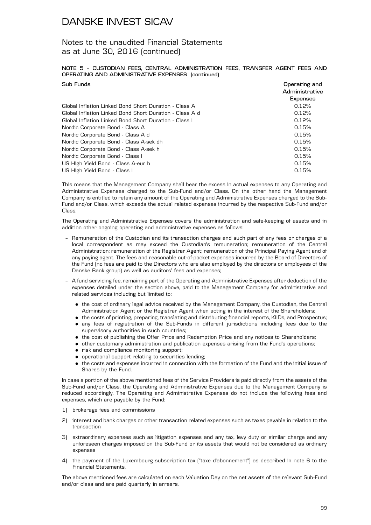### Notes to the unaudited Financial Statements as at June 30, 2016 (continued)

#### **NOTE 5 – CUSTODIAN FEES, CENTRAL ADMINISTRATION FEES, TRANSFER AGENT FEES AND OPERATING AND ADMINISTRATIVE EXPENSES (continued)**

| Sub Funds                                               | Operating and<br>Administrative |
|---------------------------------------------------------|---------------------------------|
|                                                         | <b>Expenses</b>                 |
| Global Inflation Linked Bond Short Duration - Class A   | 0.12%                           |
| Global Inflation Linked Bond Short Duration - Class A d | 0.12%                           |
| Global Inflation Linked Bond Short Duration - Class I   | 0.12%                           |
| Nordic Corporate Bond - Class A                         | 0.15%                           |
| Nordic Corporate Bond - Class A d                       | 0.15%                           |
| Nordic Corporate Bond - Class A-sek dh                  | 0.15%                           |
| Nordic Corporate Bond - Class A-sek h                   | 0.15%                           |
| Nordic Corporate Bond - Class I                         | 0.15%                           |
| US High Yield Bond - Class A-eur h                      | 0.15%                           |
| US High Yield Bond - Class I                            | 0.15%                           |

This means that the Management Company shall bear the excess in actual expenses to any Operating and Administrative Expenses charged to the Sub-Fund and/or Class. On the other hand the Management Company is entitled to retain any amount of the Operating and Administrative Expenses charged to the Sub-Fund and/or Class, which exceeds the actual related expenses incurred by the respective Sub-Fund and/or Class.

The Operating and Administrative Expenses covers the administration and safe-keeping of assets and in addition other ongoing operating and administrative expenses as follows:

- Remuneration of the Custodian and its transaction charges and such part of any fees or charges of a local correspondent as may exceed the Custodian's remuneration; remuneration of the Central Administration; remuneration of the Registrar Agent; remuneration of the Principal Paying Agent and of any paying agent. The fees and reasonable out-of-pocket expenses incurred by the Board of Directors of the Fund (no fees are paid to the Directors who are also employed by the directors or employees of the Danske Bank group) as well as auditors' fees and expenses;
- A fund servicing fee, remaining part of the Operating and Administrative Expenses after deduction of the expenses detailed under the section above, paid to the Management Company for administrative and related services including but limited to:
	- . the cost of ordinary legal advice received by the Management Company, the Custodian, the Central Administration Agent or the Registrar Agent when acting in the interest of the Shareholders;
	- . the costs of printing, preparing, translating and distributing financial reports, KIIDs, and Prospectus;
	- . any fees of registration of the Sub-Funds in different jurisdictions including fees due to the supervisory authorities in such countries;
	- . the cost of publishing the Offer Price and Redemption Price and any notices to Shareholders;
	- . other customary administration and publication expenses arising from the Fund's operations;
	- . risk and compliance monitoring support;
	- . operational support relating to securities lending;
	- . the costs and expenses incurred in connection with the formation of the Fund and the initial issue of Shares by the Fund.

In case a portion of the above mentioned fees of the Service Providers is paid directly from the assets of the Sub-Fund and/or Class, the Operating and Administrative Expenses due to the Management Company is reduced accordingly. The Operating and Administrative Expenses do not include the following fees and expenses, which are payable by the Fund:

- 1) brokerage fees and commissions
- 2) interest and bank charges or other transaction related expenses such as taxes payable in relation to the transaction
- 3) extraordinary expenses such as litigation expenses and any tax, levy duty or similar charge and any unforeseen charges imposed on the Sub-Fund or its assets that would not be considered as ordinary expenses
- 4) the payment of the Luxembourg subscription tax ("taxe d'abonnement") as described in note 6 to the Financial Statements.

The above mentioned fees are calculated on each Valuation Day on the net assets of the relevant Sub-Fund and/or class and are paid quarterly in arrears.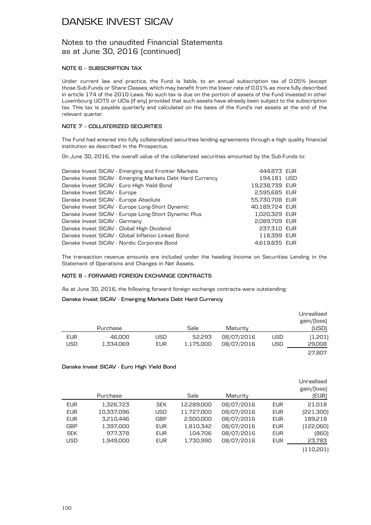### Notes to the unaudited Financial Statements as at June 30, 2016 (continued)

#### **NOTE 6 – SUBSCRIPTION TAX**

Under current law and practice, the Fund is liable, to an annual subscription tax of 0.05% (except those Sub-Funds or Share Classes, which may benefit from the lower rate of 0.01% as more fully described in article 174 of the 2010 Laws. No such tax is due on the portion of assets of the Fund invested in other Luxembourg UCITS or UCIs (if any) provided that such assets have already been subject to the subscription tax. This tax is payable quarterly and calculated on the basis of the Fund's net assets at the end of the relevant quarter.

#### **NOTE 7 – COLLATERIZED SECURITIES**

The Fund had entered into fully collateralized securities lending agreements through a high quality financial institution as described in the Prospectus.

On June 30, 2016, the overall value of the collaterized securities amounted by the Sub-Funds to:

| Danske Invest SICAV - Emerging and Frontier Markets       | 444,873 EUR    |  |
|-----------------------------------------------------------|----------------|--|
| Danske Invest SICAV - Emerging Markets Debt Hard Currency | 194,181 USD    |  |
| Danske Invest SICAV - Euro High Yield Bond                | 19,238,739 EUR |  |
| Danske Invest SICAV - Europe                              | 2,595,685 EUR  |  |
| Danske Invest SICAV - Europe Absolute                     | 55,730,708 EUR |  |
| Danske Invest SICAV - Europe Long-Short Dynamic           | 40,189,724 EUR |  |
| Danske Invest SICAV - Europe Long-Short Dynamic Plus      | 1,020,329 EUR  |  |
| Danske Invest SICAV - Germany                             | 2,089,709 EUR  |  |
| Danske Invest SICAV - Global High Dividend                | 237,310 EUR    |  |
| Danske Invest SICAV - Global Inflation Linked Bond        | 118,399 EUR    |  |
| Danske Invest SICAV - Nordic Corporate Bond               | 4,619,835 EUR  |  |

The transaction revenue amounts are included under the heading Income on Securities Lending in the Statement of Operations and Changes in Net Assets.

#### **NOTE 8 – FORWARD FOREIGN EXCHANGE CONTRACTS**

As at June 30, 2016, the following forward foreign exchange contracts were outstanding:

#### **Danske Invest SICAV - Emerging Markets Debt Hard Currency**

|            |           |            |           |            |     | Unrealised<br>gain/(loss) |
|------------|-----------|------------|-----------|------------|-----|---------------------------|
|            | Purchase  |            | Sale      | Maturity   |     | (USD)                     |
| <b>EUR</b> | 46.000    | JSD.       | 52,293    | 08/07/2016 | USD | (1,201)                   |
| USD        | 1,334,069 | <b>EUR</b> | 1,175,000 | 08/07/2016 | USD | 29,008                    |
|            |           |            |           |            |     | 27.807                    |

#### **Danske Invest SICAV - Euro High Yield Bond**

|            | Purchase   |            | Sale       | Maturity   |            | Unrealised<br>gain/(loss)<br>(EUR) |
|------------|------------|------------|------------|------------|------------|------------------------------------|
| <b>EUR</b> | 1,326,723  | <b>SEK</b> | 12,289,000 | 08/07/2016 | EUR        | 21,018                             |
| <b>EUR</b> | 10,337,096 | <b>USD</b> | 11,727,000 | 08/07/2016 | <b>EUR</b> | [221,300]                          |
| <b>EUR</b> | 3,210,446  | <b>GBP</b> | 2,500,000  | 08/07/2016 | <b>EUR</b> | 189,218                            |
| <b>GBP</b> | 1,397,000  | <b>EUR</b> | 1,810,342  | 08/07/2016 | <b>EUR</b> | (122,060)                          |
| <b>SEK</b> | 977,378    | EUR.       | 104,706    | 08/07/2016 | <b>EUR</b> | (860)                              |
| <b>USD</b> | 1.949.000  | <b>EUR</b> | 1,730,990  | 08/07/2016 | <b>EUR</b> | 23,783                             |
|            |            |            |            |            |            | 110,201                            |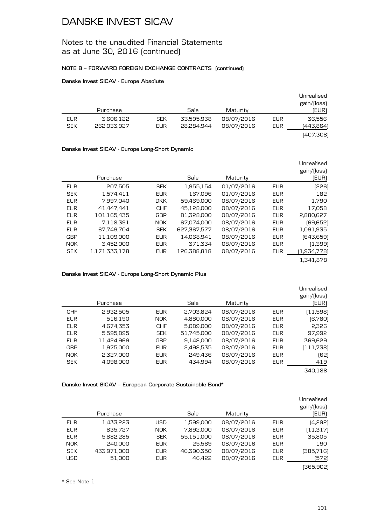### Notes to the unaudited Financial Statements as at June 30, 2016 (continued)

#### **NOTE 8 – FORWARD FOREIGN EXCHANGE CONTRACTS (continued)**

#### **Danske Invest SICAV - Europe Absolute**

|            |             |            |            |            |     | Unrealised<br>gain/(loss) |
|------------|-------------|------------|------------|------------|-----|---------------------------|
|            | Purchase    |            | Sale       | Maturity   |     | [EUR]                     |
| <b>EUR</b> | 3,606,122   | <b>SEK</b> | 33,595,938 | 08/07/2016 | EUR | 36.556                    |
| <b>SEK</b> | 262,033,927 | <b>EUR</b> | 28.284.944 | 08/07/2016 | EUR | (443,864)                 |
|            |             |            |            |            |     | [407,308]                 |

#### **Danske Invest SICAV - Europe Long-Short Dynamic**

| Unrealised  |            | Maturity   | Sale        |            | Purchase      |            |
|-------------|------------|------------|-------------|------------|---------------|------------|
|             | <b>EUR</b> | 01/07/2016 | 1,955,154   | <b>SEK</b> | 207,505       | <b>EUR</b> |
|             | <b>EUR</b> | 01/07/2016 | 167,096     | <b>EUR</b> | 1,574,411     | <b>SEK</b> |
|             | <b>EUR</b> | 08/07/2016 | 59,469,000  | <b>DKK</b> | 7.997.040     | <b>EUR</b> |
|             | <b>EUR</b> | 08/07/2016 | 45,128,000  | <b>CHF</b> | 41.447.441    | <b>EUR</b> |
| 2,880,627   | <b>EUR</b> | 08/07/2016 | 81,328,000  | <b>GBP</b> | 101,165,435   | <b>EUR</b> |
|             | <b>EUR</b> | 08/07/2016 | 67.074.000  | <b>NOK</b> | 7.118.391     | <b>EUR</b> |
|             | <b>EUR</b> | 08/07/2016 | 627,367,577 | <b>SEK</b> | 67.749.704    | <b>EUR</b> |
|             | <b>EUR</b> | 08/07/2016 | 14,068,941  | <b>EUR</b> | 11,109,000    | <b>GBP</b> |
|             | <b>EUR</b> | 08/07/2016 | 371,334     | <b>EUR</b> | 3,452,000     | <b>NOK</b> |
| (1,934,778) | <b>EUR</b> | 08/07/2016 | 126,388,818 | <b>EUR</b> | 1.171.333.178 | <b>SEK</b> |
|             |            |            |             |            |               |            |

**Danske Invest SICAV - Europe Long-Short Dynamic Plus**

|            | Purchase   |            | Sale       | Maturity   |            | Unrealised<br>gain/(loss)<br>(EUR) |
|------------|------------|------------|------------|------------|------------|------------------------------------|
| <b>CHF</b> | 2,932,505  | <b>EUR</b> | 2,703,824  | 08/07/2016 | <b>EUR</b> | (11,598)                           |
| <b>EUR</b> | 516,190    | <b>NOK</b> | 4,880,000  | 08/07/2016 | <b>EUR</b> | (6,780)                            |
| <b>EUR</b> | 4.674.353  | <b>CHF</b> | 5,089,000  | 08/07/2016 | <b>EUR</b> | 2.326                              |
| <b>EUR</b> | 5,595,895  | <b>SEK</b> | 51,745,000 | 08/07/2016 | <b>EUR</b> | 97,992                             |
| <b>EUR</b> | 11,424,969 | <b>GBP</b> | 9,148,000  | 08/07/2016 | <b>EUR</b> | 369,629                            |
| <b>GBP</b> | 1,975,000  | <b>EUR</b> | 2,498,535  | 08/07/2016 | <b>EUR</b> | (111,738)                          |
| <b>NOK</b> | 2,327,000  | EUR        | 249.436    | 08/07/2016 | <b>EUR</b> | (62)                               |
| <b>SEK</b> | 4,098,000  | <b>EUR</b> | 434,994    | 08/07/2016 | <b>EUR</b> | 419                                |
|            |            |            |            |            |            | 340.188                            |

**Danske Invest SICAV – European Corporate Sustainable Bond\***

|            | Purchase    |            | Sale       | Maturity   |            | Unrealised<br>gain/(loss)<br>(EUR) |
|------------|-------------|------------|------------|------------|------------|------------------------------------|
| <b>EUR</b> | 1,433,223   | USD        | 1,599,000  | 08/07/2016 | <b>EUR</b> | (4,292)                            |
| <b>EUR</b> | 835,727     | <b>NOK</b> | 7,892,000  | 08/07/2016 | <b>EUR</b> | (11,317)                           |
| <b>EUR</b> | 5,882,285   | <b>SEK</b> | 55,151,000 | 08/07/2016 | <b>EUR</b> | 35,805                             |
| <b>NOK</b> | 240,000     | <b>EUR</b> | 25,569     | 08/07/2016 | <b>EUR</b> | 190                                |
| <b>SEK</b> | 433,971,000 | <b>EUR</b> | 46,390,350 | 08/07/2016 | <b>EUR</b> | (385,716)                          |
| <b>USD</b> | 51.000      | <b>EUR</b> | 46.422     | 08/07/2016 | <b>EUR</b> | (572)                              |
|            |             |            |            |            |            | (365,902)                          |

\* See Note 1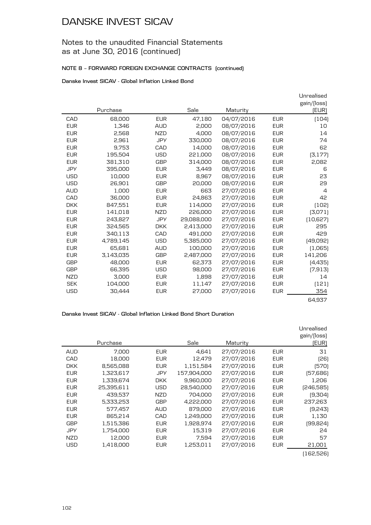### Notes to the unaudited Financial Statements as at June 30, 2016 (continued)

#### **NOTE 8 – FORWARD FOREIGN EXCHANGE CONTRACTS (continued)**

#### **Danske Invest SICAV - Global Inflation Linked Bond**

|            |           |            |            |            |            | Unrealised     |
|------------|-----------|------------|------------|------------|------------|----------------|
|            |           |            |            |            |            | gain/(loss)    |
|            | Purchase  |            | Sale       | Maturity   |            | [EUR]          |
| CAD        | 68,000    | <b>EUR</b> | 47,180     | 04/07/2016 | <b>EUR</b> | (104)          |
| <b>EUR</b> | 1.346     | <b>AUD</b> | 2,000      | 08/07/2016 | <b>EUR</b> | 10             |
| <b>EUR</b> | 2,568     | <b>NZD</b> | 4,000      | 08/07/2016 | <b>EUR</b> | 14             |
| <b>EUR</b> | 2,961     | <b>JPY</b> | 330,000    | 08/07/2016 | <b>EUR</b> | 74             |
| <b>EUR</b> | 9,753     | CAD        | 14,000     | 08/07/2016 | <b>EUR</b> | 62             |
| <b>EUR</b> | 195,504   | <b>USD</b> | 221,000    | 08/07/2016 | <b>EUR</b> | (3, 177)       |
| <b>EUR</b> | 381,310   | <b>GBP</b> | 314,000    | 08/07/2016 | <b>EUR</b> | 2,082          |
| <b>JPY</b> | 395,000   | <b>EUR</b> | 3,449      | 08/07/2016 | <b>EUR</b> | 6              |
| <b>USD</b> | 10,000    | <b>EUR</b> | 8,967      | 08/07/2016 | <b>EUR</b> | 23             |
| <b>USD</b> | 26.901    | <b>GBP</b> | 20,000     | 08/07/2016 | <b>EUR</b> | 29             |
| <b>AUD</b> | 1,000     | <b>EUR</b> | 663        | 27/07/2016 | <b>EUR</b> | $\overline{4}$ |
| CAD        | 36.000    | <b>EUR</b> | 24.863     | 27/07/2016 | <b>EUR</b> | 42             |
| <b>DKK</b> | 847,551   | <b>EUR</b> | 114,000    | 27/07/2016 | <b>EUR</b> | (102)          |
| <b>EUR</b> | 141,018   | <b>NZD</b> | 226,000    | 27/07/2016 | <b>EUR</b> | (3,071)        |
| <b>EUR</b> | 243,827   | <b>JPY</b> | 29,088,000 | 27/07/2016 | <b>EUR</b> | (10, 627)      |
| <b>EUR</b> | 324,565   | <b>DKK</b> | 2,413,000  | 27/07/2016 | <b>EUR</b> | 295            |
| <b>EUR</b> | 340,113   | CAD        | 491,000    | 27/07/2016 | <b>EUR</b> | 429            |
| <b>EUR</b> | 4,789,145 | <b>USD</b> | 5,385,000  | 27/07/2016 | <b>EUR</b> | (49,092)       |
| <b>EUR</b> | 65,681    | <b>AUD</b> | 100,000    | 27/07/2016 | <b>EUR</b> | (1,065)        |
| <b>EUR</b> | 3,143,035 | <b>GBP</b> | 2,487,000  | 27/07/2016 | <b>EUR</b> | 141,206        |
| <b>GBP</b> | 48,000    | <b>EUR</b> | 62,373     | 27/07/2016 | <b>EUR</b> | (4,435)        |
| <b>GBP</b> | 66,395    | <b>USD</b> | 98,000     | 27/07/2016 | <b>EUR</b> | [7, 913]       |
| NZD        | 3,000     | <b>EUR</b> | 1,898      | 27/07/2016 | <b>EUR</b> | 14             |
| <b>SEK</b> | 104,000   | <b>EUR</b> | 11,147     | 27/07/2016 | <b>EUR</b> | (121)          |
| <b>USD</b> | 30,444    | <b>EUR</b> | 27,000     | 27/07/2016 | <b>EUR</b> | 354            |
|            |           |            |            |            |            | 64,937         |

#### **Danske Invest SICAV - Global Inflation Linked Bond Short Duration**

|            | Purchase   |            | Sale        | Maturity   |            | Unrealised<br>gain/(loss)<br>(EUR) |
|------------|------------|------------|-------------|------------|------------|------------------------------------|
| AUD        | 7,000      | <b>EUR</b> | 4,641       | 27/07/2016 | <b>EUR</b> | 31                                 |
| CAD        | 18,000     | <b>EUR</b> | 12,479      | 27/07/2016 | <b>EUR</b> | [26]                               |
| <b>DKK</b> | 8,565,088  | <b>EUR</b> | 1,151,584   | 27/07/2016 | <b>EUR</b> | (570)                              |
| <b>EUR</b> | 1,323,617  | <b>JPY</b> | 157,904,000 | 27/07/2016 | <b>EUR</b> | (57,686)                           |
| <b>EUR</b> | 1,339,674  | <b>DKK</b> | 9,960,000   | 27/07/2016 | <b>EUR</b> | 1,206                              |
| <b>EUR</b> | 25,395,611 | <b>USD</b> | 28,540,000  | 27/07/2016 | <b>EUR</b> | [246,585]                          |
| <b>EUR</b> | 439,537    | NZD        | 704,000     | 27/07/2016 | <b>EUR</b> | (9,304)                            |
| <b>EUR</b> | 5,333,253  | GBP        | 4,222,000   | 27/07/2016 | <b>EUR</b> | 237,263                            |
| <b>EUR</b> | 577,457    | <b>AUD</b> | 879,000     | 27/07/2016 | <b>EUR</b> | (9,243)                            |
| <b>EUR</b> | 865,214    | CAD        | 1,249,000   | 27/07/2016 | <b>EUR</b> | 1,130                              |
| <b>GBP</b> | 1,515,386  | <b>EUR</b> | 1,928,974   | 27/07/2016 | <b>EUR</b> | (99,824)                           |
| JPY        | 1,754,000  | <b>EUR</b> | 15,319      | 27/07/2016 | <b>EUR</b> | 24                                 |
| <b>NZD</b> | 12,000     | <b>EUR</b> | 7,594       | 27/07/2016 | EUR.       | 57                                 |
| <b>USD</b> | 1,418,000  | <b>EUR</b> | 1,253,011   | 27/07/2016 | <b>EUR</b> | 21,001                             |
|            |            |            |             |            |            | (162,526)                          |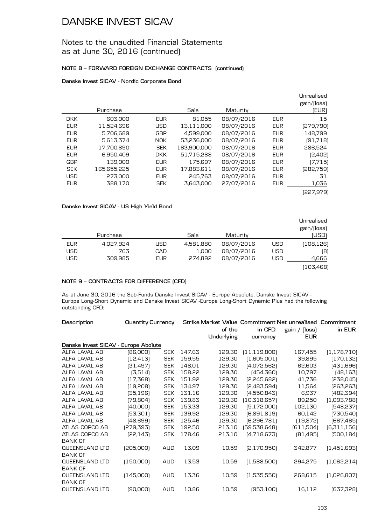### Notes to the unaudited Financial Statements as at June 30, 2016 (continued)

#### **NOTE 8 – FORWARD FOREIGN EXCHANGE CONTRACTS (continued)**

#### **Danske Invest SICAV - Nordic Corporate Bond**

|            | Purchase    |            | Sale        | Maturity   |            | Unrealised<br>gain/(loss)<br>(EUR) |
|------------|-------------|------------|-------------|------------|------------|------------------------------------|
| <b>DKK</b> | 603,000     | <b>EUR</b> | 81,055      | 08/07/2016 | <b>EUR</b> | 15                                 |
| <b>EUR</b> | 11,524,696  | <b>USD</b> | 13,111,000  | 08/07/2016 | <b>EUR</b> | [279,790]                          |
| <b>EUR</b> | 5,706,689   | <b>GBP</b> | 4,599,000   | 08/07/2016 | <b>EUR</b> | 148,799                            |
| <b>EUR</b> | 5.613.374   | <b>NOK</b> | 53,236,000  | 08/07/2016 | <b>EUR</b> | (91,718)                           |
| <b>EUR</b> | 17,700,890  | <b>SEK</b> | 163,900,000 | 08/07/2016 | <b>EUR</b> | 286,524                            |
| <b>EUR</b> | 6,950,409   | <b>DKK</b> | 51,715,288  | 08/07/2016 | <b>EUR</b> | (2,402)                            |
| <b>GBP</b> | 139,000     | <b>EUR</b> | 175.697     | 08/07/2016 | <b>EUR</b> | (7,715)                            |
| <b>SEK</b> | 165,655,225 | <b>EUR</b> | 17,883,611  | 08/07/2016 | <b>EUR</b> | (282,759)                          |
| <b>USD</b> | 273,000     | <b>EUR</b> | 245.763     | 08/07/2016 | <b>EUR</b> | 31                                 |
| <b>EUR</b> | 388.170     | <b>SEK</b> | 3.643.000   | 27/07/2016 | <b>EUR</b> | 1,036                              |
|            |             |            |             |            |            | (227,979)                          |

#### **Danske Invest SICAV - US High Yield Bond**

| Unrealised  |            |            |           |            |           |            |
|-------------|------------|------------|-----------|------------|-----------|------------|
| gain/(loss) |            |            |           |            |           |            |
| (USD)       |            | Maturity   | Sale      |            | Purchase  |            |
| (108,126)   | USD        | 08/07/2016 | 4,581,880 | <b>USD</b> | 4,027,924 | <b>EUR</b> |
| [8]         | <b>USD</b> | 08/07/2016 | 1,000     | CAD        | 763       | <b>USD</b> |
| 4,666       | <b>USD</b> | 08/07/2016 | 274.892   | <b>EUR</b> | 309.985   | <b>USD</b> |
| (103,468)   |            |            |           |            |           |            |

#### **NOTE 9 – CONTRACTS FOR DIFFERENCE (CFD)**

As at June 30, 2016 the Sub-Funds Danske Invest SICAV - Europe Absolute, Danske Invest SICAV - Europe Long-Short Dynamic and Danske Invest SICAV -Europe Long-Short Dynamic Plus had the following outstanding CFD:

| Description                          | <b>Quantity Currency</b> |            |        |            | Strike Market Value Commitment Net unrealised Commitment |               |               |
|--------------------------------------|--------------------------|------------|--------|------------|----------------------------------------------------------|---------------|---------------|
|                                      |                          |            |        | of the     | in CFD                                                   | gain / (loss) | in EUR        |
|                                      |                          |            |        | Underlying | currency                                                 | <b>EUR</b>    |               |
| Danske Invest SICAV - Europe Abolute |                          |            |        |            |                                                          |               |               |
| ALFA LAVAL AB                        | (86,000)                 | <b>SEK</b> | 147.63 | 129.30     | (11, 119, 800)                                           | 167,455       | (1, 178, 710) |
| ALFA LAVAL AB                        | [12, 413]                | <b>SEK</b> | 159.55 | 129.30     | (1,605,001)                                              | 39,895        | [170, 132]    |
| ALFA LAVAL AB                        | [31, 497]                | <b>SEK</b> | 148.01 | 129.30     | [4,072,562]                                              | 62,603        | [431,696]     |
| ALFA LAVAL AB                        | (3,514)                  | <b>SEK</b> | 158.22 | 129.30     | [454, 360]                                               | 10,797        | [48, 163]     |
| ALFA LAVAL AB                        | (17, 368)                | <b>SEK</b> | 151.92 | 129.30     | [2,245,682]                                              | 41.736        | [238,045]     |
| ALFA LAVAL AB                        | [19,208]                 | <b>SEK</b> | 134.97 | 129.30     | [2,483,594]                                              | 11,564        | [263, 263]    |
| ALFA LAVAL AB                        | [35, 196]                | <b>SEK</b> | 131.16 | 129.30     | [4,550,843]                                              | 6,937         | [482, 394]    |
| ALFA LAVAL AB                        | [79, 804]                | <b>SEK</b> | 139.83 | 129.30     | (10,318,657)                                             | 89,250        | [1,093,788]   |
| ALFA LAVAL AB                        | [40,000]                 | <b>SEK</b> | 153.33 | 129.30     | [5,172,000]                                              | 102,130       | [548, 237]    |
| ALFA LAVAL AB                        | [53, 301]                | <b>SEK</b> | 139.92 | 129.30     | [6,891,819]                                              | 60,142        | [730,540]     |
| ALFA LAVAL AB                        | [48,699]                 | <b>SEK</b> | 125.46 | 129.30     | [6,296,781]                                              | (19, 872)     | [667, 465]    |
| ATLAS COPCO AB                       | [279, 393]               | <b>SEK</b> | 192.50 | 213.10     | [59,538,648]                                             | [611,504]     | [6,311,156]   |
| ATLAS COPCO AB                       | [22, 143]                | <b>SEK</b> | 178.46 | 213.10     | [4,718,673]                                              | [81,495]      | [500, 184]    |
| <b>BANK OF</b>                       |                          |            |        |            |                                                          |               |               |
| QUEENSLAND LTD                       | [205,000]                | <b>AUD</b> | 13.09  | 10.59      | [2,170,950]                                              | 342,877       | (1,451,693)   |
| <b>BANK OF</b>                       |                          |            |        |            |                                                          |               |               |
| QUEENSLAND LTD                       | (150,000)                | <b>AUD</b> | 13.53  | 10.59      | (1,588,500)                                              | 294,275       | (1,062,214)   |
| <b>BANK OF</b>                       |                          |            |        |            |                                                          |               |               |
| <b>QUEENSLAND LTD</b>                | (145,000)                | <b>AUD</b> | 13.36  | 10.59      | (1,535,550)                                              | 268,615       | [1,026,807]   |
| <b>BANK OF</b>                       |                          |            |        |            |                                                          |               |               |
| QUEENSLAND LTD                       | [90,000]                 | <b>AUD</b> | 10.86  | 10.59      | [953, 100]                                               | 16,112        | [637,328]     |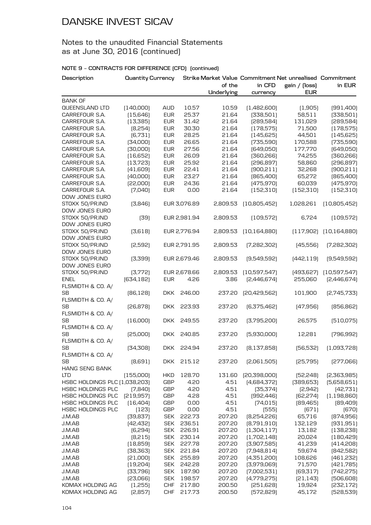### Notes to the unaudited Financial Statements as at June 30, 2016 (continued)

| Description                    | <b>Quantity Currency</b> |            |              |            |                | Strike Market Value Commitment Net unrealised Commitment |                |
|--------------------------------|--------------------------|------------|--------------|------------|----------------|----------------------------------------------------------|----------------|
|                                |                          |            |              | of the     | in CFD         | gain / (loss)                                            | in EUR         |
|                                |                          |            |              | Underlying | currency       | <b>EUR</b>                                               |                |
| <b>BANK OF</b>                 |                          |            |              |            |                |                                                          |                |
| QUEENSLAND LTD                 | [140,000]                | <b>AUD</b> | 10.57        | 10.59      | [1,482,600]    | (1,905)                                                  | [991,400]      |
| CARREFOUR S.A.                 | (15, 646)                | <b>EUR</b> | 25.37        | 21.64      | [338,501]      | 58,511                                                   | [338,501]      |
| CARREFOUR S.A.                 | (13, 385)                | <b>EUR</b> | 31.42        | 21.64      | [289,584]      | 131,029                                                  | [289,584]      |
| CARREFOUR S.A.                 | [8,254]                  | <b>EUR</b> | 30.30        | 21.64      | (178, 575)     | 71,500                                                   | (178, 575)     |
| CARREFOUR S.A.                 | [6,731]                  | <b>EUR</b> | 28.25        | 21.64      | (145, 625)     | 44,501                                                   | (145, 625)     |
| CARREFOUR S.A.                 | [34,000]                 | <b>EUR</b> | 26.65        | 21.64      | [735,590]      | 170,588                                                  | [735,590]      |
| CARREFOUR S.A.                 | [30,000]                 | <b>EUR</b> | 27.56        | 21.64      | [649,050]      | 177,770                                                  | [649,050]      |
| CARREFOUR S.A.                 | [16, 652]                | <b>EUR</b> | 26.09        | 21.64      | [360, 266]     | 74,255                                                   | [360, 266]     |
| CARREFOUR S.A.                 | [13, 723]                | <b>EUR</b> | 25.92        | 21.64      | [296, 897]     | 58,860                                                   | [296, 897]     |
| CARREFOUR S.A.                 | [41,609]                 | <b>EUR</b> | 22.41        | 21.64      | [900, 211]     | 32,268                                                   | [900, 211]     |
| CARREFOUR S.A.                 | [40,000]                 | <b>EUR</b> | 23.27        | 21.64      | [865,400]      | 65,272                                                   | [865,400]      |
| CARREFOUR S.A.                 | [22,000]                 | <b>EUR</b> | 24.36        | 21.64      | (475, 970)     | 60,039                                                   | [475, 970]     |
| CARREFOUR S.A.                 | (7,040)                  | <b>EUR</b> | 0.00         | 21.64      | (152, 310)     | (152, 310)                                               | (152, 310)     |
| DOW JONES EURO                 |                          |            |              |            |                |                                                          |                |
| STOXX 50/PR.IND                | [3,846]                  |            | EUR 3,076.89 | 2,809.53   | [10,805,452]   | 1,028,261                                                | (10,805,452)   |
| DOW JONES EURO                 |                          |            |              |            |                |                                                          |                |
| STOXX 50/PR.IND                | [39]                     |            | EUR 2,981.94 | 2,809.53   | (109, 572)     | 6,724                                                    | [109, 572]     |
| DOW JONES EURO                 |                          |            |              |            |                |                                                          |                |
| STOXX 50/PR.IND                | [3,618]                  |            | EUR 2,776.94 | 2,809.53   | [10, 164, 880] | [117,902]                                                | (10, 164, 880) |
| DOW JONES EURO                 |                          |            |              |            |                |                                                          |                |
| STOXX 50/PR.IND                | [2,592]                  |            | EUR 2,791.95 | 2,809.53   | [7,282,302]    | (45, 556)                                                | [7,282,302]    |
| DOW JONES EURO                 |                          |            |              |            |                |                                                          |                |
| STOXX 50/PR.IND                | [3,399]                  |            | EUR 2,679.46 | 2,809.53   | [9,549,592]    | [442, 119]                                               | [9,549,592]    |
| DOW JONES EURO                 |                          |            |              |            |                |                                                          |                |
| STOXX 50/PR.IND                | [3,772]                  |            | EUR 2,678.66 | 2,809.53   | (10,597,547)   | [493, 627]                                               | [10,597,547]   |
| <b>ENEL</b>                    | [634, 182]               | <b>EUR</b> | 4.26         | 3.86       | [2,446,674]    | 255,060                                                  | [2,446,674]    |
| FLSMIDTH & CO. A/              |                          |            |              |            |                |                                                          |                |
| <b>SB</b>                      | [86, 128]                | <b>DKK</b> | 246.00       | 237.20     | [20,429,562]   | 101,900                                                  | [2,745,733]    |
| FLSMIDTH & CO. A/              |                          |            |              |            |                |                                                          |                |
| <b>SB</b>                      | [26, 878]                | <b>DKK</b> | 223.93       | 237.20     | [6,375,462]    | [47,956]                                                 | [856, 862]     |
| FLSMIDTH & CO. A/              |                          |            |              |            |                |                                                          |                |
| <b>SB</b>                      | (16,000)                 | <b>DKK</b> | 249.55       | 237.20     | [3,795,200]    | 26,575                                                   | [510,075]      |
| FLSMIDTH & CO. A/              |                          |            |              |            |                |                                                          |                |
| <b>SB</b>                      | [25,000]                 | <b>DKK</b> | 240.85       | 237.20     | [5,930,000]    | 12,281                                                   | [796, 992]     |
| FLSMIDTH & CO. A/              |                          |            |              |            |                |                                                          |                |
| <b>SB</b><br>FLSMIDTH & CO. A/ | [34,308]                 |            | DKK 224.94   | 237.20     | [8, 137, 858]  | [56, 532]                                                | [1,093,728]    |
| SВ                             | [8,691]                  |            | DKK 215.12   | 237.20     | [2,061,505]    | [25, 795]                                                | [277,066]      |
| HANG SENG BANK                 |                          |            |              |            |                |                                                          |                |
| LT D                           | (155,000)                | <b>HKD</b> | 128.70       | 131.60     | [20,398,000]   | [52, 248]                                                | [2,363,985]    |
| HSBC HOLDINGS PLC (1,038,203)  |                          | <b>GBP</b> | 4.20         | 4.51       | [4,684,372]    | [389, 653]                                               | [5,658,651]    |
| HSBC HOLDINGS PLC              | (7,840)                  | <b>GBP</b> | 4.20         | 4.51       | [35, 374]      | [2,942]                                                  | [42,731]       |
| HSBC HOLDINGS PLC              | [219, 957]               | <b>GBP</b> | 4.28         | 4.51       | [992, 446]     | [62, 274]                                                | (1, 198, 860)  |
| HSBC HOLDINGS PLC              | [16, 404]                | <b>GBP</b> | 0.00         | 4.51       | [74, 015]      | [89, 465]                                                | [89,409]       |
| HSBC HOLDINGS PLC              | (123)                    | <b>GBP</b> | 0.00         | 4.51       | (555)          | (671)                                                    | [670]          |
| J.M.AB                         | [39, 837]                | <b>SEK</b> | 222.73       | 207.20     | [8,254,226]    | 65,716                                                   | [874, 956]     |
| J.M.AB                         | [42, 432]                | <b>SEK</b> | 236.51       | 207.20     | [8,791,910]    | 132,129                                                  | [931, 951]     |
| J.M.AB                         | (6,294)                  | <b>SEK</b> | 226.91       | 207.20     | (1,304,117)    | 13,182                                                   | (138, 238)     |
| J.M.AB                         | [8, 215]                 | <b>SEK</b> | 230.14       | 207.20     | (1,702,148)    | 20,024                                                   | [180, 429]     |
| J.M.AB                         | [18, 859]                | <b>SEK</b> | 227.78       | 207.20     | [3,907,585]    | 41,239                                                   | [414, 208]     |
| J.M.AB                         | [38, 363]                | <b>SEK</b> | 221.84       | 207.20     | [7,948,814]    | 59,674                                                   | [842,582]      |
| J.M.AB                         | [21,000]                 | <b>SEK</b> | 255.89       | 207.20     | (4,351,200)    | 108,626                                                  | [461,232]      |
| J.M.AB                         | [19, 204]                | <b>SEK</b> | 242.28       | 207.20     | [3,979,069]    | 71,570                                                   | [421,785]      |
| J.M.AB                         | [33,796]                 | <b>SEK</b> | 187.90       | 207.20     | [7,002,531]    | [69, 317]                                                | [742, 275]     |
| J.M.AB                         | [23,066]                 | <b>SEK</b> | 198.57       | 207.20     | [4,779,275]    | [21, 143]                                                | [506, 608]     |
| KOMAX HOLDING AG               | (1,255)                  | <b>CHF</b> | 217.80       | 200.50     | [251, 628]     | 19,924                                                   | [232, 172]     |
| KOMAX HOLDING AG               | [2,857]                  | <b>CHF</b> | 217.73       | 200.50     | [572, 829]     | 45,172                                                   | [528, 539]     |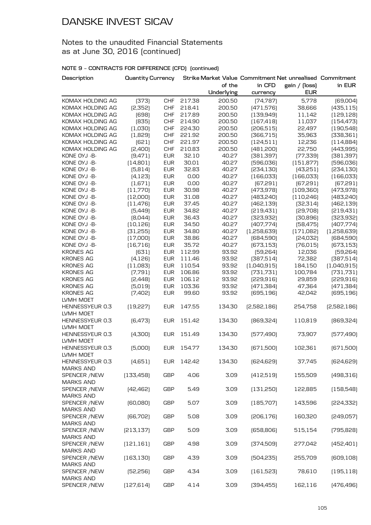### Notes to the unaudited Financial Statements as at June 30, 2016 (continued)

| Description                         | <b>Quantity Currency</b> |            |        |            |             | Strike Market Value Commitment Net unrealised Commitment |             |
|-------------------------------------|--------------------------|------------|--------|------------|-------------|----------------------------------------------------------|-------------|
|                                     |                          |            |        | of the     | in CFD      | gain / (loss)                                            | in EUR      |
|                                     |                          |            |        | Underlying | currency    | <b>EUR</b>                                               |             |
| KOMAX HOLDING AG                    | [373]                    | <b>CHF</b> | 217.38 | 200.50     | [74, 787]   | 5,778                                                    | [69,004]    |
| KOMAX HOLDING AG                    | [2,352]                  | <b>CHF</b> | 218.41 | 200.50     | [471, 576]  | 38,666                                                   | (435, 115)  |
| KOMAX HOLDING AG                    | [698]                    | <b>CHF</b> | 217.89 | 200.50     | [139, 949]  | 11,142                                                   | [129, 128]  |
| KOMAX HOLDING AG                    | [835]                    | <b>CHF</b> | 214.90 | 200.50     | (167, 418)  | 11,037                                                   | [154, 473]  |
| KOMAX HOLDING AG                    | (1,030)                  | <b>CHF</b> | 224.30 | 200.50     | [206, 515]  | 22,497                                                   | [190, 548]  |
| KOMAX HOLDING AG                    | (1,829)                  | <b>CHF</b> | 221.92 | 200.50     | [366, 715]  | 35,963                                                   | [338, 361]  |
| KOMAX HOLDING AG                    | (621)                    | <b>CHF</b> | 221.97 | 200.50     | (124, 511)  | 12,236                                                   | (114,884)   |
| KOMAX HOLDING AG                    | [2,400]                  | <b>CHF</b> | 210.83 | 200.50     | [481, 200]  | 22,750                                                   | [443, 995]  |
| KONE OYJ -B-                        | (9,471)                  | <b>EUR</b> | 32.10  | 40.27      | [381, 397]  | [77, 339]                                                | [381, 397]  |
| KONE OYJ -B-                        | (14,801)                 | <b>EUR</b> | 30.01  | 40.27      | [596, 036]  | (151, 877)                                               | [596, 036]  |
| KONE OYJ -B-                        | (5,814)                  | <b>EUR</b> | 32.83  | 40.27      | [234, 130]  | [43,251]                                                 | [234, 130]  |
| KONE OYJ -B-                        | (4, 123)                 | <b>EUR</b> | 0.00   | 40.27      | [166, 033]  | [166, 033]                                               | [166, 033]  |
| KONE OYJ -B-                        | (1,671)                  | <b>EUR</b> | 0.00   | 40.27      | [67, 291]   | [67, 291]                                                | (67, 291)   |
| KONE OYJ -B-                        | (11,770)                 | <b>EUR</b> | 30.98  | 40.27      | [473, 978]  | [109, 360]                                               | [473,978]   |
| KONE OYJ -B-                        | [12,000]                 | <b>EUR</b> | 31.08  | 40.27      | [483, 240]  | (110, 246)                                               | [483, 240]  |
| KONE OYJ -B-                        | (11, 476)                | <b>EUR</b> | 37.45  | 40.27      | [462, 139]  | [32, 314]                                                | [462, 139]  |
| KONE OYJ -B-                        | [5,449]                  | <b>EUR</b> | 34.82  | 40.27      | [219, 431]  | [29,708]                                                 | [219, 431]  |
| KONE OYJ -B-                        | [8,044]                  | <b>EUR</b> | 36.43  | 40.27      | [323, 932]  | [30,896]                                                 | [323, 932]  |
| KONE OYJ -B-                        | [10, 126]                | <b>EUR</b> | 34.50  | 40.27      | [407,774]   | [58, 475]                                                | [407,774]   |
| KONE OYJ -B-                        | [31,255]                 | <b>EUR</b> | 34.80  | 40.27      | [1,258,639] | (171,082)                                                | (1,258,639) |
| KONE OYJ - B-                       | (17,000)                 | <b>EUR</b> | 38.86  | 40.27      | (684,590)   | [24,032]                                                 | [684, 590]  |
| KONE OYJ -B-                        | (16, 716)                | <b>EUR</b> | 35.72  | 40.27      | [673, 153]  | [76, 015]                                                | [673, 153]  |
| <b>KRONES AG</b>                    | [631]                    | <b>EUR</b> | 112.99 | 93.92      | [59, 264]   | 12,036                                                   | [59, 264]   |
| <b>KRONES AG</b>                    | (4, 126)                 | <b>EUR</b> | 111.46 | 93.92      | [387,514]   | 72,382                                                   | [387, 514]  |
| <b>KRONES AG</b>                    | (11,083)                 | <b>EUR</b> | 110.54 | 93.92      | (1,040,915) | 184,150                                                  | (1,040,915) |
| <b>KRONES AG</b>                    | (7,791)                  | <b>EUR</b> | 106.86 | 93.92      | [731, 731]  | 100,784                                                  | [731, 731]  |
| <b>KRONES AG</b>                    | [2,448]                  | <b>EUR</b> | 106.12 | 93.92      | [229,916]   | 29,859                                                   | [229, 916]  |
| <b>KRONES AG</b>                    | (5,019)                  | <b>EUR</b> | 103.36 | 93.92      | [471, 384]  | 47,364                                                   | [471, 384]  |
| <b>KRONES AG</b>                    | [7,402]                  | <b>EUR</b> | 99.60  | 93.92      | [695, 196]  | 42,042                                                   | [695, 196]  |
| LVMH MOET                           |                          |            |        |            |             |                                                          |             |
| HENNESSYEUR 0.3<br>LVMH MOET        | [19, 227]                | <b>EUR</b> | 147.55 | 134.30     | [2,582,186] | 254,758                                                  | [2,582,186] |
| HENNESSYEUR 0.3                     | [6,473]                  | <b>EUR</b> | 151.42 | 134.30     | [869, 324]  | 110,819                                                  | [869,324]   |
| LVMH MOET                           |                          |            |        |            |             |                                                          |             |
| HENNESSYEUR 0.3                     | (4,300)                  | <b>EUR</b> | 151.49 | 134.30     | [577,490]   | 73,907                                                   | [577,490]   |
| LVMH MOET                           |                          |            |        |            |             |                                                          |             |
| HENNESSYEUR 0.3                     | (5,000)                  | <b>EUR</b> | 154.77 | 134.30     | [671,500]   | 102,361                                                  | [671,500]   |
| LVMH MOET                           |                          |            |        |            |             |                                                          |             |
| HENNESSYEUR 0.3<br><b>MARKS AND</b> | (4,651)                  | <b>EUR</b> | 142.42 | 134.30     | [624, 629]  | 37,745                                                   | [624, 629]  |
| <b>SPENCER /NEW</b>                 | [133, 458]               | <b>GBP</b> | 4.06   | 3.09       | (412,519)   | 155,509                                                  | [498, 316]  |
| <b>MARKS AND</b>                    |                          |            |        |            |             |                                                          |             |
| SPENCER / NEW                       | [42, 462]                | <b>GBP</b> | 5.49   | 3.09       | (131, 250)  | 122,885                                                  | (158, 548)  |
| <b>MARKS AND</b>                    |                          |            |        |            |             |                                                          |             |
| SPENCER / NEW                       | [60,080]                 | <b>GBP</b> | 5.07   | 3.09       | (185, 707)  | 143,596                                                  | [224, 332]  |
| <b>MARKS AND</b>                    |                          |            |        |            |             |                                                          |             |
| <b>SPENCER /NEW</b>                 | [66, 702]                | <b>GBP</b> | 5.08   | 3.09       | [206, 176]  | 160,320                                                  | [249,057]   |
| <b>MARKS AND</b>                    |                          |            |        |            |             |                                                          |             |
| SPENCER /NEW                        | [213, 137]               | <b>GBP</b> | 5.09   | 3.09       | [658, 806]  | 515,154                                                  | [795, 828]  |
| <b>MARKS AND</b>                    |                          |            |        |            |             |                                                          |             |
| SPENCER / NEW                       | (121, 161)               | <b>GBP</b> | 4.98   | 3.09       | [374,509]   | 277,042                                                  | (452, 401)  |
| <b>MARKS AND</b>                    |                          |            |        |            |             |                                                          |             |
| SPENCER / NEW                       | [163, 130]               | <b>GBP</b> | 4.39   | 3.09       | [504, 235]  | 255,709                                                  | [609, 108]  |
| <b>MARKS AND</b>                    |                          |            |        |            |             |                                                          |             |
| SPENCER / NEW                       | [52, 256]                | <b>GBP</b> | 4.34   | 3.09       | (161, 523)  | 78,610                                                   | (195, 118)  |
| <b>MARKS AND</b>                    |                          |            |        |            |             |                                                          |             |
| SPENCER / NEW                       | (127, 614)               | <b>GBP</b> | 4.14   | 3.09       | [394, 455]  | 162,116                                                  | (476, 496)  |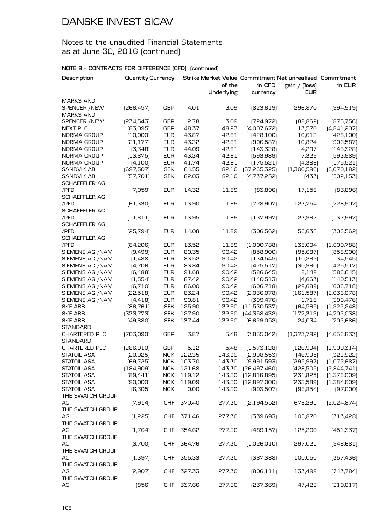### Notes to the unaudited Financial Statements as at June 30, 2016 (continued)

| Description          | <b>Quantity Currency</b> |            |        | of the     | in CFD        | Strike Market Value Commitment Net unrealised Commitment<br>gain / (loss) | in EUR      |
|----------------------|--------------------------|------------|--------|------------|---------------|---------------------------------------------------------------------------|-------------|
|                      |                          |            |        | Underlying | currency      | <b>EUR</b>                                                                |             |
| <b>MARKS AND</b>     |                          |            |        |            |               |                                                                           |             |
| SPENCER /NEW         | [266, 457]               | <b>GBP</b> | 4.01   | 3.09       | [823, 619]    | 296,870                                                                   | [994, 919]  |
| <b>MARKS AND</b>     |                          |            |        |            |               |                                                                           |             |
| SPENCER /NEW         | [234,543]                | GBP        | 2.78   | 3.09       | [724, 972]    | [88, 862]                                                                 | [875, 756]  |
| <b>NEXT PLC</b>      | [83,095]                 | <b>GBP</b> | 48.37  | 48.23      | [4,007,672]   | 13,570                                                                    | [4,841,207] |
| NORMA GROUP          | [10,000]                 | <b>EUR</b> | 43.87  | 42.81      | [428, 100]    | 10,612                                                                    | [428, 100]  |
| NORMA GROUP          | [21, 177]                | <b>EUR</b> | 43.32  | 42.81      | [906, 587]    | 10,824                                                                    | [906, 587]  |
| NORMA GROUP          | (3,348)                  | <b>EUR</b> | 44.09  | 42.81      | [143, 328]    | 4,297                                                                     | [143, 328]  |
| NORMA GROUP          | (13, 875)                | <b>EUR</b> | 43.34  | 42.81      | [593, 989]    | 7,329                                                                     | [593, 989]  |
| NORMA GROUP          | (4,100)                  | <b>EUR</b> | 41.74  | 42.81      | (175, 521)    | (4,386)                                                                   | (175, 521)  |
| <b>SANDVIK AB</b>    | [697, 507]               | <b>SEK</b> | 64.55  | 82.10      | [57,265,325]  | (1,300,596)                                                               | [6,070,182] |
| SANDVIK AB           | [57, 701]                | <b>SEK</b> | 82.03  | 82.10      | [4,737,252]   | [433]                                                                     | [502, 153]  |
| SCHAEFFLER AG        |                          |            |        |            |               |                                                                           |             |
| /PFD                 | (7,059)                  | <b>EUR</b> | 14.32  | 11.89      | [83,896]      | 17,156                                                                    | [83,896]    |
| <b>SCHAEFFLER AG</b> |                          |            |        |            |               |                                                                           |             |
| /PFD                 |                          | <b>EUR</b> | 13.90  | 11.89      | [728,907]     | 123,754                                                                   | [728, 907]  |
| <b>SCHAEFFLER AG</b> | [61, 330]                |            |        |            |               |                                                                           |             |
|                      |                          |            |        |            |               |                                                                           |             |
| /PFD                 | (11,611)                 | <b>EUR</b> | 13.95  | 11.89      | [137,997]     | 23,967                                                                    | [137,997]   |
| <b>SCHAEFFLER AG</b> |                          |            |        |            |               |                                                                           |             |
| /PFD                 | [25,794]                 | <b>EUR</b> | 14.08  | 11.89      | [306, 562]    | 56,635                                                                    | [306, 562]  |
| <b>SCHAEFFLER AG</b> |                          |            |        |            |               |                                                                           |             |
| /PFD                 | [84,206]                 | <b>EUR</b> | 13.52  | 11.89      | (1,000,788)   | 138,004                                                                   | [1,000,788] |
| SIEMENS AG /NAM.     | [9,499]                  | <b>EUR</b> | 80.35  | 90.42      | [858,900]     | [95,687]                                                                  | [858,900]   |
| SIEMENS AG /NAM.     | (1,488)                  | <b>EUR</b> | 83.52  | 90.42      | [134, 545]    | [10,262]                                                                  | [134, 545]  |
| SIEMENS AG /NAM.     | [4,706]                  | <b>EUR</b> | 83.84  | 90.42      | [425,517]     | [30, 960]                                                                 | [425,517]   |
| SIEMENS AG /NAM.     | [6,488]                  | <b>EUR</b> | 91.68  | 90.42      | [586, 645]    | 8,149                                                                     | [586, 645]  |
| SIEMENS AG /NAM.     | (1,554)                  | <b>EUR</b> | 87.42  | 90.42      | (140, 513)    | [4,663]                                                                   | [140, 513]  |
| SIEMENS AG /NAM.     | [6, 710]                 | <b>EUR</b> | 86.00  | 90.42      | [606, 718]    | [29,689]                                                                  | [606, 718]  |
| SIEMENS AG /NAM.     | [22,518]                 | <b>EUR</b> | 83.24  | 90.42      | [2,036,078]   | (161, 587)                                                                | [2,036,078] |
| SIEMENS AG /NAM.     | [4, 418]                 | <b>EUR</b> | 90.81  | 90.42      | [399, 476]    | 1,716                                                                     | [399, 476]  |
| <b>SKF ABB</b>       | [86,761]                 | <b>SEK</b> | 125.90 | 132.90     | (11,530,537)  | [64, 565]                                                                 | [1,222,248] |
| SKF ABB              | [333,773]                | <b>SEK</b> | 127.90 | 132.90     | [44,358,432]  | (177, 312)                                                                | [4,702,038] |
| <b>SKF ABB</b>       | [49, 880]                | <b>SEK</b> | 137.44 | 132.90     | [6,629,052]   | 24,034                                                                    | [702,686]   |
| STANDARD             |                          |            |        |            |               |                                                                           |             |
| CHARTERED PLC        | [703,090]                | <b>GBP</b> | 3.87   | 5.48       | [3,855,042]   | [1,373,792]                                                               | (4,656,833) |
| <b>STANDARD</b>      |                          |            |        |            |               |                                                                           |             |
| <b>CHARTERED PLC</b> | [286,910]                | GBP        | 5.12   | 5.48       | [1,573,128]   | [126,994]                                                                 | (1,900,314) |
| STATOIL ASA          | [20, 925]                | NOK        | 122.35 | 143.30     | [2,998,553]   | (46,995)                                                                  | [321, 922]  |
| STATOIL ASA          | [69, 725]                | <b>NOK</b> | 103.70 | 143.30     | [9,991,593]   | [295, 997]                                                                | [1,072,687] |
| STATOIL ASA          | [184,909]                | <b>NOK</b> | 121.68 | 143.30     | [26,497,460]  | (428, 505)                                                                | [2,844,741] |
| STATOIL ASA          | [89,441]                 | <b>NOK</b> | 119.12 | 143.30     | [12,816,895]  | [231,825]                                                                 | (1,376,009) |
| STATOIL ASA          | [90,000]                 | <b>NOK</b> | 119.09 | 143.30     | [12,897,000]  | [233,589]                                                                 | [1,384,609] |
| <b>STATOIL ASA</b>   | [6,305]                  | <b>NOK</b> | 0.00   | 143.30     | [903, 507]    | [96, 854]                                                                 | (97,000)    |
| THE SWATCH GROUP     |                          |            |        |            |               |                                                                           |             |
| AG                   | (7,914)                  | <b>CHF</b> | 370.40 | 277.30     | [2, 194, 552] | 676,291                                                                   | [2,024,874] |
| THE SWATCH GROUP     |                          |            |        |            |               |                                                                           |             |
| AG                   | (1,225)                  | <b>CHF</b> | 371.46 | 277.30     | [339, 693]    | 105,870                                                                   | [313, 428]  |
| THE SWATCH GROUP     |                          |            |        |            |               |                                                                           |             |
| AG                   | (1,764)                  | <b>CHF</b> | 354.62 | 277.30     | [489, 157]    | 125,200                                                                   | [451, 337]  |
| THE SWATCH GROUP     |                          |            |        |            |               |                                                                           |             |
|                      |                          |            |        |            |               |                                                                           |             |
| AG                   | [3,700]                  | <b>CHF</b> | 364.76 | 277.30     | (1,026,010)   | 297,021                                                                   | [946,681]   |
| THE SWATCH GROUP     |                          |            |        |            |               |                                                                           |             |
| AG                   | (1,397)                  | <b>CHF</b> | 355.33 | 277.30     | [387,388]     | 100,050                                                                   | [357, 436]  |
| THE SWATCH GROUP     |                          |            |        |            |               |                                                                           |             |
| AG                   | [2,907]                  | <b>CHF</b> | 327.33 | 277.30     | [806, 111]    | 133,499                                                                   | [743, 784]  |
| THE SWATCH GROUP     |                          |            |        |            |               |                                                                           |             |
| AG                   | (856)                    | <b>CHF</b> | 337.66 | 277.30     | [237, 369]    | 47,422                                                                    | [219,017]   |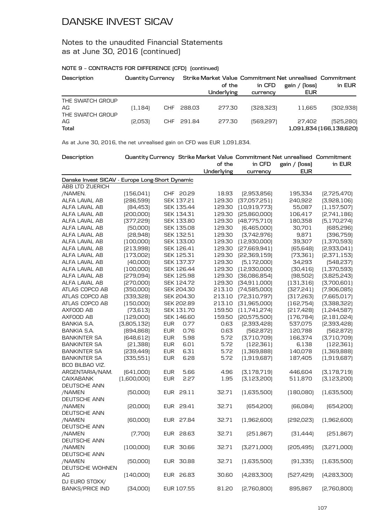### Notes to the unaudited Financial Statements as at June 30, 2016 (continued)

### **NOTE 9 – CONTRACTS FOR DIFFERENCE (CFD) (continued)**

| Description                                | Quantity Currency |            |            | Strike Market Value Commitment Net unrealised Commitment<br>of the<br>Underlying | in CFD<br>currency | (loss)<br>gain /<br><b>EUR</b> | in EUR                               |
|--------------------------------------------|-------------------|------------|------------|----------------------------------------------------------------------------------|--------------------|--------------------------------|--------------------------------------|
| THE SWATCH GROUP<br>AG<br>THE SWATCH GROUP | (1, 184)          | <b>CHF</b> | 288.03     | 277.30                                                                           | (328.323)          | 11.665                         | (302,938)                            |
| AG<br>Total                                | [2,053]           |            | CHF 291.84 | 277.30                                                                           | [569, 297]         | 27.402                         | (525,280)<br>1,091,834 (166,138,620) |

As at June 30, 2016, the net unrealised gain on CFD was EUR 1,091,834.

| Description                                     |             |            |                   |            |                | Quantity Currency Strike Market Value Commitment Net unrealised Commitment |               |
|-------------------------------------------------|-------------|------------|-------------------|------------|----------------|----------------------------------------------------------------------------|---------------|
|                                                 |             |            |                   | of the     | in CFD         | gain / (loss)                                                              | in EUR        |
|                                                 |             |            |                   | Underlying | currency       | <b>EUR</b>                                                                 |               |
| Danske Invest SICAV - Europe Long-Short Dynamic |             |            |                   |            |                |                                                                            |               |
| ABB LTD ZUERICH                                 |             |            |                   |            |                |                                                                            |               |
| /NAMEN.                                         | (156, 041)  |            | CHF 20.29         | 18.93      | [2,953,856]    | 195,334                                                                    | [2,725,470]   |
| ALFA LAVAL AB                                   | [286,599]   |            | SEK 137.21        | 129.30     | [37,057,251]   | 240,922                                                                    | [3,928,106]   |
| ALFA LAVAL AB                                   | [84, 453]   |            | SEK 135.44        | 129.30     | (10, 919, 773) | 55,087                                                                     | (1, 157, 507) |
| ALFA LAVAL AB                                   | [200,000]   |            | SEK 134.31        | 129.30     | [25,860,000]   | 106,417                                                                    | [2,741,186]   |
| ALFA LAVAL AB                                   | [377, 229]  |            | SEK 133.80        | 129.30     | [48, 775, 710] | 180,358                                                                    | [5, 170, 274] |
| ALFA LAVAL AB                                   | [50,000]    |            | SEK 135.08        | 129.30     | [6,465,000]    | 30,701                                                                     | [685, 296]    |
| ALFA LAVAL AB                                   | [28,948]    |            | SEK 132.51        | 129.30     | [3,742,976]    | 9,871                                                                      | [396, 759]    |
| ALFA LAVAL AB                                   | [100,000]   |            | SEK 133.00        | 129.30     | [12,930,000]   | 39,307                                                                     | (1,370,593)   |
| ALFA LAVAL AB                                   | [213,998]   |            | SEK 126.41        | 129.30     | [27,669,941]   | [65, 648]                                                                  | [2,933,041]   |
| ALFA LAVAL AB                                   | (173,002)   |            | SEK 125.31        | 129.30     | [22,369,159]   | [73, 361]                                                                  | [2,371,153]   |
| ALFA LAVAL AB                                   | [40,000]    |            | SEK 137.37        | 129.30     | [5, 172, 000]  | 34,293                                                                     | [548, 237]    |
| ALFA LAVAL AB                                   | (100,000)   |            | SEK 126.44        | 129.30     | [12,930,000]   | [30, 416]                                                                  | (1,370,593)   |
| ALFA LAVAL AB                                   | [279,094]   |            | <b>SEK 125.98</b> | 129.30     | [36,086,854]   | [98, 502]                                                                  | [3,825,243]   |
| ALFA LAVAL AB                                   | [270,000]   |            | SEK 124.72        | 129.30     | [34,911,000]   | (131, 316)                                                                 | [3,700,601]   |
| ATLAS COPCO AB                                  | [350,000]   |            | SEK 204.30        | 213.10     | [74,585,000]   | [327, 241]                                                                 | [7,906,085]   |
| ATLAS COPCO AB                                  | [339,328]   |            | SEK 204.30        | 213.10     | [72,310,797]   | [317, 263]                                                                 | [7,665,017]   |
| ATLAS COPCO AB                                  | (150,000)   |            | SEK 202.89        | 213.10     | [31,965,000]   | [162,754]                                                                  | [3,388,322]   |
| AXFOOD AB                                       | [73, 613]   |            | SEK 131.70        | 159.50     | (11,741,274)   | [217, 428]                                                                 | (1,244,587)   |
| AXFOOD AB                                       | [129,000]   |            | SEK 146.60        | 159.50     | [20,575,500]   | [176, 784]                                                                 | [2,181,024]   |
| BANKIA S.A.                                     | [3,805,132] | <b>EUR</b> | 0.77              | 0.63       | [2,393,428]    | 537,075                                                                    | [2,393,428]   |
| <b>BANKIA S.A.</b>                              | [894, 868]  | <b>EUR</b> | 0.76              | 0.63       | [562, 872]     | 120,788                                                                    | [562, 872]    |
| <b>BANKINTER SA</b>                             | [648, 612]  | <b>EUR</b> | 5.98              | 5.72       | [3,710,709]    | 166,374                                                                    | [3,710,709]   |
| <b>BANKINTER SA</b>                             | [21, 388]   | <b>EUR</b> | 6.01              | 5.72       | [122, 361]     | 6,138                                                                      | (122, 361)    |
| <b>BANKINTER SA</b>                             | [239,449]   | <b>EUR</b> | 6.31              | 5.72       | (1,369,888)    | 140,078                                                                    | (1,369,888)   |
| <b>BANKINTER SA</b>                             | [335,551]   | <b>EUR</b> | 6.28              | 5.72       | (1,919,687)    | 187,405                                                                    | (1,919,687)   |
| BCO BILBAO VIZ.                                 |             |            |                   |            |                |                                                                            |               |
| ARGENTARIA/NAM.                                 | [641,000]   | <b>EUR</b> | 5.66              | 4.96       | [3,178,719]    | 446,604                                                                    | [3, 178, 719] |
| <b>CAIXABANK</b>                                | (1,600,000) | <b>EUR</b> | 2.27              | 1.95       | [3,123,200]    | 511,870                                                                    | [3, 123, 200] |
| DEUTSCHE ANN                                    |             |            |                   |            |                |                                                                            |               |
| /NAMEN                                          | [50,000]    | EUR        | 29.11             | 32.71      | (1,635,500)    | [180,080]                                                                  | [1,635,500]   |
| DEUTSCHE ANN                                    |             |            |                   |            |                |                                                                            |               |
| /NAMEN                                          | [20,000]    |            | EUR 29.41         | 32.71      | [654, 200]     | [66,084]                                                                   | [654, 200]    |
| DEUTSCHE ANN                                    |             |            |                   |            |                |                                                                            |               |
| /NAMEN                                          | [60,000]    |            | EUR 27.84         | 32.71      | (1,962,600)    | [292,023]                                                                  | [1,962,600]   |
| <b>DEUTSCHE ANN</b>                             |             |            |                   |            |                |                                                                            |               |
| /NAMEN                                          | [7,700]     |            | EUR 28.63         | 32.71      | [251,867]      | [31,444]                                                                   | [251,867]     |
| DEUTSCHE ANN                                    |             |            |                   |            |                |                                                                            |               |
| /NAMEN                                          | (100,000)   |            | EUR 30.66         | 32.71      | [3,271,000]    | [205, 495]                                                                 | [3,271,000]   |
| DEUTSCHE ANN                                    |             |            |                   |            |                |                                                                            |               |
| /NAMEN                                          | [50,000]    |            | EUR 30.88         | 32.71      | (1,635,500)    | [91, 335]                                                                  | [1,635,500]   |
| DEUTSCHE WOHNEN                                 |             |            |                   |            |                |                                                                            |               |
| AG                                              | [140,000]   |            | EUR 26.83         | 30.60      | [4,283,300]    | [527, 429]                                                                 | [4,283,300]   |
| DJ EURO STOXX/                                  |             |            |                   |            |                |                                                                            |               |
| <b>BANKS/PRICE IND</b>                          | [34,000]    |            | EUR 107.55        | 81.20      | [2,760,800]    | 895,867                                                                    | [2,760,800]   |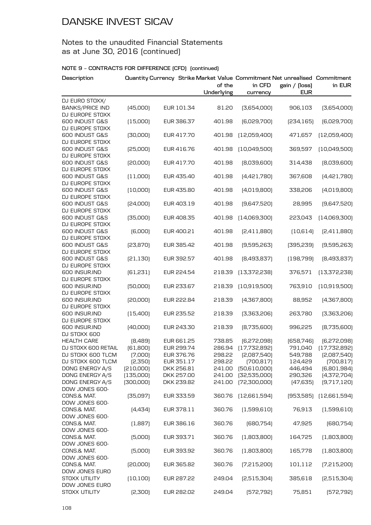### Notes to the unaudited Financial Statements as at June 30, 2016 (continued)

| Description                       |           |            | of the<br>Underlying | in CFD<br>currency | Quantity Currency Strike Market Value Commitment Net unrealised Commitment<br>gain / (loss)<br><b>EUR</b> | in EUR                 |
|-----------------------------------|-----------|------------|----------------------|--------------------|-----------------------------------------------------------------------------------------------------------|------------------------|
| DJ EURO STOXX/                    |           |            |                      |                    |                                                                                                           |                        |
| <b>BANKS/PRICE IND</b>            | (45,000)  | EUR 101.34 | 81.20                | [3,654,000]        | 906,103                                                                                                   | [3,654,000]            |
| DJ EUROPE STOXX                   |           |            |                      |                    |                                                                                                           |                        |
| 600 INDUST G&S                    | (15,000)  | EUR 386.37 | 401.98               | [6,029,700]        | [234, 165]                                                                                                | [6,029,700]            |
| DJ EUROPE STOXX<br>600 INDUST G&S | [30,000]  | EUR 417.70 | 401.98               | (12,059,400)       | 471,657                                                                                                   | [12,059,400]           |
| DJ EUROPE STOXX                   |           |            |                      |                    |                                                                                                           |                        |
| 600 INDUST G&S                    | [25,000]  | EUR 416.76 | 401.98               | (10,049,500)       | 369,597                                                                                                   | (10,049,500)           |
| DJ EUROPE STOXX                   |           |            |                      |                    |                                                                                                           |                        |
| 600 INDUST G&S                    | [20,000]  | EUR 417.70 | 401.98               | [8,039,600]        | 314,438                                                                                                   | [8,039,600]            |
| DJ EUROPE STOXX                   |           |            |                      |                    |                                                                                                           |                        |
| 600 INDUST G&S                    | (11,000)  | EUR 435.40 | 401.98               | [4,421,780]        | 367,608                                                                                                   | [4,421,780]            |
| DJ EUROPE STOXX                   |           |            |                      |                    |                                                                                                           |                        |
| 600 INDUST G&S<br>DJ EUROPE STOXX | (10,000)  | EUR 435.80 | 401.98               | [4,019,800]        | 338,206                                                                                                   | (4,019,800)            |
| 600 INDUST G&S                    | [24,000]  | EUR 403.19 | 401.98               | [9,647,520]        | 28,995                                                                                                    | [9,647,520]            |
| DJ EUROPE STOXX                   |           |            |                      |                    |                                                                                                           |                        |
| 600 INDUST G&S                    | [35,000]  | EUR 408.35 | 401.98               | [14,069,300]       | 223,043                                                                                                   | [14,069,300]           |
| DJ EUROPE STOXX                   |           |            |                      |                    |                                                                                                           |                        |
| 600 INDUST G&S                    | [6,000]   | EUR 400.21 | 401.98               | [2,411,880]        | (10,614)                                                                                                  | [2,411,880]            |
| DJ EUROPE STOXX                   |           |            |                      |                    |                                                                                                           |                        |
| 600 INDUST G&S                    | [23, 870] | EUR 385.42 | 401.98               | [9,595,263]        | [395, 239]                                                                                                | (9,595,263)            |
| DJ EUROPE STOXX                   |           |            |                      |                    |                                                                                                           |                        |
| 600 INDUST G&S<br>DJ EUROPE STOXX | [21, 130] | EUR 392.57 | 401.98               | [8,493,837]        | [198,799]                                                                                                 | [8,493,837]            |
| 600 INSUR.IND                     | [61, 231] | EUR 224.54 | 218.39               | [13, 372, 238]     | 376,571                                                                                                   | [13,372,238]           |
| DJ EUROPE STOXX                   |           |            |                      |                    |                                                                                                           |                        |
| 600 INSUR.IND                     | [50,000]  | EUR 233.67 | 218.39               | (10,919,500)       | 763,910                                                                                                   | (10,919,500)           |
| DJ EUROPE STOXX                   |           |            |                      |                    |                                                                                                           |                        |
| 600 INSUR.IND                     | [20,000]  | EUR 222.84 | 218.39               | [4,367,800]        | 88,952                                                                                                    | [4,367,800]            |
| DJ EUROPE STOXX                   |           |            |                      |                    |                                                                                                           |                        |
| 600 INSUR.IND                     | (15,400)  | EUR 235.52 | 218.39               | [3,363,206]        | 263,780                                                                                                   | [3,363,206]            |
| DJ EUROPE STOXX<br>600 INSUR.IND  | [40,000]  | EUR 243.30 |                      | [8,735,600]        |                                                                                                           |                        |
| DJ STOXX 600                      |           |            | 218.39               |                    | 996,225                                                                                                   | [8,735,600]            |
| <b>HEALTH CARE</b>                | [8,489]   | EUR 661.25 | 738.85               | [6,272,098]        | [658, 746]                                                                                                | [6,272,098]            |
| DJ STOXX 600 RETAIL               | [61,800]  | EUR 299.74 | 286.94               | (17,732,892)       | 791,040                                                                                                   | (17, 732, 892)         |
| DJ STOXX 600 TLCM                 | (7,000)   | EUR 376.76 | 298.22               | [2,087,540]        | 549,788                                                                                                   | [2,087,540]            |
| DJ STOXX 600 TLCM                 | [2,350]   | EUR 351.17 | 298.22               | [700, 817]         | 124,429                                                                                                   | [700, 817]             |
| DONG ENERGY A/S                   | [210,000] | DKK 256.81 | 241.00               | [50,610,000]       | 446,494                                                                                                   | (6,801,984)            |
| DONG ENERGY A/S                   | (135,000) | DKK 257.00 | 241.00               | [32,535,000]       | 290,326                                                                                                   | [4,372,704]            |
| DONG ENERGY A/S                   | [300,000] | DKK 239.82 | 241.00               | [72,300,000]       | [47, 635]                                                                                                 | [9,717,120]            |
| DOW JONES 600-                    |           |            |                      |                    |                                                                                                           |                        |
| CONS.& MAT.                       | [35,097]  | EUR 333.59 | 360.76               | [12,661,594]       |                                                                                                           | [953,585] [12,661,594] |
| DOW JONES 600-<br>CONS.& MAT.     | [4,434]   | EUR 378.11 | 360.76               | (1,599,610)        | 76,913                                                                                                    | (1,599,610)            |
| DOW JONES 600-                    |           |            |                      |                    |                                                                                                           |                        |
| CONS.& MAT.                       | (1,887)   | EUR 386.16 | 360.76               | [680,754]          | 47,925                                                                                                    | [680, 754]             |
| DOW JONES 600-                    |           |            |                      |                    |                                                                                                           |                        |
| CONS.& MAT.                       | (5,000)   | EUR 393.71 | 360.76               | [1,803,800]        | 164,725                                                                                                   | (1,803,800)            |
| DOW JONES 600-                    |           |            |                      |                    |                                                                                                           |                        |
| CONS.& MAT.                       | (5,000)   | EUR 393.92 | 360.76               | [1,803,800]        | 165,778                                                                                                   | [1,803,800]            |
| DOW JONES 600-                    |           |            |                      |                    |                                                                                                           |                        |
| CONS.& MAT.<br>DOW JONES EURO     | [20,000]  | EUR 365.82 | 360.76               | [7,215,200]        | 101,112                                                                                                   | (7,215,200)            |
| STOXX UTILITY                     | (10, 100) | EUR 287.22 | 249.04               | [2,515,304]        | 385,618                                                                                                   | [2,515,304]            |
| DOW JONES EURO                    |           |            |                      |                    |                                                                                                           |                        |
| STOXX UTILITY                     | [2,300]   | EUR 282.02 | 249.04               | [572, 792]         | 75,851                                                                                                    | [572, 792]             |
|                                   |           |            |                      |                    |                                                                                                           |                        |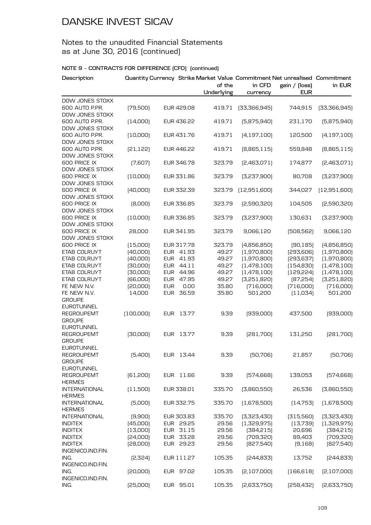### Notes to the unaudited Financial Statements as at June 30, 2016 (continued)

| Description                                          |           |                     | Quantity Currency Strike Market Value Commitment Net unrealised Commitment<br>of the | in CFD        | gain / (loss) | in EUR        |
|------------------------------------------------------|-----------|---------------------|--------------------------------------------------------------------------------------|---------------|---------------|---------------|
|                                                      |           |                     | Underlying                                                                           | currency      | <b>EUR</b>    |               |
| DOW JONES STOXX<br>600 AUTO P.PR.<br>DOW JONES STOXX | [79,500]  | EUR 429.08          | 419.71                                                                               | [33,366,945]  | 744,915       | [33,366,945]  |
| 600 AUTO P.PR.                                       | [14,000]  | EUR 436.22          | 419.71                                                                               | [5,875,940]   | 231,170       | [5,875,940]   |
| DOW JONES STOXX<br>600 AUTO P.PR.                    | (10,000)  | EUR 431.76          | 419.71                                                                               | [4, 197, 100] | 120,500       | [4, 197, 100] |
| DOW JONES STOXX<br>600 AUTO P.PR.                    | [21, 122] | EUR 446.22          | 419.71                                                                               | [8,865,115]   | 559,848       | [8,865,115]   |
| DOW JONES STOXX<br>600 PRICE IX                      | (7,607)   | EUR 346.78          | 323.79                                                                               | [2,463,071]   | 174,877       | [2,463,071]   |
| DOW JONES STOXX<br>600 PRICE IX                      | [10,000]  | EUR 331.86          | 323.79                                                                               | [3,237,900]   | 80,708        | [3,237,900]   |
| DOW JONES STOXX<br>600 PRICE IX                      | [40,000]  | EUR 332.39          | 323.79                                                                               | [12,951,600]  | 344,027       | (12,951,600)  |
| DOW JONES STOXX<br>600 PRICE IX                      | [8,000]   | EUR 336.85          | 323.79                                                                               | [2,590,320]   | 104,505       | [2,590,320]   |
| DOW JONES STOXX<br>600 PRICE IX<br>DOW JONES STOXX   | [10,000]  | EUR 336.85          | 323.79                                                                               | [3,237,900]   | 130,631       | [3,237,900]   |
| 600 PRICE IX<br>DOW JONES STOXX                      | 28,000    | EUR 341.95          | 323.79                                                                               | 9,066,120     | [508, 562]    | 9,066,120     |
| 600 PRICE IX                                         | (15,000)  | EUR 317.78          | 323.79                                                                               | [4,856,850]   | [90, 185]     | (4,856,850)   |
| ETAB COLRUYT                                         | [40,000]  | EUR 41.93           | 49.27                                                                                | (1,970,800)   | [293,606]     | [1,970,800]   |
| ETAB COLRUYT                                         | [40,000]  | EUR<br>41.93        | 49.27                                                                                | (1,970,800)   | [293, 637]    | [1,970,800]   |
| ETAB COLRUYT                                         | [30,000]  | EUR 44.11           | 49.27                                                                                | [1,478,100]   | [154, 830]    | [1,478,100]   |
| ETAB COLRUYT                                         | [30,000]  | EUR 44.96           | 49.27                                                                                | [1,478,100]   | [129, 224]    | [1,478,100]   |
| ETAB COLRUYT                                         | [66,000]  | <b>EUR</b><br>47.95 | 49.27                                                                                | [3,251,820]   | [87,254]      | [3,251,820]   |
| FE NEW N.V.                                          | [20,000]  | <b>EUR</b><br>0.00  | 35.80                                                                                | [716,000]     | [716,000]     | [716,000]     |
| FE NEW N.V.                                          | 14,000    | <b>EUR</b><br>36.59 | 35.80                                                                                | 501,200       | (11,034)      | 501,200       |
| <b>GROUPE</b>                                        |           |                     |                                                                                      |               |               |               |
| <b>EUROTUNNEL</b>                                    |           |                     |                                                                                      |               |               |               |
| REGROUPEMT<br><b>GROUPE</b>                          | [100,000] | EUR 13.77           | 9.39                                                                                 | [939,000]     | 437,500       | [939,000]     |
| <b>EUROTUNNEL</b>                                    |           |                     |                                                                                      |               |               |               |
| REGROUPEMT<br><b>GROUPE</b>                          | [30,000]  | EUR 13.77           | 9.39                                                                                 | [281,700]     | 131,250       | [281,700]     |
| <b>EUROTUNNEL</b>                                    |           |                     |                                                                                      |               |               |               |
| REGROUPEMT<br><b>GROUPE</b>                          | (5,400)   | EUR 13.44           | 9.39                                                                                 | [50,706]      | 21,857        | [50,706]      |
| <b>EUROTUNNEL</b>                                    |           |                     |                                                                                      |               |               |               |
| <b>REGROUPEMT</b>                                    | [61, 200] | EUR 11.66           | 9.39                                                                                 | [574, 668]    | 139,053       | [574, 668]    |
| <b>HERMES</b>                                        |           |                     |                                                                                      |               |               |               |
| <b>INTERNATIONAL</b><br><b>HERMES</b>                | (11,500)  | EUR 338.01          | 335.70                                                                               | [3,860,550]   | 26,536        | [3,860,550]   |
| <b>INTERNATIONAL</b><br><b>HERMES</b>                | (5,000)   | EUR 332.75          | 335.70                                                                               | (1,678,500)   | [14,753]      | (1,678,500)   |
| <b>INTERNATIONAL</b>                                 | (9,900)   | EUR 303.83          | 335.70                                                                               | [3,323,430]   | [315,560]     | [3,323,430]   |
| <b>INDITEX</b>                                       | [45,000]  | EUR 29.25           | 29.56                                                                                | (1,329,975)   | (13,739)      | [1,329,975]   |
| <b>INDITEX</b>                                       | [13,000]  | EUR 31.15           | 29.56                                                                                | [384, 215]    | 20,696        | [384, 215]    |
| <b>INDITEX</b>                                       | [24,000]  | EUR 33.28           | 29.56                                                                                | [709,320]     | 89,403        | [709,320]     |
| <b>INDITEX</b><br>INGENICO.IND.FIN.                  | [28,000]  | EUR 29.23           | 29.56                                                                                | [827,540]     | (9, 168)      | [827,540]     |
| ING.<br>INGENICO.IND.FIN.                            | [2,324]   | EUR 111.27          | 105.35                                                                               | [244, 833]    | 13,752        | [244, 833]    |
| ING.<br>INGENICO.IND.FIN.                            | [20,000]  | EUR 97.02           | 105.35                                                                               | [2,107,000]   | [166, 618]    | [2,107,000]   |
| ING.                                                 | [25,000]  | EUR 95.01           | 105.35                                                                               | [2,633,750]   | [258, 432]    | [2,633,750]   |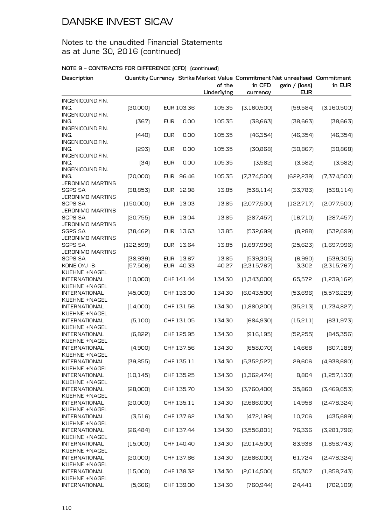### Notes to the unaudited Financial Statements as at June 30, 2016 (continued)

| Description                               |            |            |            | of the<br>Underlying | Quantity Currency Strike Market Value Commitment Net unrealised Commitment<br>in CFD<br>currency | gain / [loss]<br><b>EUR</b> | in EUR      |
|-------------------------------------------|------------|------------|------------|----------------------|--------------------------------------------------------------------------------------------------|-----------------------------|-------------|
| INGENICO.IND.FIN.                         |            |            |            |                      |                                                                                                  |                             |             |
| ING.                                      | [30,000]   |            | EUR 103.36 | 105.35               | [3,160,500]                                                                                      | [59, 584]                   | [3,160,500] |
| INGENICO.IND.FIN.                         |            |            |            |                      |                                                                                                  |                             |             |
| ING.                                      | (367)      | <b>EUR</b> | 0.00       | 105.35               | [38,663]                                                                                         | [38,663]                    | [38,663]    |
| INGENICO.IND.FIN.<br>ING.                 | [440]      | <b>EUR</b> | 0.00       | 105.35               | [46,354]                                                                                         | [46, 354]                   | [46,354]    |
| INGENICO.IND.FIN.                         |            |            |            |                      |                                                                                                  |                             |             |
| ING.<br>INGENICO.IND.FIN.                 | [293]      | <b>EUR</b> | 0.00       | 105.35               | [30, 868]                                                                                        | [30, 867]                   | [30, 868]   |
| ING.                                      | [34]       | <b>EUR</b> | 0.00       | 105.35               | (3,582)                                                                                          | (3,582)                     | [3,582]     |
| INGENICO.IND.FIN.<br>ING.                 | [70,000]   | EUR        | 96.46      | 105.35               | [7,374,500]                                                                                      | [622, 239]                  | [7,374,500] |
| <b>JERONIMO MARTINS</b>                   |            |            |            |                      |                                                                                                  |                             |             |
| <b>SGPS SA</b>                            | [38, 853]  | <b>EUR</b> | 12.98      | 13.85                | [538, 114]                                                                                       | [33,783]                    | [538, 114]  |
| <b>JERONIMO MARTINS</b>                   |            |            |            |                      |                                                                                                  |                             |             |
| <b>SGPS SA</b>                            | (150,000)  | <b>EUR</b> | 13.03      | 13.85                | [2,077,500]                                                                                      | [122, 717]                  | [2,077,500] |
| <b>JERONIMO MARTINS</b>                   |            |            |            |                      |                                                                                                  |                             |             |
| <b>SGPS SA</b>                            | [20,755]   | <b>EUR</b> | 13.04      | 13.85                | [287, 457]                                                                                       | (16,710)                    | [287, 457]  |
| <b>JERONIMO MARTINS</b>                   |            |            |            |                      |                                                                                                  |                             |             |
| <b>SGPS SA</b><br><b>JERONIMO MARTINS</b> | [38, 462]  | EUR        | 13.63      | 13.85                | [532,699]                                                                                        | [8,288]                     | [532,699]   |
| <b>SGPS SA</b>                            | (122, 599) | <b>EUR</b> | 13.64      | 13.85                | (1,697,996)                                                                                      | [25,623]                    | [1,697,996] |
| <b>JERONIMO MARTINS</b>                   |            |            |            |                      |                                                                                                  |                             |             |
| <b>SGPS SA</b>                            | [38, 939]  | EUR        | 13.67      | 13.85                | [539, 305]                                                                                       | (6,990)                     | [539,305]   |
| KONE OYJ -B-                              | [57,506]   | EUR        | 40.33      | 40.27                | [2,315,767]                                                                                      | 3,302                       | [2,315,767] |
| KUEHNE +NAGEL                             |            |            |            |                      |                                                                                                  |                             |             |
| <b>INTERNATIONAL</b>                      | [10,000]   |            | CHF 141.44 | 134.30               | [1,343,000]                                                                                      | 65,572                      | (1,239,162) |
| KUEHNE +NAGEL                             |            |            |            |                      |                                                                                                  |                             |             |
| <b>INTERNATIONAL</b>                      | (45,000)   |            | CHF 133.00 | 134.30               | [6,043,500]                                                                                      | [53,696]                    | [5,576,229] |
| KUEHNE +NAGEL                             |            |            |            |                      |                                                                                                  |                             |             |
| <b>INTERNATIONAL</b>                      | [14,000]   |            | CHF 131.56 | 134.30               | [1,880,200]                                                                                      | [35, 213]                   | (1,734,827) |
| KUEHNE +NAGEL<br><b>INTERNATIONAL</b>     |            |            |            | 134.30               |                                                                                                  |                             |             |
| KUEHNE +NAGEL                             | (5,100)    |            | CHF 131.05 |                      | [684, 930]                                                                                       | (15,211)                    | [631, 973]  |
| <b>INTERNATIONAL</b>                      | (6,822)    |            | CHF 125.95 | 134.30               | [916, 195]                                                                                       | [52, 255]                   | [845,356]   |
| KUEHNE +NAGEL                             |            |            |            |                      |                                                                                                  |                             |             |
| <b>INTERNATIONAL</b>                      | (4,900)    |            | CHF 137.56 | 134.30               | [658,070]                                                                                        | 14,668                      | [607, 189]  |
| KUEHNE +NAGEL                             |            |            |            |                      |                                                                                                  |                             |             |
| <b>INTERNATIONAL</b><br>KUEHNE +NAGEL     | [39, 855]  |            | CHF 135.11 | 134.30               | [5,352,527]                                                                                      | 29,606                      | (4,938,680) |
| <b>INTERNATIONAL</b>                      | [10, 145]  |            | CHF 135.25 | 134.30               | [1,362,474]                                                                                      | 8,804                       | (1,257,130) |
| KUEHNE +NAGEL                             |            |            |            |                      |                                                                                                  |                             |             |
| <b>INTERNATIONAL</b>                      | [28,000]   |            | CHF 135.70 | 134.30               | [3,760,400]                                                                                      | 35,860                      | [3,469,653] |
| KUEHNE +NAGEL                             |            |            |            |                      |                                                                                                  |                             |             |
| <b>INTERNATIONAL</b>                      | [20,000]   |            | CHF 135.11 | 134.30               | [2,686,000]                                                                                      | 14,958                      | [2,478,324] |
| KUEHNE +NAGEL                             |            |            |            |                      |                                                                                                  |                             |             |
| <b>INTERNATIONAL</b>                      | [3,516]    |            | CHF 137.62 | 134.30               | [472, 199]                                                                                       | 10,706                      | [435,689]   |
| KUEHNE +NAGEL                             |            |            |            |                      |                                                                                                  |                             |             |
| <b>INTERNATIONAL</b>                      | [26, 484]  |            | CHF 137.44 | 134.30               | [3,556,801]                                                                                      | 76,336                      | [3,281,796] |
| KUEHNE +NAGEL<br><b>INTERNATIONAL</b>     |            |            |            |                      |                                                                                                  |                             |             |
| KUEHNE +NAGEL                             | (15,000)   |            | CHF 140.40 | 134.30               | [2,014,500]                                                                                      | 83,938                      | (1,858,743) |
| <b>INTERNATIONAL</b>                      | [20,000]   |            | CHF 137.66 | 134.30               | [2,686,000]                                                                                      | 61,724                      | [2,478,324] |
| KUEHNE +NAGEL                             |            |            |            |                      |                                                                                                  |                             |             |
| <b>INTERNATIONAL</b>                      | (15,000)   |            | CHF 138.32 | 134.30               | [2,014,500]                                                                                      | 55,307                      | (1,858,743) |
| KUEHNE +NAGEL                             |            |            |            |                      |                                                                                                  |                             |             |
| <b>INTERNATIONAL</b>                      | [5,666]    |            | CHF 139.00 | 134.30               | [760, 944]                                                                                       | 24,441                      | [702, 109]  |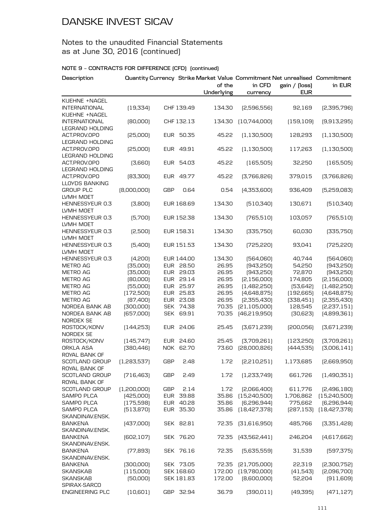## Notes to the unaudited Financial Statements as at June 30, 2016 (continued)

| Description                                    |             |            |            | of the<br>Underlying | Quantity Currency Strike Market Value Commitment Net unrealised Commitment<br>in CFD<br>currency | gain / (loss)<br><b>EUR</b> | in EUR        |
|------------------------------------------------|-------------|------------|------------|----------------------|--------------------------------------------------------------------------------------------------|-----------------------------|---------------|
| KUEHNE +NAGEL                                  |             |            |            |                      |                                                                                                  |                             |               |
| <b>INTERNATIONAL</b><br>KUEHNE +NAGEL          | [19, 334]   |            | CHF 139.49 | 134.30               | [2,596,556]                                                                                      | 92,169                      | [2,395,796]   |
| <b>INTERNATIONAL</b><br><b>LEGRAND HOLDING</b> | [80,000]    |            | CHF 132.13 | 134.30               | [10,744,000]                                                                                     | (159, 109)                  | [9,913,295]   |
| ACT.PROV.OPO<br><b>LEGRAND HOLDING</b>         | [25,000]    | EUR        | 50.35      | 45.22                | (1, 130, 500)                                                                                    | 128,293                     | [1, 130, 500] |
| ACT.PROV.OPO<br><b>LEGRAND HOLDING</b>         | [25,000]    |            | EUR 49.91  | 45.22                | (1, 130, 500)                                                                                    | 117,263                     | (1, 130, 500) |
| ACT.PROV.OPO<br><b>LEGRAND HOLDING</b>         | [3,660]     | EUR        | 54.03      | 45.22                | (165, 505)                                                                                       | 32,250                      | (165, 505)    |
| ACT.PROV.OPO<br><b>LLOYDS BANKING</b>          | [83,300]    |            | EUR 49.77  | 45.22                | [3,766,826]                                                                                      | 379,015                     | [3,766,826]   |
| <b>GROUP PLC</b><br>LVMH MOET                  | [8,000,000] | <b>GBP</b> | 0.64       | 0.54                 | [4,353,600]                                                                                      | 936,409                     | [5,259,083]   |
| HENNESSYEUR 0.3<br>LVMH MOET                   | (3,800)     |            | EUR 168.69 | 134.30               | [510, 340]                                                                                       | 130,671                     | [510, 340]    |
| HENNESSYEUR 0.3<br>LVMH MOET                   | (5,700)     |            | EUR 152.38 | 134.30               | [765, 510]                                                                                       | 103,057                     | [765, 510]    |
| HENNESSYEUR 0.3<br>LVMH MOET                   | [2,500]     |            | EUR 158.31 | 134.30               | [335,750]                                                                                        | 60,030                      | [335,750]     |
| HENNESSYEUR 0.3<br>LVMH MOET                   | [5,400]     |            | EUR 151.53 | 134.30               | [725, 220]                                                                                       | 93,041                      | [725, 220]    |
| HENNESSYEUR 0.3                                | (4,200)     |            | EUR 144.00 | 134.30               | [564,060]                                                                                        | 40,744                      | [564,060]     |
| <b>METRO AG</b>                                | [35,000]    |            | EUR 28.50  | 26.95                | [943,250]                                                                                        | 54,250                      | [943,250]     |
| METRO AG                                       | [35,000]    |            | EUR 29.03  | 26.95                | [943,250]                                                                                        | 72,870                      | [943, 250]    |
| <b>METRO AG</b>                                | [80,000]    | <b>EUR</b> | 29.14      | 26.95                | [2,156,000]                                                                                      | 174,805                     | [2,156,000]   |
| <b>METRO AG</b>                                | [55,000]    | <b>EUR</b> | 25.97      | 26.95                | (1,482,250)                                                                                      | [53, 642]                   | [1,482,250]   |
| METRO AG                                       | (172,500)   |            | EUR 25.83  | 26.95                | [4,648,875]                                                                                      | [192, 665]                  | [4,648,875]   |
| <b>METRO AG</b>                                | [87,400]    | <b>EUR</b> | 23.08      | 26.95                | [2,355,430]                                                                                      | [338,451]                   | [2,355,430]   |
| NORDEA BANK AB                                 | [300,000]   | <b>SEK</b> | 74.38      | 70.35                | [21, 105, 000]                                                                                   | 128,545                     | [2,237,151]   |
| NORDEA BANK AB<br><b>NORDEX SE</b>             | [657,000]   |            | SEK 69.91  | 70.35                | (46, 219, 950)                                                                                   | [30,623]                    | [4,899,361]   |
| ROSTOCK/KONV<br><b>NORDEX SE</b>               | [144, 253]  | EUR        | 24.06      | 25.45                | [3,671,239]                                                                                      | [200, 056]                  | [3,671,239]   |
| ROSTOCK/KONV                                   | (145, 747)  |            | EUR 24.60  | 25.45                | [3,709,261]                                                                                      | [123, 250]                  | [3,709,261]   |
| ORKLA ASA<br>ROYAL BANK OF                     | [380, 446]  |            | NOK 62.70  | 73.60                | [28,000,826]                                                                                     | [444, 535]                  | [3,006,141]   |
| <b>SCOTLAND GROUP</b><br>ROYAL BANK OF         | [1,283,537] | <b>GBP</b> | 2.48       | 1.72                 | [2,210,251]                                                                                      | 1,173,685                   | [2,669,950]   |
| SCOTLAND GROUP<br>ROYAL BANK OF                | [716, 463]  | <b>GBP</b> | 2.49       | 1.72                 | [1,233,749]                                                                                      | 661,726                     | (1,490,351)   |
| <b>SCOTLAND GROUP</b>                          | [1,200,000] | GBP        | 2.14       | 1.72                 | [2,066,400]                                                                                      | 611,776                     | [2,496,180]   |
| <b>SAMPO PLCA</b>                              | [425,000]   | EUR        | 39.88      | 35.86                | [15,240,500]                                                                                     | 1,706,862                   | (15,240,500)  |
| <b>SAMPO PLCA</b>                              | (175, 598)  | EUR        | 40.28      | 35.86                | [6, 296, 944]                                                                                    | 775,662                     | [6, 296, 944] |
| <b>SAMPO PLCA</b>                              | [513, 870]  |            | EUR 35.30  | 35.86                | [18,427,378]                                                                                     | [287, 153]                  | [18,427,378]  |
| SKANDINAV.ENSK.                                |             |            |            |                      |                                                                                                  |                             |               |
| <b>BANKENA</b><br>SKANDINAV.ENSK.              | [437,000]   |            | SEK 82.81  | 72.35                | [31,616,950]                                                                                     | 485,766                     | [3,351,428]   |
| <b>BANKENA</b><br>SKANDINAV.ENSK.              | [602, 107]  |            | SEK 76.20  | 72.35                | [43,562,441]                                                                                     | 246,204                     | [4,617,662]   |
| BANKENA<br>SKANDINAV.ENSK.                     | [77, 893]   |            | SEK 76.16  | 72.35                | [5,635,559]                                                                                      | 31,539                      | [597, 375]    |
| BANKENA                                        | [300,000]   |            | SEK 73.05  | 72.35                | [21,705,000]                                                                                     | 22,319                      | [2,300,752]   |
| SKANSKAB                                       | (115,000)   |            | SEK 168.60 | 172.00               | [19,780,000]                                                                                     | [41,543]                    | [2,096,700]   |
| <b>SKANSKAB</b>                                | [50,000]    |            | SEK 181.83 | 172.00               | [8,600,000]                                                                                      | 52,204                      | [911, 609]    |
| SPIRAX-SARCO<br><b>ENGINEERING PLC</b>         | [10,601]    |            | GBP 32.94  | 36.79                | [390, 011]                                                                                       | (49,395)                    | [471, 127]    |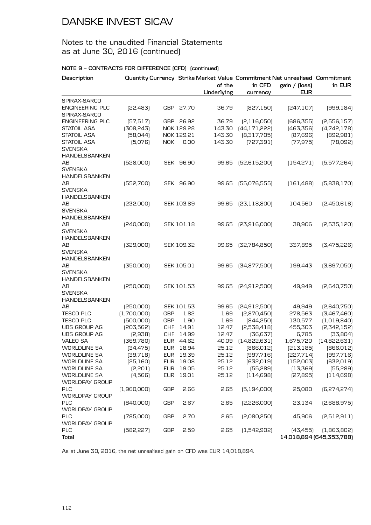### Notes to the unaudited Financial Statements as at June 30, 2016 (continued)

#### **NOTE 9 – CONTRACTS FOR DIFFERENCE (CFD) (continued)**

| Description                                                  |                     |            |                   | of the<br>Underlying | in CFD                  | Quantity Currency Strike Market Value Commitment Net unrealised Commitment<br>gain / (loss)<br><b>EUR</b> | in EUR                                  |
|--------------------------------------------------------------|---------------------|------------|-------------------|----------------------|-------------------------|-----------------------------------------------------------------------------------------------------------|-----------------------------------------|
| SPIRAX-SARCO                                                 |                     |            |                   |                      | currency                |                                                                                                           |                                         |
| <b>ENGINEERING PLC</b><br>SPIRAX-SARCO                       | [22,483]            | GBP        | 27.70             | 36.79                | [827, 150]              | [247, 107]                                                                                                | [999, 184]                              |
| <b>ENGINEERING PLC</b>                                       | [57,517]            |            | GBP 26.92         | 36.79                | [2,116,050]             | [686, 355]                                                                                                | [2,556,157]                             |
| <b>STATOIL ASA</b>                                           | [308, 243]          |            | NOK 129.28        | 143.30               | [44, 171, 222]          | [463,356]                                                                                                 | [4,742,178]                             |
| <b>STATOIL ASA</b>                                           | [58,044]            |            | NOK 129.21        | 143.30               | [8,317,705]             | [87,696]                                                                                                  | [892, 981]                              |
| <b>STATOIL ASA</b><br><b>SVENSKA</b><br><b>HANDELSBANKEN</b> | [5,076]             | NOK        | 0.00              | 143.30               | [727, 391]              | [77, 975]                                                                                                 | [78,092]                                |
| ΑВ<br><b>SVENSKA</b>                                         | [528,000]           |            | SEK 96.90         | 99.65                | [52,615,200]            | (154, 271)                                                                                                | [5,577,264]                             |
| <b>HANDELSBANKEN</b>                                         |                     |            |                   |                      |                         |                                                                                                           |                                         |
| ΑВ<br><b>SVENSKA</b>                                         | [552,700]           |            | SEK 96.90         | 99.65                | [55,076,555]            | [161, 488]                                                                                                | [5,838,170]                             |
| <b>HANDELSBANKEN</b>                                         |                     |            |                   |                      |                         |                                                                                                           |                                         |
| AB<br><b>SVENSKA</b><br><b>HANDELSBANKEN</b>                 | [232,000]           |            | SEK 103.89        | 99.65                | [23, 118, 800]          | 104,560                                                                                                   | [2,450,616]                             |
| AВ                                                           | [240,000]           |            | <b>SEK 101.18</b> | 99.65                | [23,916,000]            | 38,906                                                                                                    | [2,535,120]                             |
| <b>SVENSKA</b><br><b>HANDELSBANKEN</b>                       |                     |            |                   |                      |                         |                                                                                                           |                                         |
| AВ<br><b>SVENSKA</b>                                         | [329,000]           |            | SEK 109.32        | 99.65                | [32,784,850]            | 337,895                                                                                                   | [3,475,226]                             |
| <b>HANDELSBANKEN</b>                                         |                     |            |                   |                      |                         |                                                                                                           |                                         |
| ΑВ<br><b>SVENSKA</b><br><b>HANDELSBANKEN</b>                 | [350,000]           |            | SEK 105.01        | 99.65                | [34,877,500]            | 199,443                                                                                                   | [3,697,050]                             |
| AB<br><b>SVENSKA</b><br>HANDELSBANKEN                        | [250,000]           |            | SEK 101.53        | 99.65                | [24,912,500]            | 49,949                                                                                                    | [2,640,750]                             |
| AВ                                                           | [250,000]           |            | SEK 101.53        | 99.65                | [24,912,500]            | 49,949                                                                                                    | [2,640,750]                             |
| <b>TESCO PLC</b>                                             | (1,700,000)         | GBP        | 1.82              | 1.69                 | [2,870,450]             | 278,563                                                                                                   | [3,467,460]                             |
| <b>TESCO PLC</b>                                             | [500,000]           | <b>GBP</b> | 1.90              | 1.69                 | [844,250]               | 130,577                                                                                                   | (1,019,840)                             |
| UBS GROUP AG                                                 | [203,562]           | <b>CHF</b> | 14.91             | 12.47                | [2,538,418]             | 455,303                                                                                                   | [2,342,152]                             |
| <b>UBS GROUP AG</b>                                          | [2,938]             | CHF        | 14.99             | 12.47                | [36, 637]               | 6,785                                                                                                     | [33,804]                                |
| <b>VALEO SA</b>                                              | [369,780]           | <b>EUR</b> | 44.62             | 40.09                | [14,822,631]            | 1,675,720                                                                                                 | [14,822,631]                            |
| <b>WORLDLINE SA</b>                                          | [34, 475]           |            | EUR 18.94         | 25.12                | [866, 012]              | [213, 185]                                                                                                | [866, 012]                              |
| WORLDLINE SA                                                 | [39,718]            |            | EUR 19.39         | 25.12                | (997, 716)              | [227,714]                                                                                                 | [997,716]                               |
| <b>WORLDLINE SA</b>                                          | [25, 160]           |            | EUR 19.08         | 25.12                | [632, 019]              | [152,003]                                                                                                 | [632, 019]                              |
| WORLDLINE SA<br><b>WORLDLINE SA</b>                          | [2, 201]<br>(4,566) | EUR<br>EUR | 19.05<br>19.01    | 25.12<br>25.12       | [55, 289]<br>(114, 698) | [13, 369]<br>[27, 895]                                                                                    | [55, 289]<br>[114, 698]                 |
| <b>WORLDPAY GROUP</b><br><b>PLC</b><br>WORLDPAY GROUP        | [1,960,000]         | <b>GBP</b> | 2.66              | 2.65                 | [5, 194, 000]           | 25,080                                                                                                    | [6,274,274]                             |
| <b>PLC</b><br><b>WORLDPAY GROUP</b>                          | [840,000]           | <b>GBP</b> | 2.67              | 2.65                 | [2,226,000]             | 23,134                                                                                                    | [2,688,975]                             |
| <b>PLC</b><br>WORLDPAY GROUP                                 | [785,000]           | <b>GBP</b> | 2.70              | 2.65                 | [2,080,250]             | 45,906                                                                                                    | [2,512,911]                             |
| PLC<br><b>Total</b>                                          | [582, 227]          | <b>GBP</b> | 2.59              | 2.65                 | [1,542,902]             | (43, 455)                                                                                                 | [1,863,802]<br>14,018,894 (645,353,788) |

As at June 30, 2016, the net unrealised gain on CFD was EUR 14,018,894.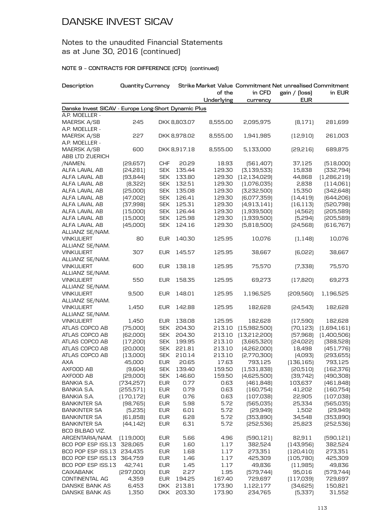### Notes to the unaudited Financial Statements as at June 30, 2016 (continued)

| Description                                                            | Quantity Currency |            |              |            |                | Strike Market Value Commitment Net unrealised Commitment |             |
|------------------------------------------------------------------------|-------------------|------------|--------------|------------|----------------|----------------------------------------------------------|-------------|
|                                                                        |                   |            |              | of the     | in CFD         | gain / (loss)                                            | in EUR      |
|                                                                        |                   |            |              | Underlying | currency       | <b>EUR</b>                                               |             |
| Danske Invest SICAV - Europe Long-Short Dynamic Plus<br>A.P. MOELLER - |                   |            |              |            |                |                                                          |             |
| MAERSK A/SB                                                            | 245               |            | DKK 8,803.07 | 8,555.00   | 2,095,975      | [8, 171]                                                 | 281,699     |
| A.P. MOELLER -                                                         |                   |            |              |            |                |                                                          |             |
| <b>MAERSK A/SB</b>                                                     | 227               |            | DKK 8,978.02 | 8,555.00   | 1,941,985      | [12,910]                                                 | 261,003     |
| A.P. MOELLER -                                                         |                   |            |              |            |                |                                                          |             |
| MAERSK A/SB                                                            | 600               |            | DKK 8,917.18 | 8,555.00   | 5,133,000      | [29, 216]                                                | 689,875     |
| ABB LTD ZUERICH                                                        |                   |            |              |            |                |                                                          |             |
| /NAMEN.                                                                | [29, 657]         | <b>CHF</b> | 20.29        | 18.93      | [561, 407]     | 37,125                                                   | [518,000]   |
| ALFA LAVAL AB                                                          | [24, 281]         | <b>SEK</b> | 135.44       | 129.30     | [3, 139, 533]  | 15,838                                                   | [332,794]   |
| ALFA LAVAL AB                                                          | [93, 844]         | <b>SEK</b> | 133.80       | 129.30     | [12, 134, 029] | 44,868                                                   | (1,286,219) |
| ALFA LAVAL AB                                                          | [8,322]           | <b>SEK</b> | 132.51       | 129.30     | (1,076,035)    | 2,838                                                    | (114,061)   |
| ALFA LAVAL AB                                                          | [25,000]          | <b>SEK</b> | 135.08       | 129.30     | [3,232,500]    | 15,350                                                   | [342, 648]  |
| ALFA LAVAL AB                                                          | (47,002)          | <b>SEK</b> | 126.41       | 129.30     | [6,077,359]    | [14, 419]                                                | [644, 206]  |
| ALFA LAVAL AB                                                          | [37,998]          | <b>SEK</b> | 125.31       | 129.30     | [4,913,141]    | (16, 113)                                                | [520, 798]  |
| ALFA LAVAL AB                                                          | (15,000)          | <b>SEK</b> | 126.44       | 129.30     | (1,939,500)    | (4,562)                                                  | [205,589]   |
| ALFA LAVAL AB                                                          | (15,000)          | <b>SEK</b> | 125.98       | 129.30     | (1,939,500)    | [5,294]                                                  | [205,589]   |
| ALFA LAVAL AB<br>ALLIANZ SE/NAM.                                       | (45,000)          | <b>SEK</b> | 124.16       | 129.30     | [5,818,500]    | [24,568]                                                 | [616, 767]  |
| <b>VINKULIERT</b>                                                      | 80                | <b>EUR</b> | 140.30       | 125.95     | 10,076         | (1, 148)                                                 | 10,076      |
| ALLIANZ SE/NAM.                                                        |                   |            |              |            |                |                                                          |             |
| <b>VINKULIERT</b>                                                      | 307               | <b>EUR</b> | 145.57       | 125.95     | 38,667         | [6,022]                                                  | 38,667      |
| ALLIANZ SE/NAM.                                                        |                   |            |              |            |                |                                                          |             |
| <b>VINKULIERT</b>                                                      | 600               | <b>EUR</b> | 138.18       | 125.95     | 75,570         | [7,338]                                                  | 75,570      |
| ALLIANZ SE/NAM.                                                        |                   |            |              |            |                |                                                          |             |
| <b>VINKULIERT</b>                                                      | 550               | <b>EUR</b> | 158.35       | 125.95     | 69,273         | (17, 820)                                                | 69,273      |
| ALLIANZ SE/NAM.                                                        |                   |            |              |            |                |                                                          |             |
| <b>VINKULIERT</b>                                                      | 9,500             | <b>EUR</b> | 148.01       | 125.95     | 1,196,525      | [209,560]                                                | 1,196,525   |
| ALLIANZ SE/NAM.<br><b>VINKULIERT</b>                                   |                   | <b>EUR</b> |              |            |                |                                                          |             |
| ALLIANZ SE/NAM.                                                        | 1,450             |            | 142.88       | 125.95     | 182,628        | [24,543]                                                 | 182,628     |
| <b>VINKULIERT</b>                                                      | 1,450             | <b>EUR</b> | 138.08       | 125.95     | 182,628        | (17,590)                                                 | 182,628     |
| ATLAS COPCO AB                                                         | (75,000)          | <b>SEK</b> | 204.30       | 213.10     | (15,982,500)   | [70, 123]                                                | (1,694,161) |
| ATLAS COPCO AB                                                         | [62,000]          | <b>SEK</b> | 204.30       | 213.10     | (13,212,200)   | [57,968]                                                 | (1,400,506) |
| ATLAS COPCO AB                                                         | (17,200)          | <b>SEK</b> | 199.95       | 213.10     | [3,665,320]    | [24,022]                                                 | [388, 528]  |
| ATLAS COPCO AB                                                         | [20,000]          | <b>SEK</b> | 221.81       | 213.10     | (4,262,000)    | 18,498                                                   | (451, 776)  |
| ATLAS COPCO AB                                                         | (13,000)          | <b>SEK</b> | 210.14       | 213.10     | [2,770,300]    | [4,093]                                                  | [293, 655]  |
| <b>AXA</b>                                                             | 45,000            | <b>EUR</b> | 20.65        | 17.63      | 793,125        | (136, 165)                                               | 793,125     |
| AXFOOD AB                                                              | (9,604)           | <b>SEK</b> | 139.40       | 159.50     | (1,531,838)    | [20,510]                                                 | [162, 376]  |
| AXFOOD AB                                                              | [29,000]          | <b>SEK</b> | 146.60       | 159.50     | [4,625,500]    | [39, 742]                                                | [490, 308]  |
| BANKIA S.A.                                                            | [734, 257]        | <b>EUR</b> | 0.77         | 0.63       | [461,848]      | 103,637                                                  | (461, 848)  |
| BANKIA S.A.                                                            | [255, 571]        | <b>EUR</b> | 0.79         | 0.63       | [160, 754]     | 41,202                                                   | (160, 754)  |
| BANKIA S.A.                                                            | (170, 172)        | <b>EUR</b> | 0.76         | 0.63       | (107, 038)     | 22,905                                                   | (107,038)   |
| <b>BANKINTER SA</b>                                                    | [98, 765]         | <b>EUR</b> | 5.98         | 5.72       | [565, 035]     | 25,334                                                   | [565,035]   |
| <b>BANKINTER SA</b>                                                    | [5, 235]          | <b>EUR</b> | 6.01         | 5.72       | [29,949]       | 1,502                                                    | [29,949]    |
| <b>BANKINTER SA</b>                                                    | [61, 858]         | <b>EUR</b> | 6.28         | 5.72       | [353,890]      | 34,548                                                   | [353,890]   |
| <b>BANKINTER SA</b>                                                    | [44, 142]         | <b>EUR</b> | 6.31         | 5.72       | [252, 536]     | 25,823                                                   | [252, 536]  |
| BCO BILBAO VIZ.                                                        |                   |            |              |            |                |                                                          |             |
| ARGENTARIA/NAM.                                                        | (119,000)         | <b>EUR</b> | 5.66         | 4.96       | [590, 121]     | 82,911                                                   | [590, 121]  |
| BCO POP ESP ISS.13                                                     | 328,065           | <b>EUR</b> | 1.60         | 1.17       | 382,524        | [143,956]                                                | 382,524     |
| BCO POP ESP ISS.13                                                     | 234,435           | <b>EUR</b> | 1.68         | 1.17       | 273,351        | [120, 410]                                               | 273,351     |
| BCO POP ESP ISS.13                                                     | 364,759           | <b>EUR</b> | 1.46         | 1.17       | 425,309        | (105, 780)                                               | 425,309     |
| BCO POP ESP ISS.13                                                     | 42,741            | <b>EUR</b> | 1.45         | 1.17       | 49,836         | (11,985)                                                 | 49,836      |
| <b>CAIXABANK</b>                                                       | [297,000]         | <b>EUR</b> | 2.27         | 1.95       | [579, 744]     | 95,016                                                   | [579, 744]  |
| <b>CONTINENTAL AG</b>                                                  | 4,359             | <b>EUR</b> | 194.25       | 167.40     | 729,697        | (117,039)                                                | 729,697     |
| DANSKE BANK AS                                                         | 6,453             | <b>DKK</b> | 213.81       | 173.90     | 1,122,177      | [34,625]                                                 | 150,821     |
| DANSKE BANK AS                                                         | 1,350             | <b>DKK</b> | 203.30       | 173.90     | 234,765        | (5,337)                                                  | 31,552      |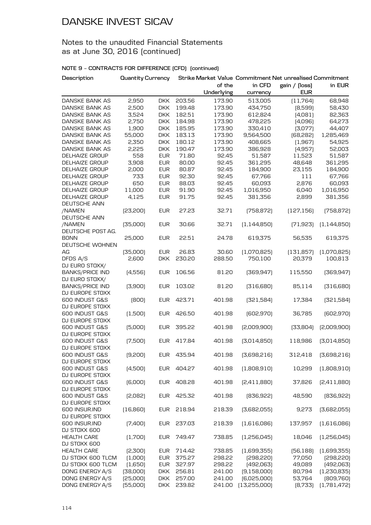### Notes to the unaudited Financial Statements as at June 30, 2016 (continued)

| Description                      | <b>Quantity Currency</b> |            |            |            |               | Strike Market Value Commitment Net unrealised Commitment |                     |
|----------------------------------|--------------------------|------------|------------|------------|---------------|----------------------------------------------------------|---------------------|
|                                  |                          |            |            | of the     | in CFD        | gain / (loss)                                            | in EUR              |
|                                  |                          |            |            | Underlying | currency      | <b>EUR</b>                                               |                     |
| DANSKE BANK AS                   | 2,950                    | <b>DKK</b> | 203.56     | 173.90     | 513,005       | (11,764)                                                 | 68,948              |
| DANSKE BANK AS                   | 2,500                    | <b>DKK</b> | 199.48     | 173.90     | 434,750       | [8,599]                                                  | 58,430              |
| DANSKE BANK AS                   | 3,524                    | <b>DKK</b> | 182.51     | 173.90     | 612,824       | (4,081)                                                  | 82,363              |
| DANSKE BANK AS                   | 2,750                    | <b>DKK</b> | 184.98     | 173.90     | 478,225       | [4,096]                                                  | 64,273              |
| DANSKE BANK AS                   | 1,900                    | <b>DKK</b> | 185.95     | 173.90     | 330,410       | [3,077]                                                  | 44,407              |
| DANSKE BANK AS                   | 55,000                   | <b>DKK</b> | 183.13     | 173.90     | 9,564,500     | [68, 282]                                                | 1,285,469           |
| DANSKE BANK AS                   | 2,350                    | <b>DKK</b> | 180.12     | 173.90     | 408,665       | (1,967)                                                  | 54,925              |
| DANSKE BANK AS                   | 2,225                    | <b>DKK</b> | 190.47     | 173.90     | 386,928       | (4,957)                                                  | 52,003              |
| DELHAIZE GROUP                   | 558                      | <b>EUR</b> | 71.80      | 92.45      | 51,587        | 11,523                                                   | 51,587              |
| DELHAIZE GROUP                   | 3,908                    | <b>EUR</b> | 80.00      | 92.45      | 361,295       | 48,648                                                   | 361,295             |
| <b>DELHAIZE GROUP</b>            | 2,000                    | <b>EUR</b> | 80.87      | 92.45      | 184,900       | 23,155                                                   | 184,900             |
| DELHAIZE GROUP                   | 733                      | <b>EUR</b> | 92.30      | 92.45      | 67,766        | 111                                                      | 67,766              |
| DELHAIZE GROUP                   | 650                      | <b>EUR</b> | 88.03      | 92.45      | 60,093        | 2,876                                                    | 60,093              |
| <b>DELHAIZE GROUP</b>            | 11,000                   | <b>EUR</b> | 91.90      | 92.45      | 1,016,950     | 6,040                                                    | 1,016,950           |
| DELHAIZE GROUP                   | 4,125                    | <b>EUR</b> | 91.75      | 92.45      | 381,356       | 2,899                                                    | 381,356             |
| DEUTSCHE ANN                     |                          |            |            |            |               |                                                          |                     |
| /NAMEN<br>DEUTSCHE ANN           | [23, 200]                | <b>EUR</b> | 27.23      | 32.71      | (758, 872)    | [127, 156]                                               | (758, 872)          |
|                                  |                          |            |            |            |               |                                                          |                     |
| /NAMEN                           | [35,000]                 | <b>EUR</b> | 30.66      | 32.71      | (1, 144, 850) | [71, 923]                                                | (1, 144, 850)       |
| DEUTSCHE POST AG.<br><b>BONN</b> |                          |            |            |            |               |                                                          |                     |
|                                  | 25,000                   | <b>EUR</b> | 22.51      | 24.78      | 619,375       | 56,535                                                   | 619,375             |
| DEUTSCHE WOHNEN<br>AG            |                          | <b>EUR</b> | 26.83      | 30.60      | [1,070,825]   | (131, 857)                                               | (1,070,825)         |
| DFDS A/S                         | [35,000]<br>2,600        | <b>DKK</b> | 230.20     | 288.50     | 750,100       | 20,379                                                   | 100,813             |
| DJ EURO STOXX/                   |                          |            |            |            |               |                                                          |                     |
| <b>BANKS/PRICE IND</b>           | (4,556)                  | <b>EUR</b> | 106.56     | 81.20      | [369, 947]    | 115,550                                                  | [369, 947]          |
| DJ EURO STOXX/                   |                          |            |            |            |               |                                                          |                     |
| <b>BANKS/PRICE IND</b>           | (3,900)                  | <b>EUR</b> | 103.02     | 81.20      | [316,680]     | 85,114                                                   | [316,680]           |
| DJ EUROPE STOXX                  |                          |            |            |            |               |                                                          |                     |
| 600 INDUST G&S                   | (800)                    | <b>EUR</b> | 423.71     | 401.98     | [321,584]     | 17,384                                                   | [321,584]           |
| DJ EUROPE STOXX                  |                          |            |            |            |               |                                                          |                     |
| 600 INDUST G&S                   | (1,500)                  | <b>EUR</b> | 426.50     | 401.98     | [602, 970]    | 36,785                                                   | [602, 970]          |
| DJ EUROPE STOXX                  |                          |            |            |            |               |                                                          |                     |
| 600 INDUST G&S                   | (5,000)                  | <b>EUR</b> | 395.22     | 401.98     | [2,009,900]   | [33,804]                                                 | [2,009,900]         |
| DJ EUROPE STOXX                  |                          |            |            |            |               |                                                          |                     |
| 600 INDUST G&S                   | (7,500)                  | <b>EUR</b> | 417.84     | 401.98     | [3,014,850]   | 118,986                                                  | [3,014,850]         |
| DJ EUROPE STOXX                  |                          |            |            |            |               |                                                          |                     |
| 600 INDUST G&S                   | (9,200)                  |            | EUR 435.94 | 401.98     | [3,698,216]   |                                                          | 312,418 (3,698,216) |
| DJ EUROPE STOXX                  |                          |            |            |            |               |                                                          |                     |
| 600 INDUST G&S                   | (4,500)                  | <b>EUR</b> | 404.27     | 401.98     | (1,808,910)   | 10,299                                                   | (1,808,910)         |
| DJ EUROPE STOXX                  |                          |            |            |            |               |                                                          |                     |
| 600 INDUST G&S                   | (6,000)                  | EUR        | 408.28     | 401.98     | [2,411,880]   | 37,826                                                   | [2,411,880]         |
| DJ EUROPE STOXX                  |                          |            |            |            |               |                                                          |                     |
| 600 INDUST G&S                   | [2,082]                  | EUR        | 425.32     | 401.98     | [836, 922]    | 48,590                                                   | [836, 922]          |
| DJ EUROPE STOXX                  |                          |            |            |            |               |                                                          |                     |
| 600 INSUR.IND                    | (16, 860)                | <b>EUR</b> | 218.94     | 218.39     | [3,682,055]   | 9,273                                                    | [3,682,055]         |
| DJ EUROPE STOXX                  |                          |            |            |            |               |                                                          |                     |
| 600 INSUR.IND                    | (7,400)                  | <b>EUR</b> | 237.03     | 218.39     | (1,616,086)   | 137,957                                                  | (1,616,086)         |
| DJ STOXX 600                     |                          |            |            |            |               |                                                          |                     |
| <b>HEALTH CARE</b>               | (1,700)                  | <b>EUR</b> | 749.47     | 738.85     | (1,256,045)   | 18,046                                                   | (1,256,045)         |
| DJ STOXX 600                     |                          |            |            |            |               |                                                          |                     |
| <b>HEALTH CARE</b>               | [2,300]                  | <b>EUR</b> | 714.42     | 738.85     | (1,699,355)   | [56, 188]                                                | (1,699,355)         |
| DJ STOXX 600 TLCM                | (1,000)                  | <b>EUR</b> | 375.27     | 298.22     | [298, 220]    | 77,050                                                   | [298, 220]          |
| DJ STOXX 600 TLCM                | (1,650)                  | <b>EUR</b> | 327.97     | 298.22     | [492,063]     | 49,089                                                   | [492,063]           |
| DONG ENERGY A/S                  | [38,000]                 | <b>DKK</b> | 256.81     | 241.00     | (9, 158, 000) | 80,794                                                   | (1,230,835)         |
| DONG ENERGY A/S                  | [25,000]                 | <b>DKK</b> | 257.00     | 241.00     | [6,025,000]   | 53,764                                                   | [809, 760]          |
| DONG ENERGY A/S                  | (55,000)                 | <b>DKK</b> | 239.82     | 241.00     | [13,255,000]  | [8,733]                                                  | (1,781,472)         |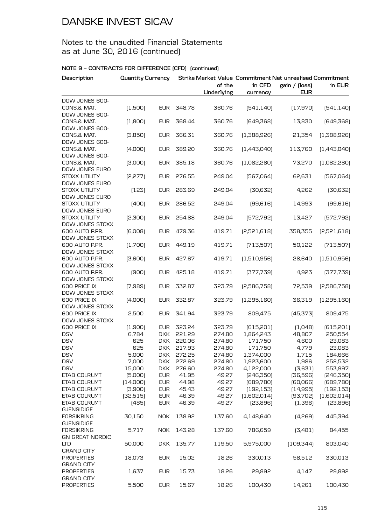### Notes to the unaudited Financial Statements as at June 30, 2016 (continued)

| Description                                              | <b>Quantity Currency</b> |            |        | of the<br>Underlying | in CFD<br>currency | Strike Market Value Commitment Net unrealised Commitment<br>gain / (loss)<br><b>EUR</b> | in EUR      |
|----------------------------------------------------------|--------------------------|------------|--------|----------------------|--------------------|-----------------------------------------------------------------------------------------|-------------|
| DOW JONES 600-                                           |                          |            |        |                      |                    |                                                                                         |             |
| CONS.& MAT.<br>DOW JONES 600-                            | (1,500)                  | <b>EUR</b> | 348.78 | 360.76               | [541, 140]         | (17,970)                                                                                | [541, 140]  |
| CONS.& MAT.                                              | (1,800)                  | EUR        | 368.44 | 360.76               | [649,368]          | 13,830                                                                                  | [649,368]   |
| DOW JONES 600-<br>CONS.& MAT.                            | (3,850)                  | <b>EUR</b> | 366.31 | 360.76               | (1,388,926)        | 21,354                                                                                  | (1,388,926) |
| DOW JONES 600-<br>CONS.& MAT.                            | (4,000)                  | <b>EUR</b> | 389.20 | 360.76               | [1,443,040]        | 113,760                                                                                 | [1,443,040] |
| DOW JONES 600-<br>CONS.& MAT.                            | (3,000)                  | <b>EUR</b> | 385.18 | 360.76               | (1,082,280)        | 73,270                                                                                  | (1,082,280) |
| DOW JONES EURO<br>STOXX UTILITY                          | [2, 277]                 | <b>EUR</b> | 276.55 | 249.04               | [567,064]          | 62,631                                                                                  | [567,064]   |
| DOW JONES EURO<br>STOXX UTILITY                          | (123)                    | <b>EUR</b> | 283.69 | 249.04               | [30,632]           | 4,262                                                                                   | [30,632]    |
| DOW JONES EURO<br>STOXX UTILITY<br><b>DOW JONES EURO</b> | (400)                    | EUR        | 286.52 | 249.04               | [99,616]           | 14,993                                                                                  | [99, 616]   |
| STOXX UTILITY<br>DOW JONES STOXX                         | [2,300]                  | EUR        | 254.88 | 249.04               | [572, 792]         | 13,427                                                                                  | [572, 792]  |
| 600 AUTO P.PR.                                           | [6,008]                  | EUR        | 479.36 | 419.71               | [2,521,618]        | 358,355                                                                                 | [2,521,618] |
| DOW JONES STOXX<br>600 AUTO P.PR.<br>DOW JONES STOXX     | (1,700)                  | EUR        | 449.19 | 419.71               | [713,507]          | 50,122                                                                                  | [713,507]   |
| 600 AUTO P.PR.<br>DOW JONES STOXX                        | [3,600]                  | EUR        | 427.67 | 419.71               | (1,510,956)        | 28,640                                                                                  | (1,510,956) |
| 600 AUTO P.PR.<br>DOW JONES STOXX                        | (900)                    | EUR        | 425.18 | 419.71               | [377,739]          | 4,923                                                                                   | [377,739]   |
| 600 PRICE IX<br>DOW JONES STOXX                          | (7,989)                  | EUR        | 332.87 | 323.79               | [2,586,758]        | 72,539                                                                                  | [2,586,758] |
| 600 PRICE IX<br>DOW JONES STOXX                          | (4,000)                  | <b>EUR</b> | 332.87 | 323.79               | (1,295,160)        | 36,319                                                                                  | (1,295,160) |
| 600 PRICE IX<br>DOW JONES STOXX                          | 2,500                    | <b>EUR</b> | 341.94 | 323.79               | 809,475            | (45, 373)                                                                               | 809,475     |
| 600 PRICE IX                                             | (1,900)                  | <b>EUR</b> | 323.24 | 323.79               | [615,201]          | (1,048)                                                                                 | [615, 201]  |
| <b>DSV</b>                                               | 6,784                    | <b>DKK</b> | 221.29 | 274.80               | 1,864,243          | 48,807                                                                                  | 250,554     |
| <b>DSV</b>                                               | 625                      | DKK.       | 220.06 | 274.80               | 171,750            | 4,600                                                                                   | 23,083      |
| <b>DSV</b>                                               | 625                      | DKK.       | 217.93 | 274.80               | 171,750            | 4,779                                                                                   | 23,083      |
| <b>DSV</b>                                               | 5,000                    | DKK.       | 272.25 | 274.80               | 1,374,000          | 1,715                                                                                   | 184,666     |
| <b>DSV</b>                                               | 7,000                    | DKK.       | 272.69 | 274.80               | 1,923,600          | 1,986                                                                                   | 258,532     |
| <b>DSV</b>                                               | 15,000                   | <b>DKK</b> | 276.60 | 274.80               | 4,122,000          | [3,631]                                                                                 | 553,997     |
| ETAB COLRUYT                                             | (5,000)                  | <b>EUR</b> | 41.95  | 49.27                | [246, 350]         | [36,596]                                                                                | [246,350]   |
| ETAB COLRUYT                                             | [14,000]                 | <b>EUR</b> | 44.98  | 49.27                | [689, 780]         | [60,066]                                                                                | [689, 780]  |
| ETAB COLRUYT                                             | (3,900)                  | <b>EUR</b> | 45.43  | 49.27                | [192, 153]         | (14,995)                                                                                | [192, 153]  |
| ETAB COLRUYT                                             | [32,515]                 | <b>EUR</b> | 46.39  | 49.27                | (1,602,014)        | [93,702]                                                                                | (1,602,014) |
| ETAB COLRUYT                                             | (485)                    | <b>EUR</b> | 46.39  | 49.27                | [23,896]           | (1,396)                                                                                 | [23,896]    |
| <b>GJENSIDIGE</b>                                        |                          |            |        |                      |                    |                                                                                         |             |
| <b>FORSIKRING</b><br><b>GJENSIDIGE</b>                   | 30,150                   | <b>NOK</b> | 138.92 | 137.60               | 4,148,640          | (4,269)                                                                                 | 445,394     |
| <b>FORSIKRING</b><br><b>GN GREAT NORDIC</b>              | 5,717                    | <b>NOK</b> | 143.28 | 137.60               | 786,659            | (3,481)                                                                                 | 84,455      |
| <b>LTD</b><br><b>GRAND CITY</b>                          | 50,000                   | <b>DKK</b> | 135.77 | 119.50               | 5,975,000          | [109, 344]                                                                              | 803,040     |
| <b>PROPERTIES</b>                                        | 18,073                   | <b>EUR</b> | 15.02  | 18.26                | 330,013            | 58,512                                                                                  | 330,013     |
| <b>GRAND CITY</b><br><b>PROPERTIES</b>                   | 1,637                    | <b>EUR</b> | 15.73  | 18.26                | 29,892             | 4,147                                                                                   | 29,892      |
| <b>GRAND CITY</b><br><b>PROPERTIES</b>                   | 5,500                    | <b>EUR</b> | 15.67  | 18.26                | 100,430            | 14,261                                                                                  | 100,430     |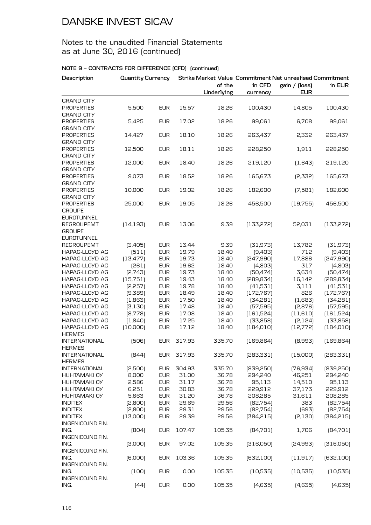### Notes to the unaudited Financial Statements as at June 30, 2016 (continued)

| Description                           | <b>Quantity Currency</b> |            |        | of the<br>Underlying | in CFD<br>currency | Strike Market Value Commitment Net unrealised Commitment<br>gain / (loss)<br><b>EUR</b> | in EUR     |
|---------------------------------------|--------------------------|------------|--------|----------------------|--------------------|-----------------------------------------------------------------------------------------|------------|
| <b>GRAND CITY</b>                     |                          |            |        |                      |                    |                                                                                         |            |
| <b>PROPERTIES</b>                     | 5,500                    | <b>EUR</b> | 15.57  | 18.26                | 100,430            | 14,805                                                                                  | 100,430    |
| <b>GRAND CITY</b>                     |                          |            |        |                      |                    |                                                                                         |            |
| <b>PROPERTIES</b>                     | 5,425                    | <b>EUR</b> | 17.02  | 18.26                | 99,061             | 6,708                                                                                   | 99,061     |
| <b>GRAND CITY</b>                     |                          |            |        |                      |                    |                                                                                         |            |
| <b>PROPERTIES</b>                     | 14,427                   | <b>EUR</b> | 18.10  | 18.26                | 263,437            | 2,332                                                                                   | 263,437    |
| <b>GRAND CITY</b>                     |                          |            |        |                      |                    |                                                                                         |            |
| <b>PROPERTIES</b>                     | 12,500                   | <b>EUR</b> | 18.11  | 18.26                | 228,250            | 1,911                                                                                   | 228,250    |
| <b>GRAND CITY</b>                     |                          |            |        |                      |                    |                                                                                         |            |
| <b>PROPERTIES</b>                     | 12,000                   | <b>EUR</b> | 18.40  | 18.26                | 219,120            | [1,643]                                                                                 | 219,120    |
| <b>GRAND CITY</b>                     |                          |            |        |                      |                    |                                                                                         |            |
| <b>PROPERTIES</b>                     | 9,073                    | <b>EUR</b> | 18.52  | 18.26                | 165,673            | [2,332]                                                                                 | 165,673    |
| <b>GRAND CITY</b>                     |                          |            |        |                      |                    |                                                                                         |            |
| <b>PROPERTIES</b>                     | 10,000                   | <b>EUR</b> | 19.02  | 18.26                | 182,600            | (7,581)                                                                                 | 182,600    |
| <b>GRAND CITY</b>                     |                          |            |        |                      |                    |                                                                                         |            |
| <b>PROPERTIES</b>                     | 25,000                   | <b>EUR</b> | 19.05  | 18.26                | 456,500            | (19,755)                                                                                | 456,500    |
| <b>GROUPE</b>                         |                          |            |        |                      |                    |                                                                                         |            |
| <b>EUROTUNNEL</b>                     |                          |            |        |                      |                    |                                                                                         |            |
| <b>REGROUPEMT</b>                     | [14, 193]                | <b>EUR</b> | 13.06  | 9.39                 | [133, 272]         | 52,031                                                                                  | (133, 272) |
| <b>GROUPE</b>                         |                          |            |        |                      |                    |                                                                                         |            |
| <b>EUROTUNNEL</b>                     |                          |            |        |                      |                    |                                                                                         |            |
| <b>REGROUPEMT</b>                     | [3,405]                  | <b>EUR</b> | 13.44  | 9.39                 | [31, 973]          | 13,782                                                                                  | [31, 973]  |
| <b>HAPAG-LLOYD AG</b>                 | (511)                    | <b>EUR</b> | 19.79  | 18.40                | [9,403]            | 712                                                                                     | [9,403]    |
| HAPAG-LLOYD AG                        | [13, 477]                | <b>EUR</b> | 19.73  | 18.40                | [247,990]          | 17,886                                                                                  | [247,990]  |
| HAPAG-LLOYD AG                        | [261]                    | <b>EUR</b> | 19.62  | 18.40                | (4,803)            | 317                                                                                     | (4,803)    |
| HAPAG-LLOYD AG                        | [2,743]                  | <b>EUR</b> | 19.73  | 18.40                | [50, 474]          | 3,634                                                                                   | [50, 474]  |
| HAPAG-LLOYD AG                        | (15,751)                 | <b>EUR</b> | 19.43  | 18.40                | [289, 834]         | 16,142                                                                                  | [289, 834] |
| <b>HAPAG-LLOYD AG</b>                 | [2,257]                  | <b>EUR</b> | 19.78  | 18.40                | [41,531]           | 3,111                                                                                   | [41,531]   |
| <b>HAPAG-LLOYD AG</b>                 | (9,389)                  | <b>EUR</b> | 18.49  | 18.40                | (172, 767)         | 826                                                                                     | [172, 767] |
| <b>HAPAG-LLOYD AG</b>                 | (1,863)                  | <b>EUR</b> | 17.50  | 18.40                | [34,281]           | (1,683)                                                                                 | [34,281]   |
| <b>HAPAG-LLOYD AG</b>                 | [3, 130]                 | <b>EUR</b> | 17.48  | 18.40                | [57, 595]          | [2,876]                                                                                 | [57, 595]  |
| <b>HAPAG-LLOYD AG</b>                 | [8,778]                  | <b>EUR</b> | 17.08  | 18.40                | (161, 524)         | (11,610)                                                                                | (161, 524) |
| <b>HAPAG-LLOYD AG</b>                 | (1,840)                  | <b>EUR</b> | 17.25  | 18.40                | [33,858]           | [2, 124]                                                                                | [33,858]   |
| HAPAG-LLOYD AG<br><b>HERMES</b>       | [10,000]                 | <b>EUR</b> | 17.12  | 18.40                | [184, 010]         | [12,772]                                                                                | [184, 010] |
| <b>INTERNATIONAL</b><br><b>HERMES</b> | [506]                    | <b>EUR</b> | 317.93 | 335.70               | [169, 864]         | [8,993]                                                                                 | [169, 864] |
| <b>INTERNATIONAL</b><br><b>HERMES</b> | [844]                    | EUR        | 317.93 | 335.70               | [283, 331]         | (15,000)                                                                                | [283, 331] |
| <b>INTERNATIONAL</b>                  | [2,500]                  | <b>EUR</b> | 304.93 | 335.70               | [839, 250]         | [76, 934]                                                                               | [839, 250] |
| HUHTAMAKI OY                          | 8,000                    | <b>EUR</b> | 31.00  | 36.78                | 294,240            | 46,251                                                                                  | 294,240    |
| <b>HUHTAMAKI OY</b>                   | 2,586                    | <b>EUR</b> | 31.17  | 36.78                | 95,113             | 14,510                                                                                  | 95,113     |
| <b>HUHTAMAKI OY</b>                   | 6,251                    | <b>EUR</b> | 30.83  | 36.78                | 229,912            | 37,173                                                                                  | 229,912    |
| HUHTAMAKI OY                          | 5,663                    | <b>EUR</b> | 31.20  | 36.78                | 208,285            | 31,611                                                                                  | 208,285    |
| <b>INDITEX</b>                        | [2,800]                  | <b>EUR</b> | 29.69  | 29.56                | [82,754]           | 383                                                                                     | [82,754]   |
| <b>INDITEX</b>                        | [2,800]                  | <b>EUR</b> | 29.31  | 29.56                | [82,754]           | [693]                                                                                   | [82,754]   |
| <b>INDITEX</b>                        | (13,000)                 | <b>EUR</b> | 29.39  | 29.56                | [384, 215]         | [2, 130]                                                                                | [384, 215] |
| INGENICO.IND.FIN.                     |                          |            |        |                      |                    |                                                                                         |            |
| ING.<br>INGENICO.IND.FIN.             | [804]                    | <b>EUR</b> | 107.47 | 105.35               | [84,701]           | 1,706                                                                                   | [84,701]   |
| ING.                                  | [3,000]                  | <b>EUR</b> | 97.02  | 105.35               | [316,050]          | [24,993]                                                                                | [316,050]  |
| INGENICO.IND.FIN.                     |                          |            |        |                      |                    |                                                                                         |            |
| ING.                                  | [6,000]                  | <b>EUR</b> | 103.36 | 105.35               | [632, 100]         | (11, 917)                                                                               | [632, 100] |
| INGENICO.IND.FIN.                     |                          |            |        |                      |                    |                                                                                         |            |
| ING.                                  | (100)                    | <b>EUR</b> | 0.00   | 105.35               | [10,535]           | (10, 535)                                                                               | (10, 535)  |
| INGENICO.IND.FIN.                     |                          |            |        |                      |                    |                                                                                         |            |
| ING.                                  | [44]                     | <b>EUR</b> | 0.00   | 105.35               | (4,635)            | (4,635)                                                                                 | (4,635)    |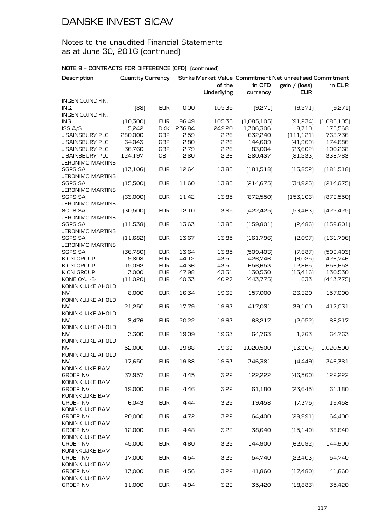## Notes to the unaudited Financial Statements as at June 30, 2016 (continued)

| Description                               | <b>Quantity Currency</b> |            |        |            |             | Strike Market Value Commitment Net unrealised Commitment |             |
|-------------------------------------------|--------------------------|------------|--------|------------|-------------|----------------------------------------------------------|-------------|
|                                           |                          |            |        | of the     | in CFD      | gain / [loss]                                            | in EUR      |
|                                           |                          |            |        | Underlying | currency    | <b>EUR</b>                                               |             |
| INGENICO.IND.FIN.                         |                          |            |        |            |             |                                                          |             |
| ING.                                      | [88]                     | <b>EUR</b> | 0.00   | 105.35     | (9,271)     | (9,271)                                                  | (9,271)     |
| INGENICO.IND.FIN.                         |                          |            |        |            |             |                                                          |             |
| ING.                                      | [10, 300]                | <b>EUR</b> | 96.49  | 105.35     | (1,085,105) | [91, 234]                                                | (1,085,105) |
| ISS A/S                                   | 5,242                    | <b>DKK</b> | 236.84 | 249.20     | 1,306,306   | 8,710                                                    | 175,568     |
| <b>J.SAINSBURY PLC</b>                    | 280,000                  | <b>GBP</b> | 2.59   | 2.26       | 632,240     | (111, 121)                                               | 763,736     |
| <b>J.SAINSBURY PLC</b>                    | 64,043                   | <b>GBP</b> | 2.80   | 2.26       | 144,609     | [41,969]                                                 | 174,686     |
| <b>J.SAINSBURY PLC</b>                    | 36,760                   | <b>GBP</b> | 2.79   | 2.26       | 83,004      | [23,602]                                                 | 100,268     |
| <b>J.SAINSBURY PLC</b>                    | 124,197                  | <b>GBP</b> | 2.80   | 2.26       | 280,437     | [81,233]                                                 | 338,763     |
| <b>JERONIMO MARTINS</b>                   |                          |            |        |            |             |                                                          |             |
| <b>SGPS SA</b>                            | [13, 106]                | <b>EUR</b> | 12.64  | 13.85      | [181,518]   | (15,852)                                                 | (181, 518)  |
| <b>JERONIMO MARTINS</b>                   |                          |            |        |            |             |                                                          |             |
| <b>SGPS SA</b>                            | (15,500)                 | <b>EUR</b> | 11.60  | 13.85      | [214, 675]  | [34, 925]                                                | [214, 675]  |
| <b>JERONIMO MARTINS</b><br><b>SGPS SA</b> |                          |            |        |            |             |                                                          |             |
| <b>JERONIMO MARTINS</b>                   | [63,000]                 | <b>EUR</b> | 11.42  | 13.85      | [872,550]   | [153, 106]                                               | [872,550]   |
| <b>SGPS SA</b>                            |                          | <b>EUR</b> | 12.10  | 13.85      |             |                                                          |             |
| <b>JERONIMO MARTINS</b>                   | [30,500]                 |            |        |            | [422, 425]  | [53,463]                                                 | [422, 425]  |
| <b>SGPS SA</b>                            |                          |            |        | 13.85      |             |                                                          |             |
| <b>JERONIMO MARTINS</b>                   | (11,538)                 | <b>EUR</b> | 13.63  |            | (159, 801)  | [2,486]                                                  | (159, 801)  |
| <b>SGPS SA</b>                            |                          | <b>EUR</b> | 13.67  | 13.85      |             |                                                          |             |
| <b>JERONIMO MARTINS</b>                   | (11,682)                 |            |        |            | [161,796]   | [2,097]                                                  | (161,796)   |
| <b>SGPS SA</b>                            | [36,780]                 | <b>EUR</b> | 13.64  | 13.85      | [509,403]   | (7,687)                                                  | [509,403]   |
| KION GROUP                                | 9,808                    | <b>EUR</b> | 44.12  | 43.51      | 426,746     | (6,025)                                                  | 426,746     |
| KION GROUP                                | 15,092                   | <b>EUR</b> | 44.36  | 43.51      | 656,653     | [12, 865]                                                | 656,653     |
| KION GROUP                                | 3,000                    | <b>EUR</b> | 47.98  | 43.51      | 130,530     | [13, 416]                                                | 130,530     |
| KONE OYJ -B-                              | (11,020)                 | <b>EUR</b> | 40.33  | 40.27      | [443,775]   | 633                                                      | [443, 775]  |
| KONINKLIJKE AHOLD                         |                          |            |        |            |             |                                                          |             |
| <b>NV</b>                                 | 8,000                    | <b>EUR</b> | 16.34  | 19.63      | 157,000     | 26,320                                                   | 157,000     |
| KONINKLIJKE AHOLD                         |                          |            |        |            |             |                                                          |             |
| <b>NV</b>                                 | 21,250                   | <b>EUR</b> | 17.79  | 19.63      | 417,031     | 39,100                                                   | 417,031     |
| KONINKLIJKE AHOLD                         |                          |            |        |            |             |                                                          |             |
| <b>NV</b>                                 | 3,476                    | <b>EUR</b> | 20.22  | 19.63      | 68,217      | [2,052]                                                  | 68,217      |
| KONINKLIJKE AHOLD                         |                          |            |        |            |             |                                                          |             |
| <b>NV</b>                                 | 3,300                    | <b>EUR</b> | 19.09  | 19.63      | 64,763      | 1,763                                                    | 64,763      |
| KONINKLIJKE AHOLD                         |                          |            |        |            |             |                                                          |             |
| <b>NV</b>                                 | 52,000                   | <b>EUR</b> | 19.88  | 19.63      | 1,020,500   | (13, 304)                                                | 1,020,500   |
| KONINKLIJKE AHOLD                         |                          |            |        |            |             |                                                          |             |
| <b>NV</b>                                 | 17,650                   | <b>EUR</b> | 19.88  | 19.63      | 346,381     | [4,449]                                                  | 346,381     |
| KONINKLIJKE BAM                           |                          |            |        |            |             |                                                          |             |
| <b>GROEP NV</b>                           | 37,957                   | <b>EUR</b> | 4.45   | 3.22       | 122,222     | (46, 560)                                                | 122,222     |
| KONINKLIJKE BAM                           |                          |            |        |            |             |                                                          |             |
| <b>GROEP NV</b>                           | 19,000                   | <b>EUR</b> | 4.46   | 3.22       | 61,180      | [23, 645]                                                | 61,180      |
| KONINKLIJKE BAM                           |                          |            |        |            |             |                                                          |             |
| <b>GROEP NV</b>                           | 6,043                    | <b>EUR</b> | 4.44   | 3.22       | 19,458      | (7,375)                                                  | 19,458      |
| KONINKLIJKE BAM                           |                          |            |        |            |             |                                                          |             |
| <b>GROEP NV</b>                           | 20,000                   | <b>EUR</b> | 4.72   | 3.22       | 64,400      | [29,991]                                                 | 64,400      |
| KONINKLIJKE BAM                           |                          |            |        |            |             |                                                          |             |
| <b>GROEP NV</b>                           | 12,000                   | <b>EUR</b> | 4.48   | 3.22       | 38,640      | (15, 140)                                                | 38,640      |
| KONINKLIJKE BAM                           |                          |            |        |            |             |                                                          |             |
| <b>GROEP NV</b>                           | 45,000                   | <b>EUR</b> | 4.60   | 3.22       | 144,900     | [62,092]                                                 | 144,900     |
| KONINKLIJKE BAM                           |                          |            |        |            |             |                                                          |             |
| <b>GROEP NV</b>                           | 17,000                   | <b>EUR</b> | 4.54   | 3.22       | 54,740      | [22,403]                                                 | 54,740      |
| KONINKLIJKE BAM                           |                          |            |        |            |             |                                                          |             |
| <b>GROEP NV</b>                           | 13,000                   | <b>EUR</b> | 4.56   | 3.22       | 41,860      | (17, 480)                                                | 41,860      |
| KONINKLIJKE BAM                           |                          |            |        |            |             |                                                          |             |
| <b>GROEP NV</b>                           | 11,000                   | <b>EUR</b> | 4.94   | 3.22       | 35,420      | [18, 883]                                                | 35,420      |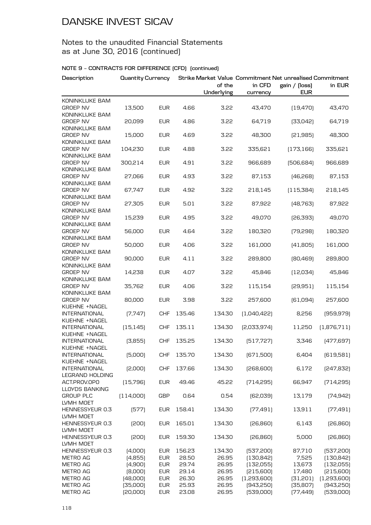### Notes to the unaudited Financial Statements as at June 30, 2016 (continued)

| Description                           | <b>Quantity Currency</b> |                          |                |                      | Strike Market Value Commitment Net unrealised Commitment |                             |                          |
|---------------------------------------|--------------------------|--------------------------|----------------|----------------------|----------------------------------------------------------|-----------------------------|--------------------------|
|                                       |                          |                          |                | of the<br>Underlying | in CFD<br>currency                                       | gain / (loss)<br><b>EUR</b> | in EUR                   |
| KONINKLIJKE BAM                       |                          |                          |                |                      |                                                          |                             |                          |
| <b>GROEP NV</b>                       | 13,500                   | <b>EUR</b>               | 4.66           | 3.22                 | 43,470                                                   | [19, 470]                   | 43,470                   |
| KONINKLIJKE BAM                       |                          |                          |                |                      |                                                          |                             |                          |
| <b>GROEP NV</b>                       | 20,099                   | <b>EUR</b>               | 4.86           | 3.22                 | 64,719                                                   | [33,042]                    | 64,719                   |
| KONINKLIJKE BAM                       |                          |                          |                |                      |                                                          |                             |                          |
| <b>GROEP NV</b><br>KONINKLIJKE BAM    | 15,000                   | <b>EUR</b>               | 4.69           | 3.22                 | 48,300                                                   | [21,985]                    | 48,300                   |
| <b>GROEP NV</b>                       | 104,230                  | <b>EUR</b>               | 4.88           | 3.22                 | 335,621                                                  | (173, 166)                  | 335,621                  |
| KONINKLIJKE BAM                       |                          |                          |                |                      |                                                          |                             |                          |
| <b>GROEP NV</b>                       | 300,214                  | <b>EUR</b>               | 4.91           | 3.22                 | 966,689                                                  | [506, 684]                  | 966,689                  |
| KONINKLIJKE BAM                       |                          |                          |                |                      |                                                          |                             |                          |
| <b>GROEP NV</b>                       | 27,066                   | <b>EUR</b>               | 4.93           | 3.22                 | 87,153                                                   | [46,268]                    | 87,153                   |
| KONINKLIJKE BAM                       |                          |                          |                |                      |                                                          |                             |                          |
| <b>GROEP NV</b>                       | 67,747                   | <b>EUR</b>               | 4.92           | 3.22                 | 218,145                                                  | (115, 384)                  | 218,145                  |
| KONINKLIJKE BAM                       |                          |                          |                |                      |                                                          |                             |                          |
| <b>GROEP NV</b><br>KONINKLIJKE BAM    | 27,305                   | <b>EUR</b>               | 5.01           | 3.22                 | 87,922                                                   | [48, 763]                   | 87,922                   |
| <b>GROEP NV</b>                       | 15,239                   | <b>EUR</b>               | 4.95           | 3.22                 | 49,070                                                   | [26, 393]                   | 49,070                   |
| KONINKLIJKE BAM                       |                          |                          |                |                      |                                                          |                             |                          |
| <b>GROEP NV</b>                       | 56,000                   | <b>EUR</b>               | 4.64           | 3.22                 | 180,320                                                  | (79, 298)                   | 180,320                  |
| KONINKLIJKE BAM                       |                          |                          |                |                      |                                                          |                             |                          |
| <b>GROEP NV</b>                       | 50,000                   | <b>EUR</b>               | 4.06           | 3.22                 | 161,000                                                  | (41,805)                    | 161,000                  |
| KONINKLIJKE BAM                       |                          |                          |                |                      |                                                          |                             |                          |
| <b>GROEP NV</b>                       | 90,000                   | <b>EUR</b>               | 4.11           | 3.22                 | 289,800                                                  | [80,469]                    | 289,800                  |
| KONINKLIJKE BAM                       |                          |                          |                |                      |                                                          |                             |                          |
| <b>GROEP NV</b><br>KONINKLIJKE BAM    | 14,238                   | <b>EUR</b>               | 4.07           | 3.22                 | 45,846                                                   | [12,034]                    | 45,846                   |
| <b>GROEP NV</b>                       | 35,762                   | <b>EUR</b>               | 4.06           | 3.22                 | 115,154                                                  | [29,951]                    | 115,154                  |
| KONINKLIJKE BAM                       |                          |                          |                |                      |                                                          |                             |                          |
| <b>GROEP NV</b>                       | 80,000                   | <b>EUR</b>               | 3.98           | 3.22                 | 257,600                                                  | [61,094]                    | 257,600                  |
| KUEHNE +NAGEL                         |                          |                          |                |                      |                                                          |                             |                          |
| <b>INTERNATIONAL</b>                  | [7, 747]                 | <b>CHF</b>               | 135.46         | 134.30               | [1,040,422]                                              | 8,256                       | [959, 979]               |
| KUEHNE +NAGEL                         |                          |                          |                |                      |                                                          |                             |                          |
| <b>INTERNATIONAL</b>                  | (15, 145)                | <b>CHF</b>               | 135.11         | 134.30               | [2,033,974]                                              | 11,250                      | (1,876,711)              |
| KUEHNE +NAGEL<br><b>INTERNATIONAL</b> |                          |                          | 135.25         |                      |                                                          |                             |                          |
| KUEHNE +NAGEL                         | (3,855)                  | <b>CHF</b>               |                | 134.30               | [517, 727]                                               | 3,346                       | [477,697]                |
| <b>INTERNATIONAL</b>                  | (5,000)                  | <b>CHF</b>               | 135.70         | 134.30               | [671,500]                                                | 6,404                       | (619, 581)               |
| KUEHNE +NAGEL                         |                          |                          |                |                      |                                                          |                             |                          |
| <b>INTERNATIONAL</b>                  | [2,000]                  | <b>CHF</b>               | 137.66         | 134.30               | [268, 600]                                               | 6,172                       | [247, 832]               |
| LEGRAND HOLDING                       |                          |                          |                |                      |                                                          |                             |                          |
| ACT.PROV.OPO                          | (15, 796)                | <b>EUR</b>               | 49.46          | 45.22                | [714, 295]                                               | 66,947                      | [714, 295]               |
| <b>LLOYDS BANKING</b>                 |                          |                          |                |                      |                                                          |                             |                          |
| <b>GROUP PLC</b>                      | (114,000)                | <b>GBP</b>               | 0.64           | 0.54                 | [62,039]                                                 | 13,179                      | [74, 942]                |
| LVMH MOET<br>HENNESSYEUR 0.3          | (577)                    | <b>EUR</b>               | 158.41         | 134.30               | [77, 491]                                                | 13,911                      | [77, 491]                |
| LVMH MOET                             |                          |                          |                |                      |                                                          |                             |                          |
| HENNESSYEUR 0.3                       | [200]                    | <b>EUR</b>               | 165.01         | 134.30               | [26, 860]                                                | 6,143                       | [26, 860]                |
| LVMH MOET                             |                          |                          |                |                      |                                                          |                             |                          |
| HENNESSYEUR 0.3                       | [200]                    | <b>EUR</b>               | 159.30         | 134.30               | [26, 860]                                                | 5,000                       | [26, 860]                |
| LVMH MOET                             |                          |                          |                |                      |                                                          |                             |                          |
| HENNESSYEUR 0.3                       | (4,000)                  | <b>EUR</b>               | 156.23         | 134.30               | [537, 200]                                               | 87,710                      | [537, 200]               |
| METRO AG                              | (4,855)                  | <b>EUR</b>               | 28.50          | 26.95                | [130, 842]                                               | 7,525                       | [130, 842]               |
| <b>METRO AG</b>                       | (4,900)                  | <b>EUR</b>               | 29.74          | 26.95                | (132,055)                                                | 13,673                      | [132,055]                |
| METRO AG                              | [8,000]                  | <b>EUR</b>               | 29.14          | 26.95                | [215,600]                                                | 17,480                      | [215,600]                |
| METRO AG<br>METRO AG                  | [48,000]<br>[35,000]     | <b>EUR</b><br><b>EUR</b> | 26.30<br>25.93 | 26.95<br>26.95       | (1,293,600)<br>[943,250]                                 | [31,201]<br>[35,807]        | (1,293,600)<br>[943,250] |
| METRO AG                              | [20,000]                 | <b>EUR</b>               | 23.08          | 26.95                | [539,000]                                                | [77, 449]                   | [539,000]                |
|                                       |                          |                          |                |                      |                                                          |                             |                          |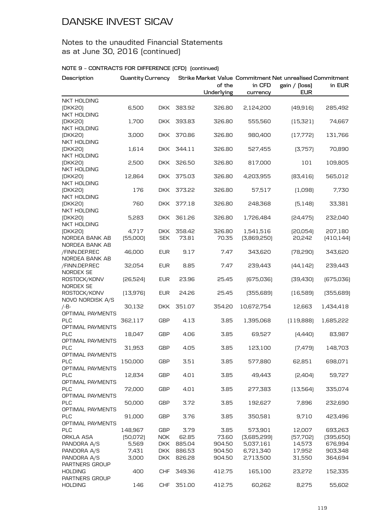### Notes to the unaudited Financial Statements as at June 30, 2016 (continued)

| Description                                         | <b>Quantity Currency</b> |                          |                 |                      | Strike Market Value Commitment Net unrealised Commitment |                             |                       |  |
|-----------------------------------------------------|--------------------------|--------------------------|-----------------|----------------------|----------------------------------------------------------|-----------------------------|-----------------------|--|
|                                                     |                          |                          |                 | of the<br>Underlying | in CFD<br>currency                                       | gain / (loss)<br><b>EUR</b> | in EUR                |  |
| NKT HOLDING                                         |                          |                          |                 |                      |                                                          |                             |                       |  |
| (DKK20)<br><b>NKT HOLDING</b>                       | 6,500                    | DKK.                     | 383.92          | 326.80               | 2,124,200                                                | (49, 916)                   | 285,492               |  |
| (DKK20)<br><b>NKT HOLDING</b>                       | 1,700                    | <b>DKK</b>               | 393.83          | 326.80               | 555,560                                                  | (15, 321)                   | 74,667                |  |
| (DKK20)                                             | 3,000                    | <b>DKK</b>               | 370.86          | 326.80               | 980,400                                                  | [17, 772]                   | 131,766               |  |
| <b>NKT HOLDING</b><br>(DKK20)                       | 1,614                    | <b>DKK</b>               | 344.11          | 326.80               | 527,455                                                  | [3,757]                     | 70,890                |  |
| NKT HOLDING<br>(DKK20)                              | 2,500                    | <b>DKK</b>               | 326.50          | 326.80               | 817,000                                                  | 101                         | 109,805               |  |
| <b>NKT HOLDING</b><br>(DKK20)                       | 12,864                   | <b>DKK</b>               | 375.03          | 326.80               | 4,203,955                                                | [83, 416]                   | 565,012               |  |
| <b>NKT HOLDING</b><br>(DKK20)                       | 176                      | DKK.                     | 373.22          | 326.80               | 57,517                                                   | (1,098)                     | 7,730                 |  |
| NKT HOLDING<br>(DKK20)                              | 760                      | DKK.                     | 377.18          | 326.80               | 248,368                                                  | [5, 148]                    | 33,381                |  |
| NKT HOLDING<br>(DKK20)                              | 5,283                    | <b>DKK</b>               | 361.26          | 326.80               | 1,726,484                                                | [24, 475]                   | 232,040               |  |
| <b>NKT HOLDING</b>                                  |                          |                          |                 |                      |                                                          |                             |                       |  |
| (DKK20)<br>NORDEA BANK AB                           | 4,717<br>[55,000]        | <b>DKK</b><br><b>SEK</b> | 358.42<br>73.81 | 326.80<br>70.35      | 1,541,516<br>[3,869,250]                                 | [20,054]<br>20,242          | 207,180<br>[410, 144] |  |
| NORDEA BANK AB<br>/FINN.DEP.REC                     | 46,000                   | <b>EUR</b>               | 9.17            | 7.47                 | 343,620                                                  | [78, 290]                   | 343,620               |  |
| NORDEA BANK AB<br>/FINN.DEP.REC<br><b>NORDEX SE</b> | 32,054                   | <b>EUR</b>               | 8.85            | 7.47                 | 239,443                                                  | [44, 142]                   | 239,443               |  |
| ROSTOCK/KONV<br>NORDEX SE                           | [26,524]                 | <b>EUR</b>               | 23.96           | 25.45                | [675,036]                                                | [39, 430]                   | [675,036]             |  |
| ROSTOCK/KONV<br>NOVO NORDISK A/S                    | (13,976)                 | <b>EUR</b>               | 24.26           | 25.45                | [355,689]                                                | (16,589)                    | [355,689]             |  |
| $/-B-$<br>OPTIMAL PAYMENTS                          | 30,132                   | <b>DKK</b>               | 351.07          | 354.20               | 10,672,754                                               | 12,663                      | 1,434,418             |  |
| <b>PLC</b><br>OPTIMAL PAYMENTS                      | 362,117                  | <b>GBP</b>               | 4.13            | 3.85                 | 1,395,068                                                | (119, 888)                  | 1,685,222             |  |
| PLC<br>OPTIMAL PAYMENTS                             | 18,047                   | <b>GBP</b>               | 4.06            | 3.85                 | 69,527                                                   | [4,440]                     | 83,987                |  |
| PLC                                                 | 31,953                   | <b>GBP</b>               | 4.05            | 3.85                 | 123,100                                                  | [7,479]                     | 148,703               |  |
| OPTIMAL PAYMENTS<br><b>PLC</b><br>OPTIMAL PAYMENTS  | 150,000                  | <b>GBP</b>               | 3.51            | 3.85                 | 577,880                                                  | 62,851                      | 698,071               |  |
| <b>PLC</b><br>OPTIMAL PAYMENTS                      | 12,834                   | GBP                      | 4.01            | 3.85                 | 49,443                                                   | [2,404]                     | 59,727                |  |
| <b>PLC</b><br>OPTIMAL PAYMENTS                      | 72,000                   | <b>GBP</b>               | 4.01            | 3.85                 | 277,383                                                  | (13, 564)                   | 335,074               |  |
| PLC<br>OPTIMAL PAYMENTS                             | 50,000                   | <b>GBP</b>               | 3.72            | 3.85                 | 192,627                                                  | 7,896                       | 232,690               |  |
| PLC                                                 | 91,000                   | GBP                      | 3.76            | 3.85                 | 350,581                                                  | 9,710                       | 423,496               |  |
| OPTIMAL PAYMENTS<br><b>PLC</b>                      | 148,967                  | <b>GBP</b>               | 3.79            | 3.85                 | 573,901                                                  | 12,007                      | 693,263               |  |
| ORKLA ASA                                           | [50,072]                 | <b>NOK</b>               | 62.85           | 73.60                | [3,685,299]                                              | [57,702]                    | [395, 650]            |  |
| PANDORA A/S                                         | 5,569                    | <b>DKK</b>               | 885.04          | 904.50               | 5,037,161                                                | 14,573                      | 676,994               |  |
| PANDORA A/S                                         | 7,431                    | <b>DKK</b>               | 886.53          | 904.50               | 6,721,340                                                | 17,952                      | 903,348               |  |
| PANDORA A/S<br>PARTNERS GROUP                       | 3,000                    | <b>DKK</b>               | 826.28          | 904.50               | 2,713,500                                                | 31,550                      | 364,694               |  |
| <b>HOLDING</b><br>PARTNERS GROUP                    | 400                      | <b>CHF</b>               | 349.36          | 412.75               | 165,100                                                  | 23,272                      | 152,335               |  |
| <b>HOLDING</b>                                      | 146                      | <b>CHF</b>               | 351.00          | 412.75               | 60,262                                                   | 8,275                       | 55,602                |  |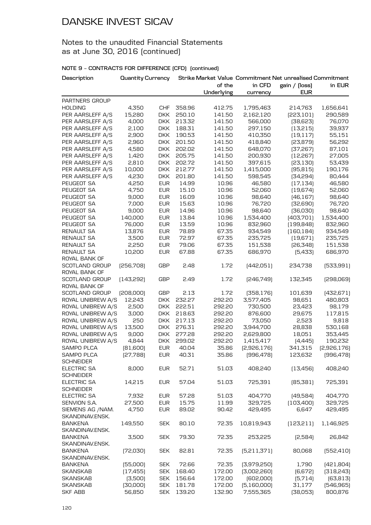### Notes to the unaudited Financial Statements as at June 30, 2016 (continued)

| Description        | Quantity Currency |            |        |            |               | Strike Market Value Commitment Net unrealised Commitment |             |
|--------------------|-------------------|------------|--------|------------|---------------|----------------------------------------------------------|-------------|
|                    |                   |            |        | of the     | in CFD        | gain / (loss)                                            | in EUR      |
|                    |                   |            |        | Underlying | currency      | <b>EUR</b>                                               |             |
| PARTNERS GROUP     |                   |            |        |            |               |                                                          |             |
| <b>HOLDING</b>     | 4,350             | <b>CHF</b> | 358.96 | 412.75     | 1,795,463     | 214,763                                                  | 1,656,641   |
| PER AARSLEFF A/S   | 15,280            | <b>DKK</b> | 250.10 | 141.50     | 2,162,120     | [223, 101]                                               | 290,589     |
| PER AARSLEFF A/S   | 4,000             | <b>DKK</b> | 213.32 | 141.50     | 566,000       | [38,623]                                                 | 76,070      |
| PER AARSLEFF A/S   | 2,100             | <b>DKK</b> | 188.31 | 141.50     | 297,150       | (13,215)                                                 | 39,937      |
| PER AARSLEFF A/S   | 2,900             | <b>DKK</b> | 190.53 | 141.50     | 410,350       | (19, 117)                                                | 55,151      |
| PER AARSLEFF A/S   | 2,960             | <b>DKK</b> | 201.50 | 141.50     | 418,840       | [23, 879]                                                | 56,292      |
| PER AARSLEFF A/S   | 4,580             | <b>DKK</b> | 202.02 | 141.50     | 648,070       | [37, 267]                                                | 87,101      |
| PER AARSLEFF A/S   | 1,420             | <b>DKK</b> | 205.75 | 141.50     | 200,930       | [12, 267]                                                | 27,005      |
| PER AARSLEFF A/S   | 2,810             | <b>DKK</b> | 202.72 | 141.50     | 397,615       | [23, 130]                                                | 53,439      |
| PER AARSLEFF A/S   | 10,000            | <b>DKK</b> | 212.77 | 141.50     | 1,415,000     | (95, 815)                                                | 190,176     |
| PER AARSLEFF A/S   | 4,230             | <b>DKK</b> | 201.80 | 141.50     | 598,545       | [34,294]                                                 | 80,444      |
| PEUGEOT SA         | 4,250             | <b>EUR</b> | 14.99  | 10.96      | 46,580        | (17, 134)                                                | 46,580      |
| PEUGEOT SA         | 4,750             | <b>EUR</b> | 15.10  | 10.96      | 52,060        | [19,674]                                                 | 52,060      |
| PEUGEOT SA         | 9,000             | <b>EUR</b> | 16.09  | 10.96      | 98,640        | [46, 167]                                                | 98,640      |
| PEUGEOT SA         | 7,000             | <b>EUR</b> | 15.63  | 10.96      | 76,720        | [32,690]                                                 | 76,720      |
| PEUGEOT SA         | 9,000             | <b>EUR</b> | 14.96  | 10.96      | 98,640        | [36,030]                                                 | 98,640      |
| PEUGEOT SA         | 140,000           | <b>EUR</b> | 13.84  | 10.96      | 1,534,400     | [403,701]                                                | 1,534,400   |
| PEUGEOT SA         | 76,000            | <b>EUR</b> | 13.59  | 10.96      | 832,960       | [199, 848]                                               | 832,960     |
| <b>RENAULT SA</b>  | 13,876            | <b>EUR</b> | 78.89  | 67.35      | 934,549       | [160, 184]                                               | 934,549     |
| <b>RENAULT SA</b>  | 3,500             | <b>EUR</b> | 72.97  | 67.35      | 235,725       | (19, 671)                                                | 235,725     |
| <b>RENAULT SA</b>  | 2,250             | <b>EUR</b> | 79.06  | 67.35      | 151,538       | [26, 348]                                                | 151,538     |
| RENAULT SA         | 10,200            | <b>EUR</b> | 67.88  | 67.35      | 686,970       | [5,433]                                                  | 686,970     |
| ROYAL BANK OF      |                   |            |        |            |               |                                                          |             |
| SCOTLAND GROUP     | [256,708]         | <b>GBP</b> | 2.48   | 1.72       | [442,051]     | 234,738                                                  | [533,991]   |
| ROYAL BANK OF      |                   |            |        |            |               |                                                          |             |
| SCOTLAND GROUP     | [143, 292]        | <b>GBP</b> | 2.49   | 1.72       | [246,749]     | 132,345                                                  | [298,069]   |
| ROYAL BANK OF      |                   |            |        |            |               |                                                          |             |
| SCOTLAND GROUP     | [208,000]         | <b>GBP</b> | 2.13   | 1.72       | [358, 176]    | 101,639                                                  | [432,671]   |
| ROYAL UNIBREW A/S  | 12,243            | <b>DKK</b> | 232.27 | 292.20     | 3,577,405     | 98,651                                                   | 480,803     |
| ROYAL UNIBREW A/S  | 2,500             | <b>DKK</b> | 222.51 | 292.20     | 730,500       | 23,423                                                   | 98,179      |
| ROYAL UNIBREW A/S  | 3,000             | <b>DKK</b> | 218.63 | 292.20     | 876,600       | 29,675                                                   | 117,815     |
| ROYAL UNIBREW A/S  | 250               | <b>DKK</b> | 217.13 | 292.20     | 73,050        | 2,523                                                    | 9,818       |
| ROYAL UNIBREW A/S  | 13,500            | <b>DKK</b> | 276.31 | 292.20     | 3,944,700     | 28,838                                                   | 530,168     |
| ROYAL UNIBREW A/S  | 9,000             | <b>DKK</b> | 277.28 | 292.20     | 2,629,800     | 18,051                                                   | 353,445     |
| ROYAL UNIBREW A/S  | 4,844             | <b>DKK</b> | 299.02 | 292.20     | 1,415,417     | [4,445]                                                  | 190,232     |
| SAMPO PLCA         | [81,600]          | <b>EUR</b> | 40.04  | 35.86      | [2,926,176]   | 341,315                                                  | [2,926,176] |
| SAMPO PLCA         | [27,788]          | <b>EUR</b> | 40.31  | 35.86      | [996, 478]    | 123,632                                                  | [996, 478]  |
| <b>SCHNEIDER</b>   |                   |            |        |            |               |                                                          |             |
| <b>ELECTRIC SA</b> | 8,000             | <b>EUR</b> | 52.71  | 51.03      | 408,240       | (13, 456)                                                | 408,240     |
| <b>SCHNEIDER</b>   |                   |            |        |            |               |                                                          |             |
| ELECTRIC SA        | 14,215            | <b>EUR</b> | 57.04  | 51.03      | 725,391       | [85,381]                                                 | 725,391     |
| <b>SCHNEIDER</b>   |                   |            |        |            |               |                                                          |             |
| <b>ELECTRIC SA</b> | 7,932             | <b>EUR</b> | 57.28  | 51.03      | 404,770       | [49,584]                                                 | 404,770     |
| SENVION S.A.       | 27,500            | <b>EUR</b> | 15.75  | 11.99      | 329,725       | (103, 400)                                               | 329,725     |
| SIEMENS AG /NAM.   | 4,750             | <b>EUR</b> | 89.02  | 90.42      | 429,495       | 6.647                                                    | 429,495     |
| SKANDINAV.ENSK.    |                   |            |        |            |               |                                                          |             |
| <b>BANKENA</b>     | 149,550           | <b>SEK</b> | 80.10  | 72.35      | 10,819,943    | (123, 211)                                               | 1,146,925   |
| SKANDINAV.ENSK.    |                   |            |        |            |               |                                                          |             |
| <b>BANKENA</b>     | 3,500             | <b>SEK</b> | 79.30  | 72.35      | 253,225       | [2,584]                                                  | 26,842      |
| SKANDINAV.ENSK.    |                   |            |        |            |               |                                                          |             |
| <b>BANKENA</b>     | [72,030]          | <b>SEK</b> | 82.81  | 72.35      | [5, 211, 371] | 80,068                                                   | [552, 410]  |
| SKANDINAV.ENSK.    |                   |            |        |            |               |                                                          |             |
| <b>BANKENA</b>     | [55,000]          | <b>SEK</b> | 72.66  | 72.35      | [3,979,250]   | 1,790                                                    | [421,804]   |
| <b>SKANSKAB</b>    | (17, 455)         | <b>SEK</b> | 168.40 | 172.00     | [3,002,260]   | [6,672]                                                  | [318, 243]  |
| <b>SKANSKAB</b>    | (3,500)           | <b>SEK</b> | 156.64 | 172.00     | [602,000]     | [5,714]                                                  | [63, 813]   |
| <b>SKANSKAB</b>    | [30,000]          | <b>SEK</b> | 181.78 | 172.00     | [5,160,000]   | 31,177                                                   | [546, 965]  |
| <b>SKF ABB</b>     | 56,850            | <b>SEK</b> | 139.20 | 132.90     | 7,555,365     | [38,053]                                                 | 800,876     |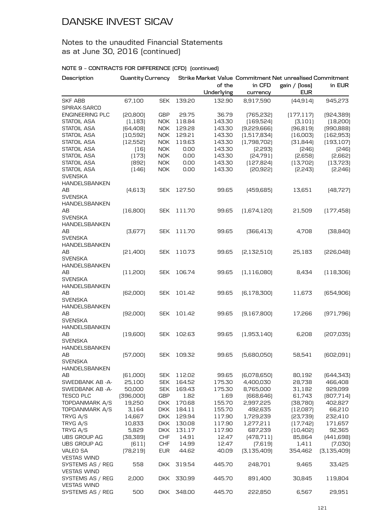### Notes to the unaudited Financial Statements as at June 30, 2016 (continued)

| Description                            | Quantity Currency |            |        |            |               | Strike Market Value Commitment Net unrealised Commitment |               |
|----------------------------------------|-------------------|------------|--------|------------|---------------|----------------------------------------------------------|---------------|
|                                        |                   |            |        | of the     | in CFD        | gain / (loss)                                            | in EUR        |
|                                        |                   |            |        | Underlying | currency      | <b>EUR</b>                                               |               |
| <b>SKF ABB</b><br>SPIRAX-SARCO         | 67,100            | <b>SEK</b> | 139.20 | 132.90     | 8,917,590     | [44, 914]                                                | 945,273       |
| <b>ENGINEERING PLC</b>                 | [20, 800]         | <b>GBP</b> | 29.75  | 36.79      | [765, 232]    | (177, 117)                                               | [924,389]     |
| <b>STATOIL ASA</b>                     | (1, 183)          | <b>NOK</b> | 118.84 | 143.30     | (169, 524)    | (3, 101)                                                 | [18, 200]     |
| <b>STATOIL ASA</b>                     | [64, 408]         | <b>NOK</b> | 129.28 | 143.30     | [9,229,666]   | [96, 819]                                                | [990, 888]    |
| STATOIL ASA                            | [10,592]          | <b>NOK</b> | 129.21 | 143.30     | (1,517,834)   | (16,003)                                                 | (162, 953)    |
| STATOIL ASA                            | (12, 552)         | <b>NOK</b> | 119.63 | 143.30     | (1,798,702)   | [31,844]                                                 | (193, 107)    |
| STATOIL ASA                            | (16)              | <b>NOK</b> | 0.00   | 143.30     | [2,293]       | [246]                                                    | [246]         |
| STATOIL ASA                            | (173)             | <b>NOK</b> | 0.00   | 143.30     | [24,791]      | [2,658]                                                  | [2,662]       |
| STATOIL ASA                            | [892]             | <b>NOK</b> | 0.00   | 143.30     | (127, 824)    | [13,702]                                                 | [13, 723]     |
| <b>STATOIL ASA</b>                     | (146)             | <b>NOK</b> | 0.00   | 143.30     | [20, 922]     | [2,243]                                                  | [2,246]       |
| <b>SVENSKA</b><br><b>HANDELSBANKEN</b> |                   |            |        |            |               |                                                          |               |
| AB                                     | (4,613)           | <b>SEK</b> | 127.50 | 99.65      | (459, 685)    | 13,651                                                   | [48, 727]     |
| <b>SVENSKA</b>                         |                   |            |        |            |               |                                                          |               |
| <b>HANDELSBANKEN</b>                   |                   |            |        |            |               |                                                          |               |
| AB                                     | [16, 800]         | <b>SEK</b> | 111.70 | 99.65      | [1,674,120]   | 21,509                                                   | (177, 458)    |
| <b>SVENSKA</b>                         |                   |            |        |            |               |                                                          |               |
| <b>HANDELSBANKEN</b>                   |                   |            |        |            |               |                                                          |               |
| AВ                                     | [3,677]           | <b>SEK</b> | 111.70 | 99.65      | [366, 413]    | 4,708                                                    | [38, 840]     |
| <b>SVENSKA</b>                         |                   |            |        |            |               |                                                          |               |
| HANDELSBANKEN                          |                   |            |        |            |               |                                                          |               |
| AB                                     | [21,400]          | <b>SEK</b> | 110.73 | 99.65      | [2, 132, 510] | 25,183                                                   | [226,048]     |
| <b>SVENSKA</b>                         |                   |            |        |            |               |                                                          |               |
| HANDELSBANKEN                          |                   |            |        |            |               |                                                          |               |
| AB                                     | (11,200)          | <b>SEK</b> | 106.74 | 99.65      | (1, 116, 080) | 8,434                                                    | (118,306)     |
| <b>SVENSKA</b>                         |                   |            |        |            |               |                                                          |               |
| HANDELSBANKEN                          |                   |            |        |            |               |                                                          |               |
| AB                                     | [62,000]          | <b>SEK</b> | 101.42 | 99.65      | [6, 178, 300] | 11,673                                                   | [654, 906]    |
| <b>SVENSKA</b>                         |                   |            |        |            |               |                                                          |               |
| HANDELSBANKEN                          |                   |            |        |            |               |                                                          |               |
| AB                                     | [92,000]          | <b>SEK</b> | 101.42 | 99.65      | [9,167,800]   | 17,266                                                   | [971, 796]    |
| <b>SVENSKA</b>                         |                   |            |        |            |               |                                                          |               |
| <b>HANDELSBANKEN</b>                   |                   |            |        |            |               |                                                          |               |
| AB                                     | (19,600)          | <b>SEK</b> | 102.63 | 99.65      | [1,953,140]   | 6,208                                                    | [207,035]     |
| <b>SVENSKA</b>                         |                   |            |        |            |               |                                                          |               |
| HANDELSBANKEN                          |                   |            |        |            |               |                                                          |               |
| AB                                     | [57,000]          | <b>SEK</b> | 109.32 | 99.65      | [5,680,050]   | 58,541                                                   | [602,091]     |
| <b>SVENSKA</b>                         |                   |            |        |            |               |                                                          |               |
| <b>HANDELSBANKEN</b>                   |                   |            |        |            |               |                                                          |               |
| ΑВ                                     | [61,000]          | <b>SEK</b> | 112.02 | 99.65      | [6,078,650]   | 80,192                                                   | [644, 343]    |
| SWEDBANK AB -A-                        | 25,100            | <b>SEK</b> | 164.52 | 175.30     | 4,400,030     | 28,738                                                   | 466,408       |
| SWEDBANK AB -A-                        | 50,000            | <b>SEK</b> | 169.43 | 175.30     | 8,765,000     | 31,182                                                   | 929,099       |
| <b>TESCO PLC</b>                       | [396,000]         | GBP        | 1.82   | 1.69       | [668, 646]    | 61,743                                                   | [807,714]     |
| TOPDANMARK A/S                         | 19,250            | <b>DKK</b> | 170.68 | 155.70     | 2,997,225     | [38, 780]                                                | 402,827       |
| TOPDANMARK A/S                         | 3,164             | <b>DKK</b> | 184.11 | 155.70     | 492,635       | [12,087]                                                 | 66,210        |
| TRYG A/S                               | 14,667            | <b>DKK</b> | 129.94 | 117.90     | 1,729,239     | [23,739]                                                 | 232,410       |
| TRYG A/S                               | 10,833            | <b>DKK</b> | 130.08 | 117.90     | 1,277,211     | [17, 742]                                                | 171,657       |
| TRYG A/S                               | 5,829             | <b>DKK</b> | 131.17 | 117.90     |               |                                                          | 92,365        |
|                                        |                   |            |        |            | 687,239       | [10,402]                                                 |               |
| UBS GROUP AG                           | [38, 389]         | <b>CHF</b> | 14.91  | 12.47      | [478, 711]    | 85,864                                                   | [441,698]     |
| UBS GROUP AG                           | (611)             | <b>CHF</b> | 14.99  | 12.47      | (7,619)       | 1,411                                                    | (7,030)       |
| <b>VALEO SA</b>                        | [78, 219]         | <b>EUR</b> | 44.62  | 40.09      | [3, 135, 409] | 354,462                                                  | [3, 135, 409] |
| <b>VESTAS WIND</b>                     |                   |            |        |            |               |                                                          |               |
| SYSTEMS AS / REG                       | 558               | <b>DKK</b> | 319.54 | 445.70     | 248,701       | 9,465                                                    | 33,425        |
| <b>VESTAS WIND</b>                     |                   |            |        |            |               |                                                          |               |
| SYSTEMS AS / REG                       | 2,000             | <b>DKK</b> | 330.99 | 445.70     | 891,400       | 30,845                                                   | 119,804       |
| <b>VESTAS WIND</b>                     |                   |            |        |            |               |                                                          |               |
| SYSTEMS AS / REG                       | 500               | <b>DKK</b> | 348.00 | 445.70     | 222,850       | 6,567                                                    | 29,951        |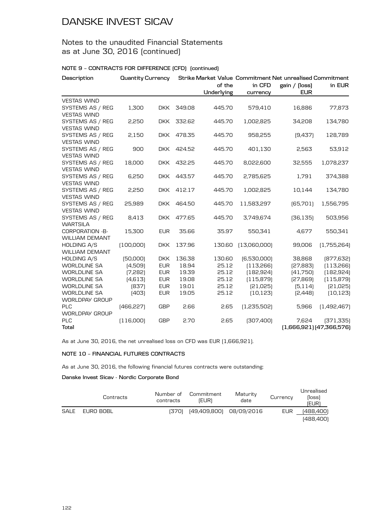### Notes to the unaudited Financial Statements as at June 30, 2016 (continued)

#### **NOTE 9 – CONTRACTS FOR DIFFERENCE (CFD) (continued)**

| Description                                 |            | <b>Quantity Currency</b> |        | Strike Market Value Commitment Net unrealised Commitment |              |               |                         |  |
|---------------------------------------------|------------|--------------------------|--------|----------------------------------------------------------|--------------|---------------|-------------------------|--|
|                                             |            |                          |        | of the                                                   | in CFD       | gain / (loss) | in EUR                  |  |
|                                             |            |                          |        | Underlying                                               | currency     | <b>EUR</b>    |                         |  |
| <b>VESTAS WIND</b>                          |            |                          |        |                                                          |              |               |                         |  |
| SYSTEMS AS / REG                            | 1,300      | <b>DKK</b>               | 349.08 | 445.70                                                   | 579,410      | 16,886        | 77,873                  |  |
| <b>VESTAS WIND</b>                          |            |                          |        |                                                          |              |               |                         |  |
| SYSTEMS AS / REG                            | 2,250      | <b>DKK</b>               | 332.62 | 445.70                                                   | 1,002,825    | 34,208        | 134,780                 |  |
| <b>VESTAS WIND</b>                          |            |                          |        |                                                          |              |               |                         |  |
| SYSTEMS AS / REG                            | 2,150      | <b>DKK</b>               | 478.35 | 445.70                                                   | 958,255      | [9,437]       | 128,789                 |  |
| <b>VESTAS WIND</b>                          |            |                          |        |                                                          |              |               |                         |  |
| SYSTEMS AS / REG                            | 900        | <b>DKK</b>               | 424.52 | 445.70                                                   | 401,130      | 2,563         | 53,912                  |  |
| <b>VESTAS WIND</b>                          |            |                          |        |                                                          |              |               |                         |  |
| SYSTEMS AS / REG                            | 18,000     | <b>DKK</b>               | 432.25 | 445.70                                                   | 8,022,600    | 32,555        | 1,078,237               |  |
| <b>VESTAS WIND</b>                          |            |                          |        |                                                          |              |               |                         |  |
| SYSTEMS AS / REG                            | 6,250      | <b>DKK</b>               | 443.57 | 445.70                                                   | 2,785,625    | 1,791         | 374,388                 |  |
| <b>VESTAS WIND</b>                          |            |                          |        |                                                          |              |               |                         |  |
| SYSTEMS AS / REG                            | 2,250      | <b>DKK</b>               | 412.17 | 445.70                                                   | 1,002,825    | 10,144        | 134,780                 |  |
| <b>VESTAS WIND</b>                          |            |                          |        |                                                          |              |               |                         |  |
| SYSTEMS AS / REG                            | 25,989     | <b>DKK</b>               | 464.50 | 445.70                                                   | 11,583,297   | (65,701)      | 1,556,795               |  |
| <b>VESTAS WIND</b>                          |            |                          |        |                                                          |              |               |                         |  |
| SYSTEMS AS / REG                            | 8,413      | <b>DKK</b>               | 477.65 | 445.70                                                   | 3,749,674    | [36, 135]     | 503,956                 |  |
| <b>WARTSILA</b>                             |            |                          |        |                                                          |              |               |                         |  |
| CORPORATION -B-                             | 15,300     | <b>EUR</b>               | 35.66  | 35.97                                                    | 550,341      | 4,677         | 550,341                 |  |
| <b>WILLIAM DEMANT</b><br><b>HOLDING A/S</b> | (100,000)  |                          |        |                                                          | [13,060,000] |               | (1,755,264)             |  |
| <b>WILLIAM DEMANT</b>                       |            | <b>DKK</b>               | 137.96 | 130.60                                                   |              | 99,006        |                         |  |
| <b>HOLDING A/S</b>                          | [50,000]   | <b>DKK</b>               | 136.38 | 130.60                                                   | [6,530,000]  | 38,868        | [877, 632]              |  |
| <b>WORLDLINE SA</b>                         | (4,509)    | <b>EUR</b>               | 18.94  | 25.12                                                    | (113, 266)   | [27, 883]     | (113,266)               |  |
| <b>WORLDLINE SA</b>                         | [7,282]    | <b>EUR</b>               | 19.39  | 25.12                                                    | (182, 924)   | [41,750]      | [182, 924]              |  |
| <b>WORLDLINE SA</b>                         | (4,613)    | <b>EUR</b>               | 19.08  | 25.12                                                    | (115, 879)   | [27,869]      | (115, 879)              |  |
| <b>WORLDLINE SA</b>                         | [837]      | <b>EUR</b>               | 19.01  | 25.12                                                    | [21,025]     | (5, 114)      | [21,025]                |  |
| <b>WORLDLINE SA</b>                         | (403)      | <b>EUR</b>               | 19.05  | 25.12                                                    | [10, 123]    | [2,448]       | [10, 123]               |  |
| <b>WORLDPAY GROUP</b>                       |            |                          |        |                                                          |              |               |                         |  |
| <b>PLC</b>                                  | [466, 227] | <b>GBP</b>               | 2.66   | 2.65                                                     | [1,235,502]  | 5,966         | [1,492,467]             |  |
| <b>WORLDPAY GROUP</b>                       |            |                          |        |                                                          |              |               |                         |  |
| <b>PLC</b>                                  | (116,000)  | <b>GBP</b>               | 2.70   | 2.65                                                     | [307,400]    | 7,624         | [371, 335]              |  |
| Total                                       |            |                          |        |                                                          |              |               | (1,666,921)(47,366,576) |  |

As at June 30, 2016, the net unrealised loss on CFD was EUR (1,666,921).

#### **NOTE 10 – FINANCIAL FUTURES CONTRACTS**

As at June 30, 2016, the following financial futures contracts were outstanding:

#### **Danske Invest Sicav - Nordic Corporate Bond**

|      | Contracts | Number of<br>contracts | Commitment<br>(EUR) | Maturity<br>date        | Currency   | Unrealised<br>Nossì<br>(EUR) |
|------|-----------|------------------------|---------------------|-------------------------|------------|------------------------------|
| SALE | EURO BOBL | (370)                  |                     | (49,409,800) 08/09/2016 | <b>EUR</b> | (488,400)                    |
|      |           |                        |                     |                         |            | [488, 400]                   |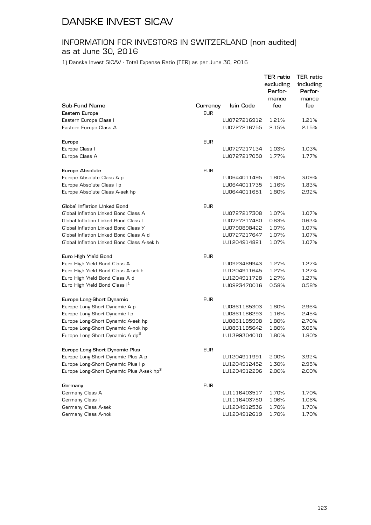## INFORMATION FOR INVESTORS IN SWITZERLAND (non audited) as at June 30, 2016

1) Danske Invest SICAV - Total Expense Ratio (TER) as per June 30, 2016

|                                                      |            |              | TER ratio<br>excluding<br>Perfor-<br>mance | TER ratio<br>including<br>Perfor-<br>mance |
|------------------------------------------------------|------------|--------------|--------------------------------------------|--------------------------------------------|
| Sub-Fund Name                                        | Currency   | Isin Code    | fee                                        | fee                                        |
| Eastern Europe                                       | <b>EUR</b> |              |                                            |                                            |
| Eastern Europe Class I                               |            | LU0727216912 | 1.21%                                      | 1.21%                                      |
| Eastern Europe Class A                               |            | LU0727216755 | 2.15%                                      | 2.15%                                      |
| Europe                                               | <b>EUR</b> |              |                                            |                                            |
| Europe Class I                                       |            | LU0727217134 | 1.03%                                      | 1.03%                                      |
| Europe Class A                                       |            | LU0727217050 | 1.77%                                      | 1.77%                                      |
| Europe Absolute                                      | <b>EUR</b> |              |                                            |                                            |
| Europe Absolute Class A p                            |            | LU0644011495 | 1.80%                                      | 3.09%                                      |
| Europe Absolute Class I p                            |            | LU0644011735 | 1.16%                                      | 1.83%                                      |
| Europe Absolute Class A-sek hp                       |            | LU0644011651 | 1.80%                                      | 2.92%                                      |
| Global Inflation Linked Bond                         | <b>EUR</b> |              |                                            |                                            |
| Global Inflation Linked Bond Class A                 |            | LU0727217308 | 1.07%                                      | 1.07%                                      |
| Global Inflation Linked Bond Class I                 |            | LU0727217480 | 0.63%                                      | 0.63%                                      |
| Global Inflation Linked Bond Class Y                 |            | LU0790898422 | 1.07%                                      | 1.07%                                      |
| Global Inflation Linked Bond Class A d               |            | LU0727217647 | 1.07%                                      | 1.07%                                      |
| Global Inflation Linked Bond Class A-sek h           |            | LU1204914821 | 1.07%                                      | 1.07%                                      |
| Euro High Yield Bond                                 | <b>EUR</b> |              |                                            |                                            |
| Euro High Yield Bond Class A                         |            | LU0923469943 | 1.27%                                      | 1.27%                                      |
| Euro High Yield Bond Class A-sek h                   |            | LU1204911645 | 1.27%                                      | 1.27%                                      |
| Euro High Yield Bond Class A d                       |            | LU1204911728 | 1.27%                                      | 1.27%                                      |
| Euro High Yield Bond Class I <sup>1</sup>            |            | LU0923470016 | 0.58%                                      | 0.58%                                      |
| Europe Long-Short Dynamic                            | <b>EUR</b> |              |                                            |                                            |
| Europe Long-Short Dynamic A p                        |            | LU0861185303 | 1.80%                                      | 2.96%                                      |
| Europe Long-Short Dynamic I p                        |            | LU0861186293 | 1.16%                                      | 2.45%                                      |
| Europe Long-Short Dynamic A-sek hp                   |            | LU0861185998 | 1.80%                                      | 2.70%                                      |
| Europe Long-Short Dynamic A-nok hp                   |            | LU0861185642 | 1.80%                                      | 3.08%                                      |
| Europe Long-Short Dynamic A dp <sup>2</sup>          |            | LU1399304010 | 1.80%                                      | 1.80%                                      |
| Europe Long-Short Dynamic Plus                       | <b>EUR</b> |              |                                            |                                            |
| Europe Long-Short Dynamic Plus A p                   |            | LU1204911991 | 2.00%                                      | 3.92%                                      |
| Europe Long-Short Dynamic Plus I p                   |            | LU1204912452 | 1.30%                                      | 2.95%                                      |
| Europe Long-Short Dynamic Plus A-sek hp <sup>3</sup> |            | LU1204912296 | 2.00%                                      | 2.00%                                      |
| Germany                                              | <b>EUR</b> |              |                                            |                                            |
| Germany Class A                                      |            | LU1116403517 | 1.70%                                      | 1.70%                                      |
| Germany Class I                                      |            | LU1116403780 | 1.06%                                      | 1.06%                                      |
| Germany Class A-sek                                  |            | LU1204912536 | 1.70%                                      | 1.70%                                      |
| Germany Class A-nok                                  |            | LU1204912619 | 1.70%                                      | 1.70%                                      |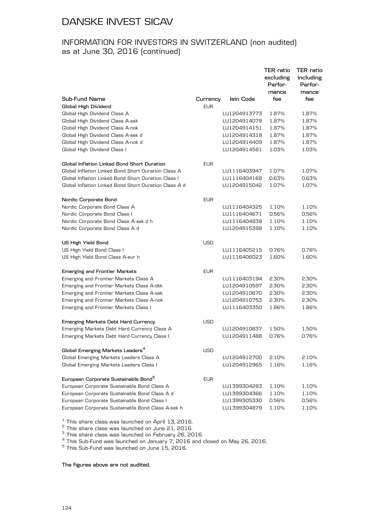## INFORMATION FOR INVESTORS IN SWITZERLAND (non audited) as at June 30, 2016 (continued)

| Sub-Fund Name                                                 | Currency   | Isin Code    | TER ratio<br>excluding<br>Perfor-<br>mance<br>fee | TER ratio<br>including<br>Perfor-<br>mance<br>fee |
|---------------------------------------------------------------|------------|--------------|---------------------------------------------------|---------------------------------------------------|
| Global High Dividend                                          | <b>EUR</b> |              |                                                   |                                                   |
| Global High Dividend Class A                                  |            | LU1204913773 | 1.87%                                             | 1.87%                                             |
| Global High Dividend Class A-sek                              |            | LU1204914078 | 1.87%                                             | 1.87%                                             |
| Global High Dividend Class A-nok                              |            | LU1204914151 | 1.87%                                             | 1.87%                                             |
| Global High Dividend Class A-sek d                            |            | LU1204914318 | 1.87%                                             | 1.87%                                             |
| Global High Dividend Class A-nok d                            |            | LU1204914409 | 1.87%                                             | 1.87%                                             |
| Global High Dividend Class I                                  |            | LU1204914581 | 1.03%                                             | 1.03%                                             |
| Global Inflation Linked Bond Short Duration                   | <b>EUR</b> |              |                                                   |                                                   |
| Global Inflation Linked Bond Short Duration Class A           |            | LU1116403947 | 1.07%                                             | 1.07%                                             |
| Global Inflation Linked Bond Short Duration Class I           |            | LU1116404168 | 0.63%                                             | 0.63%                                             |
| Global Inflation Linked Bond Short Duration Class A d         |            | LU1204915042 | 1.07%                                             | 1.07%                                             |
| Nordic Corporate Bond                                         | <b>EUR</b> |              |                                                   |                                                   |
| Nordic Corporate Bond Class A                                 |            | LU1116404325 | 1.10%                                             | 1.10%                                             |
| Nordic Corporate Bond Class I                                 |            | LU1116404671 | 0.56%                                             | 0.56%                                             |
| Nordic Corporate Bond Class A-sek d h                         |            | LU1116404838 | 1.10%                                             | 1.10%                                             |
| Nordic Corporate Bond Class A d                               |            | LU1204915398 | 1.10%                                             | 1.10%                                             |
| <b>US High Yield Bond</b>                                     | <b>USD</b> |              |                                                   |                                                   |
| US High Yield Bond Class I                                    |            | LU1116405215 | 0.76%                                             | 0.76%                                             |
| US High Yield Bond Class A-eur h                              |            | LU1116406023 | 1.60%                                             | 1.60%                                             |
| <b>Emerging and Frontier Markets</b>                          | <b>EUR</b> |              |                                                   |                                                   |
| Emerging and Frontier Markets Class A                         |            | LU1116403194 | 2.30%                                             | 2.30%                                             |
| Emerging and Frontier Markets Class A-dkk                     |            | LU1204910597 | 2.30%                                             | 2.30%                                             |
| Emerging and Frontier Markets Class A-sek                     |            | LU1204910670 | 2.30%                                             | 2.30%                                             |
| Emerging and Frontier Markets Class A-nok                     |            | LU1204910753 | 2.30%                                             | 2.30%                                             |
| Emerging and Frontier Markets Class I                         |            | LU1116403350 | 1.86%                                             | 1.86%                                             |
| Emerging Markets Debt Hard Currency                           | USD        |              |                                                   |                                                   |
| Emerging Markets Debt Hard Currency Class A                   |            | LU1204910837 | 1.50%                                             | 1.50%                                             |
| Emerging Markets Debt Hard Currency Class I                   |            | LU1204911488 | 0.76%                                             | 0.76%                                             |
| Global Emerging Markets Leaders $^{\rm 4}$                    | <b>USD</b> |              |                                                   |                                                   |
| Global Emerging Markets Leaders Class A                       |            | LU1204912700 | 2.10%                                             | 2.10%                                             |
| Global Emerging Markets Leaders Class I                       |            | LU1204912965 | 1.16%                                             | 1.16%                                             |
| European Corporate Sustainable Bond <sup>5</sup>              | <b>EUR</b> |              |                                                   |                                                   |
| European Corporate Sustainable Bond Class A                   |            | LU1399304283 | 1.10%                                             | 1.10%                                             |
| European Corporate Sustainable Bond Class A d                 |            | LU1399304366 | 1.10%                                             | 1.10%                                             |
| European Corporate Sustainable Bond Class I                   |            | LU1399305330 | 0.56%                                             | 0.56%                                             |
| European Corporate Sustainable Bond Class A-sek h             |            | LU1399304879 | 1.10%                                             | 1.10%                                             |
| $\frac{1}{2}$ This share along use loupehed an April 17, 2016 |            |              |                                                   |                                                   |

<sup>1</sup> This share class was launched on April 13, 2016.<br>
<sup>2</sup> This share class was launched on June 21, 2016.<br>
<sup>3</sup> This share class was launched on February 26, 2016.<br>
<sup>4</sup> This Sub-Fund was launched on January 7, 2016 and clo

**The figures above are not audited.**